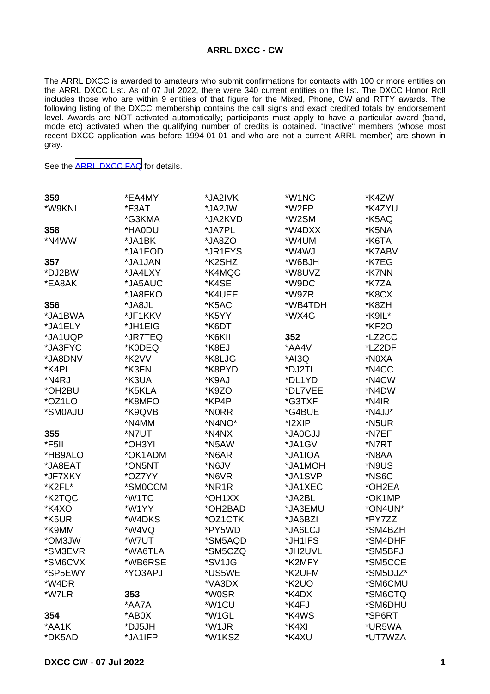## **ARRL DXCC - CW**

The ARRL DXCC is awarded to amateurs who submit confirmations for contacts with 100 or more entities on the ARRL DXCC List. As of 07 Jul 2022, there were 340 current entities on the list. The DXCC Honor Roll includes those who are within 9 entities of that figure for the Mixed, Phone, CW and RTTY awards. The following listing of the DXCC membership contains the call signs and exact credited totals by endorsement level. Awards are NOT activated automatically; participants must apply to have a particular award (band, mode etc) activated when the qualifying number of credits is obtained. "Inactive" members (whose most recent DXCC application was before 1994-01-01 and who are not a current ARRL member) are shown in gray.

See the [ARRL DXCC FAQ](http://www.arrl.org/dxcc-faq/) for details.

| 359     | *EA4MY  | *JA2IVK            | *W1NG              | *K4ZW    |
|---------|---------|--------------------|--------------------|----------|
| *W9KNI  | *F3AT   | *JA2JW             | *W2FP              | *K4ZYU   |
|         | *G3KMA  | *JA2KVD            | *W2SM              | *K5AQ    |
| 358     | *HA0DU  | *JA7PL             | *W4DXX             | *K5NA    |
| *N4WW   | *JA1BK  | *JA8ZO             | *W4UM              | *K6TA    |
|         | *JA1EOD | *JR1FYS            | *W4WJ              | *K7ABV   |
| 357     | *JA1JAN | *K2SHZ             | *W6BJH             | *K7EG    |
| *DJ2BW  | *JA4LXY | *K4MQG             | *W8UVZ             | *K7NN    |
| *EA8AK  | *JA5AUC | *K4SE              | *W9DC              | *K7ZA    |
|         | *JA8FKO | *K4UEE             | *W9ZR              | *K8CX    |
| 356     | *JA8JL  | *K5AC              | *WB4TDH            | *K8ZH    |
| *JA1BWA | *JF1KKV | *K5YY              | *WX4G              | *K9IL*   |
| *JA1ELY | *JH1EIG | *K6DT              |                    | *KF2O    |
| *JA1UQP | *JR7TEQ | *K6KII             | 352                | *LZ2CC   |
| *JA3FYC | *K0DEQ  | *K8EJ              | *AA4V              | *LZ2DF   |
| *JA8DNV | *K2VV   | *K8LJG             | *AI3Q              | *N0XA    |
| *K4PI   | *K3FN   | *K8PYD             | *DJ2TI             | *N4CC    |
| *N4RJ   | *K3UA   | *K9AJ              | *DL1YD             | *N4CW    |
| *OH2BU  | *K5KLA  | *K9ZO              | *DL7VEE            | *N4DW    |
| *OZ1LO  | *K8MFO  | *KP4P              | *G3TXF             | *N4IR    |
| *SM0AJU | *K9QVB  | *N0RR              | *G4BUE             | *N4JJ*   |
|         | *N4MM   | *N4NO*             | *I2XIP             | *N5UR    |
| 355     | *N7UT   | *N4NX              | *JA0GJJ            | *N7EF    |
| *F5II   | *OH3YI  | *N5AW              | *JA1GV             | *N7RT    |
| *HB9ALO | *OK1ADM | *N6AR              | *JA1IOA            | *N8AA    |
| *JA8EAT | *ON5NT  | *N6JV              | *JA1MOH            | *N9US    |
| *JF7XKY | *OZ7YY  | *N6VR              | *JA1SVP            | *NS6C    |
| *K2FL*  | *SM0CCM | *NR1R              | *JA1XEC            | *OH2EA   |
| *K2TQC  | *W1TC   | *OH1XX             | *JA2BL             | *OK1MP   |
| *K4XO   | *W1YY   | *OH2BAD            | *JA3EMU            | *ON4UN*  |
| *K5UR   | *W4DKS  | *OZ1CTK            | *JA6BZI            | *PY7ZZ   |
| *K9MM   | *W4VQ   | *PY5WD             | *JA6LCJ            | *SM4BZH  |
| *OM3JW  | *W7UT   | *SM5AQD            | *JH1IFS            | *SM4DHF  |
| *SM3EVR | *WA6TLA | *SM5CZQ            | *JH2UVL            | *SM5BFJ  |
| *SM6CVX | *WB6RSE | *SV1JG             | *K2MFY             | *SM5CCE  |
| *SP5EWY | *YO3APJ | *US5WE             | *K2UFM             | *SM5DJZ* |
| *W4DR   |         | *VA3DX             | *K <sub>2</sub> UO | *SM6CMU  |
| *W7LR   | 353     | *W0SR              | *K4DX              | *SM6CTQ  |
|         | *AA7A   | *W <sub>1</sub> CU | *K4FJ              | *SM6DHU  |
| 354     | *AB0X   | *W1GL              | *K4WS              | *SP6RT   |
| *AA1K   | *DJ5JH  | *W1JR              | *K4XI              | *UR5WA   |
| *DK5AD  | *JA1IFP | *W1KSZ             | *K4XU              | *UT7WZA  |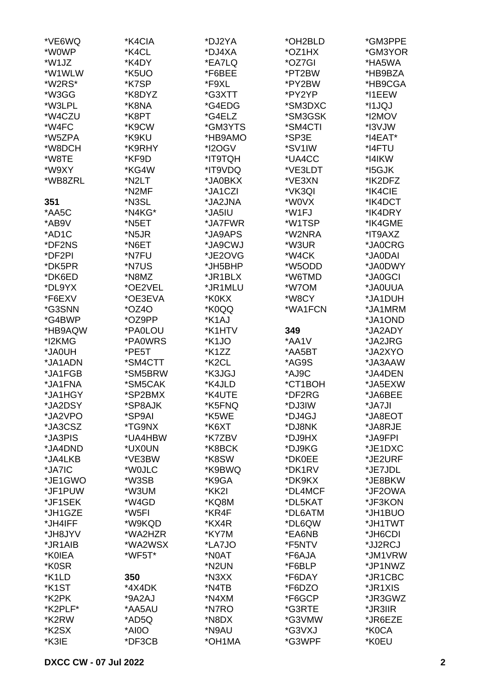| *VE6WQ             | *K4CIA  | *DJ2YA             | *OH2BLD | *GM3PPE       |
|--------------------|---------|--------------------|---------|---------------|
| *W0WP              | *K4CL   | *DJ4XA             | *OZ1HX  | *GM3YOR       |
| *W1JZ              | *K4DY   | *EA7LQ             | *OZ7GI  | *HA5WA        |
| *W1WLW             | *K5UO   | *F6BEE             | *PT2BW  | *HB9BZA       |
| *W2RS*             | *K7SP   | *F9XL              | *PY2BW  | *HB9CGA       |
| *W3GG              | *K8DYZ  | *G3XTT             | *PY2YP  | *I1EEW        |
| *W3LPL             | *K8NA   | *G4EDG             | *SM3DXC | *I1JQJ        |
| *W4CZU             | *K8PT   | *G4ELZ             | *SM3GSK | *I2MOV        |
| *W4FC              | *K9CW   | *GM3YTS            | *SM4CTI | *I3VJW        |
| *W5ZPA             | *K9KU   | *HB9AMO            | *SP3E   | $*$ I4EAT $*$ |
| *W8DCH             | *K9RHY  | *I2OGV             | *SV1IW  | *I4FTU        |
| *W8TE              | *KF9D   | *IT9TQH            | *UA4CC  | *I4IKW        |
| *W9XY              | *KG4W   | *IT9VDQ            | *VE3LDT | *15GJK        |
| *WB8ZRL            | *N2LT   | *JA0BKX            | *VE3XN  | *IK2DFZ       |
|                    | *N2MF   | *JA1CZI            | *VK3QI  | *IK4CIE       |
| 351                | *N3SL   | *JA2JNA            | *W0VX   | *IK4DCT       |
| *AA5C              | *N4KG*  | *JA5IU             |         | *IK4DRY       |
|                    |         |                    | *W1FJ   |               |
| *AB9V              | *N5ET   | *JA7FWR            | *W1TSP  | *IK4GME       |
| *AD1C              | *N5JR   | *JA9APS            | *W2NRA  | *IT9AXZ       |
| *DF2NS             | *N6ET   | *JA9CWJ            | *W3UR   | *JA0CRG       |
| *DF2PI             | *N7FU   | *JE2OVG            | *W4CK   | *JA0DAI       |
| *DK5PR             | *N7US   | *JH5BHP            | *W5ODD  | *JA0DWY       |
| *DK6ED             | *N8MZ   | *JR1BLX            | *W6TMD  | *JA0GCI       |
| *DL9YX             | *OE2VEL | *JR1MLU            | *W7OM   | *JA0UUA       |
| *F6EXV             | *OE3EVA | *K0KX              | *W8CY   | *JA1DUH       |
| *G3SNN             | $*OZ4O$ | *K0QQ              | *WA1FCN | *JA1MRM       |
| *G4BWP             | *OZ9PP  | *K1AJ              |         | *JA1OND       |
| *HB9AQW            | *PA0LOU | *K1HTV             | 349     | *JA2ADY       |
| *I2KMG             | *PA0WRS | *K1JO              | *AA1V   | *JA2JRG       |
| *JA0UH             | *PE5T   | *K1ZZ              | *AA5BT  | *JA2XYO       |
| *JA1ADN            | *SM4CTT | *K <sub>2</sub> CL | *AG9S   | *JA3AAW       |
| *JA1FGB            | *SM5BRW | *K3JGJ             | *AJ9C   | *JA4DEN       |
| *JA1FNA            | *SM5CAK | *K4JLD             | *CT1BOH | *JA5EXW       |
| *JA1HGY            | *SP2BMX | *K4UTE             | *DF2RG  | *JA6BEE       |
| *JA2DSY            | *SP8AJK | *K5FNQ             | *DJ3IW  | *JA7JI        |
| *JA2VPO            | *SP9AI  | *K5WE              | *DJ4GJ  | *JA8EOT       |
| *JA3CSZ            | *TG9NX  | *K6XT              | *DJ8NK  | *JA8RJE       |
| *JA3PIS            | *UA4HBW | *K7ZBV             | *DJ9HX  | *JA9FPI       |
| *JA4DND            | *UX0UN  | *K8BCK             | *DJ9KG  | *JE1DXC       |
| *JA4LKB            | *VE3BW  | *K8SW              | *DK0EE  | *JE2URF       |
| *JA7IC             | *W0JLC  | *K9BWQ             | *DK1RV  | *JE7JDL       |
| *JE1GWO            | *W3SB   | *K9GA              | *DK9KX  | *JE8BKW       |
| *JF1PUW            | *W3UM   | *KK2I              | *DL4MCF | *JF2OWA       |
| *JF1SEK            | *W4GD   | *KQ8M              | *DL5KAT | *JF3KON       |
| *JH1GZE            | *W5FI   | *KR4F              | *DL6ATM | *JH1BUO       |
| *JH4IFF            | *W9KQD  | *KX4R              | *DL6QW  | *JH1TWT       |
| *JH8JYV            | *WA2HZR | *KY7M              | *EA6NB  | *JH6CDI       |
| *JR1AIB            | *WA2WSX | *LA7JO             | *F5NTV  | *JJ2RCJ       |
| *K0IEA             | *WF5T*  | *N0AT              | *F6AJA  | *JM1VRW       |
| *K0SR              |         | *N2UN              | *F6BLP  | *JP1NWZ       |
| *K1LD              | 350     | *N3XX              | *F6DAY  | *JR1CBC       |
| *K <sub>1</sub> ST | *4X4DK  | *N4TB              | *F6DZO  | *JR1XIS       |
| *K2PK              | *9A2AJ  | *N4XM              | *F6GCP  | *JR3GWZ       |
| *K2PLF*            | *AA5AU  | *N7RO              | *G3RTE  | *JR3IIR       |
| *K2RW              | *AD5Q   | *N8DX              | *G3VMW  | *JR6EZE       |
| *K2SX              | *AI0O   | *N9AU              | *G3VXJ  | *K0CA         |
| *K3IE              | *DF3CB  | *OH1MA             | *G3WPF  | *K0EU         |
|                    |         |                    |         |               |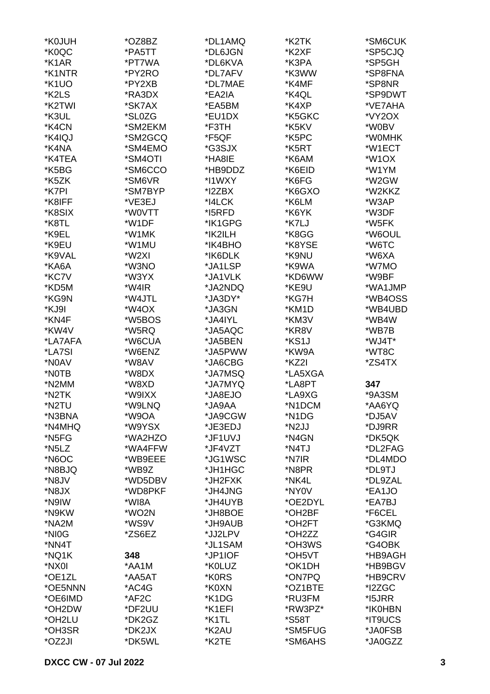| *K0JUH               | *OZ8BZ  | *DL1AMQ | *K2TK   | *SM6CUK         |
|----------------------|---------|---------|---------|-----------------|
| *K0QC                | *PA5TT  | *DL6JGN | *K2XF   | *SP5CJQ         |
| *K1AR                | *PT7WA  | *DL6KVA | *K3PA   | *SP5GH          |
| *K1NTR               | *PY2RO  | *DL7AFV | *K3WW   | *SP8FNA         |
| *K <sub>1</sub> UO   | *PY2XB  | *DL7MAE | *K4MF   | *SP8NR          |
| *K2LS                | *RA3DX  | *EA2IA  | *K4QL   | *SP9DWT         |
| *K2TWI               | *SK7AX  | *EA5BM  | *K4XP   | *VE7AHA         |
| *K3UL                | *SL0ZG  | *EU1DX  | *K5GKC  | *VY2OX          |
| *K4CN                | *SM2EKM | *F3TH   | *K5KV   | *W0BV           |
|                      | *SM2GCQ |         |         |                 |
| *K4IQJ               |         | *F5QF   | *K5PC   | *W0MHK          |
| *K4NA                | *SM4EMO | *G3SJX  | *K5RT   | *W1ECT          |
| *K4TEA               | *SM4OTI | *HA8IE  | *K6AM   | *W1OX           |
| *K5BG                | *SM6CCO | *HB9DDZ | *K6EID  | *W1YM           |
| *K5ZK                | *SM6VR  | *I1WXY  | *K6FG   | *W2GW           |
| *K7PI                | *SM7BYP | *I2ZBX  | *K6GXO  | *W2KKZ          |
| *K8IFF               | *VE3EJ  | *I4LCK  | *K6LM   | *W3AP           |
| *K8SIX               | *W0VTT  | *I5RFD  | *K6YK   | *W3DF           |
| *K8TL                | *W1DF   | *IK1GPG | *K7LJ   | *W5FK           |
| *K9EL                | *W1MK   | *IK2ILH | *K8GG   | *W6OUL          |
| *K9EU                | *W1MU   | *IK4BHO | *K8YSE  | *W6TC           |
| *K9VAL               | *W2XI   | *IK6DLK | *K9NU   | *W6XA           |
| *KA6A                | *W3NO   | *JA1LSP | *K9WA   | *W7MO           |
| *KC7V                | *W3YX   | *JA1VLK | *KD6WW  | *W9BF           |
| *KD5M                | *W4IR   | *JA2NDQ | *KE9U   | *WA1JMP         |
| *KG9N                | *W4JTL  | *JA3DY* | *KG7H   | *WB4OSS         |
| *KJ9I                | *W4OX   | *JA3GN  | *KM1D   | *WB4UBD         |
| *KN4F                | *W5BOS  | *JA4IYL | *KM3V   | *WB4W           |
| *KW4V                | *W5RQ   | *JA5AQC | *KR8V   | *WB7B           |
| *LA7AFA              | *W6CUA  | *JA5BEN | *KS1J   | *WJ4T*          |
|                      |         | *JA5PWW |         |                 |
| <i><b>*LA7SI</b></i> | *W6ENZ  |         | *KW9A   | *WT8C<br>*ZS4TX |
| *N0AV                | *W8AV   | *JA6CBG | *KZ2I   |                 |
| *NOTB                | *W8DX   | *JA7MSQ | *LA5XGA |                 |
| *N2MM                | *W8XD   | *JA7MYQ | *LA8PT  | 347             |
| *N2TK                | *W9IXX  | *JA8EJO | *LA9XG  | *9A3SM          |
| *N2TU                | *W9LNQ  | *JA9AA  | *N1DCM  | *AA6YQ          |
| *N3BNA               | *W9OA   | *JA9CGW | *N1DG   | *DJ5AV          |
| *N4MHQ               | *W9YSX  | *JE3EDJ | *N2JJ   | *DJ9RR          |
| *N <sub>5</sub> FG   | *WA2HZO | *JF1UVJ | *N4GN   | *DK5QK          |
| *N <sub>5</sub> LZ   | *WA4FFW | *JF4VZT | *N4TJ   | *DL2FAG         |
| *N6OC                | *WB9EEE | *JG1WSC | *N7IR   | *DL4MDO         |
| *N8BJQ               | *WB9Z   | *JH1HGC | *N8PR   | *DL9TJ          |
| *N8JV                | *WD5DBV | *JH2FXK | *NK4L   | *DL9ZAL         |
| *N8JX                | *WD8PKF | *JH4JNG | *NY0V   | *EA1JO          |
| *N9IW                | *WI8A   | *JH4UYB | *OE2DYL | *EA7BJ          |
| *N9KW                | *WO2N   | *JH8BOE | *OH2BF  | *F6CEL          |
| *NA2M                | *WS9V   | *JH9AUB | *OH2FT  | *G3KMQ          |
| *NI0G                | *ZS6EZ  | *JJ2LPV | *OH2ZZ  | *G4GIR          |
| *NN4T                |         | *JL1SAM | *OH3WS  | *G4OBK          |
| *NQ1K                | 348     | *JP1IOF | *OH5VT  | *HB9AGH         |
| *NX0I                | *AA1M   | *K0LUZ  | *OK1DH  | *HB9BGV         |
| *OE1ZL               | *AA5AT  | *K0RS   | *ON7PQ  | *HB9CRV         |
| *OE5NNN              | *AC4G   | *K0XN   | *OZ1BTE | *I2ZGC          |
|                      |         |         |         |                 |
| *OE6IMD              | *AF2C   | *K1DG   | *RU3FM  | *15JRR          |
| *OH2DW               | *DF2UU  | *K1EFI  | *RW3PZ* | *IK0HBN         |
| *OH2LU               | *DK2GZ  | *K1TL   | *S58T   | *IT9UCS         |
| *OH3SR               | *DK2JX  | *K2AU   | *SM5FUG | *JA0FSB         |
| *OZ2JI               | *DK5WL  | *K2TE   | *SM6AHS | *JA0GZZ         |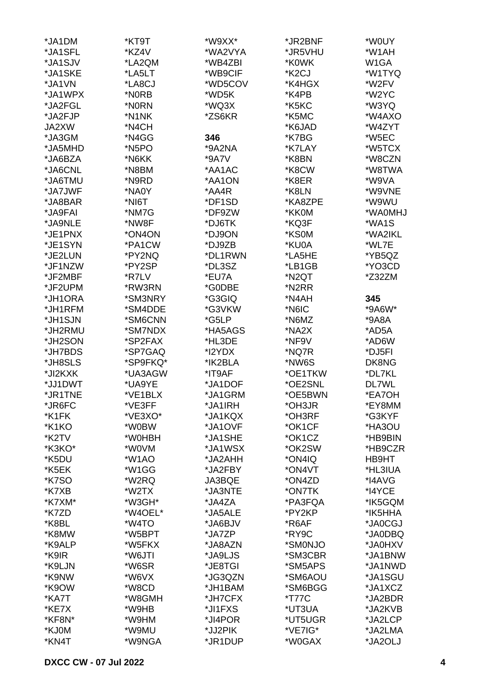| *JA1DM             | *KT9T    | *W9XX*  | *JR2BNF            | *W0UY   |
|--------------------|----------|---------|--------------------|---------|
| *JA1SFL            | *KZ4V    | *WA2VYA | *JR5VHU            | *W1AH   |
| *JA1SJV            | *LA2QM   | *WB4ZBI | *K0WK              | W1GA    |
| *JA1SKE            | *LA5LT   | *WB9CIF | *K <sub>2</sub> CJ | *W1TYQ  |
| *JA1VN             | *LA8CJ   | *WD5COV | *K4HGX             | *W2FV   |
| *JA1WPX            | *N0RB    | *WD5K   | *K4PB              | *W2YC   |
| *JA2FGL            | *N0RN    | *WQ3X   | *K5KC              | *W3YQ   |
| *JA2FJP            | *N1NK    |         |                    | *W4AXO  |
|                    |          | *ZS6KR  | *K5MC              |         |
| JA2XW              | *N4CH    |         | *K6JAD             | *W4ZYT  |
| *JA3GM             | *N4GG    | 346     | *K7BG              | *W5EC   |
| *JA5MHD            | *N5PO    | *9A2NA  | *K7LAY             | *W5TCX  |
| *JA6BZA            | *N6KK    | *9A7V   | *K8BN              | *W8CZN  |
| *JA6CNL            | *N8BM    | *AA1AC  | *K8CW              | *W8TWA  |
| *JA6TMU            | *N9RD    | *AA1ON  | *K8ER              | *W9VA   |
| *JA7JWF            | *NA0Y    | *AA4R   | *K8LN              | *W9VNE  |
| *JA8BAR            | *NI6T    | *DF1SD  | *KA8ZPE            | *W9WU   |
| *JA9FAI            | *NM7G    | *DF9ZW  | *KK0M              | *WA0MHJ |
| *JA9NLE            | *NW8F    | *DJ6TK  | *KQ3F              | *WA1S   |
| *JE1PNX            | *ON4ON   | *DJ9ON  | *KS0M              | *WA2IKL |
| *JE1SYN            | *PA1CW   | *DJ9ZB  | *KU0A              | *WL7E   |
| *JE2LUN            | *PY2NQ   | *DL1RWN | *LA5HE             | *YB5QZ  |
| *JF1NZW            | *PY2SP   | *DL3SZ  | *LB1GB             | *YO3CD  |
| *JF2MBF            | *R7LV    | *EU7A   | *N2QT              | *Z32ZM  |
| *JF2UPM            | *RW3RN   | *G0DBE  | *N2RR              |         |
| *JH1ORA            | *SM3NRY  | *G3GIQ  | *N4AH              | 345     |
| *JH1RFM            | *SM4DDE  | *G3VKW  | *N6IC              | *9A6W*  |
| *JH1SJN            | *SM6CNN  | *G5LP   | *N6MZ              | $*9A8A$ |
| *JH2RMU            | *SM7NDX  | *HA5AGS | *NA2X              | *AD5A   |
| *JH2SON            | *SP2FAX  | *HL3DE  | *NF9V              | *AD6W   |
|                    |          |         |                    |         |
| *JH7BDS            | *SP7GAQ  | *I2YDX  | *NQ7R              | *DJ5FI  |
| *JH8SLS            | *SP9FKQ* | *IK2BLA | *NW6S              | DK8NG   |
| *JI2KXK            | *UA3AGW  | *IT9AF  | *OE1TKW            | *DL7KL  |
| *JJ1DWT            | *UA9YE   | *JA1DOF | *OE2SNL            | DL7WL   |
| *JR1TNE            | *VE1BLX  | *JA1GRM | *OE5BWN            | *EA7OH  |
| *JR6FC             | *VE3FF   | *JA1IRH | *OH3JR             | *EY8MM  |
| *K1FK              | *VE3XO*  | *JA1KQX | *OH3RF             | *G3KYF  |
| *K1KO              | *W0BW    | *JA1OVF | *OK1CF             | *HA3OU  |
| *K <sub>2</sub> TV | *W0HBH   | *JA1SHE | *OK1CZ             | *HB9BIN |
| *K3KO*             | *W0VM    | *JA1WSX | *OK2SW             | *HB9CZR |
| *K5DU              | *W1AO    | *JA2AHH | *ON4IQ             | HB9HT   |
| *K5EK              | *W1GG    | *JA2FBY | *ON4VT             | *HL3IUA |
| <b>*K7SO</b>       | *W2RQ    | JA3BQE  | *ON4ZD             | *I4AVG  |
| *K7XB              | *W2TX    | *JA3NTE | *ON7TK             | *I4YCE  |
| *K7XM*             | *W3GH*   | *JA4ZA  | *PA3FQA            | *IK5GQM |
| *K7ZD              | *W4OEL*  | *JA5ALE | *PY2KP             | *IK5HHA |
| *K8BL              | *W4TO    | *JA6BJV | *R6AF              | *JA0CGJ |
| *K8MW              | *W5BPT   | *JA7ZP  | *RY9C              | *JA0DBQ |
| *K9ALP             | *W5FKX   | *JA8AZN | *SM0NJO            | *JA0HXV |
| *K9IR              | *W6JTI   | *JA9LJS | *SM3CBR            | *JA1BNW |
| *K9LJN             | *W6SR    | *JE8TGI | *SM5APS            | *JA1NWD |
| *K9NW              | *W6VX    | *JG3QZN | *SM6AOU            | *JA1SGU |
| *K9OW              | *W8CD    | *JH1BAM | *SM6BGG            | *JA1XCZ |
| *KA7T              | *W8GMH   | *JH7CFX | *T77C              | *JA2BDR |
| *KE7X              | *W9HB    | *JI1FXS | *UT3UA             | *JA2KVB |
| *KF8N*             | *W9HM    | *JI4POR | *UT5UGR            | *JA2LCP |
| *KJ0M              | *W9MU    | *JJ2PIK | *VE7IG*            | *JA2LMA |
| *KN4T              | *W9NGA   | *JR1DUP | *W0GAX             | *JA2OLJ |
|                    |          |         |                    |         |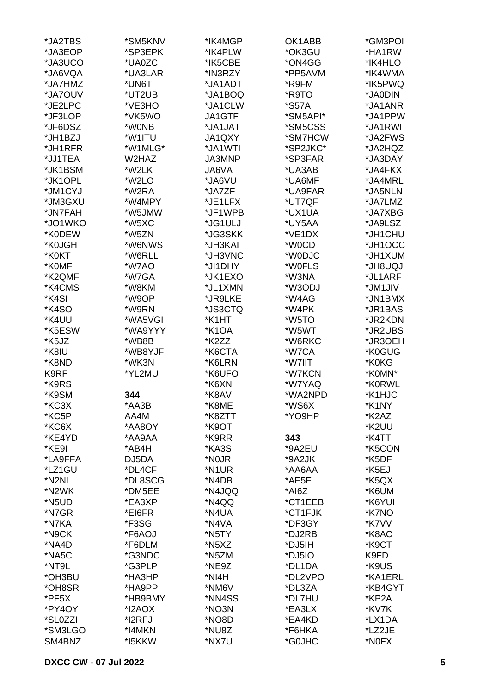| *JA2TBS | *SM5KNV | *IK4MGP | OK1ABB              | *GM3POI |
|---------|---------|---------|---------------------|---------|
| *JA3EOP | *SP3EPK | *IK4PLW | *OK3GU              | *HA1RW  |
| *JA3UCO | *UA0ZC  | *IK5CBE | *ON4GG              | *IK4HLO |
| *JA6VQA | *UA3LAR | *IN3RZY | *PP5AVM             | *IK4WMA |
| *JA7HMZ | *UN6T   | *JA1ADT | *R9FM               | *IK5PWQ |
|         |         |         |                     |         |
| *JA7OUV | *UT2UB  | *JA1BOQ | *R9TO               | *JA0DIN |
| *JE2LPC | *VE3HO  | *JA1CLW | <i><b>*S57A</b></i> | *JA1ANR |
| *JF3LOP | *VK5WO  | JA1GTF  | *SM5API*            | *JA1PPW |
| *JF6DSZ | *W0NB   | *JA1JAT | *SM5CSS             | *JA1RWI |
| *JH1BZJ | *W1ITU  | JA1QXY  | *SM7HCW             | *JA2FWS |
| *JH1RFR | *W1MLG* | *JA1WTI | *SP2JKC*            | *JA2HQZ |
| *JJ1TEA | W2HAZ   | JA3MNP  | *SP3FAR             | *JA3DAY |
| *JK1BSM | *W2LK   | JA6VA   | *UA3AB              | *JA4FKX |
| *JK1OPL | *W2LO   | *JA6VU  | *UA6MF              | *JA4MRL |
| *JM1CYJ | *W2RA   | *JA7ZF  | *UA9FAR             | *JA5NLN |
| *JM3GXU | *W4MPY  | *JE1LFX | *UT7QF              | *JA7LMZ |
| *JN7FAH | *W5JMW  | *JF1WPB | *UX1UA              | *JA7XBG |
|         |         |         |                     |         |
| *JO1WKO | *W5XC   | *JG1ULJ | *UY5AA              | *JA9LSZ |
| *K0DEW  | *W5ZN   | *JG3SKK | *VE1DX              | *JH1CHU |
| *K0JGH  | *W6NWS  | *JH3KAI | *W0CD               | *JH1OCC |
| *K0KT   | *W6RLL  | *JH3VNC | *W0DJC              | *JH1XUM |
| *K0MF   | *W7AO   | *JI1DHY | *W0FLS              | LQU8HL* |
| *K2QMF  | *W7GA   | *JK1EXO | *W3NA               | *JL1ARF |
| *K4CMS  | *W8KM   | *JL1XMN | *W3ODJ              | *JM1JIV |
| *K4SI   | *W9OP   | *JR9LKE | *W4AG               | *JN1BMX |
| *K4SO   | *W9RN   | *JS3CTQ | *W4PK               | *JR1BAS |
| *K4UU   | *WA5VGI | *K1HT   | *W5TO               | *JR2KDN |
| *K5ESW  | *WA9YYY | *K1OA   | *W5WT               | *JR2UBS |
| *K5JZ   | *WB8B   | *K2ZZ   | *W6RKC              | *JR3OEH |
| *K8IU   | *WB8YJF | *K6CTA  | *W7CA               | *K0GUG  |
| *K8ND   | *WK3N   | *K6LRN  | *W7IIT              | *K0KG   |
|         |         |         |                     |         |
| K9RF    | *YL2MU  | *K6UFO  | *W7KCN              | *K0MN*  |
| *K9RS   |         | *K6XN   | *W7YAQ              | *K0RWL  |
| *K9SM   | 344     | *K8AV   | *WA2NPD             | *K1HJC  |
| *KC3X   | *AA3B   | *K8ME   | *WS6X               | *K1NY   |
| *KC5P   | AA4M    | *K8ZTT  | *YO9HP              | *K2AZ   |
| *KC6X   | *AA8OY  | *K9OT   |                     | *K2UU   |
| *KE4YD  | *AA9AA  | *K9RR   | 343                 | *K4TT   |
| *KE9I   | *AB4H   | *KA3S   | *9A2EU              | *K5CON  |
| *LA9FFA | DJ5DA   | *N0JR   | *9A2JK              | *K5DF   |
| *LZ1GU  | *DL4CF  | *N1UR   | *AA6AA              | *K5EJ   |
| *N2NL   | *DL8SCG | *N4DB   | *AE5E               | *K5QX   |
| *N2WK   | *DM5EE  | *N4JQQ  | *AI6Z               | *K6UM   |
| *N5UD   | *EA3XP  | *N4QQ   | *CT1EEB             | *K6YUI  |
| *N7GR   | *EI6FR  | *N4UA   | *CT1FJK             | *K7NO   |
| *N7KA   | *F3SG   | *N4VA   | *DF3GY              | *K7VV   |
|         |         |         |                     |         |
| *N9CK   | *F6AOJ  | *N5TY   | *DJ2RB              | *K8AC   |
| *NA4D   | *F6DLM  | *N5XZ   | *DJ5IH              | *K9CT   |
| *NA5C   | *G3NDC  | *N5ZM   | *DJ5IO              | K9FD    |
| *NT9L   | *G3PLP  | *NE9Z   | *DL1DA              | *K9US   |
| *OH3BU  | *HA3HP  | *NI4H   | *DL2VPO             | *KA1ERL |
| *OH8SR  | *HA9PP  | *NM6V   | *DL3ZA              | *KB4GYT |
| *PF5X   | *HB9BMY | *NN4SS  | *DL7HU              | *KP2A   |
| *PY4OY  | *I2AOX  | *NO3N   | *EA3LX              | *KV7K   |
| *SL0ZZI | *I2RFJ  | *NO8D   | *EA4KD              | *LX1DA  |
| *SM3LGO | *I4MKN  | *NU8Z   | *F6HKA              | *LZ2JE  |
| SM4BNZ  | *I5KKW  | *NX7U   | *G0JHC              | *N0FX   |
|         |         |         |                     |         |

## **DXCC CW - 07 Jul 2022**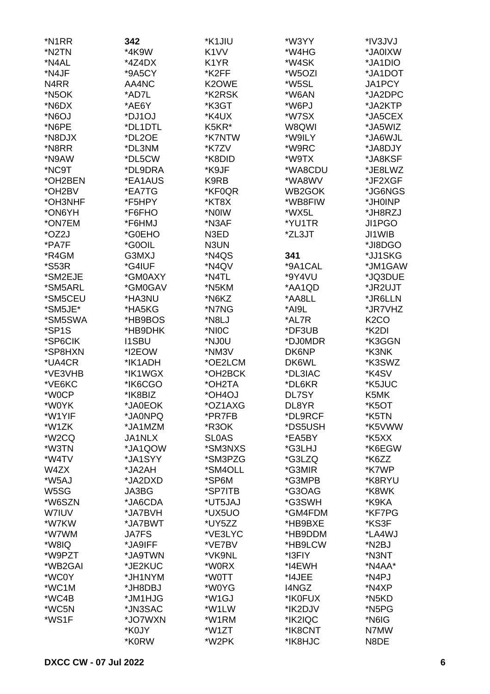| *N1RR               | 342           | *K1JIU            | *W3YY        | *IV3JVJ            |
|---------------------|---------------|-------------------|--------------|--------------------|
| *N2TN               | *4K9W         | K <sub>1</sub> VV | *W4HG        | *JA0IXW            |
| *N4AL               | $*4Z4DX$      | K1YR              | *W4SK        | *JA1DIO            |
| *N4JF               | *9A5CY        | *K2FF             | *W5OZI       | *JA1DOT            |
| N <sub>4</sub> RR   | AA4NC         | K2OWE             | *W5SL        | JA1PCY             |
| *N <sub>5</sub> OK  | *AD7L         | *K2RSK            | *W6AN        | *JA2DPC            |
| *N6DX               | *AE6Y         | *K3GT             | *W6PJ        | *JA2KTP            |
| *N6OJ               | *DJ1OJ        | *K4UX             | *W7SX        | *JA5CEX            |
| *N6PE               | *DL1DTL       | K5KR*             | W8QWI        | *JA5WIZ            |
| *N8DJX              | *DL2OE        | *K7NTW            | *W9ILY       | *JA6WJL            |
| *N8RR               | *DL3NM        | *K7ZV             | *W9RC        | *JA8DJY            |
| *N9AW               | *DL5CW        | *K8DID            | *W9TX        | *JA8KSF            |
| *NC9T               | *DL9DRA       | *K9JF             | *WA8CDU      | *JE8LWZ            |
| *OH2BEN             | *EA1AUS       | K9RB              | *WA8WV       | *JF2XGF            |
| *OH2BV              | *EA7TG        | *KF0QR            | WB2GOK       | *JG6NGS            |
| *OH3NHF             | *F5HPY        | *KT8X             | *WB8FIW      | *JH0INP            |
| *ON6YH              | *F6FHO        | *NOIW             | *WX5L        | *JH8RZJ            |
| *ON7EM              | *F6HMJ        | *N3AF             | *YU1TR       | JI1PGO             |
| *OZ2J               | *G0EHO        | N3ED              | *ZL3JT       | JI1WIB             |
| *PA7F               | *G0OIL        | N3UN              |              | *JI8DGO            |
| *R4GM               | G3MXJ         | *N4QS             | 341          | *JJ1SKG            |
| <i><b>*S53R</b></i> | *G4IUF        | *N4QV             | *9A1CAL      | *JM1GAW            |
| *SM2EJE             | *GM0AXY       | *N4TL             | *9Y4VU       | *JQ3DUE            |
| *SM5ARL             | *GM0GAV       | *N5KM             | *AA1QD       | *JR2UJT            |
| *SM5CEU             | *HA3NU        | *N6KZ             | *AA8LL       | *JR6LLN            |
| *SM5JE*             | *HA5KG        | *N7NG             | *AI9L        | *JR7VHZ            |
| *SM5SWA             | *HB9BOS       | *N8LJ             | *AL7R        | K <sub>2</sub> CO  |
| *SP1S               | *HB9DHK       | *NIOC             | *DF3UB       | *K2DI              |
| *SP6CIK             | <b>I1SBU</b>  | *NJ0U             | *DJ0MDR      | *K3GGN             |
| *SP8HXN             | *I2EOW        | *NM3V             | DK6NP        | *K3NK              |
| *UA4CR              | *IK1ADH       | *OE2LCM           | DK6WL        | *K3SWZ             |
| *VE3VHB             | *IK1WGX       | *OH2BCK           | *DL3IAC      | *K4SV              |
| *VE6KC              | *IK6CGO       | *OH2TA            | *DL6KR       | *K5JUC             |
| *W0CP               | *IK8BIZ       | *OH4OJ            | <b>DL7SY</b> | K5MK               |
| *W0YK               | *JA0EOK       | *OZ1AXG           | DL8YR        | *K5OT              |
| *W1YIF              | *JA0NPQ       | *PR7FB            | *DL9RCF      | *K5TN              |
| *W1ZK               | *JA1MZM       | *R3OK             | *DS5USH      | *K5VWW             |
| *W <sub>2</sub> CQ  | <b>JA1NLX</b> | <b>SLOAS</b>      | *EA5BY       | *K5XX              |
| *W3TN               | *JA1QOW       | *SM3NXS           | *G3LHJ       | *K6EGW             |
| *W4TV               | *JA1SYY       | *SM3PZG           | *G3LZQ       | *K6ZZ              |
| W4ZX                | *JA2AH        | *SM4OLL           | *G3MIR       | *K7WP              |
| *W5AJ               | *JA2DXD       | *SP6M             | *G3MPB       | *K8RYU             |
| W <sub>5</sub> SG   | JA3BG         | *SP7ITB           | *G3OAG       | *K8WK              |
| *W6SZN              | *JA6CDA       | *UT5JAJ           | *G3SWH       | *K9KA              |
| <b>W7IUV</b>        | *JA7BVH       | *UX5UO            | *GM4FDM      | *KF7PG             |
| *W7KW               | *JA7BWT       | *UY5ZZ            | *HB9BXE      | *KS3F              |
| *W7WM               | <b>JA7FS</b>  | *VE3LYC           | *HB9DDM      | *LA4WJ             |
| *W8IQ               | *JA9IFF       | *VE7BV            | *HB9LCW      | *N <sub>2</sub> BJ |
| *W9PZT              | *JA9TWN       | *VK9NL            | *I3FIY       | *N3NT              |
| *WB2GAI             | *JE2KUC       | *W0RX             | *I4EWH       | *N4AA*             |
| *WC0Y               | *JH1NYM       | *W0TT             | *I4JEE       | *N4PJ              |
| *WC1M               | *JH8DBJ       | *W0YG             | I4NGZ        | *N4XP              |
| *WC4B               | *JM1HJG       | *W1GJ             | *IK0FUX      | *N5KD              |
| *WC5N               | *JN3SAC       | *W1LW             | *IK2DJV      | *N5PG              |
| *WS1F               | *JO7WXN       | *W1RM             | *IK2IQC      | *N6IG              |
|                     | *K0JY         | *W1ZT             | *IK8CNT      | N7MW               |
|                     | *K0RW         | *W2PK             | *IK8HJC      | N8DE               |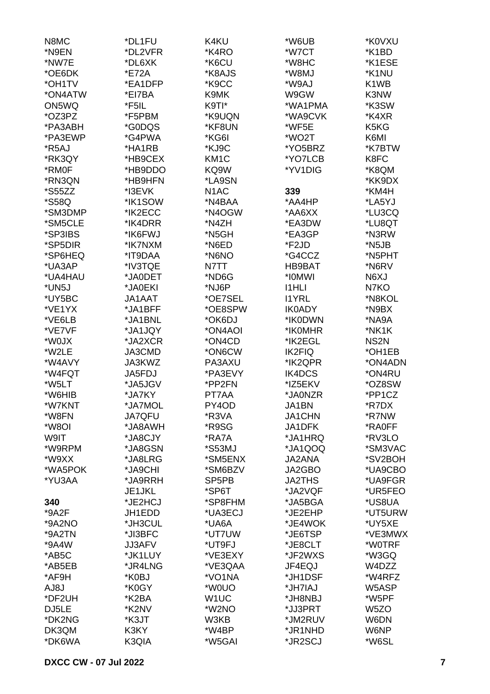| N8MC                 | *DL1FU        | K4KU               | *W6UB         | *K0VXU                        |
|----------------------|---------------|--------------------|---------------|-------------------------------|
| *N9EN                | *DL2VFR       | *K4RO              | *W7CT         | *K1BD                         |
| *NW7E                | *DL6XK        | *K6CU              | *W8HC         | *K1ESE                        |
| *OE6DK               | *E72A         | *K8AJS             | *W8MJ         | *K1NU                         |
| *OH1TV               | *EA1DFP       | *K9CC              | *W9AJ         | K <sub>1</sub> W <sub>B</sub> |
| *ON4ATW              | *EI7BA        | K9MK               | W9GW          | K3NW                          |
|                      | *F5IL         | K9TI*              | *WA1PMA       | *K3SW                         |
| ON5WQ                |               |                    |               |                               |
| *OZ3PZ               | *F5PBM        | *K9UQN             | *WA9CVK       | *K4XR                         |
| *PA3ABH              | *G0DQS        | *KF8UN             | *WF5E         | K <sub>5</sub> K <sub>G</sub> |
| *PA3EWP              | *G4PWA        | *KG6I              | *WO2T         | K6MI                          |
| *R5AJ                | *HA1RB        | *KJ9C              | *YO5BRZ       | *K7BTW                        |
| *RK3QY               | *HB9CEX       | KM <sub>1</sub> C  | *YO7LCB       | K8FC                          |
| *RM0F                | *HB9DDO       | KQ9W               | *YV1DIG       | *K8QM                         |
| *RN3QN               | *HB9HFN       | *LA9SN             |               | *KK9DX                        |
| <i><b>*S55ZZ</b></i> | *I3EVK        | N <sub>1</sub> AC  | 339           | *KM4H                         |
| *S58Q                | *IK1SOW       | *N4BAA             | *AA4HP        | *LA5YJ                        |
| *SM3DMP              | *IK2ECC       | *N4OGW             | *AA6XX        | *LU3CQ                        |
| *SM5CLE              | *IK4DRR       | *N4ZH              | *EA3DW        | *LU8QT                        |
| *SP3IBS              | *IK6FWJ       | *N5GH              | *EA3GP        | *N3RW                         |
| *SP5DIR              | *IK7NXM       | *N6ED              | *F2JD         | *N5JB                         |
| *SP6HEQ              | *IT9DAA       | *N6NO              | *G4CCZ        | *N5PHT                        |
| *UA3AP               | *IV3TQE       | N7TT               | HB9BAT        | *N6RV                         |
| *UA4HAU              | *JA0DET       | *ND6G              | *I0MWI        | N6XJ                          |
| *UN5J                | *JA0EKI       | *NJ6P              | <b>I1HLI</b>  | N7KO                          |
| *UY5BC               | JA1AAT        | *OE7SEL            | <b>I1YRL</b>  | *N8KOL                        |
| *VE1YX               | *JA1BFF       | *OE8SPW            | <b>IK0ADY</b> | *N9BX                         |
| *VE6LB               | *JA1BNL       | *OK6DJ             | *IK0DWN       | *NA9A                         |
| *VE7VF               | *JA1JQY       | *ON4AOI            | *IK0MHR       | *NK1K                         |
| *W0JX                | *JA2XCR       | *ON4CD             | *IK2EGL       | NS <sub>2</sub> N             |
| *W2LE                | JA3CMD        | *ON6CW             | <b>IK2FIQ</b> | *OH1EB                        |
| *W4AVY               | JA3KWZ        | PA3AXU             | *IK2QPR       | *ON4ADN                       |
| *W4FQT               |               |                    |               |                               |
|                      | <b>JA5FDJ</b> | *PA3EVY            | IK4DCS        | *ON4RU                        |
| *W5LT                | *JA5JGV       | *PP2FN             | *IZ5EKV       | *OZ8SW                        |
| *W6HIB               | *JA7KY        | PT7AA              | *JA0NZR       | *PP1CZ                        |
| *W7KNT               | *JA7MOL       | PY4OD              | JA1BN         | *R7DX                         |
| *W8FN                | <b>JA7QFU</b> | *R3VA              | <b>JA1CHN</b> | *R7NW                         |
| *W8OI                | *JA8AWH       | *R9SG              | JA1DFK        | *RA0FF                        |
| W9IT                 | *JA8CJY       | *RA7A              | *JA1HRQ       | *RV3LO                        |
| *W9RPM               | *JA8GSN       | *S53MJ             | *JA1QOQ       | *SM3VAC                       |
| *W9XX                | *JA8LRG       | *SM5ENX            | <b>JA2ANA</b> | *SV2BOH                       |
| *WA5POK              | *JA9CHI       | *SM6BZV            | JA2GBO        | *UA9CBO                       |
| *YU3AA               | *JA9RRH       | SP <sub>5</sub> PB | <b>JA2THS</b> | *UA9FGR                       |
|                      | JE1JKL        | *SP6T              | *JA2VQF       | *UR5FEO                       |
| 340                  | *JE2HCJ       | *SP8FHM            | *JA5BGA       | *US8UA                        |
| $*9A2F$              | JH1EDD        | *UA3ECJ            | *JE2EHP       | *UT5URW                       |
| *9A2NO               | *JH3CUL       | *UA6A              | *JE4WOK       | *UY5XE                        |
| *9A2TN               | *JI3BFC       | *UT7UW             | *JE6TSP       | *VE3MWX                       |
| *9A4W                | <b>JJ3AFV</b> | *UT9FJ             | *JE8CLT       | *W0TRF                        |
| *AB5C                | *JK1LUY       | *VE3EXY            | *JF2WXS       | *W3GQ                         |
| *AB5EB               | *JR4LNG       | *VE3QAA            | JF4EQJ        | W4DZZ                         |
| *AF9H                | *K0BJ         | *VO1NA             | *JH1DSF       | *W4RFZ                        |
| AJ8J                 | *K0GY         | *W0UO              | *JH7IAJ       | W5ASP                         |
| *DF2UH               | *K2BA         | W <sub>1</sub> UC  | *JH8NBJ       | *W5PF                         |
| DJ5LE                | *K2NV         | *W2NO              | *JJ3PRT       | W <sub>5</sub> ZO             |
| *DK2NG               | *K3JT         | W3KB               | *JM2RUV       | W6DN                          |
| DK3QM                | K3KY          | *W4BP              | *JR1NHD       | W6NP                          |
| *DK6WA               | K3QIA         | *W5GAI             | *JR2SCJ       | *W6SL                         |
|                      |               |                    |               |                               |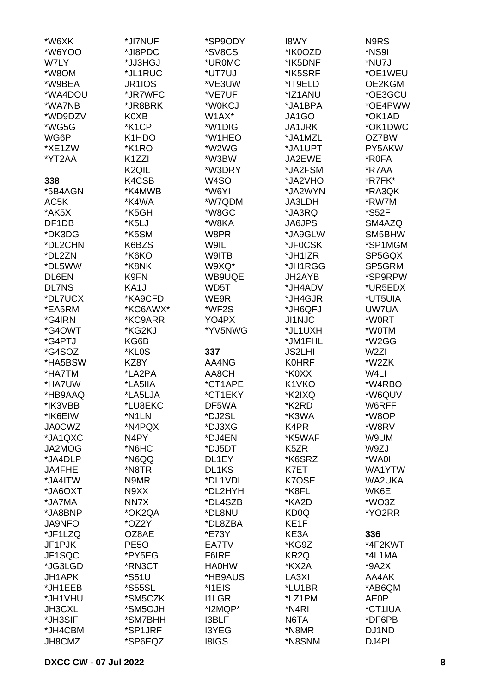| *W6XK         | *JI7NUF              | *SP9ODY           | <b>I8WY</b>       | N9RS             |
|---------------|----------------------|-------------------|-------------------|------------------|
| *W6YOO        | *JI8PDC              | *SV8CS            | *IK0OZD           | *NS9I            |
| W7LY          | *JJ3HGJ              | *UR0MC            | *IK5DNF           | *NU7J            |
| *W8OM         | *JL1RUC              | *UT7UJ            | *IK5SRF           | *OE1WEU          |
| *W9BEA        |                      | *VE3UW            |                   | OE2KGM           |
|               | JR1IOS               |                   | *IT9ELD           |                  |
| *WA4DOU       | *JR7WFC              | *VE7UF            | *IZ1ANU           | *OE3GCU          |
| *WA7NB        | *JR8BRK              | *W0KCJ            | *JA1BPA           | *OE4PWW          |
| *WD9DZV       | K0XB                 | W1AX*             | JA1GO             | *OK1AD           |
| *WG5G         | *K1CP                | *W1DIG            | JA1JRK            | *OK1DWC          |
| WG6P          | K1HDO                | *W1HEO            | *JA1MZL           | OZ7BW            |
| *XE1ZW        | *K <sub>1</sub> RO   | *W2WG             | *JA1UPT           | PY5AKW           |
| *YT2AA        | K <sub>1</sub> ZZI   | *W3BW             | JA2EWE            | *R0FA            |
|               | K <sub>2</sub> QIL   | *W3DRY            | *JA2FSM           | *R7AA            |
| 338           | K4CSB                | W <sub>4</sub> SO | *JA2VHO           | *R7FK*           |
| *5B4AGN       | *K4MWB               | *W6YI             | *JA2WYN           | *RA3QK           |
| AC5K          | *K4WA                | *W7QDM            | JA3LDH            | *RW7M            |
| *AK5X         | *K5GH                | *W8GC             | *JA3RQ            | *S52F            |
|               |                      | *W8KA             |                   |                  |
| DF1DB         | *K5LJ                |                   | <b>JA6JPS</b>     | SM4AZQ           |
| *DK3DG        | *K5SM                | W8PR              | *JA9GLW           | SM5BHW           |
| *DL2CHN       | K6BZS                | W9IL              | *JF0CSK           | *SP1MGM          |
| *DL2ZN        | *K6KO                | W9ITB             | *JH1IZR           | SP5GQX           |
| *DL5WW        | *K8NK                | W9XQ*             | *JH1RGG           | SP5GRM           |
| DL6EN         | K9FN                 | WB9UQE            | JH2AYB            | *SP9RPW          |
| <b>DL7NS</b>  | KA1J                 | WD5T              | *JH4ADV           | *UR5EDX          |
| *DL7UCX       | *KA9CFD              | WE9R              | *JH4GJR           | *UT5UIA          |
| *EA5RM        | *KC6AWX*             | *WF2S             | *JH6QFJ           | UW7UA            |
| *G4IRN        | *KC9ARR              | YO4PX             | <b>JI1NJC</b>     | *W0RT            |
| *G4OWT        | *KG2KJ               | *YV5NWG           | *JL1UXH           | *W0TM            |
| *G4PTJ        | KG6B                 |                   | *JM1FHL           | *W2GG            |
| *G4SOZ        | *KL0S                | 337               | <b>JS2LHI</b>     | W <sub>2ZI</sub> |
| *HA5BSW       | KZ8Y                 | AA4NG             | <b>K0HRF</b>      | *W2ZK            |
|               |                      |                   |                   |                  |
| *HA7TM        | *LA2PA               | AA8CH             | *K0XX             | W4LI             |
| *HA7UW        | *LA5IIA              | *CT1APE           | K1VKO             | *W4RBO           |
| *HB9AAQ       | *LA5LJA              | *CT1EKY           | *K2IXQ            | *W6QUV           |
| *IK3VBB       | *LU8EKC              | DF5WA             | *K2RD             | W6RFF            |
| *IK6EIW       | *N1LN                | *DJ2SL            | *K3WA             | *W8OP            |
| <b>JA0CWZ</b> | *N4PQX               | *DJ3XG            | K4PR              | *W8RV            |
| *JA1QXC       | N4PY                 | *DJ4EN            | *K5WAF            | W9UM             |
| JA2MOG        | *N6HC                | *DJ5DT            | K <sub>5</sub> ZR | W9ZJ             |
| *JA4DLP       | *N6QQ                | DL1EY             | *K6SRZ            | *WA0I            |
| JA4FHE        | *N8TR                | DL1KS             | K7ET              | WA1YTW           |
| *JA4ITW       | N9MR                 | *DL1VDL           | K7OSE             | <b>WA2UKA</b>    |
| *JA6OXT       | N9XX                 | *DL2HYH           | *K8FL             | WK6E             |
| *JA7MA        | NN7X                 | *DL4SZB           | *KA2D             | *WO3Z            |
| *JA8BNP       | *OK2QA               | *DL8NU            | KD <sub>0</sub> Q | *YO2RR           |
| <b>JA9NFO</b> | *OZ2Y                | *DL8ZBA           | KE1F              |                  |
| *JF1LZQ       | OZ8AE                | *E73Y             | KE3A              | 336              |
| JF1PJK        | PE <sub>50</sub>     | EA7TV             | *KG9Z             | *4F2KWT          |
|               |                      |                   |                   |                  |
| JF1SQC        | *PY5EG               | F6IRE             | KR <sub>2</sub> Q | *4L1MA           |
| *JG3LGD       | *RN3CT               | <b>HA0HW</b>      | *KX2A             | *9A2X            |
| JH1APK        | *S51U                | *HB9AUS           | LA3XI             | AA4AK            |
| *JH1EEB       | <i><b>*S55SL</b></i> | *I1EIS            | *LU1BR            | *AB6QM           |
| *JH1VHU       | *SM5CZK              | <b>I1LGR</b>      | *LZ1PM            | <b>AE0P</b>      |
| JH3CXL        | *SM5OJH              | *I2MQP*           | *N4RI             | *CT1IUA          |
| *JH3SIF       | *SM7BHH              | <b>I3BLF</b>      | N6TA              | *DF6PB           |
| *JH4CBM       | *SP1JRF              | I3YEG             | *N8MR             | DJ1ND            |
| JH8CMZ        | *SP6EQZ              | <b>I8IGS</b>      | *N8SNM            | DJ4PI            |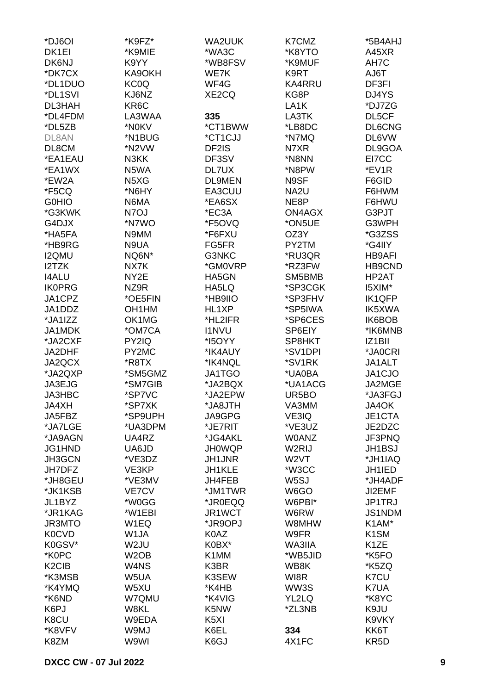| *DJ6OI                         | *K9FZ*                        | <b>WA2UUK</b>           | K7CMZ             | *5B4AHJ                  |
|--------------------------------|-------------------------------|-------------------------|-------------------|--------------------------|
| DK <sub>1EI</sub>              | *K9MIE                        | *WA3C                   | *K8YTO            | A45XR                    |
| DK6NJ                          | K9YY                          | *WB8FSV                 | *K9MUF            | AH7C                     |
| *DK7CX                         | KA9OKH                        | WE7K                    | K9RT              | T <sub>a</sub> UA        |
| *DL1DUO                        | KC0Q                          | WF4G                    | <b>KA4RRU</b>     | DF3FI                    |
| *DL1SVI                        | KJ6NZ                         | XE2CQ                   | KG8P              | DJ4YS                    |
| DL3HAH                         | KR6C                          |                         | LA <sub>1</sub> K | *DJ7ZG                   |
| *DL4FDM                        | LA3WAA                        | 335                     | LA3TK             | DL5CF                    |
| *DL5ZB                         | *N0KV                         | *CT1BWW                 | *LB8DC            | DL6CNG                   |
| DL8AN                          | *N1BUG                        | *CT1CJJ                 | *N7MQ             | DL6VW                    |
| DL8CM                          | *N2VW                         | DF2IS                   | N7XR              | DL9GOA                   |
| *EA1EAU                        | N3KK                          | DF3SV                   | *N8NN             | EI7CC                    |
| *EA1WX                         | N5WA                          | DL7UX                   | *N8PW             | *EV1R                    |
| *EW2A                          | N <sub>5</sub> X <sub>G</sub> | <b>DL9MEN</b>           | N9SF              | F6GID                    |
| *F5CQ                          | *N6HY                         | EA3CUU                  | NA2U              | F6HWM                    |
| <b>G0HIO</b>                   | N6MA                          | *EA6SX                  | NE8P              | F6HWU                    |
| *G3KWK                         | N7OJ                          | *EC3A                   | <b>ON4AGX</b>     | G3PJT                    |
| G4DJX                          | *N7WO                         | *F5OVQ                  | *ON5UE            | G3WPH                    |
| *HA5FA                         | N9MM                          | *F6FXU                  | OZ3Y              | *G3ZSS                   |
| *HB9RG                         | N9UA                          | FG5FR                   | PY2TM             | *G4IIY                   |
| <b>I2QMU</b>                   | NQ6N*                         | G3NKC                   | *RU3QR            | <b>HB9AFI</b>            |
| I2TZK                          | NX7K                          | *GM0VRP                 | *RZ3FW            | HB9CND                   |
| <b>I4ALU</b>                   | NY2E                          | HA5GN                   | SM5BMB            | HP2AT                    |
| <b>IK0PRG</b>                  | NZ9R                          | HA5LQ                   | *SP3CGK           | I5XIM*                   |
| JA1CPZ                         | *OE5FIN                       | *HB9IIO                 | *SP3FHV           | IK1QFP                   |
| JA1DDZ                         | OH <sub>1</sub> HM            | HL1XP                   | *SP5IWA           | IK5XWA                   |
| *JA1IZZ                        | OK1MG                         | *HL2IFR                 | *SP6CES           | IK6BOB                   |
| JA1MDK                         | *OM7CA                        | <b>I1NVU</b>            | SP6EIY            | *IK6MNB                  |
| *JA2CXF                        | PY2IQ                         | *I5OYY                  | SP8HKT            | IZ1BII                   |
| JA2DHF                         | PY2MC                         | *IK4AUY                 | *SV1DPI           | *JA0CRI                  |
| JA2QCX                         | *R8TX                         | *IK4NQL                 | *SV1RK            | JA1ALT                   |
| *JA2QXP                        | *SM5GMZ                       | JA1TGO                  | *UA0BA            | JA1CJO                   |
| JA3EJG                         | *SM7GIB                       | *JA2BQX                 | *UA1ACG           | JA2MGE                   |
| <b>JA3HBC</b>                  | *SP7VC                        | *JA2EPW                 | UR5BO             | *JA3FGJ                  |
| JA4XH                          | *SP7XK                        | *JA8JTH                 | VA3MM             | JA4OK                    |
| JA5FBZ                         | *SP9UPH                       | JA9GPG                  | VE3IQ             | JE1CTA                   |
| *JA7LGE                        | *UA3DPM                       | *JE7RIT                 | *VE3UZ            | JE2DZC                   |
| *JA9AGN                        | UA4RZ                         | *JG4AKL                 | <b>WOANZ</b>      | JF3PNQ                   |
| JG1HND                         |                               |                         | W2RIJ             |                          |
|                                | UA6JD<br>*VE3DZ               | <b>JH0WQP</b><br>JH1JNR | W <sub>2</sub> VT | <b>JH1BSJ</b><br>*JH1IAQ |
| JH3GCN                         |                               | JH1KLE                  | *W3CC             | JH1IED                   |
| JH7DFZ<br>*JH8GEU              | VE3KP<br>*VE3MV               | JH4FEB                  | W <sub>5</sub> SJ | *JH4ADF                  |
| *JK1KSB                        | VE7CV                         | *JM1TWR                 | W6GO              | JI2EMF                   |
| JL1BYZ                         | *W0GG                         | *JR0EQQ                 | W6PBI*            | JP1TRJ                   |
|                                | *W1EBI                        | JR1WCT                  |                   |                          |
| *JR1KAG                        |                               |                         | W6RW              | <b>JS1NDM</b>            |
| <b>JR3MTO</b>                  | W <sub>1</sub> EQ             | *JR9OPJ                 | W8MHW             | K1AM*                    |
| <b>K0CVD</b>                   | W1JA                          | K0AZ                    | W9FR              | K <sub>1</sub> SM        |
| K0GSV*                         | W <sub>2</sub> JU             | K0BX*                   | WA3IIA            | K <sub>1</sub> ZE        |
| *K0PC                          | W <sub>2</sub> OB             | K1MM                    | *WB5JID<br>WB8K   | *K5FO                    |
| K <sub>2</sub> C <sub>IB</sub> | W4NS                          | K3BR                    |                   | *K5ZQ                    |
| *K3MSB                         | W5UA                          | K3SEW                   | WI8R              | K7CU                     |
| *K4YMQ                         | W5XU                          | *K4HB                   | WW3S              | K7UA                     |
| *K6ND                          | W7QMU                         | *K4VIG                  | YL2LQ             | *K8YC                    |
| K6PJ                           | W8KL                          | K5NW                    | *ZL3NB            | K9JU                     |
| K8CU                           | W9EDA                         | K <sub>5</sub> XI       |                   | K9VKY                    |
| *K8VFV                         | W9MJ                          | K6EL                    | 334               | KK6T                     |
| K8ZM                           | W9WI                          | K6GJ                    | 4X1FC             | KR <sub>5</sub> D        |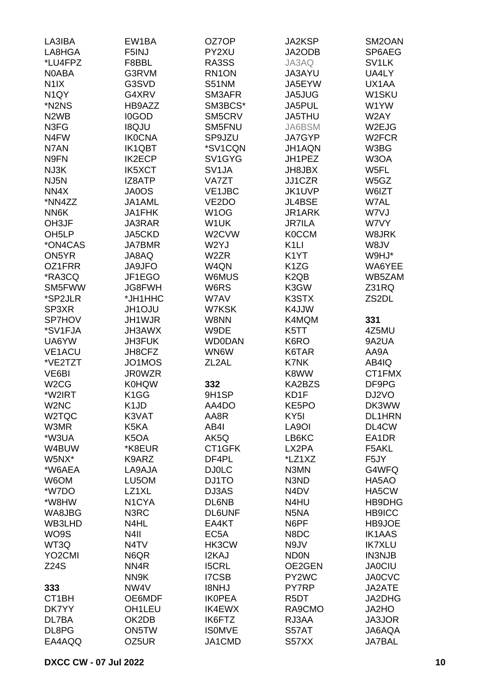| LA3IBA                        | EW1BA                         | OZ7OP              | <b>JA2KSP</b>                 | SM2OAN             |
|-------------------------------|-------------------------------|--------------------|-------------------------------|--------------------|
| LA8HGA                        | F5INJ                         | PY2XU              | JA2ODB                        | SP6AEG             |
| *LU4FPZ                       | F8BBL                         | RA3SS              | JA3AQ                         | SV <sub>1</sub> LK |
| <b>NOABA</b>                  | G3RVM                         | RN1ON              | JA3AYU                        | UA4LY              |
|                               |                               |                    |                               |                    |
| N <sub>1</sub> IX             | G3SVD                         | <b>S51NM</b>       | JA5EYW                        | UX1AA              |
| N <sub>1</sub> QY             | G4XRV                         | SM3AFR             | JA5JUG                        | W1SKU              |
| *N2NS                         | HB9AZZ                        | SM3BCS*            | JA5PUL                        | W1YW               |
| N <sub>2</sub> W <sub>B</sub> | <b>I0GOD</b>                  | SM5CRV             | JA5THU                        | W2AY               |
| N3FG                          | <b>I8QJU</b>                  | SM5FNU             | JA6BSM                        | W2EJG              |
| N4FW                          | <b>IK0CNA</b>                 | SP9JZU             | JA7GYP                        | W <sub>2</sub> FCR |
| N7AN                          | <b>IK1QBT</b>                 | *SV1CQN            | JH1AQN                        | W3BG               |
| N9FN                          | <b>IK2ECP</b>                 | SV1GYG             | JH1PEZ                        | W3OA               |
| NJ3K                          | <b>IK5XCT</b>                 | SV <sub>1</sub> JA | JH8JBX                        | W5FL               |
| NJ5N                          | IZ8ATP                        | VA7ZT              | JJ1CZR                        | W5GZ               |
| NN4X                          | JA0OS                         | VE1JBC             | JK1UVP                        | W6IZT              |
| *NN4ZZ                        | JA1AML                        | VE2DO              | JL4BSE                        | W7AL               |
| NN6K                          | <b>JA1FHK</b>                 | W <sub>1</sub> OG  | JR1ARK                        | W7VJ               |
| OH3JF                         | JA3RAR                        | W1UK               | <b>JR7ILA</b>                 | W7VY               |
|                               |                               | W2CVW              |                               | W8JRK              |
| OH <sub>5</sub> LP            | JA5CKD                        |                    | <b>K0CCM</b>                  |                    |
| *ON4CAS                       | <b>JA7BMR</b>                 | W2YJ               | K <sub>1</sub> LI             | W8JV               |
| ON5YR                         | JA8AQ                         | W <sub>2</sub> ZR  | K <sub>1</sub> YT             | W9HJ*              |
| OZ1FRR                        | <b>JA9JFO</b>                 | W4QN               | K <sub>1</sub> ZG             | WA6YEE             |
| *RA3CQ                        | JF1EGO                        | W6MUS              | K <sub>2</sub> Q <sub>B</sub> | WB5ZAM             |
| SM5FWW                        | <b>JG8FWH</b>                 | W6RS               | K3GW                          | Z31RQ              |
| *SP2JLR                       | *JH1HHC                       | W7AV               | K3STX                         | ZS2DL              |
| SP3XR                         | <b>JH1OJU</b>                 | W7KSK              | K4JJW                         |                    |
| <b>SP7HOV</b>                 | JH1WJR                        | W8NN               | K4MQM                         | 331                |
| *SV1FJA                       | JH3AWX                        | W9DE               | K5TT                          | 4Z5MU              |
| UA6YW                         | <b>JH3FUK</b>                 | <b>WD0DAN</b>      | K6RO                          | 9A2UA              |
| <b>VE1ACU</b>                 | JH8CFZ                        | WN6W               | K6TAR                         | AA9A               |
| *VE2TZT                       | JO1MOS                        | ZL <sub>2</sub> AL | K7NK                          | AB4IQ              |
| VE6BI                         | <b>JR0WZR</b>                 |                    | K8WW                          | CT1FMX             |
| W <sub>2</sub> CG             | <b>K0HQW</b>                  | 332                | KA2BZS                        | DF9PG              |
| *W2IRT                        | K <sub>1</sub> GG             | 9H1SP              | KD1F                          | DJ2VO              |
| W <sub>2</sub> NC             | K <sub>1</sub> J <sub>D</sub> | AA4DO              | KE5PO                         | DK3WW              |
|                               |                               |                    |                               |                    |
| W2TQC                         | K3VAT                         | AA8R               | KY <sub>5</sub> I             | <b>DL1HRN</b>      |
| W3MR                          | K5KA                          | AB4I               | LA9OI                         | DL4CW              |
| *W3UA                         | K <sub>5</sub> OA             | AK5Q               | LB6KC                         | EA1DR              |
| W4BUW                         | *K8EUR                        | CT1GFK             | LX2PA                         | F5AKL              |
| W5NX*                         | K9ARZ                         | DF4PL              | *LZ1XZ                        | F5JY               |
| *W6AEA                        | LA9AJA                        | <b>DJ0LC</b>       | N3MN                          | G4WFQ              |
| W6OM                          | LU5OM                         | DJ1TO              | N3ND                          | HA5AO              |
| *W7DO                         | LZ1XL                         | DJ3AS              | N <sub>4</sub> D <sub>V</sub> | HA5CW              |
| *W8HW                         | N <sub>1</sub> CYA            | DL6NB              | N4HU                          | HB9DHG             |
| WA8JBG                        | N3RC                          | <b>DL6UNF</b>      | N <sub>5</sub> N <sub>A</sub> | <b>HB9ICC</b>      |
| WB3LHD                        | N4HL                          | EA4KT              | N6PF                          | HB9JOE             |
| WO9S                          | N <sub>4</sub> II             | EC <sub>5</sub> A  | N8DC                          | <b>IK1AAS</b>      |
| WT3Q                          | N <sub>4</sub> TV             | HK3CW              | N9JV                          | <b>IK7XLU</b>      |
| YO <sub>2</sub> CMI           | N6QR                          | I2KAJ              | <b>ND0N</b>                   | <b>IN3NJB</b>      |
| <b>Z24S</b>                   | NN <sub>4</sub> R             | <b>I5CRL</b>       | OE2GEN                        | <b>JA0CIU</b>      |
|                               | NN9K                          | <b>I7CSB</b>       | PY2WC                         | <b>JA0CVC</b>      |
| 333                           | NW4V                          | I8NHJ              | PY7RP                         | JA2ATE             |
| CT1BH                         | OE6MDF                        | <b>IKOPEA</b>      | R <sub>5</sub> DT             | JA2DHG             |
| DK7YY                         | OH1LEU                        | <b>IK4EWX</b>      | RA9CMO                        | JA2HO              |
| DL7BA                         | OK2DB                         | IK6FTZ             |                               |                    |
|                               |                               |                    | RJ3AA                         | JA3JOR             |
| DL8PG                         | ON5TW                         | <b>ISOMVE</b>      | S57AT                         | JA6AQA             |
| EA4AQQ                        | OZ5UR                         | JA1CMD             | S57XX                         | <b>JA7BAL</b>      |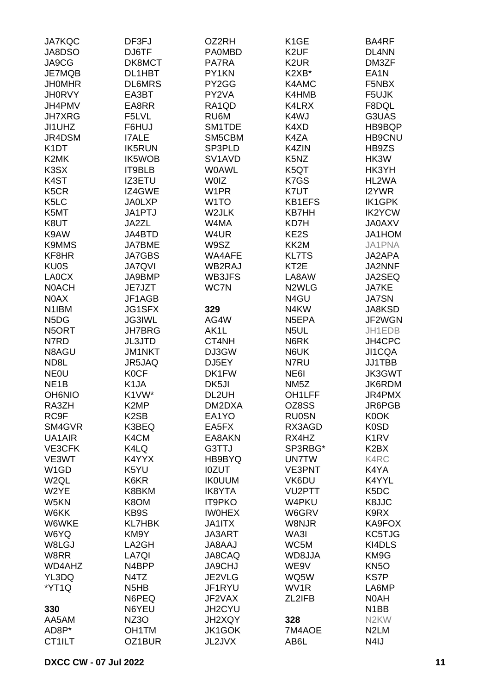| <b>JA7KQC</b>                 | DF3FJ                         | OZ2RH                           | K <sub>1</sub> GE             | BA4RF                         |
|-------------------------------|-------------------------------|---------------------------------|-------------------------------|-------------------------------|
| JA8DSO                        | DJ6TF                         | <b>PA0MBD</b>                   | K <sub>2</sub> UF             | DL4NN                         |
| JA9CG                         | DK8MCT                        | PA7RA                           | K <sub>2</sub> UR             | DM3ZF                         |
| JE7MQB                        | DL1HBT                        | PY1KN                           | K2XB*                         | EA <sub>1</sub> N             |
| <b>JHOMHR</b>                 | <b>DL6MRS</b>                 | PY2GG                           | K4AMC                         | F5NBX                         |
| <b>JH0RVY</b>                 | EA3BT                         | PY2VA                           | K4HMB                         | F5UJK                         |
| JH4PMV                        | EA8RR                         | RA1QD                           | K4LRX                         | F8DQL                         |
| <b>JH7XRG</b>                 | F5LVL                         | RU6M                            | K4WJ                          | G3UAS                         |
| JI1UHZ                        | F6HUJ                         | SM1TDE                          | K4XD                          | HB9BQP                        |
| JR4DSM                        | <b>I7ALE</b>                  | SM5CBM                          | K4ZA                          | <b>HB9CNU</b>                 |
| K <sub>1</sub> DT             | <b>IK5RUN</b>                 | SP3PLD                          | K4ZIN                         | HB9ZS                         |
| K2MK                          | IK5WOB                        | SV <sub>1</sub> AV <sub>D</sub> | K <sub>5</sub> N <sub>Z</sub> | HK3W                          |
| K <sub>3</sub> SX             | IT9BLB                        | <b>WOAWL</b>                    | K5QT                          | HK3YH                         |
|                               |                               |                                 |                               |                               |
| K <sub>4</sub> ST             | IZ3ETU                        | <b>WOIZ</b>                     | K7GS                          | HL2WA                         |
| K <sub>5</sub> C <sub>R</sub> | IZ4GWE                        | W <sub>1</sub> PR               | K7UT                          | I2YWR                         |
| K <sub>5</sub> LC             | <b>JA0LXP</b>                 | W <sub>1</sub> TO               | <b>KB1EFS</b>                 | IK1GPK                        |
| K5MT                          | <b>JA1PTJ</b>                 | W2JLK                           | <b>KB7HH</b>                  | <b>IK2YCW</b>                 |
| K8UT                          | JA2ZL                         | W4MA                            | KD7H                          | <b>JA0AXV</b>                 |
| K9AW                          | JA4BTD                        | W4UR                            | KE2S                          | JA1HOM                        |
| <b>K9MMS</b>                  | JA7BME                        | W9SZ                            | KK2M                          | JA1PNA                        |
| KF8HR                         | <b>JA7GBS</b>                 | WA4AFE                          | <b>KL7TS</b>                  | JA2APA                        |
| <b>KU0S</b>                   | <b>JA7QVI</b>                 | WB2RAJ                          | KT <sub>2</sub> E             | JA2NNF                        |
| LA0CX                         | JA9BMP                        | WB3JFS                          | LA8AW                         | JA2SEQ                        |
| <b>NOACH</b>                  | JE7JZT                        | WC7N                            | N <sub>2</sub> WLG            | <b>JA7KE</b>                  |
| N0AX                          | JF1AGB                        |                                 | N4GU                          | <b>JA7SN</b>                  |
| N <sub>1</sub> IBM            | <b>JG1SFX</b>                 | 329                             | N4KW                          | JA8KSD                        |
| N <sub>5</sub> D <sub>G</sub> | <b>JG3IWL</b>                 | AG4W                            | N5EPA                         | JF2WGN                        |
| N <sub>5</sub> ORT            | <b>JH7BRG</b>                 | AK1L                            | N <sub>5</sub> UL             | JH1EDB                        |
| N7RD                          | <b>JL3JTD</b>                 | CT4NH                           | N6RK                          | JH4CPC                        |
| N8AGU                         | <b>JM1NKT</b>                 | DJ3GW                           | N6UK                          | JI1CQA                        |
| ND <sub>8</sub> L             | JR5JAQ                        | DJ5EY                           | N7RU                          | JJ1TBB                        |
| <b>NEOU</b>                   | <b>K0CF</b>                   | DK1FW                           | NE6I                          | JK3GWT                        |
| NE <sub>1</sub> B             | K <sub>1</sub> JA             | DK5JI                           | NM <sub>5</sub> Z             | JK6RDM                        |
| <b>OH6NIO</b>                 | K1VW*                         | DL2UH                           | OH1LFF                        | JR4PMX                        |
| RA3ZH                         | K <sub>2</sub> MP             | DM2DXA                          | OZ8SS                         | JR6PGB                        |
| RC9F                          | K <sub>2</sub> SB             | EA1YO                           | <b>RU0SN</b>                  | K0OK                          |
| SM4GVR                        | K3BEQ                         | EA5FX                           | RX3AGD                        | K <sub>0</sub> SD             |
| UA1AIR                        | K4CM                          | EA8AKN                          | RX4HZ                         | K <sub>1</sub> R <sub>V</sub> |
| VE3CFK                        | K4LQ                          | G3TTJ                           | SP3RBG*                       | K <sub>2</sub> B <sub>X</sub> |
| VE3WT                         | K4YYX                         | HB9BYQ                          | <b>UN7TW</b>                  | K4RC                          |
| W <sub>1</sub> GD             | K5YU                          | <b>IOZUT</b>                    | VE3PNT                        | K4YA                          |
| W <sub>2</sub> QL             | K6KR                          | <b>IK0UUM</b>                   | VK6DU                         | K4YYL                         |
| W2YE                          | K8BKM                         | <b>IK8YTA</b>                   | VU2PTT                        | K <sub>5</sub> DC             |
| W5KN                          | K8OM                          | <b>IT9PKO</b>                   | W4PKU                         | K8JJC                         |
| W6KK                          | KB9S                          | <b>IWOHEX</b>                   | W6GRV                         | K9RX                          |
| W6WKE                         | <b>KL7HBK</b>                 | JA1ITX                          | W8NJR                         | KA9FOX                        |
| W6YQ                          | KM9Y                          | JA3ART                          | WA3I                          | KC5TJG                        |
| W8LGJ                         | LA2GH                         | <b>JA8AAJ</b>                   | WC5M                          | KI4DLS                        |
| W8RR                          | LA7QI                         | JA8CAQ                          | WD8JJA                        | KM9G                          |
| WD4AHZ                        | N4BPP                         | <b>JA9CHJ</b>                   | WE9V                          | KN <sub>5</sub> O             |
| YL3DQ                         | N4TZ                          | JE2VLG                          | WQ5W                          | KS7P                          |
| *YT1Q                         | N <sub>5</sub> H <sub>B</sub> | JF1RYU                          | WV1R                          | LA6MP                         |
|                               | N6PEQ                         | JF2VAX                          | ZL2IFB                        | N0AH                          |
| 330                           | N6YEU                         | JH2CYU                          |                               | N <sub>1</sub> BB             |
| AA5AM                         | NZ3O                          | JH2XQY                          | 328                           | N <sub>2</sub> KW             |
| AD8P*                         | OH1TM                         | JK1GOK                          | 7M4AOE                        | N <sub>2</sub> LM             |
| CT1ILT                        | OZ1BUR                        | JL2JVX                          | AB6L                          | N4IJ                          |
|                               |                               |                                 |                               |                               |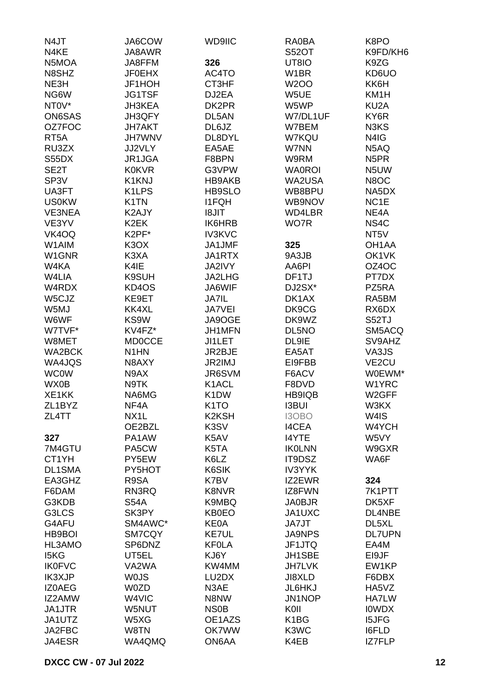| N4JT              | JA6COW             | WD9IIC             | RA0BA             | K8PO               |
|-------------------|--------------------|--------------------|-------------------|--------------------|
| N4KE              | JA8AWR             |                    | <b>S52OT</b>      | K9FD/KH6           |
| N5MOA             | JA8FFM             | 326                | UT8IO             | K9ZG               |
| N8SHZ             | <b>JF0EHX</b>      | AC4TO              | W1BR              | KD6UO              |
| NE3H              | JF1HOH             | CT3HF              | <b>W2OO</b>       | KK6H               |
| NG6W              | <b>JG1TSF</b>      | DJ2EA              | W5UE              | KM1H               |
| NT0V*             | <b>JH3KEA</b>      | DK2PR              | W5WP              | KU <sub>2</sub> A  |
| <b>ON6SAS</b>     | JH3QFY             | DL5AN              | W7/DL1UF          | KY6R               |
| OZ7FOC            | <b>JH7AKT</b>      | DL6JZ              | W7BEM             | N3KS               |
| RT <sub>5</sub> A | <b>JH7WNV</b>      | DL8DYL             | W7KQU             | N4IG               |
| RU3ZX             | JJ2VLY             | EA5AE              | W7NN              | N5AQ               |
| S55DX             | JR1JGA             | F8BPN              | W9RM              | N <sub>5</sub> PR  |
| SE2T              | <b>K0KVR</b>       | G3VPW              | <b>WA0ROI</b>     | N5UW               |
| SP <sub>3</sub> V | K1KNJ              | HB9AKB             | WA2USA            | N8OC               |
| UA3FT             | K <sub>1</sub> LPS | HB9SLO             | WB8BPU            | NA5DX              |
| <b>US0KW</b>      | K <sub>1</sub> TN  | <b>I1FQH</b>       | WB9NOV            | NC <sub>1</sub> E  |
| VE3NEA            | K2AJY              | <b>I8JIT</b>       | WD4LBR            | NE4A               |
| VE3YV             | K <sub>2</sub> EK  | IK6HRB             | WO7R              | NS4C               |
| VK4OQ             | K2PF*              | <b>IV3KVC</b>      |                   | NT <sub>5</sub> V  |
| W1AIM             | K <sub>3</sub> OX  | JA1JMF             | 325               | OH <sub>1</sub> AA |
| W1GNR             | K3XA               | JA1RTX             | 9A3JB             | OK1VK              |
| W4KA              | K4IE               | <b>JA2IVY</b>      | AA6PI             | OZ4OC              |
| W4LIA             | K9SUH              | JA2LHG             | DF1TJ             | PT7DX              |
| W4RDX             |                    | JA6WIF             |                   | PZ5RA              |
|                   | KD4OS<br>KE9ET     |                    | DJ2SX*<br>DK1AX   |                    |
| W5CJZ             |                    | <b>JA7IL</b>       |                   | RA5BM              |
| W5MJ              | KK4XL              | <b>JA7VEI</b>      | DK9CG             | RX6DX              |
| W6WF              | KS9W               | JA9OGE             | DK9WZ             | S52TJ              |
| W7TVF*            | KV4FZ*             | JH1MFN             | DL5NO             | SM5ACQ             |
| W8MET             | <b>MD0CCE</b>      | JI1LET             | DL9IE             | SV9AHZ             |
| <b>WA2BCK</b>     | N <sub>1</sub> HN  | JR2BJE             | EA5AT             | VA3JS              |
| WA4JQS            | N8AXY              | JR2IMJ             | EI9FBB            | VE <sub>2</sub> CU |
| <b>WC0W</b>       | N9AX               | JR6SVM             | F6ACV             | W0EWM*             |
| WX0B              | N9TK               | K <sub>1</sub> ACL | F8DVD             | W1YRC              |
| XE1KK             | NA6MG              | K <sub>1</sub> DW  | <b>HB9IQB</b>     | W2GFF              |
| ZL1BYZ            | NF4A               | K <sub>1</sub> TO  | <b>I3BUI</b>      | W3KX               |
| ZL4TT             | NX1L               | <b>K2KSH</b>       | I3OBO             | W4IS               |
|                   | OE2BZL             | K3SV               | <b>I4CEA</b>      | W4YCH              |
| 327               | PA1AW              | K5AV               | I4YTE             | W5VY               |
| 7M4GTU            | PA5CW              | K5TA               | <b>IKOLNN</b>     | W9GXR              |
| CT1YH             | PY5EW              | K6LZ               | IT9DSZ            | WA6F               |
| <b>DL1SMA</b>     | PY5HOT             | K6SIK              | <b>IV3YYK</b>     |                    |
| EA3GHZ            | R9SA               | K7BV               | IZ2EWR            | 324                |
| F6DAM             | RN3RQ              | K8NVR              | IZ8FWN            | 7K1PTT             |
| G3KDB             | <b>S54A</b>        | K9MBQ              | <b>JA0BJR</b>     | DK5XF              |
| G3LCS             | SK3PY              | KB0EO              | JA1UXC            | DL4NBE             |
| G4AFU             | SM4AWC*            | <b>KE0A</b>        | JA7JT             | DL <sub>5</sub> XL |
| HB9BOI            | SM7CQY             | KE7UL              | <b>JA9NPS</b>     | <b>DL7UPN</b>      |
| HL3AMO            | SP6DNZ             | <b>KF0LA</b>       | JF1JTQ            | EA4M               |
| I5KG              | UT5EL              | KJ6Y               | JH1SBE            | EI9JF              |
| <b>IK0FVC</b>     | VA2WA              | KW4MM              | <b>JH7LVK</b>     | EW1KP              |
| <b>IK3XJP</b>     | <b>WOJS</b>        | LU2DX              | JI8XLD            | F6DBX              |
| IZ0AEG            | W0ZD               | N3AE               | JL6HKJ            | HA5VZ              |
| IZ2AMW            | W4VIC              | N8NW               | JN1NOP            | HA7LW              |
| <b>JA1JTR</b>     | W5NUT              | <b>NS0B</b>        | KOII              | <b>IOWDX</b>       |
| JA1UTZ            | W5XG               | OE1AZS             | K <sub>1</sub> BG | <b>I5JFG</b>       |
| JA2FBC            | W8TN               | <b>OK7WW</b>       | K3WC              | <b>I6FLD</b>       |
| JA4ESR            | WA4QMQ             | ON6AA              | K4EB              | IZ7FLP             |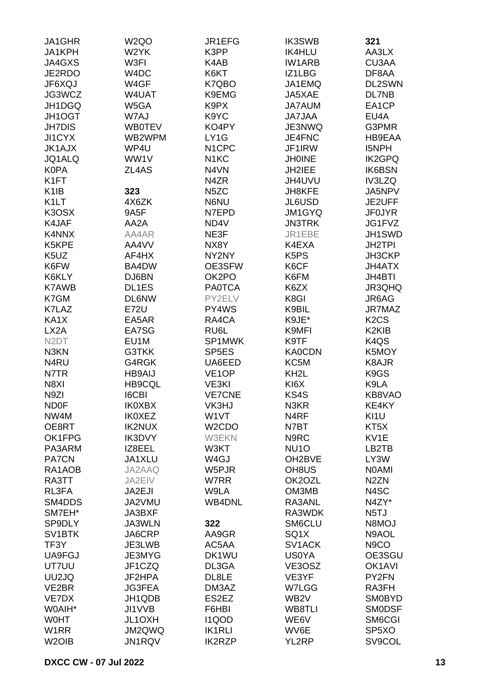| K3PP<br>JA1KPH<br>W <sub>2</sub> YK<br><b>IK4HLU</b><br>AA3LX<br>JA4GXS<br>W3FI<br>K4AB<br><b>IW1ARB</b><br>CU3AA<br>JE2RDO<br>W4DC<br>K6KT<br>IZ1LBG<br>DF8AA<br>JF6XQJ<br>W4GF<br>K7QBO<br>JA1EMQ<br>DL2SWN<br>JG3WCZ<br>W4UAT<br>K9EMG<br>JA5XAE<br>DL7NB<br>EA1CP<br>JH1DGQ<br>W5GA<br>K9PX<br><b>JA7AUM</b><br>W7AJ<br>K9YC<br>JH1OGT<br><b>JA7JAA</b><br>EU4A<br>KO4PY<br>G3PMR<br><b>JH7DIS</b><br><b>WB0TEV</b><br>JE3NWQ<br>LY1G<br>JI1CYX<br>WB2WPM<br>JE4FNC<br>HB9EAA<br><b>JK1AJX</b><br>WP4U<br>N <sub>1</sub> CPC<br>JF1IRW<br><b>I5NPH</b><br>WW1V<br>JQ1ALQ<br>N <sub>1</sub> KC<br><b>JHOINE</b><br><b>IK2GPQ</b><br><b>K0PA</b><br>ZL4AS<br>N4VN<br>JH2IEE<br><b>IK6BSN</b><br>K <sub>1</sub> FT<br>N4ZR<br>JH4UVU<br>IV3LZQ<br>N <sub>5</sub> ZC<br>JA5NPV<br>K <sub>1</sub> IB<br>323<br><b>JH8KFE</b><br>K <sub>1</sub> LT<br>JL6USD<br>JE2UFF<br>4X6ZK<br>N6NU<br>K3OSX<br>9A5F<br>N7EPD<br><b>JM1GYQ</b><br><b>JF0JYR</b><br>JG1FVZ<br>K4JAF<br>AA2A<br>ND4V<br><b>JN3TRK</b><br>K4NNX<br>AA4AR<br>NE3F<br>JR1EBE<br>JH1SWD<br>K5KPE<br>AA4VV<br>NX8Y<br>K4EXA<br><b>JH2TPI</b><br>K5UZ<br>K <sub>5</sub> P <sub>S</sub><br>AF4HX<br>NY2NY<br>JH3CKP<br>K6FW<br>BA4DW<br>OE3SFW<br>K6CF<br><b>JH4ATX</b><br>OK2PO<br>K6KLY<br>DJ6BN<br>K6FM<br><b>JH4BTI</b><br>DL1ES<br><b>PA0TCA</b><br>JR3QHQ<br><b>K7AWB</b><br>K6ZX<br>K7GM<br><b>DL6NW</b><br>PY2ELV<br>K8GI<br>JR6AG<br>K7LAZ<br><b>E72U</b><br>PY4WS<br>K9BIL<br>JR7MAZ<br>RA4CA<br>K9JE*<br>K <sub>2</sub> C <sub>S</sub><br>KA1X<br>EA5AR<br>LX <sub>2</sub> A<br>EA7SG<br>RU6L<br>K9MFI<br>K <sub>2</sub> KI <sub>B</sub><br>N <sub>2</sub> DT<br>EU1M<br>SP1MWK<br>K9TF<br>K <sub>4</sub> QS<br>G3TKK<br>SP <sub>5ES</sub><br><b>KA0CDN</b><br>K5MOY<br>N <sub>3</sub> KN<br>N4RU<br>G4RGK<br>UA6EED<br>KC5M<br>K8AJR<br>N7TR<br><b>HB9AIJ</b><br>VE <sub>1</sub> OP<br>KH <sub>2</sub> L<br>K <sub>9</sub> GS<br>N8XI<br><b>HB9CQL</b><br>VE3KI<br>KI6X<br>K9LA<br>N <sub>9</sub> ZI<br><b>I6CBI</b><br><b>VE7CNE</b><br>KS4S<br>KB8VAO<br><b>ND0F</b><br><b>IK0XBX</b><br>VK3HJ<br>N3KR<br>KE4KY<br>NW4M<br><b>IK0XEZ</b><br>W1VT<br>N4RF<br>KI1U<br>OE8RT<br><b>IK2NUX</b><br>W <sub>2</sub> CDO<br>N7BT<br>KT <sub>5</sub> X<br>OK1FPG<br>IK3DVY<br><b>W3EKN</b><br>N9RC<br>KV1E<br>LB2TB<br>PA3ARM<br>IZ8EEL<br>W3KT<br>NU <sub>10</sub><br><b>PA7CN</b><br>JA1XLU<br>W <sub>4</sub> GJ<br>OH2BVE<br>LY3W<br>RA1AOB<br>JA2AAQ<br>W5PJR<br>OH <sub>8</sub> US<br><b>NOAMI</b><br>RA3TT<br>JA2EIV<br>W7RR<br>OK2OZL<br>N <sub>2</sub> ZN<br>RL3FA<br>JA2EJI<br>W9LA<br>OM3MB<br>N4SC<br>SM4DDS<br>JA2VMU<br><b>WB4DNL</b><br>RA3ANL<br>N4ZY*<br>N <sub>5</sub> TJ<br>SM7EH*<br>JA3BXF<br>RA3WDK<br>JA3WLN<br>322<br>SM6CLU<br><b>N8MOJ</b><br>SP9DLY<br>SV <sub>1</sub> BTK<br>JA6CRP<br>SQ1X<br>N9AOL<br>AA9GR<br>TF3Y<br>JE3LWB<br>AC5AA<br>SV1ACK<br>N <sub>9</sub> CO<br>OE3SGU<br>UA9FGJ<br>JE3MYG<br>DK1WU<br><b>US0YA</b><br>UT7UU<br>JF1CZQ<br>VE3OSZ<br>OK1AVI<br>DL3GA<br>UU2JQ<br>JF2HPA<br>DL8LE<br>VE3YF<br>PY2FN<br>VE2BR<br>JG3FEA<br>DM3AZ<br>W7LGG<br>RA3FH<br>VE7DX<br>JH1QDB<br>ES2EZ<br>WB <sub>2</sub> V<br><b>SM0BYD</b><br>W0AIH*<br>JI1VVB<br>F6HBI<br>WB8TLI<br><b>SMODSF</b><br><b>WOHT</b><br>JL1OXH<br><b>I1QOD</b><br>WE6V<br>SM6CGI<br>W <sub>1</sub> RR<br>JM2QWQ<br><b>IK1RLI</b><br>WV6E<br>SP5XO<br>SV9COL<br>W <sub>2</sub> OIB<br>JN1RQV<br><b>IK2RZP</b><br>YL2RP | JA1GHR | W <sub>2Q</sub> O | JR1EFG | <b>IK3SWB</b> | 321 |
|-----------------------------------------------------------------------------------------------------------------------------------------------------------------------------------------------------------------------------------------------------------------------------------------------------------------------------------------------------------------------------------------------------------------------------------------------------------------------------------------------------------------------------------------------------------------------------------------------------------------------------------------------------------------------------------------------------------------------------------------------------------------------------------------------------------------------------------------------------------------------------------------------------------------------------------------------------------------------------------------------------------------------------------------------------------------------------------------------------------------------------------------------------------------------------------------------------------------------------------------------------------------------------------------------------------------------------------------------------------------------------------------------------------------------------------------------------------------------------------------------------------------------------------------------------------------------------------------------------------------------------------------------------------------------------------------------------------------------------------------------------------------------------------------------------------------------------------------------------------------------------------------------------------------------------------------------------------------------------------------------------------------------------------------------------------------------------------------------------------------------------------------------------------------------------------------------------------------------------------------------------------------------------------------------------------------------------------------------------------------------------------------------------------------------------------------------------------------------------------------------------------------------------------------------------------------------------------------------------------------------------------------------------------------------------------------------------------------------------------------------------------------------------------------------------------------------------------------------------------------------------------------------------------------------------------------------------------------------------------------------------------------------------------------------------------------------------------------------------------------------------------------------------------------------------------------------------------------------------------------------------------------------------------------------------------------------------------------------------------------------------------------------|--------|-------------------|--------|---------------|-----|
|                                                                                                                                                                                                                                                                                                                                                                                                                                                                                                                                                                                                                                                                                                                                                                                                                                                                                                                                                                                                                                                                                                                                                                                                                                                                                                                                                                                                                                                                                                                                                                                                                                                                                                                                                                                                                                                                                                                                                                                                                                                                                                                                                                                                                                                                                                                                                                                                                                                                                                                                                                                                                                                                                                                                                                                                                                                                                                                                                                                                                                                                                                                                                                                                                                                                                                                                                                                               |        |                   |        |               |     |
|                                                                                                                                                                                                                                                                                                                                                                                                                                                                                                                                                                                                                                                                                                                                                                                                                                                                                                                                                                                                                                                                                                                                                                                                                                                                                                                                                                                                                                                                                                                                                                                                                                                                                                                                                                                                                                                                                                                                                                                                                                                                                                                                                                                                                                                                                                                                                                                                                                                                                                                                                                                                                                                                                                                                                                                                                                                                                                                                                                                                                                                                                                                                                                                                                                                                                                                                                                                               |        |                   |        |               |     |
|                                                                                                                                                                                                                                                                                                                                                                                                                                                                                                                                                                                                                                                                                                                                                                                                                                                                                                                                                                                                                                                                                                                                                                                                                                                                                                                                                                                                                                                                                                                                                                                                                                                                                                                                                                                                                                                                                                                                                                                                                                                                                                                                                                                                                                                                                                                                                                                                                                                                                                                                                                                                                                                                                                                                                                                                                                                                                                                                                                                                                                                                                                                                                                                                                                                                                                                                                                                               |        |                   |        |               |     |
|                                                                                                                                                                                                                                                                                                                                                                                                                                                                                                                                                                                                                                                                                                                                                                                                                                                                                                                                                                                                                                                                                                                                                                                                                                                                                                                                                                                                                                                                                                                                                                                                                                                                                                                                                                                                                                                                                                                                                                                                                                                                                                                                                                                                                                                                                                                                                                                                                                                                                                                                                                                                                                                                                                                                                                                                                                                                                                                                                                                                                                                                                                                                                                                                                                                                                                                                                                                               |        |                   |        |               |     |
|                                                                                                                                                                                                                                                                                                                                                                                                                                                                                                                                                                                                                                                                                                                                                                                                                                                                                                                                                                                                                                                                                                                                                                                                                                                                                                                                                                                                                                                                                                                                                                                                                                                                                                                                                                                                                                                                                                                                                                                                                                                                                                                                                                                                                                                                                                                                                                                                                                                                                                                                                                                                                                                                                                                                                                                                                                                                                                                                                                                                                                                                                                                                                                                                                                                                                                                                                                                               |        |                   |        |               |     |
|                                                                                                                                                                                                                                                                                                                                                                                                                                                                                                                                                                                                                                                                                                                                                                                                                                                                                                                                                                                                                                                                                                                                                                                                                                                                                                                                                                                                                                                                                                                                                                                                                                                                                                                                                                                                                                                                                                                                                                                                                                                                                                                                                                                                                                                                                                                                                                                                                                                                                                                                                                                                                                                                                                                                                                                                                                                                                                                                                                                                                                                                                                                                                                                                                                                                                                                                                                                               |        |                   |        |               |     |
|                                                                                                                                                                                                                                                                                                                                                                                                                                                                                                                                                                                                                                                                                                                                                                                                                                                                                                                                                                                                                                                                                                                                                                                                                                                                                                                                                                                                                                                                                                                                                                                                                                                                                                                                                                                                                                                                                                                                                                                                                                                                                                                                                                                                                                                                                                                                                                                                                                                                                                                                                                                                                                                                                                                                                                                                                                                                                                                                                                                                                                                                                                                                                                                                                                                                                                                                                                                               |        |                   |        |               |     |
|                                                                                                                                                                                                                                                                                                                                                                                                                                                                                                                                                                                                                                                                                                                                                                                                                                                                                                                                                                                                                                                                                                                                                                                                                                                                                                                                                                                                                                                                                                                                                                                                                                                                                                                                                                                                                                                                                                                                                                                                                                                                                                                                                                                                                                                                                                                                                                                                                                                                                                                                                                                                                                                                                                                                                                                                                                                                                                                                                                                                                                                                                                                                                                                                                                                                                                                                                                                               |        |                   |        |               |     |
|                                                                                                                                                                                                                                                                                                                                                                                                                                                                                                                                                                                                                                                                                                                                                                                                                                                                                                                                                                                                                                                                                                                                                                                                                                                                                                                                                                                                                                                                                                                                                                                                                                                                                                                                                                                                                                                                                                                                                                                                                                                                                                                                                                                                                                                                                                                                                                                                                                                                                                                                                                                                                                                                                                                                                                                                                                                                                                                                                                                                                                                                                                                                                                                                                                                                                                                                                                                               |        |                   |        |               |     |
|                                                                                                                                                                                                                                                                                                                                                                                                                                                                                                                                                                                                                                                                                                                                                                                                                                                                                                                                                                                                                                                                                                                                                                                                                                                                                                                                                                                                                                                                                                                                                                                                                                                                                                                                                                                                                                                                                                                                                                                                                                                                                                                                                                                                                                                                                                                                                                                                                                                                                                                                                                                                                                                                                                                                                                                                                                                                                                                                                                                                                                                                                                                                                                                                                                                                                                                                                                                               |        |                   |        |               |     |
|                                                                                                                                                                                                                                                                                                                                                                                                                                                                                                                                                                                                                                                                                                                                                                                                                                                                                                                                                                                                                                                                                                                                                                                                                                                                                                                                                                                                                                                                                                                                                                                                                                                                                                                                                                                                                                                                                                                                                                                                                                                                                                                                                                                                                                                                                                                                                                                                                                                                                                                                                                                                                                                                                                                                                                                                                                                                                                                                                                                                                                                                                                                                                                                                                                                                                                                                                                                               |        |                   |        |               |     |
|                                                                                                                                                                                                                                                                                                                                                                                                                                                                                                                                                                                                                                                                                                                                                                                                                                                                                                                                                                                                                                                                                                                                                                                                                                                                                                                                                                                                                                                                                                                                                                                                                                                                                                                                                                                                                                                                                                                                                                                                                                                                                                                                                                                                                                                                                                                                                                                                                                                                                                                                                                                                                                                                                                                                                                                                                                                                                                                                                                                                                                                                                                                                                                                                                                                                                                                                                                                               |        |                   |        |               |     |
|                                                                                                                                                                                                                                                                                                                                                                                                                                                                                                                                                                                                                                                                                                                                                                                                                                                                                                                                                                                                                                                                                                                                                                                                                                                                                                                                                                                                                                                                                                                                                                                                                                                                                                                                                                                                                                                                                                                                                                                                                                                                                                                                                                                                                                                                                                                                                                                                                                                                                                                                                                                                                                                                                                                                                                                                                                                                                                                                                                                                                                                                                                                                                                                                                                                                                                                                                                                               |        |                   |        |               |     |
|                                                                                                                                                                                                                                                                                                                                                                                                                                                                                                                                                                                                                                                                                                                                                                                                                                                                                                                                                                                                                                                                                                                                                                                                                                                                                                                                                                                                                                                                                                                                                                                                                                                                                                                                                                                                                                                                                                                                                                                                                                                                                                                                                                                                                                                                                                                                                                                                                                                                                                                                                                                                                                                                                                                                                                                                                                                                                                                                                                                                                                                                                                                                                                                                                                                                                                                                                                                               |        |                   |        |               |     |
|                                                                                                                                                                                                                                                                                                                                                                                                                                                                                                                                                                                                                                                                                                                                                                                                                                                                                                                                                                                                                                                                                                                                                                                                                                                                                                                                                                                                                                                                                                                                                                                                                                                                                                                                                                                                                                                                                                                                                                                                                                                                                                                                                                                                                                                                                                                                                                                                                                                                                                                                                                                                                                                                                                                                                                                                                                                                                                                                                                                                                                                                                                                                                                                                                                                                                                                                                                                               |        |                   |        |               |     |
|                                                                                                                                                                                                                                                                                                                                                                                                                                                                                                                                                                                                                                                                                                                                                                                                                                                                                                                                                                                                                                                                                                                                                                                                                                                                                                                                                                                                                                                                                                                                                                                                                                                                                                                                                                                                                                                                                                                                                                                                                                                                                                                                                                                                                                                                                                                                                                                                                                                                                                                                                                                                                                                                                                                                                                                                                                                                                                                                                                                                                                                                                                                                                                                                                                                                                                                                                                                               |        |                   |        |               |     |
|                                                                                                                                                                                                                                                                                                                                                                                                                                                                                                                                                                                                                                                                                                                                                                                                                                                                                                                                                                                                                                                                                                                                                                                                                                                                                                                                                                                                                                                                                                                                                                                                                                                                                                                                                                                                                                                                                                                                                                                                                                                                                                                                                                                                                                                                                                                                                                                                                                                                                                                                                                                                                                                                                                                                                                                                                                                                                                                                                                                                                                                                                                                                                                                                                                                                                                                                                                                               |        |                   |        |               |     |
|                                                                                                                                                                                                                                                                                                                                                                                                                                                                                                                                                                                                                                                                                                                                                                                                                                                                                                                                                                                                                                                                                                                                                                                                                                                                                                                                                                                                                                                                                                                                                                                                                                                                                                                                                                                                                                                                                                                                                                                                                                                                                                                                                                                                                                                                                                                                                                                                                                                                                                                                                                                                                                                                                                                                                                                                                                                                                                                                                                                                                                                                                                                                                                                                                                                                                                                                                                                               |        |                   |        |               |     |
|                                                                                                                                                                                                                                                                                                                                                                                                                                                                                                                                                                                                                                                                                                                                                                                                                                                                                                                                                                                                                                                                                                                                                                                                                                                                                                                                                                                                                                                                                                                                                                                                                                                                                                                                                                                                                                                                                                                                                                                                                                                                                                                                                                                                                                                                                                                                                                                                                                                                                                                                                                                                                                                                                                                                                                                                                                                                                                                                                                                                                                                                                                                                                                                                                                                                                                                                                                                               |        |                   |        |               |     |
|                                                                                                                                                                                                                                                                                                                                                                                                                                                                                                                                                                                                                                                                                                                                                                                                                                                                                                                                                                                                                                                                                                                                                                                                                                                                                                                                                                                                                                                                                                                                                                                                                                                                                                                                                                                                                                                                                                                                                                                                                                                                                                                                                                                                                                                                                                                                                                                                                                                                                                                                                                                                                                                                                                                                                                                                                                                                                                                                                                                                                                                                                                                                                                                                                                                                                                                                                                                               |        |                   |        |               |     |
|                                                                                                                                                                                                                                                                                                                                                                                                                                                                                                                                                                                                                                                                                                                                                                                                                                                                                                                                                                                                                                                                                                                                                                                                                                                                                                                                                                                                                                                                                                                                                                                                                                                                                                                                                                                                                                                                                                                                                                                                                                                                                                                                                                                                                                                                                                                                                                                                                                                                                                                                                                                                                                                                                                                                                                                                                                                                                                                                                                                                                                                                                                                                                                                                                                                                                                                                                                                               |        |                   |        |               |     |
|                                                                                                                                                                                                                                                                                                                                                                                                                                                                                                                                                                                                                                                                                                                                                                                                                                                                                                                                                                                                                                                                                                                                                                                                                                                                                                                                                                                                                                                                                                                                                                                                                                                                                                                                                                                                                                                                                                                                                                                                                                                                                                                                                                                                                                                                                                                                                                                                                                                                                                                                                                                                                                                                                                                                                                                                                                                                                                                                                                                                                                                                                                                                                                                                                                                                                                                                                                                               |        |                   |        |               |     |
|                                                                                                                                                                                                                                                                                                                                                                                                                                                                                                                                                                                                                                                                                                                                                                                                                                                                                                                                                                                                                                                                                                                                                                                                                                                                                                                                                                                                                                                                                                                                                                                                                                                                                                                                                                                                                                                                                                                                                                                                                                                                                                                                                                                                                                                                                                                                                                                                                                                                                                                                                                                                                                                                                                                                                                                                                                                                                                                                                                                                                                                                                                                                                                                                                                                                                                                                                                                               |        |                   |        |               |     |
|                                                                                                                                                                                                                                                                                                                                                                                                                                                                                                                                                                                                                                                                                                                                                                                                                                                                                                                                                                                                                                                                                                                                                                                                                                                                                                                                                                                                                                                                                                                                                                                                                                                                                                                                                                                                                                                                                                                                                                                                                                                                                                                                                                                                                                                                                                                                                                                                                                                                                                                                                                                                                                                                                                                                                                                                                                                                                                                                                                                                                                                                                                                                                                                                                                                                                                                                                                                               |        |                   |        |               |     |
|                                                                                                                                                                                                                                                                                                                                                                                                                                                                                                                                                                                                                                                                                                                                                                                                                                                                                                                                                                                                                                                                                                                                                                                                                                                                                                                                                                                                                                                                                                                                                                                                                                                                                                                                                                                                                                                                                                                                                                                                                                                                                                                                                                                                                                                                                                                                                                                                                                                                                                                                                                                                                                                                                                                                                                                                                                                                                                                                                                                                                                                                                                                                                                                                                                                                                                                                                                                               |        |                   |        |               |     |
|                                                                                                                                                                                                                                                                                                                                                                                                                                                                                                                                                                                                                                                                                                                                                                                                                                                                                                                                                                                                                                                                                                                                                                                                                                                                                                                                                                                                                                                                                                                                                                                                                                                                                                                                                                                                                                                                                                                                                                                                                                                                                                                                                                                                                                                                                                                                                                                                                                                                                                                                                                                                                                                                                                                                                                                                                                                                                                                                                                                                                                                                                                                                                                                                                                                                                                                                                                                               |        |                   |        |               |     |
|                                                                                                                                                                                                                                                                                                                                                                                                                                                                                                                                                                                                                                                                                                                                                                                                                                                                                                                                                                                                                                                                                                                                                                                                                                                                                                                                                                                                                                                                                                                                                                                                                                                                                                                                                                                                                                                                                                                                                                                                                                                                                                                                                                                                                                                                                                                                                                                                                                                                                                                                                                                                                                                                                                                                                                                                                                                                                                                                                                                                                                                                                                                                                                                                                                                                                                                                                                                               |        |                   |        |               |     |
|                                                                                                                                                                                                                                                                                                                                                                                                                                                                                                                                                                                                                                                                                                                                                                                                                                                                                                                                                                                                                                                                                                                                                                                                                                                                                                                                                                                                                                                                                                                                                                                                                                                                                                                                                                                                                                                                                                                                                                                                                                                                                                                                                                                                                                                                                                                                                                                                                                                                                                                                                                                                                                                                                                                                                                                                                                                                                                                                                                                                                                                                                                                                                                                                                                                                                                                                                                                               |        |                   |        |               |     |
|                                                                                                                                                                                                                                                                                                                                                                                                                                                                                                                                                                                                                                                                                                                                                                                                                                                                                                                                                                                                                                                                                                                                                                                                                                                                                                                                                                                                                                                                                                                                                                                                                                                                                                                                                                                                                                                                                                                                                                                                                                                                                                                                                                                                                                                                                                                                                                                                                                                                                                                                                                                                                                                                                                                                                                                                                                                                                                                                                                                                                                                                                                                                                                                                                                                                                                                                                                                               |        |                   |        |               |     |
|                                                                                                                                                                                                                                                                                                                                                                                                                                                                                                                                                                                                                                                                                                                                                                                                                                                                                                                                                                                                                                                                                                                                                                                                                                                                                                                                                                                                                                                                                                                                                                                                                                                                                                                                                                                                                                                                                                                                                                                                                                                                                                                                                                                                                                                                                                                                                                                                                                                                                                                                                                                                                                                                                                                                                                                                                                                                                                                                                                                                                                                                                                                                                                                                                                                                                                                                                                                               |        |                   |        |               |     |
|                                                                                                                                                                                                                                                                                                                                                                                                                                                                                                                                                                                                                                                                                                                                                                                                                                                                                                                                                                                                                                                                                                                                                                                                                                                                                                                                                                                                                                                                                                                                                                                                                                                                                                                                                                                                                                                                                                                                                                                                                                                                                                                                                                                                                                                                                                                                                                                                                                                                                                                                                                                                                                                                                                                                                                                                                                                                                                                                                                                                                                                                                                                                                                                                                                                                                                                                                                                               |        |                   |        |               |     |
|                                                                                                                                                                                                                                                                                                                                                                                                                                                                                                                                                                                                                                                                                                                                                                                                                                                                                                                                                                                                                                                                                                                                                                                                                                                                                                                                                                                                                                                                                                                                                                                                                                                                                                                                                                                                                                                                                                                                                                                                                                                                                                                                                                                                                                                                                                                                                                                                                                                                                                                                                                                                                                                                                                                                                                                                                                                                                                                                                                                                                                                                                                                                                                                                                                                                                                                                                                                               |        |                   |        |               |     |
|                                                                                                                                                                                                                                                                                                                                                                                                                                                                                                                                                                                                                                                                                                                                                                                                                                                                                                                                                                                                                                                                                                                                                                                                                                                                                                                                                                                                                                                                                                                                                                                                                                                                                                                                                                                                                                                                                                                                                                                                                                                                                                                                                                                                                                                                                                                                                                                                                                                                                                                                                                                                                                                                                                                                                                                                                                                                                                                                                                                                                                                                                                                                                                                                                                                                                                                                                                                               |        |                   |        |               |     |
|                                                                                                                                                                                                                                                                                                                                                                                                                                                                                                                                                                                                                                                                                                                                                                                                                                                                                                                                                                                                                                                                                                                                                                                                                                                                                                                                                                                                                                                                                                                                                                                                                                                                                                                                                                                                                                                                                                                                                                                                                                                                                                                                                                                                                                                                                                                                                                                                                                                                                                                                                                                                                                                                                                                                                                                                                                                                                                                                                                                                                                                                                                                                                                                                                                                                                                                                                                                               |        |                   |        |               |     |
|                                                                                                                                                                                                                                                                                                                                                                                                                                                                                                                                                                                                                                                                                                                                                                                                                                                                                                                                                                                                                                                                                                                                                                                                                                                                                                                                                                                                                                                                                                                                                                                                                                                                                                                                                                                                                                                                                                                                                                                                                                                                                                                                                                                                                                                                                                                                                                                                                                                                                                                                                                                                                                                                                                                                                                                                                                                                                                                                                                                                                                                                                                                                                                                                                                                                                                                                                                                               |        |                   |        |               |     |
|                                                                                                                                                                                                                                                                                                                                                                                                                                                                                                                                                                                                                                                                                                                                                                                                                                                                                                                                                                                                                                                                                                                                                                                                                                                                                                                                                                                                                                                                                                                                                                                                                                                                                                                                                                                                                                                                                                                                                                                                                                                                                                                                                                                                                                                                                                                                                                                                                                                                                                                                                                                                                                                                                                                                                                                                                                                                                                                                                                                                                                                                                                                                                                                                                                                                                                                                                                                               |        |                   |        |               |     |
|                                                                                                                                                                                                                                                                                                                                                                                                                                                                                                                                                                                                                                                                                                                                                                                                                                                                                                                                                                                                                                                                                                                                                                                                                                                                                                                                                                                                                                                                                                                                                                                                                                                                                                                                                                                                                                                                                                                                                                                                                                                                                                                                                                                                                                                                                                                                                                                                                                                                                                                                                                                                                                                                                                                                                                                                                                                                                                                                                                                                                                                                                                                                                                                                                                                                                                                                                                                               |        |                   |        |               |     |
|                                                                                                                                                                                                                                                                                                                                                                                                                                                                                                                                                                                                                                                                                                                                                                                                                                                                                                                                                                                                                                                                                                                                                                                                                                                                                                                                                                                                                                                                                                                                                                                                                                                                                                                                                                                                                                                                                                                                                                                                                                                                                                                                                                                                                                                                                                                                                                                                                                                                                                                                                                                                                                                                                                                                                                                                                                                                                                                                                                                                                                                                                                                                                                                                                                                                                                                                                                                               |        |                   |        |               |     |
|                                                                                                                                                                                                                                                                                                                                                                                                                                                                                                                                                                                                                                                                                                                                                                                                                                                                                                                                                                                                                                                                                                                                                                                                                                                                                                                                                                                                                                                                                                                                                                                                                                                                                                                                                                                                                                                                                                                                                                                                                                                                                                                                                                                                                                                                                                                                                                                                                                                                                                                                                                                                                                                                                                                                                                                                                                                                                                                                                                                                                                                                                                                                                                                                                                                                                                                                                                                               |        |                   |        |               |     |
|                                                                                                                                                                                                                                                                                                                                                                                                                                                                                                                                                                                                                                                                                                                                                                                                                                                                                                                                                                                                                                                                                                                                                                                                                                                                                                                                                                                                                                                                                                                                                                                                                                                                                                                                                                                                                                                                                                                                                                                                                                                                                                                                                                                                                                                                                                                                                                                                                                                                                                                                                                                                                                                                                                                                                                                                                                                                                                                                                                                                                                                                                                                                                                                                                                                                                                                                                                                               |        |                   |        |               |     |
|                                                                                                                                                                                                                                                                                                                                                                                                                                                                                                                                                                                                                                                                                                                                                                                                                                                                                                                                                                                                                                                                                                                                                                                                                                                                                                                                                                                                                                                                                                                                                                                                                                                                                                                                                                                                                                                                                                                                                                                                                                                                                                                                                                                                                                                                                                                                                                                                                                                                                                                                                                                                                                                                                                                                                                                                                                                                                                                                                                                                                                                                                                                                                                                                                                                                                                                                                                                               |        |                   |        |               |     |
|                                                                                                                                                                                                                                                                                                                                                                                                                                                                                                                                                                                                                                                                                                                                                                                                                                                                                                                                                                                                                                                                                                                                                                                                                                                                                                                                                                                                                                                                                                                                                                                                                                                                                                                                                                                                                                                                                                                                                                                                                                                                                                                                                                                                                                                                                                                                                                                                                                                                                                                                                                                                                                                                                                                                                                                                                                                                                                                                                                                                                                                                                                                                                                                                                                                                                                                                                                                               |        |                   |        |               |     |
|                                                                                                                                                                                                                                                                                                                                                                                                                                                                                                                                                                                                                                                                                                                                                                                                                                                                                                                                                                                                                                                                                                                                                                                                                                                                                                                                                                                                                                                                                                                                                                                                                                                                                                                                                                                                                                                                                                                                                                                                                                                                                                                                                                                                                                                                                                                                                                                                                                                                                                                                                                                                                                                                                                                                                                                                                                                                                                                                                                                                                                                                                                                                                                                                                                                                                                                                                                                               |        |                   |        |               |     |
|                                                                                                                                                                                                                                                                                                                                                                                                                                                                                                                                                                                                                                                                                                                                                                                                                                                                                                                                                                                                                                                                                                                                                                                                                                                                                                                                                                                                                                                                                                                                                                                                                                                                                                                                                                                                                                                                                                                                                                                                                                                                                                                                                                                                                                                                                                                                                                                                                                                                                                                                                                                                                                                                                                                                                                                                                                                                                                                                                                                                                                                                                                                                                                                                                                                                                                                                                                                               |        |                   |        |               |     |
|                                                                                                                                                                                                                                                                                                                                                                                                                                                                                                                                                                                                                                                                                                                                                                                                                                                                                                                                                                                                                                                                                                                                                                                                                                                                                                                                                                                                                                                                                                                                                                                                                                                                                                                                                                                                                                                                                                                                                                                                                                                                                                                                                                                                                                                                                                                                                                                                                                                                                                                                                                                                                                                                                                                                                                                                                                                                                                                                                                                                                                                                                                                                                                                                                                                                                                                                                                                               |        |                   |        |               |     |
|                                                                                                                                                                                                                                                                                                                                                                                                                                                                                                                                                                                                                                                                                                                                                                                                                                                                                                                                                                                                                                                                                                                                                                                                                                                                                                                                                                                                                                                                                                                                                                                                                                                                                                                                                                                                                                                                                                                                                                                                                                                                                                                                                                                                                                                                                                                                                                                                                                                                                                                                                                                                                                                                                                                                                                                                                                                                                                                                                                                                                                                                                                                                                                                                                                                                                                                                                                                               |        |                   |        |               |     |
|                                                                                                                                                                                                                                                                                                                                                                                                                                                                                                                                                                                                                                                                                                                                                                                                                                                                                                                                                                                                                                                                                                                                                                                                                                                                                                                                                                                                                                                                                                                                                                                                                                                                                                                                                                                                                                                                                                                                                                                                                                                                                                                                                                                                                                                                                                                                                                                                                                                                                                                                                                                                                                                                                                                                                                                                                                                                                                                                                                                                                                                                                                                                                                                                                                                                                                                                                                                               |        |                   |        |               |     |
|                                                                                                                                                                                                                                                                                                                                                                                                                                                                                                                                                                                                                                                                                                                                                                                                                                                                                                                                                                                                                                                                                                                                                                                                                                                                                                                                                                                                                                                                                                                                                                                                                                                                                                                                                                                                                                                                                                                                                                                                                                                                                                                                                                                                                                                                                                                                                                                                                                                                                                                                                                                                                                                                                                                                                                                                                                                                                                                                                                                                                                                                                                                                                                                                                                                                                                                                                                                               |        |                   |        |               |     |
|                                                                                                                                                                                                                                                                                                                                                                                                                                                                                                                                                                                                                                                                                                                                                                                                                                                                                                                                                                                                                                                                                                                                                                                                                                                                                                                                                                                                                                                                                                                                                                                                                                                                                                                                                                                                                                                                                                                                                                                                                                                                                                                                                                                                                                                                                                                                                                                                                                                                                                                                                                                                                                                                                                                                                                                                                                                                                                                                                                                                                                                                                                                                                                                                                                                                                                                                                                                               |        |                   |        |               |     |
|                                                                                                                                                                                                                                                                                                                                                                                                                                                                                                                                                                                                                                                                                                                                                                                                                                                                                                                                                                                                                                                                                                                                                                                                                                                                                                                                                                                                                                                                                                                                                                                                                                                                                                                                                                                                                                                                                                                                                                                                                                                                                                                                                                                                                                                                                                                                                                                                                                                                                                                                                                                                                                                                                                                                                                                                                                                                                                                                                                                                                                                                                                                                                                                                                                                                                                                                                                                               |        |                   |        |               |     |
|                                                                                                                                                                                                                                                                                                                                                                                                                                                                                                                                                                                                                                                                                                                                                                                                                                                                                                                                                                                                                                                                                                                                                                                                                                                                                                                                                                                                                                                                                                                                                                                                                                                                                                                                                                                                                                                                                                                                                                                                                                                                                                                                                                                                                                                                                                                                                                                                                                                                                                                                                                                                                                                                                                                                                                                                                                                                                                                                                                                                                                                                                                                                                                                                                                                                                                                                                                                               |        |                   |        |               |     |
|                                                                                                                                                                                                                                                                                                                                                                                                                                                                                                                                                                                                                                                                                                                                                                                                                                                                                                                                                                                                                                                                                                                                                                                                                                                                                                                                                                                                                                                                                                                                                                                                                                                                                                                                                                                                                                                                                                                                                                                                                                                                                                                                                                                                                                                                                                                                                                                                                                                                                                                                                                                                                                                                                                                                                                                                                                                                                                                                                                                                                                                                                                                                                                                                                                                                                                                                                                                               |        |                   |        |               |     |
|                                                                                                                                                                                                                                                                                                                                                                                                                                                                                                                                                                                                                                                                                                                                                                                                                                                                                                                                                                                                                                                                                                                                                                                                                                                                                                                                                                                                                                                                                                                                                                                                                                                                                                                                                                                                                                                                                                                                                                                                                                                                                                                                                                                                                                                                                                                                                                                                                                                                                                                                                                                                                                                                                                                                                                                                                                                                                                                                                                                                                                                                                                                                                                                                                                                                                                                                                                                               |        |                   |        |               |     |
|                                                                                                                                                                                                                                                                                                                                                                                                                                                                                                                                                                                                                                                                                                                                                                                                                                                                                                                                                                                                                                                                                                                                                                                                                                                                                                                                                                                                                                                                                                                                                                                                                                                                                                                                                                                                                                                                                                                                                                                                                                                                                                                                                                                                                                                                                                                                                                                                                                                                                                                                                                                                                                                                                                                                                                                                                                                                                                                                                                                                                                                                                                                                                                                                                                                                                                                                                                                               |        |                   |        |               |     |
|                                                                                                                                                                                                                                                                                                                                                                                                                                                                                                                                                                                                                                                                                                                                                                                                                                                                                                                                                                                                                                                                                                                                                                                                                                                                                                                                                                                                                                                                                                                                                                                                                                                                                                                                                                                                                                                                                                                                                                                                                                                                                                                                                                                                                                                                                                                                                                                                                                                                                                                                                                                                                                                                                                                                                                                                                                                                                                                                                                                                                                                                                                                                                                                                                                                                                                                                                                                               |        |                   |        |               |     |
|                                                                                                                                                                                                                                                                                                                                                                                                                                                                                                                                                                                                                                                                                                                                                                                                                                                                                                                                                                                                                                                                                                                                                                                                                                                                                                                                                                                                                                                                                                                                                                                                                                                                                                                                                                                                                                                                                                                                                                                                                                                                                                                                                                                                                                                                                                                                                                                                                                                                                                                                                                                                                                                                                                                                                                                                                                                                                                                                                                                                                                                                                                                                                                                                                                                                                                                                                                                               |        |                   |        |               |     |
|                                                                                                                                                                                                                                                                                                                                                                                                                                                                                                                                                                                                                                                                                                                                                                                                                                                                                                                                                                                                                                                                                                                                                                                                                                                                                                                                                                                                                                                                                                                                                                                                                                                                                                                                                                                                                                                                                                                                                                                                                                                                                                                                                                                                                                                                                                                                                                                                                                                                                                                                                                                                                                                                                                                                                                                                                                                                                                                                                                                                                                                                                                                                                                                                                                                                                                                                                                                               |        |                   |        |               |     |
|                                                                                                                                                                                                                                                                                                                                                                                                                                                                                                                                                                                                                                                                                                                                                                                                                                                                                                                                                                                                                                                                                                                                                                                                                                                                                                                                                                                                                                                                                                                                                                                                                                                                                                                                                                                                                                                                                                                                                                                                                                                                                                                                                                                                                                                                                                                                                                                                                                                                                                                                                                                                                                                                                                                                                                                                                                                                                                                                                                                                                                                                                                                                                                                                                                                                                                                                                                                               |        |                   |        |               |     |
|                                                                                                                                                                                                                                                                                                                                                                                                                                                                                                                                                                                                                                                                                                                                                                                                                                                                                                                                                                                                                                                                                                                                                                                                                                                                                                                                                                                                                                                                                                                                                                                                                                                                                                                                                                                                                                                                                                                                                                                                                                                                                                                                                                                                                                                                                                                                                                                                                                                                                                                                                                                                                                                                                                                                                                                                                                                                                                                                                                                                                                                                                                                                                                                                                                                                                                                                                                                               |        |                   |        |               |     |
|                                                                                                                                                                                                                                                                                                                                                                                                                                                                                                                                                                                                                                                                                                                                                                                                                                                                                                                                                                                                                                                                                                                                                                                                                                                                                                                                                                                                                                                                                                                                                                                                                                                                                                                                                                                                                                                                                                                                                                                                                                                                                                                                                                                                                                                                                                                                                                                                                                                                                                                                                                                                                                                                                                                                                                                                                                                                                                                                                                                                                                                                                                                                                                                                                                                                                                                                                                                               |        |                   |        |               |     |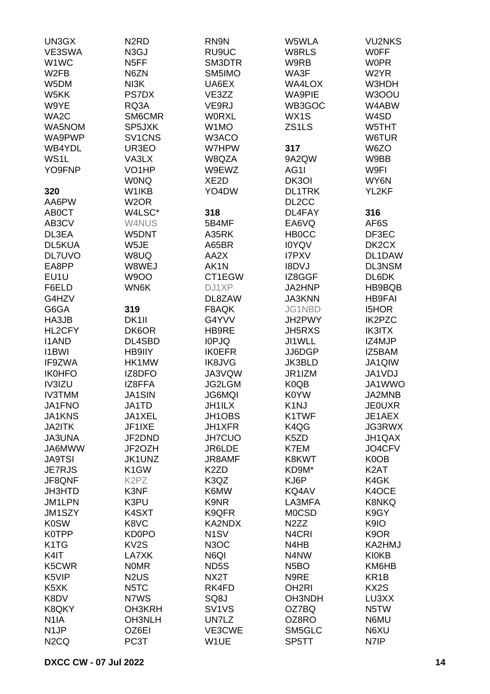| UN3GX                         | N <sub>2</sub> RD               | RN9N                           | W5WLA              | <b>VU2NKS</b>     |
|-------------------------------|---------------------------------|--------------------------------|--------------------|-------------------|
| VE3SWA                        | N <sub>3</sub> GJ               | RU9UC                          | W8RLS              | <b>WOFF</b>       |
| W <sub>1</sub> WC             | N <sub>5</sub> FF               | SM3DTR                         | W9RB               | <b>WOPR</b>       |
| W <sub>2</sub> FB             | N6ZN                            | SM5IMO                         | WA3F               | W <sub>2</sub> YR |
| W5DM                          | NI3K                            | UA6EX                          | <b>WA4LOX</b>      | W3HDH             |
| W5KK                          | <b>PS7DX</b>                    | VE3ZZ                          | <b>WA9PIE</b>      | W3OOU             |
|                               |                                 |                                |                    |                   |
| W9YE                          | RQ3A                            | VE9RJ                          | WB3GOC             | W4ABW             |
| WA2C                          | SM6CMR                          | <b>WORXL</b>                   | WX1S               | W4SD              |
| WA5NOM                        | SP5JXK                          | W1MO                           | ZS1LS              | W5THT             |
| WA9PWP                        | SV <sub>1</sub> CN <sub>S</sub> | W3ACO                          |                    | W6TUR             |
| WB4YDL                        | UR3EO                           | W7HPW                          | 317                | W6ZO              |
| WS1L                          | VA3LX                           | W8QZA                          | 9A2QW              | W9BB              |
| YO9FNP                        | VO <sub>1</sub> HP              | W9EWZ                          | AG1I               | W9FI              |
|                               | <b>WONQ</b>                     | XE <sub>2</sub> D              | DK30I              | WY6N              |
| 320                           | W1IKB                           | YO4DW                          | <b>DL1TRK</b>      | YL2KF             |
| AA6PW                         | W <sub>2</sub> OR               |                                | DL <sub>2</sub> CC |                   |
| AB <sub>0</sub> CT            | W4LSC*                          | 318                            | DL4FAY             | 316               |
| AB3CV                         | W4NUS                           | 5B4MF                          | EA6VQ              | AF6S              |
| DL3EA                         | W5DNT                           | A35RK                          | <b>HB0CC</b>       | DF3EC             |
| DL5KUA                        | W5JE                            |                                |                    |                   |
|                               |                                 | A65BR                          | <b>IOYQV</b>       | DK2CX             |
| <b>DL7UVO</b>                 | W8UQ                            | AA2X                           | <b>I7PXV</b>       | DL1DAW            |
| EA8PP                         | W8WEJ                           | AK1N                           | <b>I8DVJ</b>       | <b>DL3NSM</b>     |
| EU1U                          | <b>W9OO</b>                     | CT1EGW                         | IZ8GGF             | DL6DK             |
| F6ELD                         | WN6K                            | DJ1XP                          | JA2HNP             | HB9BQB            |
| G4HZV                         |                                 | DL8ZAW                         | <b>JA3KNN</b>      | <b>HB9FAI</b>     |
| G6GA                          | 319                             | F8AQK                          | JG1NBD             | <b>I5HOR</b>      |
| HA3JB                         | DK <sub>1</sub>                 | G4YVV                          | JH2PWY             | IK2PZC            |
| HL2CFY                        | DK6OR                           | HB9RE                          | <b>JH5RXS</b>      | <b>IK3ITX</b>     |
| <b>I1AND</b>                  | DL4SBD                          | <b>IOPJQ</b>                   | JI1WLL             | IZ4MJP            |
| <b>I1BWI</b>                  | HB9IIY                          | <b>IK0EFR</b>                  | JJ6DGP             | IZ5BAM            |
| IF9ZWA                        | HK1MW                           | <b>IK8JVG</b>                  | <b>JK3BLD</b>      | JA1QIW            |
| <b>IK0HFO</b>                 | IZ8DFO                          | JA3VQW                         | JR1IZM             | JA1VDJ            |
| IV3IZU                        | IZ8FFA                          | JG2LGM                         | K0QB               | JA1WWO            |
| <b>IV3TMM</b>                 | <b>JA1SIN</b>                   | <b>JG6MQI</b>                  | K0YW               | JA2MNB            |
|                               |                                 | JH1ILX                         | K <sub>1</sub> NJ  |                   |
| JA1FNO                        | JA1TD                           |                                |                    | <b>JE0UXR</b>     |
| JA1KNS                        | JA1XEL                          | JH1OBS                         | K1TWF              | JE1AEX            |
| JA2ITK                        | JF1IXE                          | JH1XFR                         | K4QG               | <b>JG3RWX</b>     |
| <b>JA3UNA</b>                 | JF2DND                          | <b>JH7CUO</b>                  | K5ZD               | JH1QAX            |
| JA6MWW                        | JF2OZH                          | JR6LDE                         | K7EM               | JO4CFV            |
| <b>JA9TSI</b>                 | JK1UNZ                          | <b>JR8AMF</b>                  | K8KWT              | K0OB              |
| <b>JE7RJS</b>                 | K <sub>1</sub> GW               | K <sub>2</sub> ZD              | KD9M*              | K <sub>2</sub> AT |
| JF8QNF                        | K <sub>2</sub> P <sub>Z</sub>   | K3QZ                           | KJ6P               | K4GK              |
| <b>JH3HTD</b>                 | K3NF                            | K6MW                           | KQ4AV              | K4OCE             |
| JM1LPN                        | K3PU                            | K9NR                           | LA3MFA             | <b>K8NKQ</b>      |
| JM1SZY                        | K4SXT                           | K9QFR                          | <b>MOCSD</b>       | K9GY              |
| <b>K0SW</b>                   | K8VC                            | KA2NDX                         | N <sub>2</sub> ZZ  | K9IO              |
| <b>K0TPP</b>                  | <b>KD0PO</b>                    | N <sub>1</sub> SV              | N <sub>4</sub> CRI | K9OR              |
| K <sub>1</sub> T <sub>G</sub> | KV <sub>2</sub> S               | N <sub>3</sub> OC              | N4HB               | KA2HMJ            |
| K4IT                          | LA7XK                           | N6QI                           | N4NW               | <b>KI0KB</b>      |
| K5CWR                         | <b>NOMR</b>                     | ND5S                           | N <sub>5</sub> BO  | KM6HB             |
|                               |                                 |                                |                    |                   |
| K5VIP                         | N <sub>2</sub> U <sub>S</sub>   | NX2T                           | N9RE               | KR <sub>1</sub> B |
| K <sub>5</sub> XK             | N5TC                            | RK4FD                          | OH <sub>2RI</sub>  | KX2S              |
| K8DV                          | N7WS                            | SQ8J                           | <b>OH3NDH</b>      | LU3XX             |
| K8QKY                         | OH3KRH                          | SV <sub>1</sub> V <sub>S</sub> | OZ7BQ              | N5TW              |
| N <sub>1</sub> IA             | <b>OH3NLH</b>                   | UN7LZ                          | OZ8RO              | N6MU              |
| N <sub>1</sub> JP             | OZ6EI                           | VE3CWE                         | SM5GLC             | N6XU              |
| N <sub>2</sub> CQ             | PC3T                            | W1UE                           | SP5TT              | N7IP              |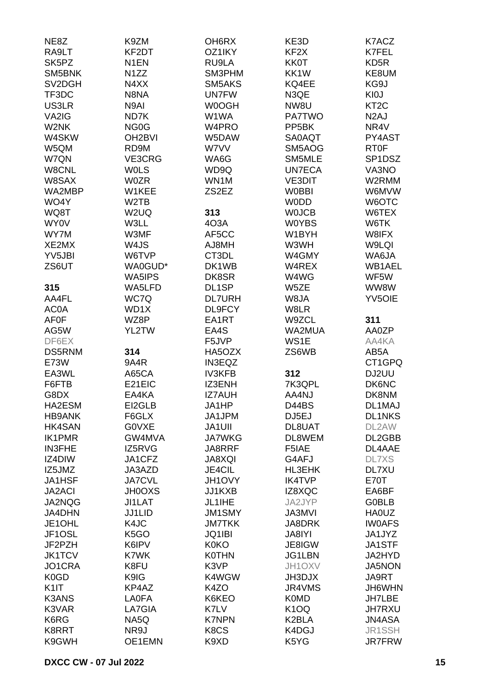| NE8Z                             | K9ZM                | OH <sub>6</sub> RX | KE3D               | K7ACZ             |
|----------------------------------|---------------------|--------------------|--------------------|-------------------|
| RA9LT                            | KF2DT               | OZ1IKY             | KF <sub>2</sub> X  | K7FEL             |
| SK <sub>5</sub> PZ               | N <sub>1</sub> EN   | RU9LA              | <b>KK0T</b>        | KD <sub>5</sub> R |
| SM5BNK                           | N <sub>1</sub> ZZ   | SM3PHM             | KK1W               | KE8UM             |
| SV <sub>2</sub> D <sub>G</sub> H | N4XX                | SM5AKS             | KQ4EE              | KG9J              |
| TF3DC                            | N8NA                | <b>UN7FW</b>       | N3QE               | KI0J              |
|                                  | N9AI                |                    |                    | KT <sub>2</sub> C |
| US3LR                            |                     | W0OGH              | NW8U               |                   |
| VA2IG                            | ND7K                | W1WA               | <b>PA7TWO</b>      | N <sub>2</sub> AJ |
| W2NK                             | NG <sub>0</sub> G   | W4PRO              | PP <sub>5</sub> BK | NR4V              |
| W4SKW                            | OH <sub>2</sub> BVI | W5DAW              | <b>SA0AQT</b>      | PY4AST            |
| W5QM                             | RD9M                | W7VV               | SM5AOG             | <b>RT0F</b>       |
| W7QN                             | VE3CRG              | WA6G               | SM5MLE             | SP1DSZ            |
| W8CNL                            | <b>WOLS</b>         | WD9Q               | <b>UN7ECA</b>      | VA3NO             |
| W8SAX                            | <b>W0ZR</b>         | WN1M               | <b>VE3DIT</b>      | W2RMM             |
| WA2MBP                           | W1KEE               | ZS2EZ              | <b>W0BBI</b>       | W6MVW             |
| WO4Y                             | W <sub>2</sub> TB   |                    | <b>WODD</b>        | W6OTC             |
| WQ8T                             | W <sub>2</sub> UQ   | 313                | <b>WOJCB</b>       | W6TEX             |
| <b>WY0V</b>                      | W3LL                | 403A               | <b>W0YBS</b>       | W6TK              |
| WY7M                             | W3MF                | AF5CC              | W1BYH              | W8IFX             |
| XE2MX                            | W4JS                | AJ8MH              | W3WH               | W9LQI             |
| YV5JBI                           | W6TVP               | CT3DL              | W4GMY              | WA6JA             |
| ZS6UT                            | WA0GUD*             | DK1WB              | W4REX              | WB1AEL            |
|                                  | WA5IPS              | DK8SR              | W4WG               | WF5W              |
| 315                              | WA5LFD              | DL1SP              | W5ZE               | WW8W              |
| AA4FL                            | WC7Q                | <b>DL7URH</b>      | W8JA               | <b>YV5OIE</b>     |
| <b>AC0A</b>                      | WD1X                | DL9FCY             | W8LR               |                   |
|                                  | WZ8P                | EA1RT              | W9ZCL              | 311               |
| <b>AF0F</b>                      |                     |                    |                    |                   |
| AG5W                             | YL2TW               | EA4S               | WA2MUA             | AA0ZP             |
| DF6EX                            |                     | F5JVP              | WS1E               | AA4KA             |
| <b>DS5RNM</b>                    | 314                 | HA5OZX             | ZS6WB              | AB5A              |
| <b>E73W</b>                      | 9A4R                | <b>IN3EQZ</b>      |                    | CT1GPQ            |
| EA3WL                            | A65CA               | <b>IV3KFB</b>      | 312                | DJ2UU             |
| F6FTB                            | E21EIC              | IZ3ENH             | 7K3QPL             | <b>DK6NC</b>      |
| G8DX                             | EA4KA               | <b>IZ7AUH</b>      | AA4NJ              | DK8NM             |
| HA2ESM                           | EI2GLB              | JA1HP              | D44BS              | DL1MAJ            |
| <b>HB9ANK</b>                    | F6GLX               | JA1JPM             | DJ5EJ              | <b>DL1NKS</b>     |
| <b>HK4SAN</b>                    | <b>GOVXE</b>        | <b>JA1UII</b>      | DL8UAT             | DL2AW             |
| <b>IK1PMR</b>                    | GW4MVA              | <b>JA7WKG</b>      | DL8WEM             | DL2GBB            |
| <b>IN3FHE</b>                    | IZ5RVG              | JA8RRF             | F5IAE              | DL4AAE            |
| IZ4DIW                           | JA1CFZ              | <b>JA8XQI</b>      | G4AFJ              | <b>DL7XS</b>      |
| IZ5JMZ                           | JA3AZD              | JE4CIL             | HL3EHK             | DL7XU             |
| <b>JA1HSF</b>                    | <b>JA7CVL</b>       | JH1OVY             | <b>IK4TVP</b>      | <b>E70T</b>       |
| <b>JA2ACI</b>                    | <b>JH0OXS</b>       | JJ1KXB             | IZ8XQC             | EA6BF             |
| JA2NQG                           | JI1LAT              | JL1IHE             | JA2JYP             | <b>G0BLB</b>      |
| <b>JA4DHN</b>                    | <b>JJ1LID</b>       | <b>JM1SMY</b>      | <b>JA3MVI</b>      | <b>HA0UZ</b>      |
| JE1OHL                           | K4JC                | <b>JM7TKK</b>      | JA8DRK             | <b>IWOAFS</b>     |
| JF1OSL                           | K <sub>5</sub> GO   | JQ1IBI             | JA8IYI             | JA1JYZ            |
| JF2PZH                           | K6IPV               | <b>K0KO</b>        | JE8IGW             | JA1STF            |
| <b>JK1TCV</b>                    | K7WK                | <b>K0THN</b>       | JG1LBN             | JA2HYD            |
| JO1CRA                           | K8FU                | K3VP               | JH1OXV             | JA5NON            |
|                                  |                     |                    |                    |                   |
| K <sub>0</sub> G <sub>D</sub>    | K9IG                | K4WGW              | JH3DJX             | JA9RT             |
| K <sub>1</sub>                   | KP4AZ               | K4ZO               | JR4VMS             | JH6WHN            |
| <b>K3ANS</b>                     | <b>LA0FA</b>        | K6KEO              | <b>K0MD</b>        | JH7LBE            |
| K3VAR                            | LA7GIA              | K7LV               | K <sub>1</sub> OQ  | <b>JH7RXU</b>     |
| K6RG                             | NA5Q                | <b>K7NPN</b>       | K2BLA              | <b>JN4ASA</b>     |
| K8RRT                            | NR9J                | K8CS               | K4DGJ              | JR1SSH            |
| K9GWH                            | OE1EMN              | K9XD               | K5YG               | <b>JR7FRW</b>     |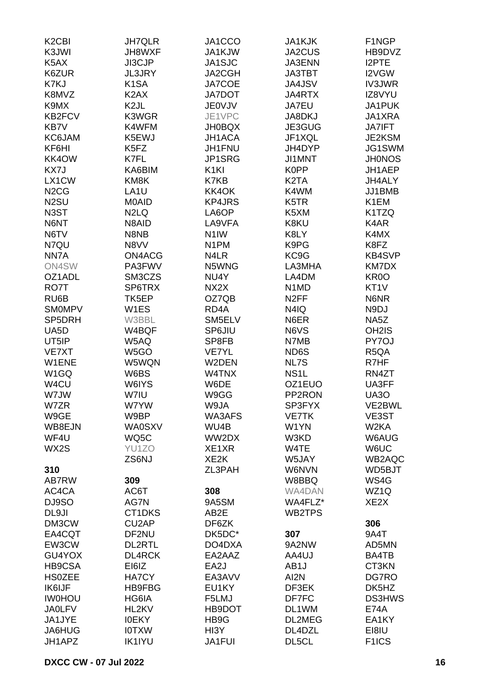| K <sub>2</sub> C <sub>BI</sub> | <b>JH7QLR</b>      | JA1CCO            | <b>JA1KJK</b>                 | F1NGP                      |
|--------------------------------|--------------------|-------------------|-------------------------------|----------------------------|
| K3JWI                          | JH8WXF             | JA1KJW            | JA2CUS                        | HB9DVZ                     |
| K5AX                           | JI3CJP             | JA1SJC            | <b>JA3ENN</b>                 | <b>I2PTE</b>               |
| K6ZUR                          | <b>JL3JRY</b>      | JA2CGH            | <b>JA3TBT</b>                 | I2VGW                      |
| K7KJ                           | K <sub>1</sub> SA  | JA7COE            | <b>JA4JSV</b>                 | <b>IV3JWR</b>              |
| K8MVZ                          | K <sub>2</sub> AX  | <b>JA7DOT</b>     | <b>JA4RTX</b>                 | IZ8VYU                     |
| K9MX                           | K <sub>2</sub> JL  | <b>JE0VJV</b>     | JA7EU                         | JA1PUK                     |
| <b>KB2FCV</b>                  | K3WGR              | JE1VPC            |                               | JA1XRA                     |
|                                |                    |                   | JA8DKJ                        |                            |
| KB7V                           | K4WFM              | <b>JH0BQX</b>     | JE3GUG                        | <b>JA7IFT</b>              |
| KC6JAM                         | K5EWJ              | <b>JH1ACA</b>     | JF1XQL                        | JE2KSM                     |
| KF6HI                          | K5FZ               | JH1FNU            | JH4DYP                        | JG1SWM                     |
| KK4OW                          | K7FL               | JP1SRG            | JI1MNT                        | <b>JH0NOS</b>              |
| KX7J                           | KA6BIM             | K <sub>1</sub> KI | K0PP                          | JH1AEP                     |
| LX1CW                          | KM8K               | K7KB              | K <sub>2</sub> T <sub>A</sub> | JH4ALY                     |
| N <sub>2</sub> C <sub>G</sub>  | LA <sub>1</sub> U  | KK4OK             | K4WM                          | JJ1BMB                     |
| N <sub>2</sub> SU              | M0AID              | <b>KP4JRS</b>     | K5TR                          | K <sub>1</sub> EM          |
| N <sub>3</sub> ST              | N <sub>2</sub> LQ  | LA6OP             | K5XM                          | K1TZQ                      |
| N6NT                           | N8AID              | LA9VFA            | K8KU                          | K4AR                       |
| N6TV                           | N8NB               | N <sub>1</sub> IW | K8LY                          | K4MX                       |
| N7QU                           | N8VV               | N <sub>1</sub> PM | K9PG                          | K8FZ                       |
| NN7A                           | ON4ACG             | N4LR              | KC9G                          | <b>KB4SVP</b>              |
| ON4SW                          | PA3FWV             | N5WNG             | LA3MHA                        | KM7DX                      |
| OZ1ADL                         | SM3CZS             | NU4Y              | LA4DM                         | KR <sub>0</sub> O          |
| RO7T                           | SP6TRX             | NX2X              | N <sub>1</sub> M <sub>D</sub> | KT1V                       |
| RU6B                           | TK5EP              | OZ7QB             | N <sub>2</sub> FF             | N6NR                       |
| <b>SMOMPV</b>                  | W <sub>1</sub> ES  | RD <sub>4</sub> A | N4IQ                          | N9DJ                       |
| SP5DRH                         | W3BBL              | SM5ELV            | N6ER                          | NA5Z                       |
| UA <sub>5</sub> D              | W4BQF              | <b>SP6JIU</b>     | N6VS                          | OH <sub>2</sub> IS         |
| UT5IP                          | W5AQ               | SP8FB             | N7MB                          | PY7OJ                      |
| <b>VE7XT</b>                   | W5GO               | <b>VE7YL</b>      | ND6S                          | R <sub>5</sub> QA          |
| W1ENE                          | W5WQN              | W2DEN             | NL7S                          | R7HF                       |
| W <sub>1</sub> GQ              | W6BS               | W4TNX             | NS <sub>1</sub> L             | RN4ZT                      |
| W4CU                           | W6IYS              | W6DE              | OZ1EUO                        | UA3FF                      |
| W7JW                           | W7IU               | W9GG              | PP2RON                        | <b>UA30</b>                |
| W7ZR                           | W7YW               | W9JA              | SP3FYX                        | VE2BWL                     |
|                                |                    |                   |                               |                            |
| W9GE<br>WB8EJN                 | W9BP               | WA3AFS            | <b>VE7TK</b>                  | VE3ST<br>W <sub>2</sub> KA |
|                                | <b>WA0SXV</b>      | WU4B              | W1YN                          |                            |
| WF4U                           | WQ5C               | WW2DX             | W3KD                          | W6AUG                      |
| WX2S                           | YU1ZO              | XE1XR             | W4TE                          | W6UC                       |
|                                | ZS6NJ              | XE <sub>2</sub> K | W5JAY                         | WB2AQC                     |
| 310                            |                    | ZL3PAH            | W6NVN                         | WD5BJT                     |
| AB7RW                          | 309                |                   | W8BBQ                         | WS4G                       |
| AC4CA                          | AC6T               | 308               | WA4DAN                        | WZ1Q                       |
| DJ9SO                          | AG7N               | 9A5SM             | WA4FLZ*                       | XE <sub>2</sub> X          |
| DL9JI                          | CT1DKS             | AB2E              | WB2TPS                        |                            |
| DM3CW                          | CU <sub>2</sub> AP | DF6ZK             |                               | 306                        |
| EA4CQT                         | DF2NU              | DK5DC*            | 307                           | 9A4T                       |
| EW3CW                          | <b>DL2RTL</b>      | DO4DXA            | 9A2NW                         | AD5MN                      |
| GU4YOX                         | <b>DL4RCK</b>      | EA2AAZ            | AA4UJ                         | BA4TB                      |
| <b>HB9CSA</b>                  | EI6IZ              | EA2J              | AB1J                          | CT3KN                      |
| <b>HS0ZEE</b>                  | <b>HA7CY</b>       | EA3AVV            | AI2N                          | DG7RO                      |
| <b>IK6IJF</b>                  | <b>HB9FBG</b>      | EU1KY             | DF3EK                         | DK5HZ                      |
| <b>IWOHOU</b>                  | HG6IA              | F5LMJ             | DF7FC                         | <b>DS3HWS</b>              |
| <b>JA0LFV</b>                  | HL2KV              | HB9DOT            | DL1WM                         | <b>E74A</b>                |
| JA1JYE                         | <b>IOEKY</b>       | HB9G              | DL2MEG                        | EA1KY                      |
| JA6HUG                         | <b>IOTXW</b>       | HI3Y              | DL4DZL                        | EI8IU                      |
| JH1APZ                         | <b>IK1IYU</b>      | JA1FUI            | DL5CL                         | F <sub>1</sub> ICS         |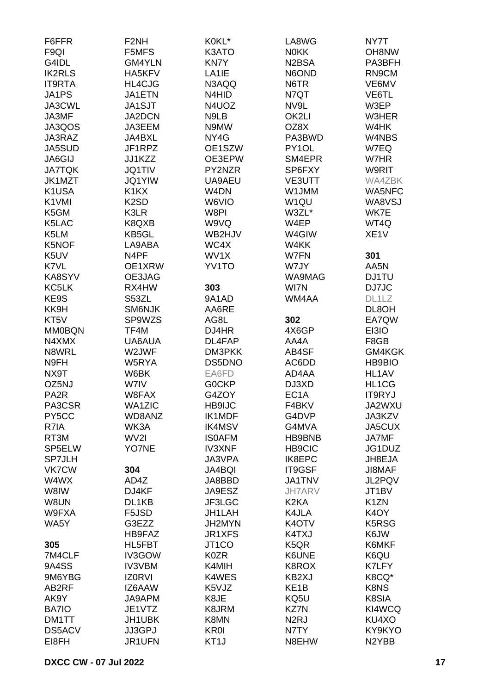| F6FFR             | F <sub>2NH</sub>              | K0KL*              | LA8WG                          | NY7T              |
|-------------------|-------------------------------|--------------------|--------------------------------|-------------------|
| F <sub>9QI</sub>  | F5MFS                         | K3ATO              | <b>NOKK</b>                    | <b>OH8NW</b>      |
| G4IDL             | GM4YLN                        | KN7Y               | N <sub>2</sub> B <sub>SA</sub> | PA3BFH            |
| <b>IK2RLS</b>     | HA5KFV                        | LA1IE              | N6OND                          | RN9CM             |
| <b>IT9RTA</b>     | HL4CJG                        | N3AQQ              | N6TR                           | VE6MV             |
| JA1PS             | <b>JA1ETN</b>                 | N4HID              | N7QT                           | VE6TL             |
| JA3CWL            | <b>JA1SJT</b>                 | N4UOZ              | NV9L                           | W3EP              |
| JA3MF             | JA2DCN                        | N9LB               | OK2LI                          | W3HER             |
| JA3QOS            | JA3EEM                        | N9MW               | OZ8X                           | W4HK              |
| JA3RAZ            | JA4BXL                        | NY4G               | PA3BWD                         | W4NBS             |
| JA5SUD            | JF1RPZ                        |                    | PY1OL                          |                   |
|                   |                               | OE1SZW             |                                | W7EQ              |
| <b>JA6GIJ</b>     | JJ1KZZ                        | OE3EPW             | SM4EPR                         | W7HR              |
| <b>JA7TQK</b>     | <b>JQ1TIV</b>                 | PY2NZR             | SP6FXY                         | W9RIT             |
| JK1MZT            | <b>JQ1YIW</b>                 | UA9AEU             | <b>VE3UTT</b>                  | WA4ZBK            |
| K1USA             | K <sub>1</sub> K <sub>X</sub> | W <sub>4</sub> DN  | W1JMM                          | WA5NFC            |
| K1VMI             | K <sub>2</sub> SD             | W6VIO              | W <sub>1QU</sub>               | WA8VSJ            |
| K5GM              | K3LR                          | W8PI               | W3ZL*                          | WK7E              |
| K5LAC             | K8QXB                         | W9VQ               | W4EP                           | WT4Q              |
| K5LM              | KB5GL                         | WB2HJV             | W4GIW                          | XE <sub>1</sub> V |
| K5NOF             | LA9ABA                        | WC4X               | W4KK                           |                   |
| K5UV              | N4PF                          | WV1X               | W7FN                           | 301               |
| K7VL              | OE1XRW                        | YV1TO              | W7JY                           | AA5N              |
| KA8SYV            | OE3JAG                        |                    | WA9MAG                         | <b>DJ1TU</b>      |
| KC5LK             | RX4HW                         | 303                | WI7N                           | DJ7JC             |
| KE9S              | S53ZL                         | 9A1AD              | WM4AA                          | DL1LZ             |
| KK9H              | SM6NJK                        | AA6RE              |                                | DL8OH             |
| KT5V              | SP9WZS                        | AG8L               | 302                            | EA7QW             |
| <b>MM0BQN</b>     | TF4M                          | DJ4HR              | 4X6GP                          | EI3IO             |
| N4XMX             | UA6AUA                        | DL4FAP             | AA4A                           | F8GB              |
| N8WRL             | W2JWF                         | DM3PKK             | AB4SF                          | GM4KGK            |
| N9FH              | W5RYA                         | DS5DNO             | AC6DD                          | <b>HB9BIO</b>     |
| NX9T              | W6BK                          | EA6FD              | AD4AA                          | HL1AV             |
| OZ5NJ             | W7IV                          | <b>GOCKP</b>       | DJ3XD                          | HL1CG             |
| PA <sub>2</sub> R | W8FAX                         | G4ZOY              | EC <sub>1</sub> A              | <b>IT9RYJ</b>     |
| PA3CSR            | <b>WA1ZIC</b>                 | HB9IJC             | F4BKV                          | JA2WXU            |
|                   |                               |                    |                                |                   |
| PY5CC             | WD8ANZ                        | <b>IK1MDF</b>      | G4DVP                          | JA3KZV            |
| R7IA              | WK3A                          | <b>IK4MSV</b>      | G4MVA                          | JA5CUX            |
| RT3M              | WV2I                          | <b>ISOAFM</b>      | HB9BNB                         | JA7MF             |
| SP5ELW            | YO7NE                         | <b>IV3XNF</b>      | <b>HB9CIC</b>                  | JG1DUZ            |
| <b>SP7JLH</b>     |                               | JA3VPA             | <b>IK8EPC</b>                  | JH8EJA            |
| <b>VK7CW</b>      | 304                           | <b>JA4BQI</b>      | IT9GSF                         | JI8MAF            |
| W4WX              | AD4Z                          | JA8BBD             | JA1TNV                         | JL2PQV            |
| W8IW              | DJ4KF                         | JA9ESZ             | <b>JH7ARV</b>                  | JT1BV             |
| W8UN              | DL1KB                         | JF3LGC             | K <sub>2</sub> KA              | K <sub>1</sub> ZN |
| W9FXA             | F5JSD                         | JH1LAH             | K4JLA                          | K <sub>4</sub> OY |
| WA5Y              | G3EZZ                         | JH2MYN             | K <sub>4</sub> OTV             | K5RSG             |
|                   | HB9FAZ                        | JR1XFS             | K4TXJ                          | K6JW              |
| 305               | HL5FBT                        | JT <sub>1</sub> CO | K <sub>5</sub> QR              | K6MKF             |
| 7M4CLF            | IV3GOW                        | K0ZR               | K6UNE                          | K6QU              |
| 9A4SS             | <b>IV3VBM</b>                 | K4MIH              | K8ROX                          | K7LFY             |
| 9M6YBG            | <b>IZORVI</b>                 | K4WES              | KB2XJ                          | K8CQ*             |
| AB2RF             | IZ6AAW                        | K5VJZ              | KE <sub>1</sub> B              | K8NS              |
| AK9Y              | JA9APM                        | K8JE               | KQ5U                           | K8SIA             |
| BA7IO             | JE1VTZ                        | K8JRM              | KZ7N                           | KI4WCQ            |
| DM1TT             | JH1UBK                        | K8MN               | N <sub>2</sub> RJ              | KU4XO             |
| DS5ACV            | JJ3GPJ                        | <b>KR0I</b>        | N7TY                           | KY9KYO            |
| EI8FH             | JR1UFN                        | KT <sub>1</sub> J  | N8EHW                          | N2YBB             |
|                   |                               |                    |                                |                   |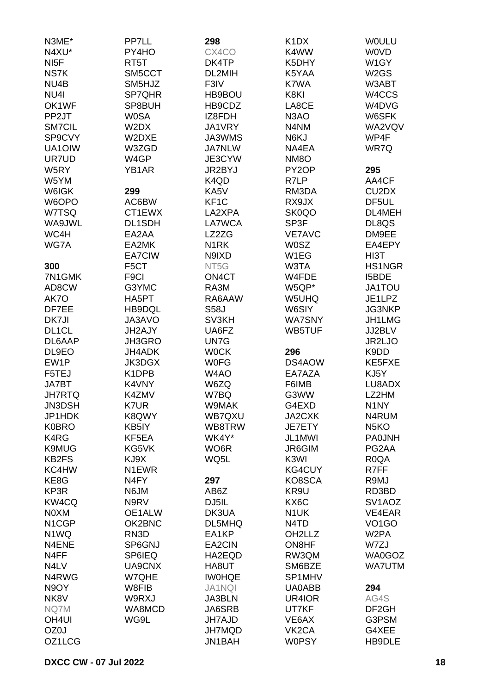| N3ME*              | PP7LL              | 298               | K <sub>1</sub> D <sub>X</sub> | <b>WOULU</b>                   |
|--------------------|--------------------|-------------------|-------------------------------|--------------------------------|
| N4XU*              | PY4HO              | CX4CO             | K4WW                          | <b>WOVD</b>                    |
| NI <sub>5</sub> F  | RT <sub>5</sub> T  | DK4TP             | K5DHY                         | W1GY                           |
| NS7K               | SM5CCT             | DL2MIH            | K5YAA                         | W <sub>2</sub> GS              |
| NU4B               | SM5HJZ             | F3IV              | K7WA                          | W3ABT                          |
| NU <sub>4</sub>    | SP7QHR             | HB9BOU            | K8KI                          | W4CCS                          |
| OK1WF              | SP8BUH             | HB9CDZ            | LA8CE                         | W4DVG                          |
| PP2JT              | <b>W0SA</b>        | IZ8FDH            | N <sub>3</sub> AO             | W6SFK                          |
| <b>SM7CIL</b>      | W2DX               | JA1VRY            | N4NM                          | WA2VQV                         |
| SP9CVY             | W2DXE              | JA3WMS            | N6KJ                          | WP4F                           |
| UA1OIW             | W3ZGD              | <b>JA7NLW</b>     | NA4EA                         | WR7Q                           |
| UR7UD              | W4GP               | JE3CYW            | NM <sub>8</sub> O             |                                |
| W5RY               | YB1AR              | JR2BYJ            | PY <sub>2</sub> OP            | 295                            |
|                    |                    |                   |                               |                                |
| W5YM               |                    | K4QD              | R7LP                          | AA4CF                          |
| W6IGK              | 299                | KA5V              | RM3DA                         | CU <sub>2</sub> D <sub>X</sub> |
| W6OPO              | AC6BW              | KF <sub>1</sub> C | RX9JX                         | DF5UL                          |
| W7TSQ              | CT1EWX             | LA2XPA            | SK0QO                         | DL4MEH                         |
| WA9JWL             | DL1SDH             | LA7WCA            | SP3F                          | DL8QS                          |
| WC4H               | EA2AA              | LZ2ZG             | <b>VE7AVC</b>                 | DM9EE                          |
| WG7A               | EA2MK              | N <sub>1</sub> RK | <b>W0SZ</b>                   | EA4EPY                         |
|                    | EA7CIW             | N9IXD             | W1EG                          | HI3T                           |
| 300                | F <sub>5</sub> CT  | NT5G              | W3TA                          | <b>HS1NGR</b>                  |
| 7N1GMK             | F <sub>9</sub> Cl  | ON4CT             | W4FDE                         | <b>I5BDE</b>                   |
| AD8CW              | G3YMC              | RA3M              | W5QP*                         | JA1TOU                         |
| AK7O               | HA5PT              | RA6AAW            | W5UHQ                         | JE1LPZ                         |
| DF7EE              | HB9DQL             | <b>S58J</b>       | W6SIY                         | JG3NKP                         |
| DK7JI              | JA3AVO             | SV3KH             | <b>WA7SNY</b>                 | JH1LMG                         |
| DL <sub>1</sub> CL | JH2AJY             | UA6FZ             | WB5TUF                        | JJ2BLV                         |
| DL6AAP             | <b>JH3GRO</b>      | UN7G              |                               | JR2LJO                         |
| DL9EO              | <b>JH4ADK</b>      | <b>WOCK</b>       | 296                           | K9DD                           |
| EW1P               | JK3DGX             | <b>WOFG</b>       | DS4AOW                        | KE5FXE                         |
| F5TEJ              | K1DPB              | W4AO              | EA7AZA                        | KJ5Y                           |
| JA7BT              | K4VNY              | W6ZQ              | F6IMB                         | LU8ADX                         |
| <b>JH7RTQ</b>      | K4ZMV              | W7BQ              | G3WW                          | LZ2HM                          |
| JN3DSH             | K7UR               | W9MAK             | G4EXD                         | N <sub>1</sub> NY              |
| JP1HDK             | K8QWY              | WB7QXU            | JA2CXK                        | N4RUM                          |
| <b>K0BRO</b>       | KB5IY              | WB8TRW            | JE7ETY                        | N <sub>5</sub> KO              |
| K4RG               | KF5EA              | WK4Y*             | JL1MWI                        | <b>PA0JNH</b>                  |
| <b>K9MUG</b>       | KG5VK              | WO <sub>6</sub> R | JR6GIM                        | PG2AA                          |
| KB <sub>2FS</sub>  | KJ9X               | WQ5L              | K3WI                          | R <sub>0</sub> QA              |
| KC4HW              | N <sub>1</sub> EWR |                   | KG4CUY                        | R7FF                           |
| KE8G               | N <sub>4</sub> FY  | 297               | KO8SCA                        | R9MJ                           |
| KP3R               | N6JM               | AB6Z              | KR9U                          | RD3BD                          |
| KW4CQ              | N9RV               | DJ5IL             | KX6C                          | SV <sub>1</sub> AOZ            |
| N0XM               | OE1ALW             | DK3UA             | N <sub>1</sub> UK             | VE4EAR                         |
| N <sub>1</sub> CGP | OK2BNC             | DL5MHQ            | N4TD                          | VO <sub>1</sub> GO             |
| N <sub>1</sub> WQ  | RN3D               | EA1KP             | OH <sub>2</sub> LLZ           | W <sub>2</sub> PA              |
| N4ENE              | SP6GNJ             | EA2CIN            | ON8HF                         | W7ZJ                           |
| N <sub>4</sub> FF  | SP6IEQ             | HA2EQD            | RW3QM                         | WA0GOZ                         |
| N4LV               | UA9CNX             | HA8UT             | SM6BZE                        | <b>WA7UTM</b>                  |
| N4RWG              | W7QHE              | <b>IWOHQE</b>     | SP1MHV                        |                                |
| N9OY               | W8FIB              | <b>JA1NQI</b>     | <b>UA0ABB</b>                 | 294                            |
| NK8V               | W9RXJ              | JA3BLN            | UR4IOR                        | AG4S                           |
| NQ7M               | WA8MCD             | JA6SRB            | UT7KF                         | DF <sub>2GH</sub>              |
| OH <sub>4UI</sub>  | WG9L               | <b>JH7AJD</b>     | VE6AX                         | G3PSM                          |
| OZ0J               |                    | <b>JH7MQD</b>     | VK <sub>2</sub> CA            | G4XEE                          |
| OZ1LCG             |                    | JN1BAH            | <b>W0PSY</b>                  | HB9DLE                         |
|                    |                    |                   |                               |                                |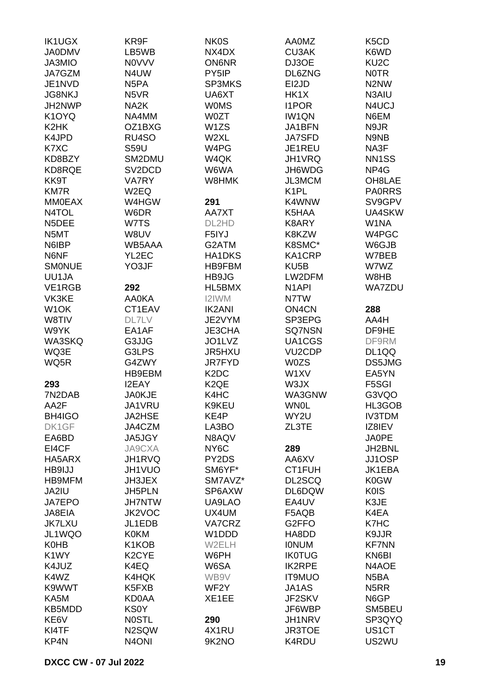| <b>IK1UGX</b>      | KR9F               | <b>NK0S</b>                   | <b>AA0MZ</b>        | K <sub>5</sub> C <sub>D</sub> |
|--------------------|--------------------|-------------------------------|---------------------|-------------------------------|
| <b>JA0DMV</b>      | LB5WB              | NX4DX                         | <b>CU3AK</b>        | K6WD                          |
| JA3MIO             | <b>NOVVV</b>       | <b>ON6NR</b>                  | DJ3OE               | KU <sub>2</sub> C             |
|                    |                    |                               |                     |                               |
| JA7GZM             | N4UW               | PY5IP                         | DL6ZNG              | <b>NOTR</b>                   |
| JE1NVD             | N <sub>5</sub> PA  | <b>SP3MKS</b>                 | EI2JD               | N <sub>2</sub> N <sub>W</sub> |
| <b>JG8NKJ</b>      | N5VR               | UA6XT                         | HK1X                | N3AIU                         |
| JH2NWP             | NA <sub>2</sub> K  | <b>WOMS</b>                   | <b>I1POR</b>        | N4UCJ                         |
| K <sub>1</sub> OYQ | NA4MM              | W0ZT                          | <b>IW1QN</b>        | N6EM                          |
| K <sub>2</sub> HK  | OZ1BXG             | W1ZS                          | JA1BFN              | N9JR                          |
| K4JPD              | RU4SO              | W2XL                          | <b>JA7SFD</b>       | N9NB                          |
| K7XC               | <b>S59U</b>        | W4PG                          | JE1REU              | NA3F                          |
| KD8BZY             | SM2DMU             | W4QK                          | JH1VRQ              | NN <sub>1</sub> SS            |
|                    |                    |                               |                     |                               |
| KD8RQE             | SV2DCD             | W6WA                          | JH6WDG              | NP4G                          |
| KK9T               | <b>VA7RY</b>       | W8HMK                         | JL3MCM              | OH8LAE                        |
| <b>KM7R</b>        | W2EQ               |                               | K <sub>1</sub> PL   | <b>PAORRS</b>                 |
| <b>MM0EAX</b>      | W4HGW              | 291                           | K4WNW               | SV9GPV                        |
| N4TOL              | W6DR               | AA7XT                         | K5HAA               | UA4SKW                        |
| N5DEE              | W7TS               | DL2HD                         | K8ARY               | W1NA                          |
| N5MT               | W8UV               | F5IYJ                         | K8KZW               | W4PGC                         |
| N6IBP              | WB5AAA             | G2ATM                         | K8SMC*              | W6GJB                         |
| N6NF               | YL2EC              |                               | KA1CRP              | W7BEB                         |
|                    |                    | HA1DKS                        |                     |                               |
| <b>SMONUE</b>      | YO3JF              | <b>HB9FBM</b>                 | KU <sub>5</sub> B   | W7WZ                          |
| UU1JA              |                    | HB9JG                         | LW2DFM              | W8HB                          |
| VE1RGB             | 292                | HL5BMX                        | N <sub>1</sub> API  | <b>WA7ZDU</b>                 |
| VK3KE              | AA0KA              | I2IWM                         | N7TW                |                               |
| W <sub>1</sub> OK  | CT1EAV             | <b>IK2ANI</b>                 | ON4CN               | 288                           |
| W8TIV              | <b>DL7LV</b>       | JE2VYM                        | SP3EPG              | AA4H                          |
| W9YK               | EA1AF              | JE3CHA                        | SQ7NSN              | DF9HE                         |
| WA3SKQ             | G3JJG              | JO1LVZ                        | UA1CGS              | DF9RM                         |
| WQ3E               | G3LPS              | JR5HXU                        | VU <sub>2</sub> CDP | DL1QQ                         |
|                    |                    |                               |                     | DS5JMG                        |
| WQ5R               | G4ZWY              | JR7FYD                        | <b>W0ZS</b>         |                               |
|                    | HB9EBM             | K <sub>2</sub> D <sub>C</sub> | W1XV                | EA5YN                         |
| 293                | <b>I2EAY</b>       | K <sub>2</sub> QE             | W3JX                | F5SGI                         |
| 7N2DAB             | <b>JA0KJE</b>      | K4HC                          | WA3GNW              | G3VQO                         |
| AA2F               | JA1VRU             | K9KEU                         | <b>WN0L</b>         | HL3GOB                        |
| BH4IGO             | <b>JA2HSE</b>      | KE4P                          | WY2U                | <b>IV3TDM</b>                 |
| DK1GF              | JA4CZM             | LA3BO                         | ZL3TE               | IZ8IEV                        |
| EA6BD              | JA5JGY             | N8AQV                         |                     | JA0PE                         |
| EI4CF              | JA9CXA             | NY <sub>6</sub> C             | 289                 | JH2BNL                        |
| HA5ARX             | JH1RVQ             | PY2DS                         | AA6XV               | JJ1OSP                        |
| HB9IJJ             | JH1VUO             | SM6YF*                        | CT1FUH              | JK1EBA                        |
|                    |                    |                               |                     |                               |
| HB9MFM             | JH3JEX             | SM7AVZ*                       | DL2SCQ              | K0GW                          |
| JA2IU              | <b>JH5PLN</b>      | SP6AXW                        | DL6DQW              | <b>K0IS</b>                   |
| JA7EPO             | <b>JH7NTW</b>      | UA9LAO                        | EA4UV               | K3JE                          |
| JA8EIA             | JK2VOC             | UX4UM                         | F5AQB               | K4EA                          |
| <b>JK7LXU</b>      | JL1EDB             | VA7CRZ                        | G2FFO               | K7HC                          |
| JL1WQO             | <b>K0KM</b>        | W1DDD                         | HA8DD               | K9JJR                         |
| <b>K0HB</b>        | K1KOB              | W2ELH                         | <b>IONUM</b>        | <b>KF7NN</b>                  |
| K1WY               | K <sub>2</sub> CYE | W6PH                          | <b>IK0TUG</b>       | KN6BI                         |
| K4JUZ              | K4EQ               | W6SA                          | <b>IK2RPE</b>       | N4AOE                         |
| K4WZ               | K4HQK              | WB9V                          | <b>IT9MUO</b>       | N <sub>5</sub> BA             |
|                    |                    |                               |                     |                               |
| K9WWT              | K5FXB              | WF2Y                          | JA1AS               | N <sub>5</sub> RR             |
| KA5M               | KD0AA              | XE1EE                         | JF2SKV              | N6GP                          |
| KB5MDD             | <b>KS0Y</b>        |                               | JF6WBP              | SM5BEU                        |
| KE6V               | <b>NOSTL</b>       | 290                           | JH1NRV              | SP3QYQ                        |
| KI4TF              | N2SQW              | 4X1RU                         | <b>JR3TOE</b>       | US1CT                         |
| KP4N               | N <sub>4</sub> ONI | 9K2NO                         | K4RDU               | US2WU                         |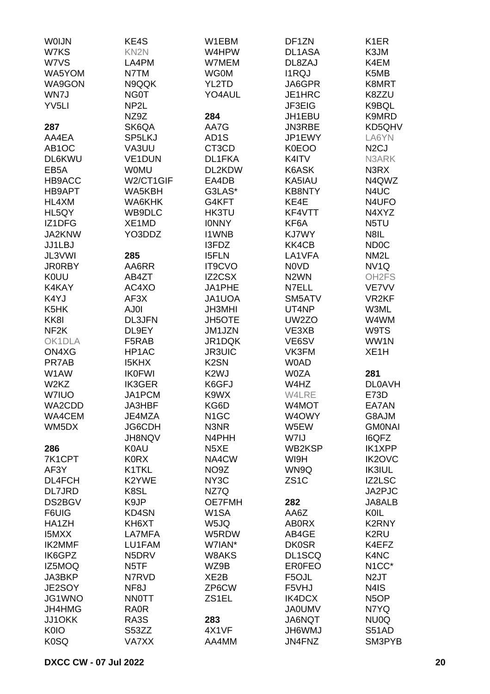| W7KS<br>KN <sub>2N</sub><br>W4HPW<br>DL1ASA<br>K3JM<br>W7VS<br>LA4PM<br>W7MEM<br>DL8ZAJ<br>K4EM<br><b>WG0M</b><br><b>I1RQJ</b><br>K5MB<br>WA5YOM<br>N7TM<br>WA9GON<br>N9QQK<br>YL2TD<br>JA6GPR<br>K8MRT<br>WN7J<br><b>NG0T</b><br>YO4AUL<br>JE1HRC<br>K8ZZU<br>YV <sub>5LI</sub><br>NP <sub>2</sub> L<br>JF3EIG<br>K9BQL<br>NZ9Z<br>284<br>JH1EBU<br>K9MRD<br>287<br>SK6QA<br>AA7G<br>JN3RBE<br>KD5QHV<br>AA4EA<br>SP5LKJ<br>AD <sub>1</sub> S<br>JP1EWY<br>LA6YN<br>AB1OC<br>VA3UU<br>CT3CD<br>N <sub>2</sub> CJ<br><b>K0EOO</b><br>DL6KWU<br><b>VE1DUN</b><br>DL1FKA<br>K4ITV<br>N3ARK<br>EB <sub>5</sub> A<br><b>WOMU</b><br>DL2KDW<br>K6ASK<br>N3RX<br>HB9ACC<br>W2/CT1GIF<br>N4QWZ<br>EA4DB<br>KA5IAU<br>G3LAS*<br>HB9APT<br>WA5KBH<br><b>KB8NTY</b><br>N4UC<br>HL4XM<br>WA6KHK<br>G4KFT<br>KE4E<br>N4UFO<br>KF4VTT<br>HL5QY<br>WB9DLC<br>HK3TU<br>N4XYZ<br>IZ1DFG<br>XE1MD<br>N5TU<br><b>IONNY</b><br>KF6A<br>JA2KNW<br>YO3DDZ<br><b>I1WNB</b><br><b>KJ7WY</b><br>N8IL<br><b>ND0C</b><br>JJ1LBJ<br>I3FDZ<br>KK4CB<br>JL3VWI<br>285<br>LA1VFA<br>NM <sub>2</sub> L<br><b>I5FLN</b><br>NV <sub>1Q</sub><br><b>JR0RBY</b><br>AA6RR<br><b>IT9CVO</b><br><b>NOVD</b><br>IZ2CSX<br>N <sub>2</sub> WN<br><b>KOUU</b><br>OH <sub>2</sub> FS<br>AB4ZT<br>AC4XO<br>K4KAY<br>JA1PHE<br>N7ELL<br>VE7VV<br>K4YJ<br>AF3X<br>JA1UOA<br>SM5ATV<br>VR <sub>2KF</sub><br>K5HK<br>AJ0I<br><b>JH3MHI</b><br>UT4NP<br>W3ML<br>KK8I<br><b>DL3JFN</b><br><b>JH5OTE</b><br>UW2ZO<br>W4WM<br>NF <sub>2</sub> K<br>DL9EY<br>JM1JZN<br>VE3XB<br>W9TS<br>JR1DQK<br>OK1DLA<br>F5RAB<br>VE6SV<br>WW1N<br>HP1AC<br><b>JR3UIC</b><br>XE <sub>1</sub> H<br>ON4XG<br>VK3FM<br>PR7AB<br><b>I5KHX</b><br>K <sub>2</sub> SN<br><b>WOAD</b><br>W1AW<br><b>IK0FWI</b><br>K <sub>2</sub> WJ<br><b>W0ZA</b><br>281<br>W <sub>2</sub> K <sub>Z</sub><br><b>IK3GER</b><br>K6GFJ<br>W4HZ<br><b>DL0AVH</b><br>W7IUO<br>JA1PCM<br>K9WX<br>W4LRE<br>E73D<br>JA3HBF<br>KG6D<br>W4MOT<br>WA2CDD<br>EA7AN<br>WA4CEM<br>N <sub>1</sub> GC<br>W4OWY<br>G8AJM<br>JE4MZA<br>WM5DX<br>JG6CDH<br>N3NR<br>W5EW<br><b>GMONAI</b><br>JH8NQV<br>W7IJ<br><b>I6QFZ</b><br>N4PHH<br><b>IK1XPP</b><br>286<br><b>K0AU</b><br>N <sub>5</sub> XE<br>WB2KSP<br>7K1CPT<br><b>KORX</b><br>NA4CW<br>WI9H<br><b>IK2OVC</b><br>AF3Y<br>K1TKL<br>NO9Z<br>WN9Q<br><b>IK3IUL</b><br>ZS <sub>1</sub> C<br>DL4FCH<br>K2YWE<br>NY <sub>3</sub> C<br>IZ2LSC<br><b>DL7JRD</b><br>K8SL<br>JA2PJC<br>NZ7Q<br>K9JP<br>DS2BGV<br><b>OE7FMH</b><br>282<br>JA8ALB<br>W <sub>1</sub> SA<br>KOIL<br>F6UIG<br>KD4SN<br>AA6Z<br><b>K2RNY</b><br>HA1ZH<br>KH6XT<br>W5JQ<br><b>ABORX</b><br><b>I5MXX</b><br>LA7MFA<br>W5RDW<br>AB4GE<br>K2RU<br><b>IK2MMF</b><br>LU1FAM<br>W7IAN*<br><b>DK0SR</b><br>K4EFZ<br>N5DRV<br>K4NC<br>IK6GPZ<br>W8AKS<br>DL1SCQ<br>N <sub>1</sub> CC*<br>IZ5MOQ<br>N <sub>5</sub> TF<br>WZ9B<br><b>EROFEO</b><br>JA3BKP<br>N7RVD<br>XE2B<br>F5OJL<br>N <sub>2</sub> JT<br>JE2SOY<br>ZP6CW<br>N4IS<br>NF <sub>8</sub> J<br>F5VHJ<br>JG1WNO<br><b>NNOTT</b><br>ZS1EL<br>IK4DCX<br>N <sub>5</sub> OP<br>JH4HMG<br>RA0R<br><b>JA0UMV</b><br>N7YQ<br>JJ1OKK<br>RA3S<br>283<br>JA6NQT<br>NU0Q<br>K0IO<br>S53ZZ<br>4X1VF<br><b>JH6WMJ</b><br>S51AD<br><b>K0SQ</b><br>AA4MM<br>JN4FNZ<br>SM3PYB<br>VA7XX | <b>WOIJN</b> | KE4S | W1EBM | DF1ZN | K1ER |
|------------------------------------------------------------------------------------------------------------------------------------------------------------------------------------------------------------------------------------------------------------------------------------------------------------------------------------------------------------------------------------------------------------------------------------------------------------------------------------------------------------------------------------------------------------------------------------------------------------------------------------------------------------------------------------------------------------------------------------------------------------------------------------------------------------------------------------------------------------------------------------------------------------------------------------------------------------------------------------------------------------------------------------------------------------------------------------------------------------------------------------------------------------------------------------------------------------------------------------------------------------------------------------------------------------------------------------------------------------------------------------------------------------------------------------------------------------------------------------------------------------------------------------------------------------------------------------------------------------------------------------------------------------------------------------------------------------------------------------------------------------------------------------------------------------------------------------------------------------------------------------------------------------------------------------------------------------------------------------------------------------------------------------------------------------------------------------------------------------------------------------------------------------------------------------------------------------------------------------------------------------------------------------------------------------------------------------------------------------------------------------------------------------------------------------------------------------------------------------------------------------------------------------------------------------------------------------------------------------------------------------------------------------------------------------------------------------------------------------------------------------------------------------------------------------------------------------------------------------------------------------------------------------------------------------------------------------------------------------------------------------------------------------------------------------------------------------------------------------------------------------------------------------------------------------------------------------------------------------|--------------|------|-------|-------|------|
|                                                                                                                                                                                                                                                                                                                                                                                                                                                                                                                                                                                                                                                                                                                                                                                                                                                                                                                                                                                                                                                                                                                                                                                                                                                                                                                                                                                                                                                                                                                                                                                                                                                                                                                                                                                                                                                                                                                                                                                                                                                                                                                                                                                                                                                                                                                                                                                                                                                                                                                                                                                                                                                                                                                                                                                                                                                                                                                                                                                                                                                                                                                                                                                                                                    |              |      |       |       |      |
|                                                                                                                                                                                                                                                                                                                                                                                                                                                                                                                                                                                                                                                                                                                                                                                                                                                                                                                                                                                                                                                                                                                                                                                                                                                                                                                                                                                                                                                                                                                                                                                                                                                                                                                                                                                                                                                                                                                                                                                                                                                                                                                                                                                                                                                                                                                                                                                                                                                                                                                                                                                                                                                                                                                                                                                                                                                                                                                                                                                                                                                                                                                                                                                                                                    |              |      |       |       |      |
|                                                                                                                                                                                                                                                                                                                                                                                                                                                                                                                                                                                                                                                                                                                                                                                                                                                                                                                                                                                                                                                                                                                                                                                                                                                                                                                                                                                                                                                                                                                                                                                                                                                                                                                                                                                                                                                                                                                                                                                                                                                                                                                                                                                                                                                                                                                                                                                                                                                                                                                                                                                                                                                                                                                                                                                                                                                                                                                                                                                                                                                                                                                                                                                                                                    |              |      |       |       |      |
|                                                                                                                                                                                                                                                                                                                                                                                                                                                                                                                                                                                                                                                                                                                                                                                                                                                                                                                                                                                                                                                                                                                                                                                                                                                                                                                                                                                                                                                                                                                                                                                                                                                                                                                                                                                                                                                                                                                                                                                                                                                                                                                                                                                                                                                                                                                                                                                                                                                                                                                                                                                                                                                                                                                                                                                                                                                                                                                                                                                                                                                                                                                                                                                                                                    |              |      |       |       |      |
|                                                                                                                                                                                                                                                                                                                                                                                                                                                                                                                                                                                                                                                                                                                                                                                                                                                                                                                                                                                                                                                                                                                                                                                                                                                                                                                                                                                                                                                                                                                                                                                                                                                                                                                                                                                                                                                                                                                                                                                                                                                                                                                                                                                                                                                                                                                                                                                                                                                                                                                                                                                                                                                                                                                                                                                                                                                                                                                                                                                                                                                                                                                                                                                                                                    |              |      |       |       |      |
|                                                                                                                                                                                                                                                                                                                                                                                                                                                                                                                                                                                                                                                                                                                                                                                                                                                                                                                                                                                                                                                                                                                                                                                                                                                                                                                                                                                                                                                                                                                                                                                                                                                                                                                                                                                                                                                                                                                                                                                                                                                                                                                                                                                                                                                                                                                                                                                                                                                                                                                                                                                                                                                                                                                                                                                                                                                                                                                                                                                                                                                                                                                                                                                                                                    |              |      |       |       |      |
|                                                                                                                                                                                                                                                                                                                                                                                                                                                                                                                                                                                                                                                                                                                                                                                                                                                                                                                                                                                                                                                                                                                                                                                                                                                                                                                                                                                                                                                                                                                                                                                                                                                                                                                                                                                                                                                                                                                                                                                                                                                                                                                                                                                                                                                                                                                                                                                                                                                                                                                                                                                                                                                                                                                                                                                                                                                                                                                                                                                                                                                                                                                                                                                                                                    |              |      |       |       |      |
|                                                                                                                                                                                                                                                                                                                                                                                                                                                                                                                                                                                                                                                                                                                                                                                                                                                                                                                                                                                                                                                                                                                                                                                                                                                                                                                                                                                                                                                                                                                                                                                                                                                                                                                                                                                                                                                                                                                                                                                                                                                                                                                                                                                                                                                                                                                                                                                                                                                                                                                                                                                                                                                                                                                                                                                                                                                                                                                                                                                                                                                                                                                                                                                                                                    |              |      |       |       |      |
|                                                                                                                                                                                                                                                                                                                                                                                                                                                                                                                                                                                                                                                                                                                                                                                                                                                                                                                                                                                                                                                                                                                                                                                                                                                                                                                                                                                                                                                                                                                                                                                                                                                                                                                                                                                                                                                                                                                                                                                                                                                                                                                                                                                                                                                                                                                                                                                                                                                                                                                                                                                                                                                                                                                                                                                                                                                                                                                                                                                                                                                                                                                                                                                                                                    |              |      |       |       |      |
|                                                                                                                                                                                                                                                                                                                                                                                                                                                                                                                                                                                                                                                                                                                                                                                                                                                                                                                                                                                                                                                                                                                                                                                                                                                                                                                                                                                                                                                                                                                                                                                                                                                                                                                                                                                                                                                                                                                                                                                                                                                                                                                                                                                                                                                                                                                                                                                                                                                                                                                                                                                                                                                                                                                                                                                                                                                                                                                                                                                                                                                                                                                                                                                                                                    |              |      |       |       |      |
|                                                                                                                                                                                                                                                                                                                                                                                                                                                                                                                                                                                                                                                                                                                                                                                                                                                                                                                                                                                                                                                                                                                                                                                                                                                                                                                                                                                                                                                                                                                                                                                                                                                                                                                                                                                                                                                                                                                                                                                                                                                                                                                                                                                                                                                                                                                                                                                                                                                                                                                                                                                                                                                                                                                                                                                                                                                                                                                                                                                                                                                                                                                                                                                                                                    |              |      |       |       |      |
|                                                                                                                                                                                                                                                                                                                                                                                                                                                                                                                                                                                                                                                                                                                                                                                                                                                                                                                                                                                                                                                                                                                                                                                                                                                                                                                                                                                                                                                                                                                                                                                                                                                                                                                                                                                                                                                                                                                                                                                                                                                                                                                                                                                                                                                                                                                                                                                                                                                                                                                                                                                                                                                                                                                                                                                                                                                                                                                                                                                                                                                                                                                                                                                                                                    |              |      |       |       |      |
|                                                                                                                                                                                                                                                                                                                                                                                                                                                                                                                                                                                                                                                                                                                                                                                                                                                                                                                                                                                                                                                                                                                                                                                                                                                                                                                                                                                                                                                                                                                                                                                                                                                                                                                                                                                                                                                                                                                                                                                                                                                                                                                                                                                                                                                                                                                                                                                                                                                                                                                                                                                                                                                                                                                                                                                                                                                                                                                                                                                                                                                                                                                                                                                                                                    |              |      |       |       |      |
|                                                                                                                                                                                                                                                                                                                                                                                                                                                                                                                                                                                                                                                                                                                                                                                                                                                                                                                                                                                                                                                                                                                                                                                                                                                                                                                                                                                                                                                                                                                                                                                                                                                                                                                                                                                                                                                                                                                                                                                                                                                                                                                                                                                                                                                                                                                                                                                                                                                                                                                                                                                                                                                                                                                                                                                                                                                                                                                                                                                                                                                                                                                                                                                                                                    |              |      |       |       |      |
|                                                                                                                                                                                                                                                                                                                                                                                                                                                                                                                                                                                                                                                                                                                                                                                                                                                                                                                                                                                                                                                                                                                                                                                                                                                                                                                                                                                                                                                                                                                                                                                                                                                                                                                                                                                                                                                                                                                                                                                                                                                                                                                                                                                                                                                                                                                                                                                                                                                                                                                                                                                                                                                                                                                                                                                                                                                                                                                                                                                                                                                                                                                                                                                                                                    |              |      |       |       |      |
|                                                                                                                                                                                                                                                                                                                                                                                                                                                                                                                                                                                                                                                                                                                                                                                                                                                                                                                                                                                                                                                                                                                                                                                                                                                                                                                                                                                                                                                                                                                                                                                                                                                                                                                                                                                                                                                                                                                                                                                                                                                                                                                                                                                                                                                                                                                                                                                                                                                                                                                                                                                                                                                                                                                                                                                                                                                                                                                                                                                                                                                                                                                                                                                                                                    |              |      |       |       |      |
|                                                                                                                                                                                                                                                                                                                                                                                                                                                                                                                                                                                                                                                                                                                                                                                                                                                                                                                                                                                                                                                                                                                                                                                                                                                                                                                                                                                                                                                                                                                                                                                                                                                                                                                                                                                                                                                                                                                                                                                                                                                                                                                                                                                                                                                                                                                                                                                                                                                                                                                                                                                                                                                                                                                                                                                                                                                                                                                                                                                                                                                                                                                                                                                                                                    |              |      |       |       |      |
|                                                                                                                                                                                                                                                                                                                                                                                                                                                                                                                                                                                                                                                                                                                                                                                                                                                                                                                                                                                                                                                                                                                                                                                                                                                                                                                                                                                                                                                                                                                                                                                                                                                                                                                                                                                                                                                                                                                                                                                                                                                                                                                                                                                                                                                                                                                                                                                                                                                                                                                                                                                                                                                                                                                                                                                                                                                                                                                                                                                                                                                                                                                                                                                                                                    |              |      |       |       |      |
|                                                                                                                                                                                                                                                                                                                                                                                                                                                                                                                                                                                                                                                                                                                                                                                                                                                                                                                                                                                                                                                                                                                                                                                                                                                                                                                                                                                                                                                                                                                                                                                                                                                                                                                                                                                                                                                                                                                                                                                                                                                                                                                                                                                                                                                                                                                                                                                                                                                                                                                                                                                                                                                                                                                                                                                                                                                                                                                                                                                                                                                                                                                                                                                                                                    |              |      |       |       |      |
|                                                                                                                                                                                                                                                                                                                                                                                                                                                                                                                                                                                                                                                                                                                                                                                                                                                                                                                                                                                                                                                                                                                                                                                                                                                                                                                                                                                                                                                                                                                                                                                                                                                                                                                                                                                                                                                                                                                                                                                                                                                                                                                                                                                                                                                                                                                                                                                                                                                                                                                                                                                                                                                                                                                                                                                                                                                                                                                                                                                                                                                                                                                                                                                                                                    |              |      |       |       |      |
|                                                                                                                                                                                                                                                                                                                                                                                                                                                                                                                                                                                                                                                                                                                                                                                                                                                                                                                                                                                                                                                                                                                                                                                                                                                                                                                                                                                                                                                                                                                                                                                                                                                                                                                                                                                                                                                                                                                                                                                                                                                                                                                                                                                                                                                                                                                                                                                                                                                                                                                                                                                                                                                                                                                                                                                                                                                                                                                                                                                                                                                                                                                                                                                                                                    |              |      |       |       |      |
|                                                                                                                                                                                                                                                                                                                                                                                                                                                                                                                                                                                                                                                                                                                                                                                                                                                                                                                                                                                                                                                                                                                                                                                                                                                                                                                                                                                                                                                                                                                                                                                                                                                                                                                                                                                                                                                                                                                                                                                                                                                                                                                                                                                                                                                                                                                                                                                                                                                                                                                                                                                                                                                                                                                                                                                                                                                                                                                                                                                                                                                                                                                                                                                                                                    |              |      |       |       |      |
|                                                                                                                                                                                                                                                                                                                                                                                                                                                                                                                                                                                                                                                                                                                                                                                                                                                                                                                                                                                                                                                                                                                                                                                                                                                                                                                                                                                                                                                                                                                                                                                                                                                                                                                                                                                                                                                                                                                                                                                                                                                                                                                                                                                                                                                                                                                                                                                                                                                                                                                                                                                                                                                                                                                                                                                                                                                                                                                                                                                                                                                                                                                                                                                                                                    |              |      |       |       |      |
|                                                                                                                                                                                                                                                                                                                                                                                                                                                                                                                                                                                                                                                                                                                                                                                                                                                                                                                                                                                                                                                                                                                                                                                                                                                                                                                                                                                                                                                                                                                                                                                                                                                                                                                                                                                                                                                                                                                                                                                                                                                                                                                                                                                                                                                                                                                                                                                                                                                                                                                                                                                                                                                                                                                                                                                                                                                                                                                                                                                                                                                                                                                                                                                                                                    |              |      |       |       |      |
|                                                                                                                                                                                                                                                                                                                                                                                                                                                                                                                                                                                                                                                                                                                                                                                                                                                                                                                                                                                                                                                                                                                                                                                                                                                                                                                                                                                                                                                                                                                                                                                                                                                                                                                                                                                                                                                                                                                                                                                                                                                                                                                                                                                                                                                                                                                                                                                                                                                                                                                                                                                                                                                                                                                                                                                                                                                                                                                                                                                                                                                                                                                                                                                                                                    |              |      |       |       |      |
|                                                                                                                                                                                                                                                                                                                                                                                                                                                                                                                                                                                                                                                                                                                                                                                                                                                                                                                                                                                                                                                                                                                                                                                                                                                                                                                                                                                                                                                                                                                                                                                                                                                                                                                                                                                                                                                                                                                                                                                                                                                                                                                                                                                                                                                                                                                                                                                                                                                                                                                                                                                                                                                                                                                                                                                                                                                                                                                                                                                                                                                                                                                                                                                                                                    |              |      |       |       |      |
|                                                                                                                                                                                                                                                                                                                                                                                                                                                                                                                                                                                                                                                                                                                                                                                                                                                                                                                                                                                                                                                                                                                                                                                                                                                                                                                                                                                                                                                                                                                                                                                                                                                                                                                                                                                                                                                                                                                                                                                                                                                                                                                                                                                                                                                                                                                                                                                                                                                                                                                                                                                                                                                                                                                                                                                                                                                                                                                                                                                                                                                                                                                                                                                                                                    |              |      |       |       |      |
|                                                                                                                                                                                                                                                                                                                                                                                                                                                                                                                                                                                                                                                                                                                                                                                                                                                                                                                                                                                                                                                                                                                                                                                                                                                                                                                                                                                                                                                                                                                                                                                                                                                                                                                                                                                                                                                                                                                                                                                                                                                                                                                                                                                                                                                                                                                                                                                                                                                                                                                                                                                                                                                                                                                                                                                                                                                                                                                                                                                                                                                                                                                                                                                                                                    |              |      |       |       |      |
|                                                                                                                                                                                                                                                                                                                                                                                                                                                                                                                                                                                                                                                                                                                                                                                                                                                                                                                                                                                                                                                                                                                                                                                                                                                                                                                                                                                                                                                                                                                                                                                                                                                                                                                                                                                                                                                                                                                                                                                                                                                                                                                                                                                                                                                                                                                                                                                                                                                                                                                                                                                                                                                                                                                                                                                                                                                                                                                                                                                                                                                                                                                                                                                                                                    |              |      |       |       |      |
|                                                                                                                                                                                                                                                                                                                                                                                                                                                                                                                                                                                                                                                                                                                                                                                                                                                                                                                                                                                                                                                                                                                                                                                                                                                                                                                                                                                                                                                                                                                                                                                                                                                                                                                                                                                                                                                                                                                                                                                                                                                                                                                                                                                                                                                                                                                                                                                                                                                                                                                                                                                                                                                                                                                                                                                                                                                                                                                                                                                                                                                                                                                                                                                                                                    |              |      |       |       |      |
|                                                                                                                                                                                                                                                                                                                                                                                                                                                                                                                                                                                                                                                                                                                                                                                                                                                                                                                                                                                                                                                                                                                                                                                                                                                                                                                                                                                                                                                                                                                                                                                                                                                                                                                                                                                                                                                                                                                                                                                                                                                                                                                                                                                                                                                                                                                                                                                                                                                                                                                                                                                                                                                                                                                                                                                                                                                                                                                                                                                                                                                                                                                                                                                                                                    |              |      |       |       |      |
|                                                                                                                                                                                                                                                                                                                                                                                                                                                                                                                                                                                                                                                                                                                                                                                                                                                                                                                                                                                                                                                                                                                                                                                                                                                                                                                                                                                                                                                                                                                                                                                                                                                                                                                                                                                                                                                                                                                                                                                                                                                                                                                                                                                                                                                                                                                                                                                                                                                                                                                                                                                                                                                                                                                                                                                                                                                                                                                                                                                                                                                                                                                                                                                                                                    |              |      |       |       |      |
|                                                                                                                                                                                                                                                                                                                                                                                                                                                                                                                                                                                                                                                                                                                                                                                                                                                                                                                                                                                                                                                                                                                                                                                                                                                                                                                                                                                                                                                                                                                                                                                                                                                                                                                                                                                                                                                                                                                                                                                                                                                                                                                                                                                                                                                                                                                                                                                                                                                                                                                                                                                                                                                                                                                                                                                                                                                                                                                                                                                                                                                                                                                                                                                                                                    |              |      |       |       |      |
|                                                                                                                                                                                                                                                                                                                                                                                                                                                                                                                                                                                                                                                                                                                                                                                                                                                                                                                                                                                                                                                                                                                                                                                                                                                                                                                                                                                                                                                                                                                                                                                                                                                                                                                                                                                                                                                                                                                                                                                                                                                                                                                                                                                                                                                                                                                                                                                                                                                                                                                                                                                                                                                                                                                                                                                                                                                                                                                                                                                                                                                                                                                                                                                                                                    |              |      |       |       |      |
|                                                                                                                                                                                                                                                                                                                                                                                                                                                                                                                                                                                                                                                                                                                                                                                                                                                                                                                                                                                                                                                                                                                                                                                                                                                                                                                                                                                                                                                                                                                                                                                                                                                                                                                                                                                                                                                                                                                                                                                                                                                                                                                                                                                                                                                                                                                                                                                                                                                                                                                                                                                                                                                                                                                                                                                                                                                                                                                                                                                                                                                                                                                                                                                                                                    |              |      |       |       |      |
|                                                                                                                                                                                                                                                                                                                                                                                                                                                                                                                                                                                                                                                                                                                                                                                                                                                                                                                                                                                                                                                                                                                                                                                                                                                                                                                                                                                                                                                                                                                                                                                                                                                                                                                                                                                                                                                                                                                                                                                                                                                                                                                                                                                                                                                                                                                                                                                                                                                                                                                                                                                                                                                                                                                                                                                                                                                                                                                                                                                                                                                                                                                                                                                                                                    |              |      |       |       |      |
|                                                                                                                                                                                                                                                                                                                                                                                                                                                                                                                                                                                                                                                                                                                                                                                                                                                                                                                                                                                                                                                                                                                                                                                                                                                                                                                                                                                                                                                                                                                                                                                                                                                                                                                                                                                                                                                                                                                                                                                                                                                                                                                                                                                                                                                                                                                                                                                                                                                                                                                                                                                                                                                                                                                                                                                                                                                                                                                                                                                                                                                                                                                                                                                                                                    |              |      |       |       |      |
|                                                                                                                                                                                                                                                                                                                                                                                                                                                                                                                                                                                                                                                                                                                                                                                                                                                                                                                                                                                                                                                                                                                                                                                                                                                                                                                                                                                                                                                                                                                                                                                                                                                                                                                                                                                                                                                                                                                                                                                                                                                                                                                                                                                                                                                                                                                                                                                                                                                                                                                                                                                                                                                                                                                                                                                                                                                                                                                                                                                                                                                                                                                                                                                                                                    |              |      |       |       |      |
|                                                                                                                                                                                                                                                                                                                                                                                                                                                                                                                                                                                                                                                                                                                                                                                                                                                                                                                                                                                                                                                                                                                                                                                                                                                                                                                                                                                                                                                                                                                                                                                                                                                                                                                                                                                                                                                                                                                                                                                                                                                                                                                                                                                                                                                                                                                                                                                                                                                                                                                                                                                                                                                                                                                                                                                                                                                                                                                                                                                                                                                                                                                                                                                                                                    |              |      |       |       |      |
|                                                                                                                                                                                                                                                                                                                                                                                                                                                                                                                                                                                                                                                                                                                                                                                                                                                                                                                                                                                                                                                                                                                                                                                                                                                                                                                                                                                                                                                                                                                                                                                                                                                                                                                                                                                                                                                                                                                                                                                                                                                                                                                                                                                                                                                                                                                                                                                                                                                                                                                                                                                                                                                                                                                                                                                                                                                                                                                                                                                                                                                                                                                                                                                                                                    |              |      |       |       |      |
|                                                                                                                                                                                                                                                                                                                                                                                                                                                                                                                                                                                                                                                                                                                                                                                                                                                                                                                                                                                                                                                                                                                                                                                                                                                                                                                                                                                                                                                                                                                                                                                                                                                                                                                                                                                                                                                                                                                                                                                                                                                                                                                                                                                                                                                                                                                                                                                                                                                                                                                                                                                                                                                                                                                                                                                                                                                                                                                                                                                                                                                                                                                                                                                                                                    |              |      |       |       |      |
|                                                                                                                                                                                                                                                                                                                                                                                                                                                                                                                                                                                                                                                                                                                                                                                                                                                                                                                                                                                                                                                                                                                                                                                                                                                                                                                                                                                                                                                                                                                                                                                                                                                                                                                                                                                                                                                                                                                                                                                                                                                                                                                                                                                                                                                                                                                                                                                                                                                                                                                                                                                                                                                                                                                                                                                                                                                                                                                                                                                                                                                                                                                                                                                                                                    |              |      |       |       |      |
|                                                                                                                                                                                                                                                                                                                                                                                                                                                                                                                                                                                                                                                                                                                                                                                                                                                                                                                                                                                                                                                                                                                                                                                                                                                                                                                                                                                                                                                                                                                                                                                                                                                                                                                                                                                                                                                                                                                                                                                                                                                                                                                                                                                                                                                                                                                                                                                                                                                                                                                                                                                                                                                                                                                                                                                                                                                                                                                                                                                                                                                                                                                                                                                                                                    |              |      |       |       |      |
|                                                                                                                                                                                                                                                                                                                                                                                                                                                                                                                                                                                                                                                                                                                                                                                                                                                                                                                                                                                                                                                                                                                                                                                                                                                                                                                                                                                                                                                                                                                                                                                                                                                                                                                                                                                                                                                                                                                                                                                                                                                                                                                                                                                                                                                                                                                                                                                                                                                                                                                                                                                                                                                                                                                                                                                                                                                                                                                                                                                                                                                                                                                                                                                                                                    |              |      |       |       |      |
|                                                                                                                                                                                                                                                                                                                                                                                                                                                                                                                                                                                                                                                                                                                                                                                                                                                                                                                                                                                                                                                                                                                                                                                                                                                                                                                                                                                                                                                                                                                                                                                                                                                                                                                                                                                                                                                                                                                                                                                                                                                                                                                                                                                                                                                                                                                                                                                                                                                                                                                                                                                                                                                                                                                                                                                                                                                                                                                                                                                                                                                                                                                                                                                                                                    |              |      |       |       |      |
|                                                                                                                                                                                                                                                                                                                                                                                                                                                                                                                                                                                                                                                                                                                                                                                                                                                                                                                                                                                                                                                                                                                                                                                                                                                                                                                                                                                                                                                                                                                                                                                                                                                                                                                                                                                                                                                                                                                                                                                                                                                                                                                                                                                                                                                                                                                                                                                                                                                                                                                                                                                                                                                                                                                                                                                                                                                                                                                                                                                                                                                                                                                                                                                                                                    |              |      |       |       |      |
|                                                                                                                                                                                                                                                                                                                                                                                                                                                                                                                                                                                                                                                                                                                                                                                                                                                                                                                                                                                                                                                                                                                                                                                                                                                                                                                                                                                                                                                                                                                                                                                                                                                                                                                                                                                                                                                                                                                                                                                                                                                                                                                                                                                                                                                                                                                                                                                                                                                                                                                                                                                                                                                                                                                                                                                                                                                                                                                                                                                                                                                                                                                                                                                                                                    |              |      |       |       |      |
|                                                                                                                                                                                                                                                                                                                                                                                                                                                                                                                                                                                                                                                                                                                                                                                                                                                                                                                                                                                                                                                                                                                                                                                                                                                                                                                                                                                                                                                                                                                                                                                                                                                                                                                                                                                                                                                                                                                                                                                                                                                                                                                                                                                                                                                                                                                                                                                                                                                                                                                                                                                                                                                                                                                                                                                                                                                                                                                                                                                                                                                                                                                                                                                                                                    |              |      |       |       |      |
|                                                                                                                                                                                                                                                                                                                                                                                                                                                                                                                                                                                                                                                                                                                                                                                                                                                                                                                                                                                                                                                                                                                                                                                                                                                                                                                                                                                                                                                                                                                                                                                                                                                                                                                                                                                                                                                                                                                                                                                                                                                                                                                                                                                                                                                                                                                                                                                                                                                                                                                                                                                                                                                                                                                                                                                                                                                                                                                                                                                                                                                                                                                                                                                                                                    |              |      |       |       |      |
|                                                                                                                                                                                                                                                                                                                                                                                                                                                                                                                                                                                                                                                                                                                                                                                                                                                                                                                                                                                                                                                                                                                                                                                                                                                                                                                                                                                                                                                                                                                                                                                                                                                                                                                                                                                                                                                                                                                                                                                                                                                                                                                                                                                                                                                                                                                                                                                                                                                                                                                                                                                                                                                                                                                                                                                                                                                                                                                                                                                                                                                                                                                                                                                                                                    |              |      |       |       |      |
|                                                                                                                                                                                                                                                                                                                                                                                                                                                                                                                                                                                                                                                                                                                                                                                                                                                                                                                                                                                                                                                                                                                                                                                                                                                                                                                                                                                                                                                                                                                                                                                                                                                                                                                                                                                                                                                                                                                                                                                                                                                                                                                                                                                                                                                                                                                                                                                                                                                                                                                                                                                                                                                                                                                                                                                                                                                                                                                                                                                                                                                                                                                                                                                                                                    |              |      |       |       |      |
|                                                                                                                                                                                                                                                                                                                                                                                                                                                                                                                                                                                                                                                                                                                                                                                                                                                                                                                                                                                                                                                                                                                                                                                                                                                                                                                                                                                                                                                                                                                                                                                                                                                                                                                                                                                                                                                                                                                                                                                                                                                                                                                                                                                                                                                                                                                                                                                                                                                                                                                                                                                                                                                                                                                                                                                                                                                                                                                                                                                                                                                                                                                                                                                                                                    |              |      |       |       |      |
|                                                                                                                                                                                                                                                                                                                                                                                                                                                                                                                                                                                                                                                                                                                                                                                                                                                                                                                                                                                                                                                                                                                                                                                                                                                                                                                                                                                                                                                                                                                                                                                                                                                                                                                                                                                                                                                                                                                                                                                                                                                                                                                                                                                                                                                                                                                                                                                                                                                                                                                                                                                                                                                                                                                                                                                                                                                                                                                                                                                                                                                                                                                                                                                                                                    |              |      |       |       |      |
|                                                                                                                                                                                                                                                                                                                                                                                                                                                                                                                                                                                                                                                                                                                                                                                                                                                                                                                                                                                                                                                                                                                                                                                                                                                                                                                                                                                                                                                                                                                                                                                                                                                                                                                                                                                                                                                                                                                                                                                                                                                                                                                                                                                                                                                                                                                                                                                                                                                                                                                                                                                                                                                                                                                                                                                                                                                                                                                                                                                                                                                                                                                                                                                                                                    |              |      |       |       |      |
|                                                                                                                                                                                                                                                                                                                                                                                                                                                                                                                                                                                                                                                                                                                                                                                                                                                                                                                                                                                                                                                                                                                                                                                                                                                                                                                                                                                                                                                                                                                                                                                                                                                                                                                                                                                                                                                                                                                                                                                                                                                                                                                                                                                                                                                                                                                                                                                                                                                                                                                                                                                                                                                                                                                                                                                                                                                                                                                                                                                                                                                                                                                                                                                                                                    |              |      |       |       |      |
|                                                                                                                                                                                                                                                                                                                                                                                                                                                                                                                                                                                                                                                                                                                                                                                                                                                                                                                                                                                                                                                                                                                                                                                                                                                                                                                                                                                                                                                                                                                                                                                                                                                                                                                                                                                                                                                                                                                                                                                                                                                                                                                                                                                                                                                                                                                                                                                                                                                                                                                                                                                                                                                                                                                                                                                                                                                                                                                                                                                                                                                                                                                                                                                                                                    |              |      |       |       |      |
|                                                                                                                                                                                                                                                                                                                                                                                                                                                                                                                                                                                                                                                                                                                                                                                                                                                                                                                                                                                                                                                                                                                                                                                                                                                                                                                                                                                                                                                                                                                                                                                                                                                                                                                                                                                                                                                                                                                                                                                                                                                                                                                                                                                                                                                                                                                                                                                                                                                                                                                                                                                                                                                                                                                                                                                                                                                                                                                                                                                                                                                                                                                                                                                                                                    |              |      |       |       |      |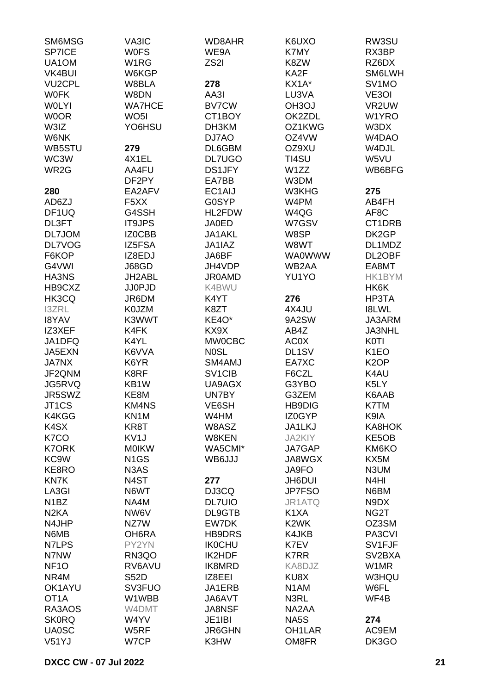| SM6MSG             | VA3IC                         | WD8AHR                          | K6UXO               | RW3SU                           |
|--------------------|-------------------------------|---------------------------------|---------------------|---------------------------------|
| SP7ICE             | <b>WOFS</b>                   | WE9A                            | K7MY                | RX3BP                           |
| UA1OM              | W1RG                          | ZS <sub>2</sub> I               | K8ZW                | RZ6DX                           |
| <b>VK4BUI</b>      | W6KGP                         |                                 | KA2F                | SM6LWH                          |
| <b>VU2CPL</b>      | W8BLA                         | 278                             | KX1A*               | SV <sub>1</sub> MO              |
|                    |                               |                                 |                     |                                 |
| <b>WOFK</b>        | W8DN                          | AA3I                            | LU3VA               | VE3OI                           |
| <b>WOLYI</b>       | <b>WA7HCE</b>                 | <b>BV7CW</b>                    | OH3OJ               | VR2UW                           |
| <b>WOOR</b>        | WO <sub>5</sub> I             | CT1BOY                          | OK2ZDL              | W1YRO                           |
| W3IZ               | YO6HSU                        | DH3KM                           | OZ1KWG              | W3DX                            |
| <b>W6NK</b>        |                               | DJ7AO                           | OZ4VW               | W <sub>4</sub> D <sub>A</sub> O |
| WB5STU             | 279                           | DL6GBM                          | OZ9XU               | W4DJL                           |
| WC3W               | 4X1EL                         | <b>DL7UGO</b>                   | TI4SU               | W5VU                            |
| WR <sub>2</sub> G  | AA4FU                         | <b>DS1JFY</b>                   | W1ZZ                | WB6BFG                          |
|                    | DF2PY                         | EA7BB                           | W3DM                |                                 |
| 280                | EA2AFV                        | EC1AIJ                          | W3KHG               | 275                             |
| AD6ZJ              | F <sub>5</sub> XX             | <b>G0SYP</b>                    | W4PM                | AB4FH                           |
| DF <sub>1</sub> UQ | G4SSH                         | HL2FDW                          | W4QG                | AF <sub>8</sub> C               |
| DL3FT              | <b>IT9JPS</b>                 | <b>JA0ED</b>                    | W7GSV               | CT1DRB                          |
| DL7JOM             | IZ0CBB                        | JA1AKL                          | W8SP                | DK2GP                           |
|                    |                               |                                 |                     |                                 |
| DL7VOG             | IZ5FSA                        | JA1IAZ                          | W8WT                | DL1MDZ                          |
| F6KOP              | IZ8EDJ                        | JA6BF                           | <b>WA0WWW</b>       | DL2OBF                          |
| G4VWI              | J68GD                         | JH4VDP                          | WB2AA               | EA8MT                           |
| <b>HA3NS</b>       | JH2ABL                        | <b>JR0AMD</b>                   | YU1YO               | HK1BYM                          |
| HB9CXZ             | <b>JJ0PJD</b>                 | K4BWU                           |                     | HK6K                            |
| HK3CQ              | JR6DM                         | K4YT                            | 276                 | HP3TA                           |
| <b>I3ZRL</b>       | K0JZM                         | K8ZT                            | 4X4JU               | <b>I8LWL</b>                    |
| <b>I8YAV</b>       | K3WWT                         | KE4O*                           | 9A2SW               | JA3ARM                          |
| IZ3XEF             | K4FK                          | KX9X                            | AB4Z                | <b>JA3NHL</b>                   |
| JA1DFQ             | K4YL                          | <b>MW0CBC</b>                   | AC0X                | <b>K0TI</b>                     |
| JA5EXN             | K6VVA                         | <b>NOSL</b>                     | DL <sub>1</sub> SV  | K <sub>1</sub> EO               |
| <b>JA7NX</b>       | K6YR                          | SM4AMJ                          | EA7XC               | K <sub>2</sub> OP               |
| JF2QNM             | K8RF                          | SV <sub>1</sub> C <sub>IB</sub> | F6CZL               | K4AU                            |
| JG5RVQ             | KB1W                          | UA9AGX                          | G3YBO               | K5LY                            |
| JR5SWZ             | KE8M                          | UN7BY                           | G3ZEM               | K6AAB                           |
| JT1CS              | KM4NS                         | VE6SH                           | <b>HB9DIG</b>       | K7TM                            |
|                    |                               |                                 |                     |                                 |
| K4KGG              | KN1M                          | W4HM                            | IZ0GYP              | K9IA                            |
| K4SX               | KR8T                          | W8ASZ                           | JA1LKJ              | KA8HOK                          |
| K7CO               | KV <sub>1</sub> J             | W8KEN                           | JA2KIY              | KE5OB                           |
| <b>K7ORK</b>       | <b>MOIKW</b>                  | WA5CMI*                         | JA7GAP              | KM6KO                           |
| KC <sub>9</sub> W  | N <sub>1</sub> GS             | WB6JJJ                          | JA8WGX              | KX5M                            |
| KE8RO              | N <sub>3</sub> A <sub>S</sub> |                                 | JA9FO               | N3UM                            |
| KN7K               | N4ST                          | 277                             | JH6DUI              | N4HI                            |
| LA3GI              | N6WT                          | DJ3CQ                           | <b>JP7FSO</b>       | N6BM                            |
| N <sub>1</sub> BZ  | NA4M                          | <b>DL7UIO</b>                   | JR1ATQ              | N9DX                            |
| N <sub>2</sub> KA  | NW6V                          | DL9GTB                          | K1XA                | NG2T                            |
| N4JHP              | NZ7W                          | EW7DK                           | K <sub>2</sub> WK   | OZ3SM                           |
| N6MB               | OH6RA                         | <b>HB9DRS</b>                   | K4JKB               | PA3CVI                          |
| N7LPS              | PY2YN                         | <b>IK0CHU</b>                   | K7EV                | SV1FJF                          |
| N7NW               | RN3QO                         | IK2HDF                          | <b>K7RR</b>         | SV <sub>2</sub> BXA             |
| NF <sub>10</sub>   | RV6AVU                        | IK8MRD                          | KA8DJZ              | W1MR                            |
| NR4M               | <b>S52D</b>                   | IZ8EEI                          | KU8X                | W3HQU                           |
| OK1AYU             | SV3FUO                        | JA1ERB                          | N <sub>1</sub> AM   | W6FL                            |
| OT <sub>1</sub> A  | W1WBB                         | JA6AVT                          |                     | WF4B                            |
|                    |                               |                                 | N3RL                |                                 |
| RA3AOS             | W4DMT                         | <b>JA8NSF</b>                   | NA2AA               |                                 |
| <b>SK0RQ</b>       | W4YV                          | JE1IBI                          | NA5S                | 274                             |
| <b>UA0SC</b>       | W5RF                          | JR6GHN                          | OH <sub>1</sub> LAR | AC9EM                           |
| V51YJ              | W7CP                          | K3HW                            | OM8FR               | DK3GO                           |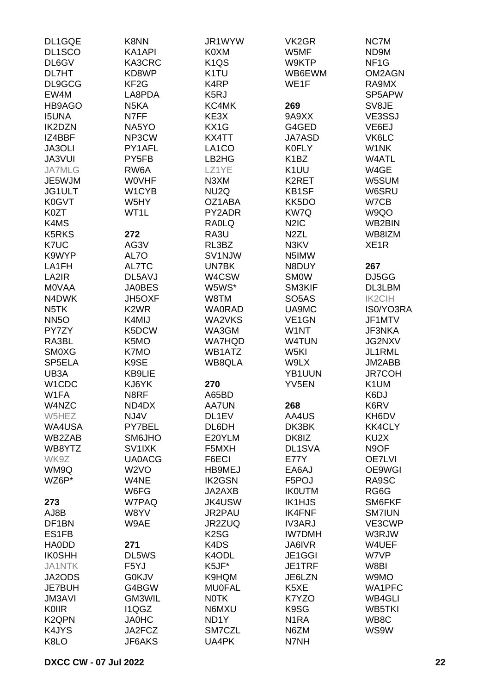| DL1GQE             | K8NN              | JR1WYW            | VK <sub>2</sub> GR            | NC7M              |
|--------------------|-------------------|-------------------|-------------------------------|-------------------|
| DL1SCO             | KA1API            | K0XM              | W5MF                          | ND9M              |
| DL6GV              | KA3CRC            | K <sub>1</sub> QS | W9KTP                         | NF <sub>1</sub> G |
| DL7HT              | KD8WP             | K <sub>1</sub> TU | WB6EWM                        | OM2AGN            |
| DL9GCG             | KF <sub>2</sub> G | K <sub>4</sub> RP | WE1F                          | RA9MX             |
|                    |                   |                   |                               | SP5APW            |
| EW4M               | LA8PDA            | K <sub>5</sub> RJ |                               |                   |
| HB9AGO             | N <sub>5</sub> KA | KC4MK             | 269                           | SV8JE             |
| <b>I5UNA</b>       | N7FF              | KE3X              | 9A9XX                         | VE3SSJ            |
| <b>IK2DZN</b>      | NA5YO             | KX1G              | G4GED                         | VE6EJ             |
| IZ4BBF             | NP3CW             | KX4TT             | <b>JA7ASD</b>                 | VK6LC             |
| JA3OLI             | PY1AFL            | LA1CO             | <b>K0FLY</b>                  | W1NK              |
| <b>JA3VUI</b>      | PY <sub>5FB</sub> | LB2HG             | K <sub>1</sub> BZ             | W4ATL             |
| <b>JA7MLG</b>      | RW6A              | LZ1YE             | K <sub>1</sub> UU             | W4GE              |
| JE5WJM             | <b>WOVHF</b>      | N3XM              | K2RET                         | W5SUM             |
| JG1ULT             | W1CYB             | NU <sub>2</sub> Q | KB1SF                         | W6SRU             |
| K0GVT              | W5HY              | OZ1ABA            | KK5DO                         | W7CB              |
| K0ZT               | WT1L              | PY2ADR            | KW7Q                          | W9QO              |
| K4MS               |                   | <b>RAOLQ</b>      | N <sub>2</sub> I <sub>C</sub> | WB2BIN            |
|                    |                   |                   |                               |                   |
| <b>K5RKS</b>       | 272               | RA3U              | N <sub>2</sub> ZL             | WB8IZM            |
| K7UC               | AG3V              | RL3BZ             | N3KV                          | XE <sub>1</sub> R |
| K9WYP              | AL7O              | SV1NJW            | N5IMW                         |                   |
| LA1FH              | AL7TC             | UN7BK             | N8DUY                         | 267               |
| LA2IR              | DL5AVJ            | W4CSW             | <b>SMOW</b>                   | DJ5GG             |
| <b>MOVAA</b>       | <b>JA0BES</b>     | W5WS*             | SM3KIF                        | DL3LBM            |
| N4DWK              | JH5OXF            | W8TM              | SO <sub>5</sub> AS            | <b>IK2CIH</b>     |
| N <sub>5</sub> TK  | K <sub>2</sub> WR | <b>WA0RAD</b>     | UA9MC                         | IS0/YO3RA         |
| <b>NN5O</b>        | K4MIJ             | WA2VKS            | VE <sub>1</sub> GN            | JF1MTV            |
| PY7ZY              | K5DCW             | WA3GM             | W1NT                          | JF3NKA            |
| RA3BL              | K5MO              | <b>WA7HQD</b>     | <b>W4TUN</b>                  | JG2NXV            |
| <b>SM0XG</b>       | K7MO              | WB1ATZ            | W <sub>5KI</sub>              | JL1RML            |
| SP5ELA             | K9SE              | WB8QLA            | W9LX                          | JM2ABB            |
| UB3A               | <b>KB9LIE</b>     |                   | YB1UUN                        | <b>JR7COH</b>     |
|                    |                   |                   |                               |                   |
| W1CDC              | KJ6YK             | 270               | YV <sub>5</sub> EN            | K1UM              |
| W1FA               | N8RF              | A65BD             |                               | K6DJ              |
| W4NZC              | ND4DX             | AA7UN             | 268                           | K6RV              |
| W5HEZ              | NJ4V              | DL1EV             | AA4US                         | KH6DV             |
| WA4USA             | PY7BEL            | DL6DH             | DK3BK                         | <b>KK4CLY</b>     |
| WB2ZAB             | SM6JHO            | E20YLM            | DK8IZ                         | KU2X              |
| WB8YTZ             | SV1IXK            | F5MXH             | DL1SVA                        | N9OF              |
| WK9Z               | <b>UA0ACG</b>     | F6ECI             | <b>E77Y</b>                   | <b>OE7LVI</b>     |
| WM9Q               | W <sub>2</sub> VO | <b>HB9MEJ</b>     | EA6AJ                         | OE9WGI            |
| WZ6P*              | W4NE              | <b>IK2GSN</b>     | F5POJ                         | RA9SC             |
|                    | W6FG              | JA2AXB            | <b>IKOUTM</b>                 | RG6G              |
| 273                | W7PAQ             | <b>JK4USW</b>     | <b>IK1HJS</b>                 | SM6FKF            |
| AJ8B               | W8YV              | JR2PAU            | <b>IK4FNF</b>                 | <b>SM7IUN</b>     |
| DF1BN              | W9AE              | JR2ZUQ            | <b>IV3ARJ</b>                 | VE3CWP            |
| ES1FB              |                   | K <sub>2</sub> SG | <b>IW7DMH</b>                 | W3RJW             |
| <b>HA0DD</b>       | 271               | K4DS              | JA6IVR                        | W4UEF             |
| <b>IK0SHH</b>      | DL5WS             | K4ODL             | JE1GGI                        | W7VP              |
| <b>JA1NTK</b>      | F5YJ              | K5JF*             | JE1TRF                        | W8BI              |
|                    |                   |                   |                               |                   |
| JA2ODS             | <b>G0KJV</b>      | K9HQM             | JE6LZN                        | W9MO              |
| <b>JE7BUH</b>      | G4BGW             | <b>MU0FAL</b>     | K5XE                          | WA1PFC            |
| <b>JM3AVI</b>      | GM3WIL            | <b>NOTK</b>       | K7YZO                         | WB4GLI            |
| KOIIR              | I1QGZ             | N6MXU             | K9SG                          | <b>WB5TKI</b>     |
| K <sub>2</sub> QPN | <b>JA0HC</b>      | ND <sub>1</sub> Y | N <sub>1</sub> RA             | WB8C              |
| K4JYS              | JA2FCZ            | SM7CZL            | N6ZM                          | WS9W              |
| K8LO               | JF6AKS            | UA4PK             | N7NH                          |                   |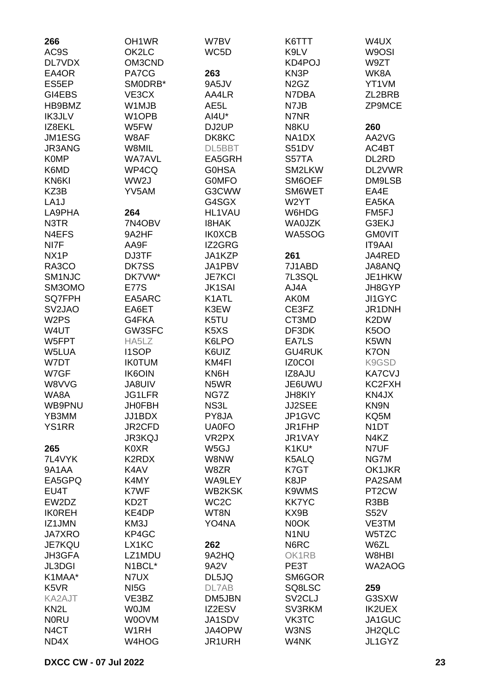| 266                           | OH1WR             | W7BV                          | K6TTT                         | W4UX               |
|-------------------------------|-------------------|-------------------------------|-------------------------------|--------------------|
| AC9S                          | OK2LC             | WC5D                          | K9LV                          | W9OSI              |
| DL7VDX                        | OM3CND            |                               | KD4POJ                        | W9ZT               |
| EA4OR                         | PA7CG             | 263                           | KN3P                          | WK8A               |
| ES5EP                         | SM0DRB*           | 9A5JV                         | N <sub>2</sub> G <sub>Z</sub> | YT1VM              |
| GI4EBS                        | VE3CX             | AA4LR                         | N7DBA                         | ZL2BRB             |
| HB9BMZ                        | W1MJB             | AE5L                          | N7JB                          | ZP9MCE             |
| <b>IK3JLV</b>                 | W1OPB             | AI4U*                         | N7NR                          |                    |
| IZ8EKL                        | W5FW              | DJ2UP                         | N8KU                          | 260                |
| JM1ESG                        | W8AF              | DK8KC                         | NA1DX                         | AA2VG              |
| JR3ANG                        | W8MIL             | DL5BBT                        | S51DV                         | AC4BT              |
| <b>K0MP</b>                   | <b>WA7AVL</b>     | EA5GRH                        | S57TA                         | DL2RD              |
| K6MD                          | WP4CQ             | <b>GOHSA</b>                  | SM2LKW                        | DL2VWR             |
| KN6KI                         | WW2J              | <b>GOMFO</b>                  | SM6OEF                        | DM9LSB             |
| KZ3B                          | YV5AM             | G3CWW                         | SM6WET                        | EA4E               |
| LA <sub>1</sub> J             |                   | G4SGX                         | W2YT                          | EA5KA              |
| LA9PHA                        | 264               | HL1VAU                        | W6HDG                         | FM5FJ              |
| N3TR                          | 7N4OBV            | <b>I8HAK</b>                  | <b>WA0JZK</b>                 | G3EKJ              |
| N4EFS                         | 9A2HF             | <b>IK0XCB</b>                 | WA5SOG                        | <b>GMOVIT</b>      |
| NI7F                          | AA9F              | IZ2GRG                        |                               | <b>IT9AAI</b>      |
| NX <sub>1</sub> P             | DJ3TF             | JA1KZP                        | 261                           | JA4RED             |
| RA3CO                         | DK7SS             | JA1PBV                        | 7J1ABD                        | JA8ANQ             |
| SM1NJC                        | DK7VW*            | <b>JE7KCI</b>                 | 7L3SQL                        | JE1HKW             |
| SM3OMO                        | <b>E77S</b>       | <b>JK1SAI</b>                 | AJ4A                          | JH8GYP             |
| <b>SQ7FPH</b>                 | EA5ARC            | K1ATL                         | <b>AK0M</b>                   | JI1GYC             |
| SV <sub>2</sub> JAO           | EA6ET             | K3EW                          | CE3FZ                         | JR1DNH             |
| W <sub>2</sub> PS             | G4FKA             | K5TU                          | CT3MD                         | K2DW               |
| W4UT                          | GW3SFC            | K <sub>5</sub> X <sub>S</sub> | DF3DK                         | <b>K5OO</b>        |
| W5FPT                         | HA5LZ             | K6LPO                         | EA7LS                         | K5WN               |
| W5LUA                         | <b>I1SOP</b>      | K6UIZ                         | <b>GU4RUK</b>                 | K7ON               |
| W7DT                          | <b>IK0TUM</b>     | KM4FI                         | <b>IZ0COI</b>                 | K9GSD              |
| W7GF                          | <b>IK6OIN</b>     | KN6H                          | IZ8AJU                        | <b>KA7CVJ</b>      |
| W8VVG                         | <b>JA8UIV</b>     | N5WR                          | JE6UWU                        | KC2FXH             |
| WA8A                          | <b>JG1LFR</b>     | NG7Z                          | <b>JH8KIY</b>                 | KN4JX              |
| WB9PNU                        | <b>JH0FBH</b>     | NS3L                          | JJ2SEE                        | KN9N               |
| YB3MM                         | JJ1BDX            | PY8JA                         | JP1GVC                        | KQ5M               |
| <b>YS1RR</b>                  | JR2CFD            | <b>UA0FO</b>                  | JR1FHP                        | N <sub>1</sub> DT  |
|                               | <b>JR3KQJ</b>     | VR <sub>2</sub> PX            | JR1VAY                        | N4KZ               |
| 265                           | <b>K0XR</b>       | W5GJ                          | K1KU*                         | N7UF               |
| 7L4VYK                        | K2RDX             | W8NW                          | K5ALQ                         | NG7M               |
| 9A1AA                         | K4AV              | W8ZR                          | K7GT                          | OK1JKR             |
| EA5GPQ                        | K4MY              | WA9LEY                        | K8JP                          | PA2SAM             |
| EU4T                          | K7WF              | <b>WB2KSK</b>                 | K9WMS                         | PT <sub>2</sub> CW |
| EW2DZ                         | KD2T              | WC <sub>2</sub> C             | <b>KK7YC</b>                  | R3BB               |
| <b>IKOREH</b>                 | KE4DP             | WT8N                          | KX9B                          | <b>S52V</b>        |
| IZ1JMN                        | KM3J              | YO4NA                         | N0OK                          | VE3TM              |
| <b>JA7XRO</b>                 | KP4GC             |                               | N <sub>1</sub> NU             | W5TZC              |
| <b>JE7KQU</b>                 | LX1KC             | 262                           | N6RC                          | W6ZL               |
| JH3GFA                        | LZ1MDU            | 9A2HQ                         | OK1RB                         | W8HBI              |
| JL3DGI                        | N1BCL*            | 9A2V                          | PE3T                          | WA2AOG             |
| K1MAA*                        | N7UX              | DL5JQ                         | SM6GOR                        |                    |
| K <sub>5</sub> V <sub>R</sub> | NI <sub>5</sub> G | DL7AB                         | SQ8LSC                        | 259                |
| KA2AJT                        | VE3BZ             | DM5JBN                        | SV <sub>2</sub> CLJ           | G3SXW              |
| KN <sub>2</sub> L             | <b>WOJM</b>       | IZ2ESV                        | SV3RKM                        | <b>IK2UEX</b>      |
| <b>NORU</b>                   | W0OVM             | JA1SDV                        | VK3TC                         | JA1GUC             |
| N <sub>4</sub> CT             | W1RH              | JA4OPW                        | W3NS                          | JH2QLC             |
| ND4X                          | W4HOG             | JR1URH                        | W4NK                          | JL1GYZ             |
|                               |                   |                               |                               |                    |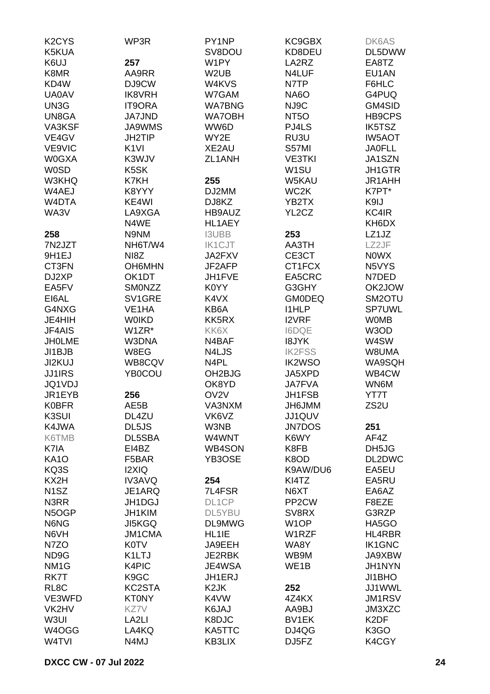| K <sub>2</sub> CY <sub>S</sub> | WP3R               | PY1NP               | KC9GBX             | DK6AS             |
|--------------------------------|--------------------|---------------------|--------------------|-------------------|
| K5KUA                          |                    | SV8DOU              | KD8DEU             | DL5DWW            |
| K6UJ                           | 257                | W1PY                | LA2RZ              | EA8TZ             |
| K8MR                           | AA9RR              | W <sub>2</sub> UB   | N4LUF              | EU1AN             |
| KD4W                           | DJ9CW              | W4KVS               | N7TP               | F6HLC             |
| <b>UA0AV</b>                   | <b>IK8VRH</b>      | W7GAM               | <b>NA6O</b>        | G4PUQ             |
| UN3G                           | <b>IT9ORA</b>      | <b>WA7BNG</b>       | NJ9C               | GM4SID            |
| UN8GA                          |                    |                     |                    |                   |
|                                | <b>JA7JND</b>      | <b>WA7OBH</b>       | NT <sub>5</sub> O  | HB9CPS            |
| VA3KSF                         | <b>JA9WMS</b>      | WW6D                | PJ4LS              | <b>IK5TSZ</b>     |
| VE4GV                          | <b>JH2TIP</b>      | WY2E                | RU3U               | <b>IW5AOT</b>     |
| VE9VIC                         | K <sub>1VI</sub>   | XE2AU               | S57MI              | <b>JA0FLL</b>     |
| <b>W0GXA</b>                   | K3WJV              | ZL1ANH              | <b>VE3TKI</b>      | JA1SZN            |
| <b>W0SD</b>                    | K <sub>5</sub> SK  |                     | W <sub>1</sub> SU  | <b>JH1GTR</b>     |
| W3KHQ                          | K7KH               | 255                 | W5KAU              | <b>JR1AHH</b>     |
| W4AEJ                          | K8YYY              | DJ2MM               | WC <sub>2</sub> K  | K7PT*             |
| W4DTA                          | KE4WI              | DJ8KZ               | YB2TX              | K9IJ              |
| WA3V                           | LA9XGA             | HB9AUZ              | YL2CZ              | KC4IR             |
|                                | N4WE               | HL1AEY              |                    | KH6DX             |
| 258                            | N9NM               | <b>I3UBB</b>        | 253                | LZ1JZ             |
| 7N2JZT                         | NH6T/W4            | <b>IK1CJT</b>       | AA3TH              | LZ2JF             |
| 9H <sub>1EJ</sub>              | NI8Z               | JA2FXV              | CE3CT              | <b>NOWX</b>       |
| CT3FN                          | OH6MHN             | JF2AFP              | CT1FCX             | N5VYS             |
| DJ2XP                          | OK1DT              |                     |                    |                   |
|                                |                    | JH1FVE              | EA5CRC             | N7DED             |
| EA5FV                          | <b>SMONZZ</b>      | K0YY                | G3GHY              | OK2JOW            |
| EI6AL                          | SV1GRE             | K4VX                | <b>GM0DEQ</b>      | SM2OTU            |
| G4NXG                          | VE <sub>1</sub> HA | KB6A                | <b>I1HLP</b>       | <b>SP7UWL</b>     |
| JE4HIH                         | <b>WOIKD</b>       | KK5RX               | <b>I2VRF</b>       | <b>WOMB</b>       |
| JF4AIS                         | W1ZR*              | KK6X                | <b>I6DQE</b>       | W3OD              |
| <b>JHOLME</b>                  | W3DNA              | N4BAF               | <b>I8JYK</b>       | W4SW              |
| JI1BJB                         | W8EG               | N4LJS               | <b>IK2FSS</b>      | W8UMA             |
| JI2KUJ                         | WB8CQV             | N4PL                | <b>IK2WSO</b>      | WA9SQH            |
| <b>JJ1IRS</b>                  | YB0COU             | OH <sub>2</sub> BJG | JA5XPD             | WB4CW             |
| JQ1VDJ                         |                    | OK8YD               | <b>JA7FVA</b>      | WN6M              |
| JR1EYB                         | 256                | OV <sub>2V</sub>    | <b>JH1FSB</b>      | YT7T              |
| <b>K0BFR</b>                   | AE5B               | VA3NXM              | JH6JMM             | ZS2U              |
| K3SUI                          | DL4ZU              | VK6VZ               | JJ1QUV             |                   |
| K4JWA                          | DL5JS              | W3NB                | <b>JN7DOS</b>      | 251               |
| K6TMB                          | DL5SBA             | W4WNT               | K6WY               | AF4Z              |
| K7IA                           | EI4BZ              | WB4SON              | K8FB               | DH5JG             |
| <b>KA10</b>                    | F5BAR              | YB3OSE              | K8OD               | DL2DWC            |
|                                |                    |                     | K9AW/DU6           | EA5EU             |
| KQ3S                           | I2XIQ              |                     |                    |                   |
| KX2H                           | <b>IV3AVQ</b>      | 254                 | KI4TZ              | EA5RU             |
| N <sub>1</sub> SZ              | JE1ARQ             | 7L4FSR              | N6XT               | EA6AZ             |
| N3RR                           | JH1DGJ             | DL1CP               | PP <sub>2</sub> CW | F8EZE             |
| N5OGP                          | JH1KIM             | DL5YBU              | SV8RX              | G3RZP             |
| N6NG                           | <b>JI5KGQ</b>      | DL9MWG              | W <sub>1</sub> OP  | HA5GO             |
| N6VH                           | <b>JM1CMA</b>      | HL1IE               | W1RZF              | HL4RBR            |
| N7ZO                           | <b>K0TV</b>        | JA9EEH              | WA8Y               | <b>IK1GNC</b>     |
| ND9G                           | K1LTJ              | JE2RBK              | WB9M               | JA9XBW            |
| NM <sub>1</sub> G              | K4PIC              | JE4WSA              | WE1B               | JH1NYN            |
| RK7T                           | K <sub>9</sub> GC  | JH1ERJ              |                    | JI1BHO            |
| RL <sub>8</sub> C              | KC2STA             | K <sub>2</sub> JK   | 252                | JJ1WWL            |
| VE3WFD                         | <b>KT0NY</b>       | K4VW                | 4Z4KX              | <b>JM1RSV</b>     |
| VK2HV                          | KZ7V               | K6JAJ               | AA9BJ              | JM3XZC            |
| W3UI                           | LA <sub>2LI</sub>  | K8DJC               | BV1EK              | K <sub>2</sub> DF |
| W4OGG                          | LA4KQ              | KA5TTC              | DJ4QG              | K3GO              |
| W4TVI                          | N4MJ               | KB3LIX              | DJ5FZ              | K4CGY             |
|                                |                    |                     |                    |                   |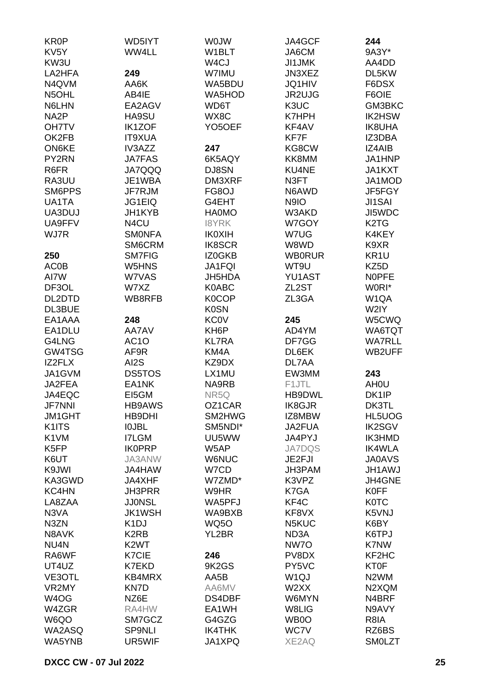| <b>KR0P</b>        | WD5IYT            | <b>WOJW</b>         | JA4GCF             | 244                            |
|--------------------|-------------------|---------------------|--------------------|--------------------------------|
| KV <sub>5</sub> Y  | WW4LL             | W1BLT               | JA6CM              | 9A3Y*                          |
| KW3U               |                   | W <sub>4</sub> CJ   | JI1JMK             | AA4DD                          |
| LA2HFA             | 249               | W7IMU               | JN3XEZ             | DL5KW                          |
| N4QVM              | AA6K              | WA5BDU              | <b>JQ1HIV</b>      | F6DSX                          |
|                    |                   |                     |                    |                                |
| N5OHL              | AB4IE             | WA5HOD              | JR2UJG             | F6OIE                          |
| N6LHN              | EA2AGV            | WD6T                | K3UC               | GM3BKC                         |
| NA <sub>2</sub> P  | HA9SU             | WX8C                | K7HPH              | IK2HSW                         |
| <b>OH7TV</b>       | <b>IK1ZOF</b>     | YO <sub>5</sub> OEF | KF4AV              | <b>IK8UHA</b>                  |
| OK2FB              | <b>IT9XUA</b>     |                     | KF7F               | IZ3DBA                         |
| <b>ON6KE</b>       | IV3AZZ            | 247                 | KG8CW              | IZ4AIB                         |
| PY2RN              | <b>JA7FAS</b>     | 6K5AQY              | KK8MM              | JA1HNP                         |
| R6FR               | <b>JA7QQQ</b>     | DJ8SN               | KU4NE              | JA1KXT                         |
| RA3UU              | JE1WBA            | DM3XRF              | N3FT               | JA1MOD                         |
| SM6PPS             | JF7RJM            | FG8OJ               | N6AWD              | JF5FGY                         |
| UA1TA              | JG1EIQ            | G4EHT               | N9IO               | <b>JI1SAI</b>                  |
|                    | JH1KYB            |                     | W3AKD              | JI5WDC                         |
| UA3DUJ             |                   | <b>HA0MO</b>        |                    |                                |
| UA9FFV             | N4CU              | <b>I8YRK</b>        | W7GOY              | K <sub>2</sub> T <sub>G</sub>  |
| WJ7R               | <b>SMONFA</b>     | <b>IK0XIH</b>       | W7UG               | K4KEY                          |
|                    | SM6CRM            | <b>IK8SCR</b>       | W8WD               | K9XR                           |
| 250                | <b>SM7FIG</b>     | IZ0GKB              | <b>WB0RUR</b>      | KR <sub>1U</sub>               |
| AC0B               | W5HNS             | <b>JA1FQI</b>       | WT9U               | KZ5D                           |
| AI7W               | W7VAS             | JH5HDA              | YU1AST             | <b>NOPFE</b>                   |
| DF3OL              | W7XZ              | K0ABC               | ZL <sub>2</sub> ST | W0RI*                          |
| DL2DTD             | WB8RFB            | <b>K0COP</b>        | ZL3GA              | W1QA                           |
| DL3BUE             |                   | <b>K0SN</b>         |                    | W2IY                           |
| EA1AAA             | 248               | <b>KC0V</b>         | 245                | W5CWQ                          |
| EA1DLU             | AA7AV             | KH <sub>6</sub> P   | AD4YM              | WA6TQT                         |
|                    |                   |                     |                    |                                |
| G4LNG              | AC <sub>1</sub> O | <b>KL7RA</b>        | DF7GG              | <b>WA7RLL</b>                  |
| GW4TSG             | AF9R              | KM4A                | DL6EK              | WB2UFF                         |
| IZ2FLX             | AI2S              | KZ9DX               | DL7AA              |                                |
| JA1GVM             | DS5TOS            | LX1MU               | EW3MM              | 243                            |
| JA2FEA             | EA1NK             | NA9RB               | F1JTL              | AH <sub>0</sub> U              |
| JA4EQC             | EI5GM             | NR5Q                | HB9DWL             | DK <sub>1</sub> IP             |
| <b>JF7NNI</b>      | <b>HB9AWS</b>     | OZ1CAR              | IK8GJR             | DK3TL                          |
| <b>JM1GHT</b>      | HB9DHI            | SM2HWG              | IZ8MBW             | HL5UOG                         |
| K1ITS              | <b>IOJBL</b>      | SM5NDI*             | JA2FUA             | <b>IK2SGV</b>                  |
| K1VM               | <b>I7LGM</b>      | UU5WW               | JA4PYJ             | IK3HMD                         |
| K <sub>5</sub> FP  | <b>IKOPRP</b>     | W5AP                | <b>JA7DQS</b>      | <b>IK4WLA</b>                  |
| K6UT               | <b>JA3ANW</b>     | <b>W6NUC</b>        | JE2FJI             | <b>JA0AVS</b>                  |
|                    | JA4HAW            |                     | JH3PAM             | <b>JH1AWJ</b>                  |
| K9JWI              |                   | W7CD                |                    |                                |
| KA3GWD             | JA4XHF            | W7ZMD*              | K3VPZ              | JH4GNE                         |
| KC4HN              | <b>JH3PRR</b>     | W9HR                | K7GA               | <b>K0FF</b>                    |
| LA8ZAA             | <b>JJ0NSL</b>     | WA5PFJ              | KF4C               | <b>K0TC</b>                    |
| N3VA               | <b>JK1WSH</b>     | WA9BXB              | KF8VX              | K5VNJ                          |
| N3ZN               | K <sub>1</sub> DJ | <b>WQ50</b>         | N5KUC              | K6BY                           |
| N8AVK              | K <sub>2</sub> RB | YL2BR               | ND3A               | K6TPJ                          |
| NU <sub>4</sub> N  | K <sub>2</sub> WT |                     | NW7O               | K7NW                           |
| RA6WF              | <b>K7CIE</b>      | 246                 | PV8DX              | KF <sub>2</sub> H <sub>C</sub> |
| UT4UZ              | <b>K7EKD</b>      | 9K2GS               | PY5VC              | <b>KT0F</b>                    |
| VE3OTL             | <b>KB4MRX</b>     | AA5B                | W <sub>1Q</sub> J  | N <sub>2</sub> WM              |
| VR <sub>2</sub> MY | KN7D              | AA6MV               | W <sub>2</sub> XX  | N2XQM                          |
|                    |                   |                     | W6MYN              |                                |
| W <sub>4</sub> OG  | NZ6E              | DS4DBF              |                    | N4BRF                          |
| W4ZGR              | RA4HW             | EA1WH               | W8LIG              | N9AVY                          |
| W6QO               | SM7GCZ            | G4GZG               | WB0O               | R8IA                           |
| WA2ASQ             | <b>SP9NLI</b>     | <b>IK4THK</b>       | WC7V               | RZ6BS                          |
| WA5YNB             | UR5WIF            | JA1XPQ              | XE2AQ              | <b>SMOLZT</b>                  |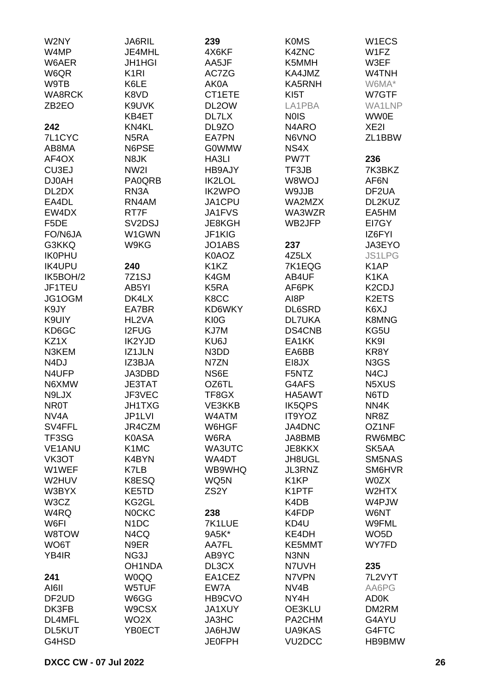| W2NY               | <b>JA6RIL</b>     | 239               | <b>K0MS</b>         | W <sub>1</sub> ECS |
|--------------------|-------------------|-------------------|---------------------|--------------------|
| W4MP               | JE4MHL            | 4X6KF             | <b>K4ZNC</b>        | W1FZ               |
| W6AER              | <b>JH1HGI</b>     | AA5JF             | K5MMH               | W3EF               |
| W6QR               | K <sub>1</sub> RI | AC7ZG             | KA4JMZ              | W4TNH              |
|                    |                   |                   |                     |                    |
| W9TB               | K6LE              | AK0A              | <b>KA5RNH</b>       | W6MA*              |
| <b>WA8RCK</b>      | K8VD              | CT1ETE            | KI <sub>5</sub> T   | W7GTF              |
| ZB <sub>2</sub> EO | K9UVK             | DL2OW             | LA1PBA              | WA1LNP             |
|                    | KB4ET             | DL7LX             | <b>NOIS</b>         | <b>WW0E</b>        |
| 242                | KN4KL             | DL9ZO             | N <sub>4</sub> ARO  | XE <sub>2</sub>    |
| 7L1CYC             | N <sub>5</sub> RA | <b>EA7PN</b>      | N6VNO               | ZL1BBW             |
| AB8MA              | N6PSE             | <b>G0WMW</b>      | NS4X                |                    |
| AF4OX              | N8JK              | HA3LI             | PW7T                | 236                |
| CU3EJ              | NW2I              | <b>HB9AJY</b>     | TF3JB               | 7K3BKZ             |
| <b>DJ0AH</b>       | <b>PA0QRB</b>     | IK2LOL            | W8WOJ               | AF6N               |
| DL2DX              | RN3A              | <b>IK2WPO</b>     | W9JJB               | DF2UA              |
| EA4DL              | RN4AM             | JA1CPU            | WA2MZX              | DL2KUZ             |
| EW4DX              | RT7F              | JA1FVS            | WA3WZR              | EA5HM              |
| F <sub>5</sub> DE  | SV2DSJ            | JE8KGH            | WB2JFP              | EI7GY              |
| FO/N6JA            | W1GWN             | JF1KIG            |                     | IZ6FYI             |
| G3KKQ              |                   |                   |                     | JA3EYO             |
|                    | W9KG              | JO1ABS            | 237                 |                    |
| <b>IK0PHU</b>      |                   | K0AOZ             | 4Z5LX               | <b>JS1LPG</b>      |
| <b>IK4UPU</b>      | 240               | K1KZ              | 7K1EQG              | K <sub>1</sub> AP  |
| IK5BOH/2           | 7Z1SJ             | K4GM              | AB4UF               | K1KA               |
| JF1TEU             | AB5YI             | K5RA              | AF6PK               | K <sub>2</sub> CDJ |
| JG1OGM             | DK4LX             | K8CC              | AI8P                | K2ETS              |
| K9JY               | EA7BR             | KD6WKY            | DL6SRD              | K6XJ               |
| K9UIY              | HL2VA             | KI0G              | <b>DL7UKA</b>       | K8MNG              |
| KD6GC              | <b>I2FUG</b>      | KJ7M              | DS4CNB              | KG5U               |
| KZ1X               | <b>IK2YJD</b>     | KU6J              | EA1KK               | KK9I               |
| N3KEM              | IZ1JLN            | N3DD              | EA6BB               | KR8Y               |
| N <sub>4</sub> DJ  | IZ3BJA            | N7ZN              | EI8JX               | N3GS               |
| N4UFP              | JA3DBD            | NS6E              | F5NTZ               | N <sub>4</sub> CJ  |
| N6XMW              | <b>JE3TAT</b>     | OZ6TL             | G4AFS               | N5XUS              |
| N9LJX              | JF3VEC            | TF8GX             | HA5AWT              | N6TD               |
| <b>NR0T</b>        | JH1TXG            | VE3KKB            | <b>IK5QPS</b>       | NN4K               |
| NV4A               | JP1LVI            | W4ATM             | IT9YOZ              | NR8Z               |
| SV4FFL             | JR4CZM            | W6HGF             | JA4DNC              | OZ1NF              |
| TF3SG              | K0ASA             | W6RA              |                     | RW6MBC             |
|                    |                   |                   | JA8BMB              |                    |
| VE1ANU             | K <sub>1</sub> MC | WA3UTC            | JE8KKX              | SK5AA              |
| VK3OT              | K4BYN             | WA4DT             | JH8UGL              | SM5NAS             |
| W1WEF              | K7LB              | WB9WHQ            | JL3RNZ              | SM6HVR             |
| W2HUV              | K8ESQ             | WQ5N              | K <sub>1</sub> KP   | W0ZX               |
| W3BYX              | KE5TD             | ZS <sub>2</sub> Y | K1PTF               | W2HTX              |
| W3CZ               | KG2GL             |                   | K4DB                | W4PJW              |
| W4RQ               | <b>NOCKC</b>      | 238               | K4FDP               | W6NT               |
| W6FI               | N <sub>1</sub> DC | 7K1LUE            | KD4U                | W9FML              |
| W8TOW              | N4CQ              | 9A5K*             | KE4DH               | WO <sub>5</sub> D  |
| WO6T               | N9ER              | AA7FL             | KE5MMT              | WY7FD              |
| YB4IR              | NG3J              | AB9YC             | N3NN                |                    |
|                    | OH1NDA            | DL3CX             | N7UVH               | 235                |
| 241                | <b>WOQQ</b>       | EA1CEZ            | N7VPN               | 7L2VYT             |
| AI6II              | W5TUF             | EW7A              | NV <sub>4</sub> B   | AA6PG              |
| DF <sub>2</sub> UD | W6GG              | HB9CVO            | NY4H                | AD0K               |
| DK3FB              | W9CSX             | <b>JA1XUY</b>     | OE3KLU              | DM2RM              |
| DL4MFL             | WO2X              | JA3HC             | PA2CHM              | G4AYU              |
| DL5KUT             | YB0ECT            | <b>WLHGAL</b>     | UA9KAS              | G4FTC              |
|                    |                   |                   | VU <sub>2</sub> DCC | HB9BMW             |
| G4HSD              |                   | <b>JE0FPH</b>     |                     |                    |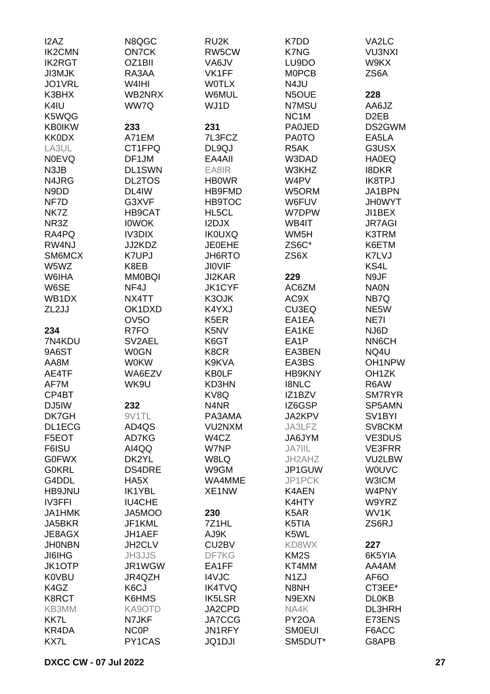| I2AZ                           | N8QGC               | RU <sub>2</sub> K | K7DD              | VA2LC               |
|--------------------------------|---------------------|-------------------|-------------------|---------------------|
| <b>IK2CMN</b>                  | <b>ON7CK</b>        | RW5CW             | K7NG              | <b>VU3NXI</b>       |
| <b>IK2RGT</b>                  | OZ1BII              | VA6JV             | LU9DO             | W9KX                |
| <b>JI3MJK</b>                  | RA3AA               | VK1FF             | <b>MOPCB</b>      | ZS6A                |
| JO1VRL                         | W4IHI               | <b>WOTLX</b>      | N4JU              |                     |
| K3BHX                          | WB2NRX              | W6MUL             | N5OUE             | 228                 |
| K4IU                           | WW7Q                | WJ1D              | N7MSU             | AA6JZ               |
| K5WQG                          |                     |                   | NC <sub>1</sub> M | D <sub>2</sub> EB   |
| <b>KB0IKW</b>                  | 233                 | 231               | <b>PA0JED</b>     | DS2GWM              |
| <b>KK0DX</b>                   | A71EM               | 7L3FCZ            | <b>PA0TO</b>      | EA5LA               |
| LA3UL                          | CT1FPQ              | DL9QJ             | R <sub>5</sub> AK | G3USX               |
| <b>NOEVQ</b>                   | DF1JM               | EA4AII            | W3DAD             | <b>HA0EQ</b>        |
| N3JB                           | <b>DL1SWN</b>       | EA8IR             | W3KHZ             | <b>I8DKR</b>        |
| N4JRG                          | <b>DL2TOS</b>       | <b>HBOWR</b>      | W4PV              | <b>IK8TPJ</b>       |
| N9DD                           | DL4IW               | HB9FMD            | W5ORM             | JA1BPN              |
| NF7D                           | G3XVF               | <b>HB9TOC</b>     | W6FUV             | <b>JHOWYT</b>       |
| NK7Z                           | HB9CAT              | HL5CL             | W7DPW             | JI1BEX              |
| NR3Z                           | <b>IOWOK</b>        | I2DJX             |                   | <b>JR7AGI</b>       |
|                                |                     |                   | WB4IT             | <b>K3TRM</b>        |
| RA4PQ                          | <b>IV3DIX</b>       | <b>IK0UXQ</b>     | WM <sub>5</sub> H |                     |
| RW4NJ                          | JJ2KDZ              | <b>JE0EHE</b>     | ZS6C*             | K6ETM               |
| SM6MCX                         | <b>K7UPJ</b>        | JH6RTO            | ZS6X              | K7LVJ               |
| W5WZ                           | K8EB                | <b>JIOVIF</b>     |                   | KS4L                |
| W6IHA                          | <b>MM0BQI</b>       | JI2KAR            | 229               | N9JF                |
| W6SE                           | NF4J                | <b>JK1CYF</b>     | AC6ZM             | <b>NA0N</b>         |
| WB <sub>1</sub> D <sub>X</sub> | NX4TT               | K3OJK             | AC9X              | NB7Q                |
| ZL2JJ                          | OK1DXD              | K4YXJ             | CU3EQ             | NE5W                |
|                                | OV <sub>5</sub> O   | K <sub>5</sub> ER | EA1EA             | NE7I                |
| 234                            | R7FO                | K5NV              | EA1KE             | NJ6D                |
| 7N4KDU                         | SV <sub>2</sub> AEL | K6GT              | EA1P              | <b>NN6CH</b>        |
| 9A6ST                          | <b>W0GN</b>         | K8CR              | EA3BEN            | NQ4U                |
| AA8M                           | <b>W0KW</b>         | K9KVA             | EA3BS             | OH1NPW              |
| AE4TF                          | WA6EZV              | <b>KB0LF</b>      | <b>HB9KNY</b>     | OH <sub>1</sub> ZK  |
| AF7M                           | WK9U                | KD3HN             | <b>I8NLC</b>      | R6AW                |
| CP4BT                          |                     | KV8Q              | IZ1BZV            | SM7RYR              |
| DJ5IW                          | 232                 | N4NR              | IZ6GSP            | SP5AMN              |
| DK7GH                          | 9V1TL               | PA3AMA            | JA2KPV            | SV <sub>1</sub> BYI |
| DL1ECG                         | AD4QS               | VU2NXM            | JA3LFZ            | SV8CKM              |
| F5EOT                          | AD7KG               | W4CZ              | JA6JYM            | VE3DUS              |
| F6ISU                          | AI4QQ               | W7NP              | <b>JA7IIL</b>     | <b>VE3FRR</b>       |
| <b>G0FWX</b>                   | DK2YL               | W8LQ              | JH2AHZ            | VU2LBW              |
| <b>G0KRL</b>                   | <b>DS4DRE</b>       | W9GM              | JP1GUW            | <b>WOUVC</b>        |
| G4DDL                          | HA5X                | WA4MME            | JP1PCK            | W3ICM               |
| HB9JNU                         | IK1YBL              | XE1NW             | K4AEN             | W4PNY               |
| <b>IV3FFI</b>                  | <b>IU4CHE</b>       |                   | K4HTY             | W9YRZ               |
| <b>JA1HMK</b>                  | JA5MOO              | 230               | K <sub>5</sub> AR | WV1K                |
| JA5BKR                         | JF1KML              | 7Z1HL             | K5TIA             | ZS6RJ               |
| JE8AGX                         | JH1AEF              | AJ9K              | K5WL              |                     |
| <b>JHONBN</b>                  | JH2CLV              | CU2BV             | KD8WX             | 227                 |
| <b>JI6IHG</b>                  | <b>JH3JJS</b>       | DF7KG             | KM <sub>2</sub> S | 6K5YIA              |
| JK1OTP                         | JR1WGW              | EA1FF             | KT4MM             | AA4AM               |
| <b>K0VBU</b>                   | JR4QZH              | <b>I4VJC</b>      | N <sub>1</sub> ZJ | AF <sub>6</sub> O   |
| K4GZ                           | K6CJ                | <b>IK4TVQ</b>     | N8NH              | CT3EE*              |
| K8RCT                          | K6HMS               | IK5LSR            | N9EXN             | <b>DL0KB</b>        |
| KB3MM                          | KA9OTD              | JA2CPD            | NA4K              | DL3HRH              |
| KK7L                           | N7JKF               | JA7CCG            | PY2OA             | E73ENS              |
| KR4DA                          | <b>NCOP</b>         | JN1RFY            | <b>SMOEUI</b>     | F6ACC               |
| KX7L                           | PY1CAS              | <b>JQ1DJI</b>     | SM5DUT*           | G8APB               |
|                                |                     |                   |                   |                     |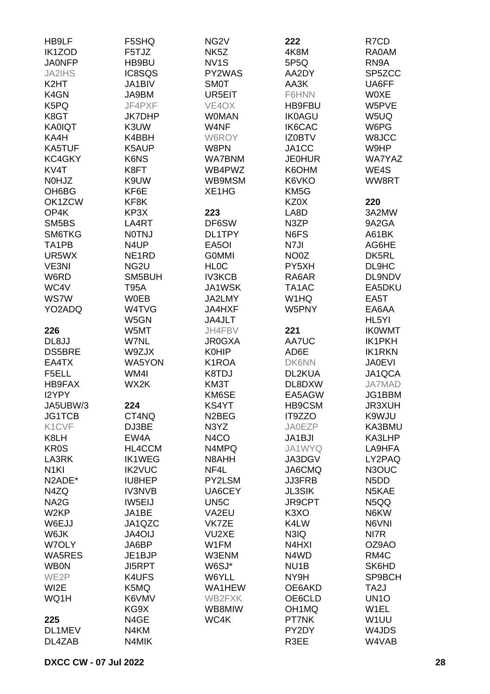| HB9LF              | F5SHQ              | NG <sub>2</sub> V  | 222                            | R7CD                          |
|--------------------|--------------------|--------------------|--------------------------------|-------------------------------|
| IK1ZOD             | F5TJZ              | NK <sub>5</sub> Z  | 4K8M                           | RA0AM                         |
| <b>JA0NFP</b>      | HB9BU              | NV <sub>1</sub> S  | 5P5Q                           | RN9A                          |
| <b>JA2IHS</b>      | IC8SQS             | PY2WAS             | AA2DY                          | SP5ZCC                        |
| K <sub>2</sub> HT  | JA1BIV             | <b>SM0T</b>        | AA3K                           | UA6FF                         |
|                    |                    |                    |                                | <b>WOXE</b>                   |
| K4GN               | JA9BM              | UR5EIT             | F6HNN                          |                               |
| K5PQ               | JF4PXF             | VE4OX              | <b>HB9FBU</b>                  | W5PVE                         |
| K8GT               | <b>JK7DHP</b>      | <b>WOMAN</b>       | <b>IK0AGU</b>                  | W5UQ                          |
| <b>KA0IQT</b>      | K3UW               | W4NF               | <b>IK6CAC</b>                  | W6PG                          |
| KA4H               | K4BBH              | W6ROY              | IZ0BTV                         | W8JCC                         |
| <b>KA5TUF</b>      | K5AUP              | W8PN               | JA1CC                          | W9HP                          |
| KC4GKY             | K6NS               | <b>WA7BNM</b>      | <b>JE0HUR</b>                  | <b>WA7YAZ</b>                 |
| KV4T               | K8FT               | WB4PWZ             | K6OHM                          | WE4S                          |
| <b>NOHJZ</b>       | K9UW               | WB9MSM             | K6VKO                          | WW8RT                         |
| OH6BG              | KF6E               | XE1HG              | KM <sub>5</sub> G              |                               |
| OK1ZCW             | KF8K               |                    | KZ0X                           | 220                           |
| OP4K               | KP3X               |                    |                                |                               |
|                    |                    | 223                | LA8D                           | 3A2MW                         |
| SM5BS              | LA4RT              | DF6SW              | N3ZP                           | 9A2GA                         |
| SM6TKG             | <b>NOTNJ</b>       | DL1TPY             | N6FS                           | A61BK                         |
| TA <sub>1</sub> PB | N4UP               | EA <sub>5</sub> OI | N7JI                           | AG6HE                         |
| UR5WX              | NE <sub>1</sub> RD | <b>GOMMI</b>       | NO0Z                           | DK5RL                         |
| VE3NI              | NG <sub>2U</sub>   | <b>HLOC</b>        | PY5XH                          | DL9HC                         |
| W6RD               | SM5BUH             | <b>IV3KCB</b>      | RA6AR                          | DL9NDV                        |
| WC4V               | <b>T95A</b>        | JA1WSK             | TA1AC                          | EA5DKU                        |
| <b>WS7W</b>        | <b>W0EB</b>        | JA2LMY             | W1HQ                           | EA5T                          |
| YO2ADQ             | W4TVG              | JA4HXF             | W5PNY                          | EA6AA                         |
|                    | W5GN               | JA4JLT             |                                | HL5YI                         |
| 226                | W5MT               | JH4FBV             | 221                            | <b>IKOWMT</b>                 |
|                    |                    |                    |                                |                               |
| DL8JJ              | W7NL               | <b>JR0GXA</b>      | AA7UC                          | <b>IK1PKH</b>                 |
| <b>DS5BRE</b>      | W9ZJX              | <b>K0HIP</b>       | AD6E                           | <b>IK1RKN</b>                 |
| EA4TX              | <b>WA5YON</b>      | K1ROA              | <b>DK6NN</b>                   | <b>JA0EVI</b>                 |
| F5ELL              | WM4I               | K8TDJ              | DL2KUA                         | JA1QCA                        |
| <b>HB9FAX</b>      | WX2K               | KM3T               | DL8DXW                         | <b>JA7MAD</b>                 |
| I2YPY              |                    | KM6SE              | EA5AGW                         | JG1BBM                        |
| JA5UBW/3           | 224                | KS4YT              | HB9CSM                         | <b>JR3XUH</b>                 |
| <b>JG1TCB</b>      | CT4NQ              | N <sub>2</sub> BEG | IT9ZZO                         | K9WJU                         |
| K1CVF              | DJ3BE              | N3YZ               | <b>JA0EZP</b>                  | KA3BMU                        |
| K8LH               | EW4A               | N <sub>4</sub> CO  | JA1BJI                         | KA3LHP                        |
| <b>KR0S</b>        | HL4CCM             | N4MPQ              | JA1WYQ                         | LA9HFA                        |
| LA3RK              | <b>IK1WEG</b>      | N8AHH              | JA3DGV                         | LY2PAQ                        |
| N <sub>1</sub> KI  |                    |                    |                                |                               |
|                    | <b>IK2VUC</b>      | NF4L               | JA6CMQ                         | N3OUC                         |
| N2ADE*             | IU8HEP             | PY2LSM             | <b>JJ3FRB</b>                  | N <sub>5</sub> D <sub>D</sub> |
| N4ZQ               | <b>IV3NVB</b>      | UA6CEY             | <b>JL3SIK</b>                  | N5KAE                         |
| NA <sub>2</sub> G  | IW5EIJ             | UN <sub>5</sub> C  | JR9CPT                         | N5QQ                          |
| W <sub>2KP</sub>   | JA1BE              | VA2EU              | K <sub>3</sub> XO              | N6KW                          |
| W6EJJ              | JA1QZC             | VK7ZE              | K4LW                           | N6VNI                         |
| W6JK               | <b>JA4OIJ</b>      | VU2XE              | N3IQ                           | NI7R                          |
| W7OLY              | JA6BP              | W1FM               | N <sub>4</sub> H <sub>XI</sub> | OZ9AO                         |
| WA5RES             | JE1BJP             | W3ENM              | N4WD                           | RM4C                          |
| <b>WB0N</b>        | <b>JI5RPT</b>      | W6SJ*              | NU <sub>1</sub> B              | SK6HD                         |
| WE2P               | K4UFS              | W6YLL              | NY9H                           | SP9BCH                        |
| WI2E               | K5MQ               | WA1HEW             | OE6AKD                         | TA <sub>2</sub> J             |
|                    |                    |                    |                                |                               |
| WQ1H               | K6VMV              | WB2FXK             | OE6CLD                         | UN <sub>10</sub>              |
|                    | KG9X               | WB8MIW             | OH <sub>1</sub> MQ             | W1EL                          |
| 225                | N4GE               | WC4K               | PT7NK                          | W <sub>1</sub> UU             |
| DL1MEV             | N4KM               |                    | PY2DY                          | W4JDS                         |
| DL4ZAB             | N4MIK              |                    | R3EE                           | W4VAB                         |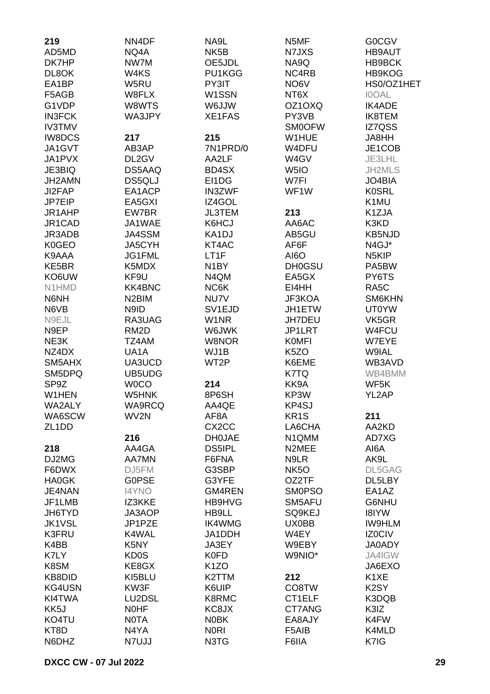| 219                | NN4DF              | NA9L               | N5MF              | <b>G0CGV</b>       |
|--------------------|--------------------|--------------------|-------------------|--------------------|
| AD5MD              | NQ4A               | NK <sub>5</sub> B  | N7JXS             | <b>HB9AUT</b>      |
| DK7HP              | NW7M               | OE5JDL             | NA9Q              | HB9BCK             |
| DL8OK              | W4KS               | PU1KGG             | NC4RB             | HB9KOG             |
| EA1BP              | W5RU               | PY3IT              | NO6V              | HS0/OZ1HET         |
| F5AGB              | W8FLX              | W1SSN              | NT6X              | <b>IOOAL</b>       |
| G1VDP              | W8WTS              | W6JJW              | OZ1OXQ            | <b>IK4ADE</b>      |
| <b>IN3FCK</b>      | WA3JPY             | XE1FAS             | PY3VB             | <b>IK8TEM</b>      |
| <b>IV3TMV</b>      |                    |                    | <b>SM0OFW</b>     | IZ7QSS             |
| <b>IW8DCS</b>      | 217                | 215                | W1HUE             | JA8HH              |
| JA1GVT             | AB3AP              | 7N1PRD/0           | W4DFU             | JE1COB             |
| JA1PVX             | DL2GV              | AA2LF              | W4GV              | JE3LHL             |
| JE3BIQ             | DS5AAQ             | BD4SX              | W <sub>5I</sub> O | JH2MLS             |
| JH2AMN             | <b>DS5QLJ</b>      | EI1DG              | W7FI              | JO4BIA             |
|                    |                    |                    |                   |                    |
| JI2FAP             | EA1ACP             | <b>IN3ZWF</b>      | WF <sub>1</sub> W | <b>K0SRL</b>       |
| JP7EIP             | EA5GXI             | IZ4GOL             |                   | K1MU               |
| JR1AHP             | EW7BR              | <b>JL3TEM</b>      | 213               | K1ZJA              |
| JR1CAD             | JA1WAE             | K6HCJ              | AA6AC             | K3KD               |
| JR3ADB             | JA4SSM             | KA1DJ              | AB5GU             | <b>KB5NJD</b>      |
| K0GEO              | JA5CYH             | KT4AC              | AF6F              | N4GJ*              |
| K9AAA              | JG1FML             | LT1F               | AI6O              | N <sub>5</sub> KIP |
| KE5BR              | K5MDX              | N <sub>1</sub> BY  | <b>DH0GSU</b>     | PA5BW              |
| KO6UW              | KF9U               | N4QM               | EA5GX             | PY6TS              |
| N1HMD              | <b>KK4BNC</b>      | NC6K               | EI4HH             | RA <sub>5</sub> C  |
| N6NH               | N <sub>2</sub> BIM | NU7V               | JF3KOA            | SM6KHN             |
| N6VB               | N9ID               | SV <sub>1EJD</sub> | JH1ETW            | <b>UT0YW</b>       |
| N9EJL              | RA3UAG             | W1NR               | JH7DEU            | VK5GR              |
| N9EP               | RM <sub>2</sub> D  | W6JWK              | JP1LRT            | W4FCU              |
| NE3K               | TZ4AM              | W8NOR              | <b>KOMFI</b>      | W7EYE              |
| NZ4DX              | UA1A               | WJ1B               | K <sub>5</sub> ZO | W9IAL              |
| SM5AHX             | UA3UCD             | WT2P               | K6EME             | WB3AVD             |
| SM5DPQ             | UB5UDG             |                    | K7TQ              | WB4BMM             |
| SP9Z               | <b>WOCO</b>        | 214                | KK9A              | WF5K               |
| W1HEN              | W5HNK              | 8P6SH              | KP3W              | YL2AP              |
| WA2ALY             | <b>WA9RCQ</b>      | AA4QE              | KP4SJ             |                    |
| WA6SCW             | WV2N               | AF8A               | KR <sub>1</sub> S | 211                |
| ZL <sub>1</sub> DD |                    | CX <sub>2</sub> CC | LA6CHA            | AA2KD              |
|                    | 216                | <b>DH0JAE</b>      | N1QMM             | AD7XG              |
| 218                | AA4GA              | <b>DS5IPL</b>      | N2MEE             | AI6A               |
| DJ2MG              | <b>AA7MN</b>       | F6FNA              | N9LR              | AK9L               |
| F6DWX              | DJ5FM              | G3SBP              | NK <sub>50</sub>  | DL5GAG             |
| <b>HA0GK</b>       | <b>GOPSE</b>       | G3YFE              | OZ2TF             | DL5LBY             |
| JE4NAN             | <b>I4YNO</b>       | <b>GM4REN</b>      | <b>SMOPSO</b>     | EA1AZ              |
| JF1LMB             | IZ3KKE             | HB9HVG             | SM5AFU            | G6NHU              |
| JH6TYD             | JA3AOP             | HB9LL              | SQ9KEJ            | <b>I8IYW</b>       |
| <b>JK1VSL</b>      | JP1PZE             | <b>IK4WMG</b>      | UX0BB             | <b>IW9HLM</b>      |
| <b>K3FRU</b>       | K4WAL              | JA1DDH             | W4EY              |                    |
|                    |                    |                    |                   | IZ0CIV             |
| K4BB               | K5NY               | JA3EY              | W9EBY             | <b>JA0ADY</b>      |
| K7LY               | KD <sub>0</sub> S  | <b>K0FD</b>        | W9NIO*            | JA4IGW             |
| K8SM               | KE8GX              | K <sub>1</sub> ZO  |                   | JA6EXO             |
| KB8DID             | KI5BLU             | K2TTM              | 212               | K1XE               |
| KG4USN             | KW3F               | K6UIP              | CO8TW             | K <sub>2</sub> SY  |
| KI4TWA             | LU2DSL             | K8RMC              | CT1ELF            | K3DQB              |
| KK <sub>5</sub> J  | <b>NOHF</b>        | KC8JX              | CT7ANG            | K3IZ               |
| KO4TU              | <b>NOTA</b>        | <b>NOBK</b>        | EA8AJY            | K4FW               |
| KT8D               | N4YA               | <b>NORI</b>        | F5AIB             | K4MLD              |
| N6DHZ              | N7UJJ              | N3TG               | F6IIA             | K7IG               |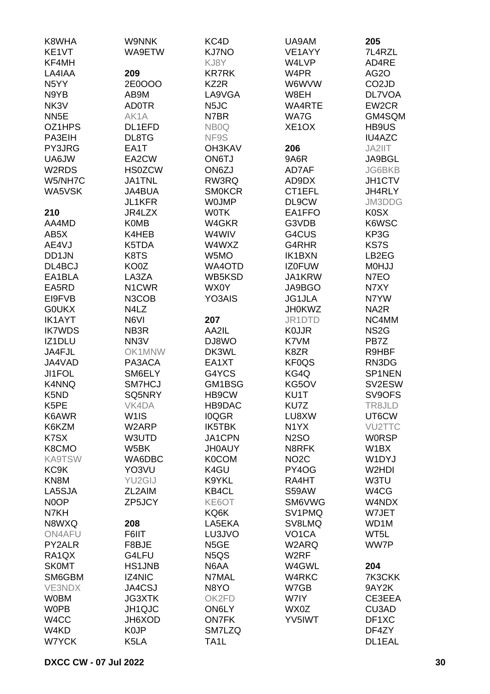| K8WHA                          | <b>W9NNK</b>       | KC4D                          | UA9AM              | 205                |
|--------------------------------|--------------------|-------------------------------|--------------------|--------------------|
| KE1VT                          | WA9ETW             | <b>KJ7NO</b>                  | VE1AYY             | 7L4RZL             |
| KF4MH                          |                    | KJ8Y                          | W4LVP              | AD4RE              |
| LA4IAA                         | 209                | <b>KR7RK</b>                  | W4PR               | AG <sub>2</sub> O  |
| N <sub>5</sub> YY              | 2E0OOO             | KZ2R                          | W6WVW              | CO <sub>2</sub> JD |
| N9YB                           | AB9M               | LA9VGA                        | W8EH               | <b>DL7VOA</b>      |
| NK3V                           | <b>AD0TR</b>       | N <sub>5</sub> JC             | <b>WA4RTE</b>      | EW2CR              |
| NN <sub>5</sub> E              | AK1A               | N7BR                          | WA7G               | GM4SQM             |
| OZ1HPS                         | DL1EFD             | NB <sub>0</sub> Q             | XE <sub>1</sub> OX | HB9US              |
| PA3EIH                         | DL8TG              | NF9S                          |                    | <b>IU4AZC</b>      |
| PY3JRG                         | EA1T               | OH3KAV                        | 206                | JA2IIT             |
| UA6JW                          | EA2CW              | <b>ON6TJ</b>                  | 9A6R               | JA9BGL             |
| W2RDS                          | <b>HS0ZCW</b>      | ON6ZJ                         | AD7AF              | <b>JG6BKB</b>      |
| W5/NH7C                        | <b>JA1TNL</b>      | RW3RQ                         | AD9DX              | JH1CTV             |
| WA5VSK                         | <b>JA4BUA</b>      | <b>SMOKCR</b>                 | CT1EFL             | JH4RLY             |
|                                | <b>JL1KFR</b>      | <b>WOJMP</b>                  | DL9CW              | JM3DDG             |
| 210                            | JR4LZX             | <b>WOTK</b>                   | EA1FFO             | <b>K0SX</b>        |
| AA4MD                          | <b>K0MB</b>        | W4GKR                         | G3VDB              | K6WSC              |
| AB <sub>5</sub> X              | K4HEB              | W4WIV                         | G4CUS              | KP3G               |
| AE4VJ                          | K5TDA              | W4WXZ                         | G4RHR              | KS7S               |
| DD1JN                          | K8TS               | W5MO                          | <b>IK1BXN</b>      | LB2EG              |
| DL4BCJ                         | KO0Z               | WA4OTD                        | <b>IZ0FUW</b>      | <b>MOHJJ</b>       |
| EA1BLA                         | LA3ZA              | WB5KSD                        | JA1KRW             | N7EO               |
| EA5RD                          | N <sub>1</sub> CWR | WX0Y                          | JA9BGO             | N7XY               |
| EI9FVB                         | N3COB              | YO3AIS                        | <b>JG1JLA</b>      | N7YW               |
| <b>GOUKX</b>                   | N4LZ               |                               | <b>JH0KWZ</b>      | NA <sub>2</sub> R  |
| <b>IK1AYT</b>                  | N6VI               | 207                           | JR1DTD             | NC4MM              |
| <b>IK7WDS</b>                  | NB <sub>3</sub> R  | AA2IL                         | <b>KOJJR</b>       | NS <sub>2</sub> G  |
| IZ1DLU                         | NN <sub>3</sub> V  | DJ8WO                         | K7VM               | PB7Z               |
| JA4FJL                         | OK1MNW             | DK3WL                         | K8ZR               | R9HBF              |
| JA4VAD                         | PA3ACA             | EA1XT                         | <b>KF0QS</b>       | RN3DG              |
| JI1FOL                         | SM6ELY             | G4YCS                         | KG4Q               | SP1NEN             |
| K4NNQ                          | SM7HCJ             | GM1BSG                        | KG5OV              | SV2ESW             |
| K5ND                           | SQ5NRY             | HB9CW                         | KU1T               | SV9OFS             |
| K5PE                           | VK4DA              | HB9DAC                        | KU7Z               | TR8JLD             |
| K6AWR                          | W <sub>1</sub> IS  | <b>IOQGR</b>                  | LU8XW              | UT6CW              |
| K6KZM                          | W2ARP              | IK5TBK                        | N <sub>1</sub> YX  | VU2TTC             |
| K7SX                           | W3UTD              | JA1CPN                        | <b>N2SO</b>        | <b>WORSP</b>       |
| K8CMO                          | W5BK               | <b>JH0AUY</b>                 | N8RFK              | W <sub>1</sub> BX  |
| <b>KA9TSW</b>                  | WA6DBC             | <b>K0COM</b>                  | NO <sub>2</sub> C  | W1DYJ              |
| KC <sub>9</sub> K              | YO3VU              | K4GU                          | PY4OG              | W2HDI              |
| KN8M                           | YU2GIJ             | K9YKL                         | RA4HT              | W3TU               |
| LA5SJA                         | ZL2AIM             | KB4CL                         | S59AW              | W4CG               |
| N0OP                           | ZP5JCY             | KE6OT                         | SM6VWG             | W4NDX              |
| N7KH                           |                    | KQ6K                          | SV1PMQ             | W7JET              |
| N8WXQ                          | 208                | LA5EKA                        | SV8LMQ             | WD1M               |
| ON4AFU                         | F6IIT              | LU3JVO                        | VO <sub>1</sub> CA | WT5L               |
| PY2ALR                         | F8BJE              | N <sub>5</sub> GE             | W2ARQ              | WW7P               |
| RA <sub>1</sub> Q <sub>X</sub> | G4LFU              | N <sub>5</sub> Q <sub>S</sub> | W <sub>2</sub> RF  |                    |
| <b>SK0MT</b>                   | <b>HS1JNB</b>      | N6AA                          | W4GWL              | 204                |
| SM6GBM                         | <b>IZ4NIC</b>      | N7MAL                         | W4RKC              | 7K3CKK             |
| <b>VE3NDX</b>                  | JA4CSJ             | N8YO                          | W7GB               | 9AY2K              |
| <b>W0BM</b>                    | <b>JG3XTK</b>      | OK2FD                         | W7IY               | CE3EEA             |
| <b>WOPB</b>                    | JH1QJC             | ON6LY                         | WX0Z               | CU3AD              |
| W4CC                           | JH6XOD             | <b>ON7FK</b>                  | YV5IWT             | DF1XC              |
| W4KD                           | K0JP               | SM7LZQ                        |                    | DF4ZY              |
| W7YCK                          | K5LA               | TA1L                          |                    | DL1EAL             |
|                                |                    |                               |                    |                    |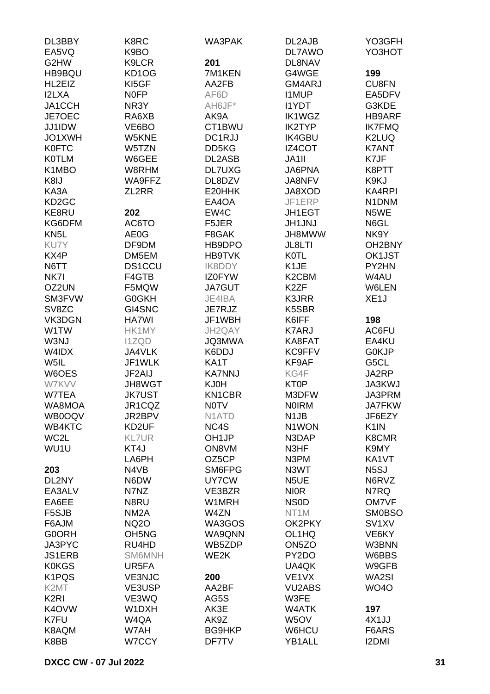| DL3BBY             | K8RC                           | WA3PAK             | DL2AJB                         | YO3GFH              |
|--------------------|--------------------------------|--------------------|--------------------------------|---------------------|
| EA5VQ              | K9BO                           |                    | DL7AWO                         | YO3HOT              |
| G2HW               | K9LCR                          | 201                | DL8NAV                         |                     |
| HB9BQU             | KD1OG                          | 7M1KEN             | G4WGE                          | 199                 |
| HL2EIZ             | KI5GF                          | AA2FB              | GM4ARJ                         | CU8FN               |
| <b>I2LXA</b>       | <b>NOFP</b>                    | AF6D               | <b>I1MUP</b>                   | EA5DFV              |
| JA1CCH             | NR3Y                           | AH6JF*             | <b>I1YDT</b>                   | G3KDE               |
| JE7OEC             | RA6XB                          | AK9A               | <b>IK1WGZ</b>                  | HB9ARF              |
| JJ1IDW             | VE6BO                          | CT1BWU             | <b>IK2TYP</b>                  | <b>IK7FMQ</b>       |
| JO1XWH             | W5KNE                          | DC1RJJ             | <b>IK4GBU</b>                  | K2LUQ               |
| <b>K0FTC</b>       | W5TZN                          | DD5KG              | IZ4COT                         | <b>K7ANT</b>        |
| <b>KOTLM</b>       | W6GEE                          | DL2ASB             | JA1II                          | K7JF                |
| K1MBO              | W8RHM                          | <b>DL7UXG</b>      | <b>JA6PNA</b>                  | K8PTT               |
| K8IJ               | WA9FFZ                         | DL8DZV             | JA8NFV                         | K9KJ                |
| KA3A               | ZL2RR                          | E20HHK             | JA8XOD                         | <b>KA4RPI</b>       |
| KD <sub>2</sub> GC |                                | EA4OA              | JF1ERP                         | N1DNM               |
| KE8RU              | 202                            | EW4C               | JH1EGT                         | N5WE                |
| KG6DFM             | AC6TO                          | F5JER              | <b>JH1JNJ</b>                  | N6GL                |
| KN <sub>5</sub> L  | AE0G                           | F8GAK              | JH8MWW                         | NK9Y                |
| KU7Y               | DF9DM                          | HB9DPO             | JL8LTI                         | OH <sub>2</sub> BNY |
| KX4P               | DM5EM                          | <b>HB9TVK</b>      | <b>K0TL</b>                    | OK1JST              |
| N6TT               | <b>DS1CCU</b>                  | IK8DDY             | K1JE                           | PY2HN               |
| NK7I               | F4GTB                          | <b>IZ0FYW</b>      | K <sub>2</sub> C <sub>BM</sub> | W4AU                |
| OZ2UN              | F5MQW                          | <b>JA7GUT</b>      | K <sub>2</sub> ZF              | W6LEN               |
| SM3FVW<br>SV8ZC    | G0GKH<br>GI4SNC                | JE4IBA             | K3JRR                          | XE <sub>1</sub> J   |
| VK3DGN             | HA7WI                          | JE7RJZ<br>JF1WBH   | K5SBR                          | 198                 |
| W1TW               | HK1MY                          | JH2QAY             | K6IFF<br><b>K7ARJ</b>          | AC6FU               |
| W3NJ               | <b>I1ZQD</b>                   | JQ3MWA             | KA8FAT                         | EA4KU               |
| W4IDX              | JA4VLK                         | K6DDJ              | KC9FFV                         | <b>GOKJP</b>        |
| W5IL               | JF1WLK                         | KA1T               | KF9AF                          | G5CL                |
| W6OES              | JF2AIJ                         | <b>KA7NNJ</b>      | KG4F                           | JA2RP               |
| W7KVV              | <b>JH8WGT</b>                  | KJ0H               | KT0P                           | JA3KWJ              |
| W7TEA              | <b>JK7UST</b>                  | <b>KN1CBR</b>      | M3DFW                          | JA3PRM              |
| WA8MOA             | JR1CQZ                         | <b>NOTV</b>        | <b>NOIRM</b>                   | <b>JA7FKW</b>       |
| WB0OQV             | JR2BPV                         | N <sub>1</sub> ATD | N <sub>1</sub> JB              | JF6EZY              |
| WB4KTC             | KD2UF                          | NC4S               | N1WON                          | K <sub>1</sub> IN   |
| WC2L               | <b>KL7UR</b>                   | OH <sub>1</sub> JP | N3DAP                          | K8CMR               |
| WU1U               | KT4J                           | ON8VM              | N3HF                           | K9MY                |
|                    | LA6PH                          | OZ5CP              | N3PM                           | KA1VT               |
| 203                | N4VB                           | SM6FPG             | N3WT                           | N <sub>5</sub> SJ   |
| DL2NY              | N6DW                           | UY7CW              | N <sub>5</sub> UE              | N6RVZ               |
| EA3ALV             | N7NZ                           | VE3BZR             | <b>NIOR</b>                    | N7RQ                |
| EA6EE              | N8RU                           | W1MRH              | <b>NSOD</b>                    | OM7VF               |
| F5SJB              | NM <sub>2</sub> A              | W4ZN               | NT <sub>1</sub> M              | <b>SM0BSO</b>       |
| F6AJM              | <b>NQ2O</b>                    | WA3GOS             | OK2PKY                         | SV <sub>1</sub> XV  |
| <b>G0ORH</b>       | OH <sub>5</sub> N <sub>G</sub> | WA9QNN             | OL1HQ                          | VE6KY               |
| JA3PYC             | RU4HD                          | WB5ZDP             | ON <sub>5</sub> ZO             | W3BNN               |
| <b>JS1ERB</b>      | <b>SM6MNH</b>                  | WE2K               | PY2DO                          | W6BBS               |
| <b>K0KGS</b>       | UR5FA                          |                    | UA4QK                          | W9GFB               |
| K <sub>1</sub> PQS | <b>VE3NJC</b>                  | 200                | VE <sub>1</sub> VX             | WA2SI               |
| K <sub>2</sub> MT  | VE3USP                         | AA2BF              | <b>VU2ABS</b>                  | <b>WO4O</b>         |
| K <sub>2</sub> RI  | VE3WQ                          | AG5S               | W3FE                           |                     |
| K4OVW              | W1DXH                          | AK3E               | W4ATK                          | 197                 |
| K7FU               | W4QA                           | AK9Z               | W5OV                           | 4X1JJ               |
| K8AQM              | W7AH                           | <b>BG9HKP</b>      | W6HCU                          | F6ARS               |
| K8BB               | W7CCY                          | DF7TV              | YB1ALL                         | <b>I2DMI</b>        |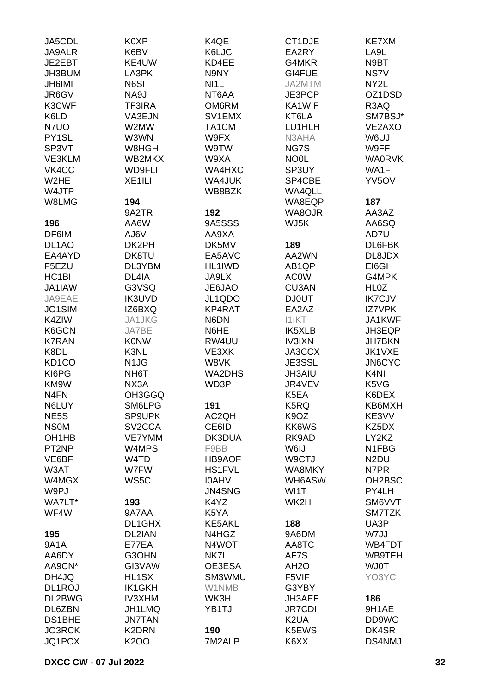| JA5CDL                         | K0XP                          | K4QE          | CT1DJE             | <b>KE7XM</b>       |
|--------------------------------|-------------------------------|---------------|--------------------|--------------------|
| <b>JA9ALR</b>                  | K6BV                          | K6LJC         | EA2RY              | LA9L               |
| JE2EBT                         | KE4UW                         | KD4EE         | G4MKR              | N9BT               |
| JH3BUM                         | LA3PK                         | N9NY          | GI4FUE             | NS7V               |
| <b>JH6IMI</b>                  | N6SI                          | NI1L          | JA2MTM             | NY2L               |
| JR6GV                          | NA9J                          | NT6AA         | JE3PCP             | OZ1DSD             |
|                                |                               |               |                    |                    |
| K3CWF                          | <b>TF3IRA</b>                 | OM6RM         | KA1WIF             | R3AQ               |
| K6LD                           | VA3EJN                        | SV1EMX        | KT6LA              | SM7BSJ*            |
| N7UO                           | W2MW                          | TA1CM         | LU1HLH             | VE2AXO             |
| PY1SL                          | W3WN                          | W9FX          | N3AHA              | W6UJ               |
| SP3VT                          | W8HGH                         | W9TW          | NG7S               | W9FF               |
| VE3KLM                         | WB2MKX                        | W9XA          | <b>NO0L</b>        | <b>WA0RVK</b>      |
| VK4CC                          | <b>WD9FLI</b>                 | WA4HXC        | SP3UY              | WA1F               |
| W <sub>2</sub> HE              | XE1ILI                        | WA4JUK        | SP4CBE             | YV <sub>5</sub> OV |
| W4JTP                          |                               | WB8BZK        | <b>WA4QLL</b>      |                    |
| W8LMG                          | 194                           |               | WA8EQP             | 187                |
|                                | 9A2TR                         | 192           | WA8OJR             | AA3AZ              |
|                                |                               |               | WJ5K               |                    |
| 196                            | AA6W                          | 9A5SSS        |                    | AA6SQ              |
| DF6IM                          | AJ6V                          | AA9XA         |                    | AD7U               |
| DL <sub>1</sub> AO             | DK2PH                         | DK5MV         | 189                | DL6FBK             |
| EA4AYD                         | DK8TU                         | EA5AVC        | AA2WN              | DL8JDX             |
| F5EZU                          | DL3YBM                        | HL1IWD        | AB <sub>1</sub> QP | EI6GI              |
| HC <sub>1</sub> BI             | DL4IA                         | JA9LX         | <b>ACOW</b>        | G4MPK              |
| JA1IAW                         | G3VSQ                         | JE6JAO        | CU3AN              | <b>HL0Z</b>        |
| JA9EAE                         | <b>IK3UVD</b>                 | JL1QDO        | <b>DJ0UT</b>       | <b>IK7CJV</b>      |
| JO1SIM                         | IZ6BXQ                        | KP4RAT        | EA2AZ              | <b>IZ7VPK</b>      |
| K4ZIW                          | JA1JKG                        | N6DN          | <b>I1IKT</b>       | JA1KWF             |
| K6GCN                          | JA7BE                         | N6HE          | <b>IK5XLB</b>      | JH3EQP             |
| <b>K7RAN</b>                   | <b>KONW</b>                   | RW4UU         | <b>IV3IXN</b>      | <b>JH7BKN</b>      |
| K8DL                           | K3NL                          | VE3XK         | JA3CCX             | JK1VXE             |
| KD <sub>1</sub> CO             |                               | W8VK          | JE3SSL             | <b>JN6CYC</b>      |
|                                | N <sub>1</sub> J <sub>G</sub> |               |                    |                    |
| KI6PG                          | NH <sub>6</sub> T             | <b>WA2DHS</b> | <b>JH3AIU</b>      | K <sub>4N</sub>    |
| KM9W                           | NX3A                          | WD3P          | JR4VEV             | K5VG               |
| N <sub>4</sub> FN              | OH3GGQ                        |               | K5EA               | K6DEX              |
| N6LUY                          | SM6LPG                        | 191           | K5RQ               | KB6MXH             |
| NE <sub>5</sub> S              | SP9UPK                        | AC2QH         | K <sub>9</sub> OZ  | KE3VV              |
| <b>NSOM</b>                    | SV <sub>2</sub> CCA           | CE6ID         | KK6WS              | KZ5DX              |
| OH <sub>1</sub> H <sub>B</sub> | <b>VE7YMM</b>                 | DK3DUA        | RK9AD              | LY2KZ              |
| PT <sub>2</sub> NP             | W4MPS                         | F9BB          | W6IJ               | N1FBG              |
| VE6BF                          | W4TD                          | <b>HB9AOF</b> | W9CTJ              | N <sub>2</sub> DU  |
| W3AT                           | W7FW                          | <b>HS1FVL</b> | WA8MKY             | N7PR               |
| W4MGX                          | WS5C                          | <b>IOAHV</b>  | WH6ASW             | OH2BSC             |
| W9PJ                           |                               | JN4SNG        | WI1T               | PY4LH              |
| WA7LT*                         | 193                           | K4YZ          | WK2H               | SM6VVT             |
| WF4W                           | 9A7AA                         | K5YA          |                    | SM7TZK             |
|                                |                               | <b>KE5AKL</b> |                    | UA3P               |
|                                | DL1GHX                        |               | 188                |                    |
| 195                            | DL2IAN                        | N4HGZ         | 9A6DM              | W7JJ               |
| 9A1A                           | E77EA                         | N4WOT         | AA8TC              | WB4FDT             |
| AA6DY                          | G3OHN                         | NK7L          | AF7S               | WB9TFH             |
| AA9CN*                         | GI3VAW                        | OE3ESA        | AH <sub>2</sub> O  | <b>WJ0T</b>        |
| DH4JQ                          | HL1SX                         | SM3WMU        | F5VIF              | YO3YC              |
| DL1ROJ                         | <b>IK1GKH</b>                 | W1NMB         | G3YBY              |                    |
| DL2BWG                         | <b>IV3XHM</b>                 | WK3H          | JH3AEF             | 186                |
| DL6ZBN                         | <b>JH1LMQ</b>                 | YB1TJ         | <b>JR7CDI</b>      | 9H1AE              |
| DS1BHE                         | <b>JN7TAN</b>                 |               | K <sub>2</sub> UA  | DD9WG              |
| <b>JO3RCK</b>                  | K2DRN                         | 190           | K5EWS              | DK4SR              |
| JQ1PCX                         | <b>K2OO</b>                   | 7M2ALP        | K6XX               | DS4NMJ             |
|                                |                               |               |                    |                    |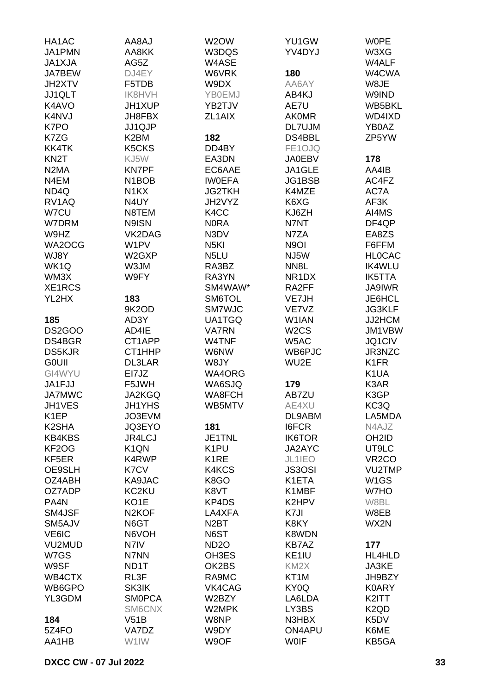| HA1AC              | LA8AJ                          | W <sub>2</sub> OW | YU1GW              | <b>WOPE</b>                   |
|--------------------|--------------------------------|-------------------|--------------------|-------------------------------|
| JA1PMN             | AA8KK                          | W3DQS             | YV4DYJ             | W3XG                          |
| JA1XJA             | AG5Z                           | W4ASE             |                    | W4ALF                         |
| JA7BEW             | DJ4EY                          | W6VRK             | 180                | W4CWA                         |
|                    |                                |                   |                    |                               |
| JH2XTV             | F5TDB                          | W9DX              | AA6AY              | W8JE                          |
| JJ1QLT             | <b>IK8HVH</b>                  | <b>YB0EMJ</b>     | AB4KJ              | W9IND                         |
| K4AVO              | JH1XUP                         | YB2TJV            | AE7U               | WB5BKL                        |
| K4NVJ              | JH8FBX                         | ZL1AIX            | <b>AKOMR</b>       | WD4IXD                        |
| K7PO               | JJ1QJP                         |                   | DL7UJM             | YB0AZ                         |
| K7ZG               | K2BM                           | 182               | DS4BBL             | ZP5YW                         |
| KK4TK              | K5CKS                          | DD4BY             | FE1OJQ             |                               |
| KN <sub>2</sub> T  | KJ5W                           | EA3DN             | <b>JA0EBV</b>      | 178                           |
| N <sub>2</sub> MA  | <b>KN7PF</b>                   | EC6AAE            | JA1GLE             | AA4IB                         |
| N4EM               | N <sub>1</sub> BOB             | <b>IWOEFA</b>     | JG1BSB             | AC4FZ                         |
| ND4Q               | N <sub>1</sub> KX              | <b>JG2TKH</b>     | K4MZE              | AC7A                          |
| RV1AQ              | N4UY                           | JH2VYZ            | K6XG               | AF3K                          |
| W7CU               |                                |                   |                    |                               |
|                    | N8TEM                          | K <sub>4</sub> CC | KJ6ZH              | AI4MS                         |
| W7DRM              | N9ISN                          | <b>NORA</b>       | N7NT               | DF4QP                         |
| W9HZ               | VK2DAG                         | N3DV              | N7ZA               | EA8ZS                         |
| WA2OCG             | W1PV                           | N <sub>5</sub> KI | N9OI               | F6FFM                         |
| WJ8Y               | W <sub>2</sub> G <sub>XP</sub> | N <sub>5</sub> LU | NJ5W               | <b>HLOCAC</b>                 |
| WK1Q               | W3JM                           | RA3BZ             | NN <sub>8</sub> L  | <b>IK4WLU</b>                 |
| WM3X               | W9FY                           | RA3YN             | NR <sub>1</sub> DX | <b>IK5TTA</b>                 |
| XE1RCS             |                                | SM4WAW*           | RA2FF              | <b>JA9IWR</b>                 |
| YL2HX              | 183                            | SM6TOL            | VE7JH              | JE6HCL                        |
|                    | 9K2OD                          | <b>SM7WJC</b>     | VE7VZ              | <b>JG3KLF</b>                 |
| 185                | AD3Y                           | UA1TGQ            | W <sub>1</sub> IAN | JJ2HCM                        |
| <b>DS2GOO</b>      | AD4IE                          | <b>VA7RN</b>      | W <sub>2</sub> CS  | JM1VBW                        |
| DS4BGR             | CT1APP                         | W4TNF             | W5AC               | JQ1CIV                        |
|                    |                                |                   |                    |                               |
| <b>DS5KJR</b>      | CT1HHP                         | W6NW              | WB6PJC             | JR3NZC                        |
| <b>GOUII</b>       | <b>DL3LAR</b>                  | W8JY              | WU2E               | K <sub>1</sub> FR             |
| GI4WYU             | EI7JZ                          | <b>WA4ORG</b>     |                    | K <sub>1</sub> UA             |
| JA1FJJ             | F5JWH                          | WA6SJQ            | 179                | K3AR                          |
| <b>JA7MWC</b>      | JA2KGQ                         | WA8FCH            | AB7ZU              | K3GP                          |
| JH1VES             | JH1YHS                         | WB5MTV            | AE4XU              | KC3Q                          |
| K <sub>1</sub> EP  | JO3EVM                         |                   | DL9ABM             | LA5MDA                        |
| K <sub>2</sub> SHA | JQ3EYO                         | 181               | <b>I6FCR</b>       | N4AJZ                         |
| <b>KB4KBS</b>      | JR4LCJ                         | JE1TNL            | <b>IK6TOR</b>      | OH <sub>2</sub> ID            |
| KF <sub>2</sub> OG | K <sub>1</sub> QN              | K <sub>1</sub> PU | JA2AYC             | UT9LC                         |
| KF5ER              | K4RWP                          | K <sub>1</sub> RE | JL1IEO             | VR <sub>2</sub> CO            |
| OE9SLH             | K7CV                           | K4KCS             | <b>JS3OSI</b>      | <b>VU2TMP</b>                 |
| OZ4ABH             | KA9JAC                         | K8GO              | K1ETA              | W <sub>1</sub> GS             |
| OZ7ADP             | KC2KU                          | K8VT              | K1MBF              | W7HO                          |
| PA4N               | KO1E                           | KP4DS             | K2HPV              | W8BL                          |
| SM4JSF             | N <sub>2</sub> KOF             | LA4XFA            | K7JI               | W8EB                          |
|                    |                                |                   |                    | WX2N                          |
| SM5AJV             | N6GT                           | N <sub>2</sub> BT | K8KY               |                               |
| VE6IC              | N6VOH                          | N6ST              | K8WDN              |                               |
| VU2MUD             | N7IV                           | ND <sub>20</sub>  | <b>KB7AZ</b>       | 177                           |
| W7GS               | N7NN                           | OH3ES             | KE <sub>1IU</sub>  | HL4HLD                        |
| W9SF               | ND1T                           | OK2BS             | KM <sub>2</sub> X  | JA3KE                         |
| WB4CTX             | RL3F                           | RA9MC             | KT <sub>1</sub> M  | JH9BZY                        |
| WB6GPO             | SK3IK                          | VK4CAG            | KY0Q               | <b>K0ARY</b>                  |
| YL3GDM             | <b>SMOPCA</b>                  | W2BZY             | LA6LDA             | K2ITT                         |
|                    | SM6CNX                         | W2MPK             | LY3BS              | K <sub>2</sub> Q <sub>D</sub> |
| 184                | V51B                           | W8NP              | N3HBX              | K5DV                          |
| 5Z4FO              | VA7DZ                          | W9DY              | ON4APU             | K6ME                          |
| AA1HB              | W1IW                           | W9OF              | <b>WOIF</b>        | KB5GA                         |
|                    |                                |                   |                    |                               |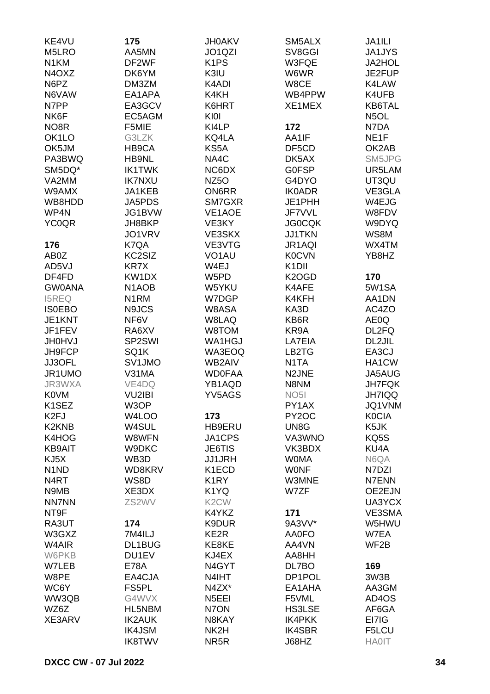| KE4VU                           | 175                | <b>JH0AKV</b>                   | SM5ALX                     | JA1ILI            |
|---------------------------------|--------------------|---------------------------------|----------------------------|-------------------|
| M5LRO                           | AA5MN              | JO <sub>1</sub> Q <sub>ZI</sub> | SV8GGI                     | <b>JA1JYS</b>     |
| N <sub>1</sub> KM               | DF2WF              | K <sub>1</sub> PS               | W3FQE                      | <b>JA2HOL</b>     |
| N <sub>4</sub> O <sub>X</sub> Z | DK6YM              | K3IU                            | W6WR                       | JE2FUP            |
| N6PZ                            | DM3ZM              | K4ADI                           | W8CE                       | K4LAW             |
|                                 |                    |                                 |                            |                   |
| N6VAW                           | EA1APA             | K4KH                            | WB4PPW                     | K4UFB             |
| N7PP                            | EA3GCV             | K6HRT                           | XE1MEX                     | KB6TAL            |
| NK6F                            | EC5AGM             | KIOI                            |                            | N <sub>5</sub> OL |
| NO <sub>8</sub> R               | F5MIE              | KI4LP                           | 172                        | N7DA              |
| OK <sub>1</sub> LO              | G3LZK              | KQ4LA                           | AA1IF                      | NE <sub>1</sub> F |
| OK5JM                           | HB9CA              | KS5A                            | DF5CD                      | OK2AB             |
| PA3BWQ                          | HB9NL              | NA4C                            | DK5AX                      | SM5JPG            |
| SM5DQ*                          | <b>IK1TWK</b>      | NC6DX                           | <b>GOFSP</b>               | UR5LAM            |
| VA2MM                           | <b>IK7NXU</b>      | NZ <sub>50</sub>                | G4DYO                      | UT3QU             |
| W9AMX                           | JA1KEB             | <b>ON6RR</b>                    | <b>IK0ADR</b>              | VE3GLA            |
| WB8HDD                          | JA5PDS             | SM7GXR                          | JE1PHH                     | W4EJG             |
| WP4N                            | JG1BVW             | VE1AOE                          | JF7VVL                     | W8FDV             |
| <b>YC0QR</b>                    | JH8BKP             | VE3KY                           | <b>JG0CQK</b>              | W9DYQ             |
|                                 | JO1VRV             | VE3SKX                          | <b>JJ1TKN</b>              | WS8M              |
| 176                             | K7QA               | VE3VTG                          | JR1AQI                     | WX4TM             |
| AB0Z                            | KC2SIZ             | VO <sub>1</sub> AU              | <b>K0CVN</b>               | YB8HZ             |
| AD5VJ                           | <b>KR7X</b>        | W4EJ                            | K <sub>1</sub> DII         |                   |
| DF4FD                           | KW1DX              | W5PD                            | K <sub>2</sub> OGD         | 170               |
| <b>GW0ANA</b>                   | N <sub>1</sub> AOB | W5YKU                           | K4AFE                      | 5W1SA             |
| <b>I5REQ</b>                    | N <sub>1</sub> RM  | W7DGP                           | K4KFH                      | AA1DN             |
| <b>IS0EBO</b>                   | N9JCS              | W8ASA                           | KA3D                       | AC4ZO             |
| JE1KNT                          | NF6V               | W8LAQ                           | KB6R                       | AE0Q              |
| JF1FEV                          | RA6XV              | W8TOM                           | KR9A                       | DL2FQ             |
| <b>JH0HVJ</b>                   | SP2SWI             | WA1HGJ                          | LA7EIA                     | DL2JIL            |
| JH9FCP                          | SQ1K               | WA3EOQ                          | LB2TG                      | EA3CJ             |
| JJ3OFL                          | SV1JMO             | <b>WB2AIV</b>                   | N <sub>1</sub> TA          | HA1CW             |
| JR1UMO                          | V31MA              | <b>WD0FAA</b>                   | N <sub>2</sub> JNE         | JA5AUG            |
| JR3WXA                          | VE4DQ              | YB1AQD                          | N8NM                       | <b>JH7FQK</b>     |
| <b>K0VM</b>                     | <b>VU2IBI</b>      | YV5AGS                          | NO <sub>5</sub>            | <b>JH7IQQ</b>     |
| K1SEZ                           | W3OP               |                                 | PY1AX                      | JQ1VNM            |
| K <sub>2F</sub> J               | W4LOO              | 173                             | PY <sub>2</sub> OC         | <b>K0CIA</b>      |
| K <sub>2</sub> KN <sub>B</sub>  | W4SUL              | HB9ERU                          | UN8G                       | K5JK              |
| K4HOG                           | W8WFN              | JA1CPS                          | VA3WNO                     | KQ5S              |
|                                 |                    |                                 |                            |                   |
| <b>KB9AIT</b>                   | W9DKC              | JE6TIS                          | VK3BDX                     | KU4A              |
| KJ5X                            | WB3D               | <b>JJ1JRH</b>                   | <b>WOMA</b><br><b>WONF</b> | N6QA              |
| N <sub>1</sub> N <sub>D</sub>   | WD8KRV             | K1ECD                           |                            | N7DZI             |
| N4RT                            | WS8D               | K <sub>1</sub> RY               | W3MNE                      | N7ENN             |
| N9MB                            | XE3DX              | K1YQ                            | W7ZF                       | OE2EJN            |
| <b>NN7NN</b>                    | ZS2WV              | K <sub>2</sub> CW               |                            | UA3YCX            |
| NT9F                            |                    | K4YKZ                           | 171                        | VE3SMA            |
| RA3UT                           | 174                | K9DUR                           | 9A3VV*                     | W5HWU             |
| W3GXZ                           | 7M4ILJ             | KE2R                            | <b>AA0FO</b>               | W7EA              |
| W4AIR                           | DL1BUG             | KE8KE                           | AA4VN                      | WF <sub>2</sub> B |
| W6PKB                           | DU1EV              | KJ4EX                           | AA8HH                      |                   |
| W7LEB                           | <b>E78A</b>        | N4GYT                           | DL7BO                      | 169               |
| W8PE                            | EA4CJA             | N4IHT                           | DP1POL                     | 3W3B              |
| WC6Y                            | FS5PL              | N4ZX*                           | EA1AHA                     | AA3GM             |
| WW3QB                           | G4WVX              | N <sub>5</sub> EEI              | F5VML                      | AD4OS             |
| WZ6Z                            | HL5NBM             | N7ON                            | <b>HS3LSE</b>              | AF6GA             |
| XE3ARV                          | <b>IK2AUK</b>      | N8KAY                           | <b>IK4PKK</b>              | EI7IG             |
|                                 | <b>IK4JSM</b>      | NK2H                            | <b>IK4SBR</b>              | F5LCU             |
|                                 | <b>IK8TWV</b>      | NR <sub>5</sub> R               | J68HZ                      | <b>HA0IT</b>      |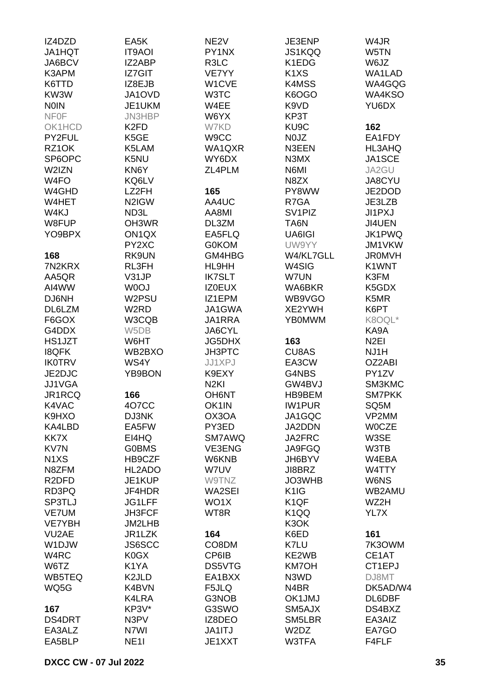| IZ4DZD                         | EA5K               | NE <sub>2V</sub> | JE3ENP                        | W4JR             |
|--------------------------------|--------------------|------------------|-------------------------------|------------------|
| JA1HQT                         | <b>IT9AOI</b>      | PY1NX            | JS1KQQ                        | W5TN             |
| JA6BCV                         | IZ2ABP             | R3LC             | K1EDG                         | W6JZ             |
| K3APM                          | IZ7GIT             | VE7YY            | K <sub>1</sub> X <sub>S</sub> | WA1LAD           |
| K6TTD                          | IZ8EJB             | W1CVE            | K4MSS                         | WA4GQG           |
| KW3W                           | JA1OVD             | W3TC             | K6OGO                         | WA4KSO           |
| <b>NOIN</b>                    | JE1UKM             | W4EE             | K9VD                          | YU6DX            |
| <b>NFOF</b>                    | JN3HBP             | W6YX             | KP3T                          |                  |
| OK1HCD                         | K <sub>2</sub> FD  | W7KD             | KU9C                          | 162              |
| PY2FUL                         | K5GE               | W9CC             | N0JZ                          | EA1FDY           |
| RZ1OK                          | K5LAM              | WA1QXR           | N3EEN                         | HL3AHQ           |
| SP6OPC                         | K5NU               | WY6DX            | N3MX                          | JA1SCE           |
| W2IZN                          | KN6Y               | ZL4PLM           | N6MI                          | JA2GU            |
| W4FO                           | KQ6LV              |                  | N8ZX                          | JA8CYU           |
| W4GHD                          | LZ2FH              | 165              | PY8WW                         | JE2DOD           |
| W4HET                          | N2IGW              | AA4UC            | R7GA                          | JE3LZB           |
| W4KJ                           | ND3L               | AA8MI            | SV <sub>1PIZ</sub>            | JI1PXJ           |
| W8FUP                          | OH3WR              |                  |                               |                  |
|                                |                    | DL3ZM            | TA6N                          | JI4UEN           |
| YO9BPX                         | ON <sub>1</sub> QX | EA5FLQ           | UA6IGI                        | JK1PWQ           |
|                                | PY2XC              | <b>G0KOM</b>     | UW9YY                         | JM1VKW           |
| 168                            | RK9UN              | GM4HBG           | W4/KL7GLL                     | <b>JR0MVH</b>    |
| 7N2KRX                         | RL3FH              | HL9HH            | W4SIG                         | K1WNT            |
| AA5QR                          | V31JP              | <b>IK7SLT</b>    | W7UN                          | K3FM             |
| AI4WW                          | W0OJ               | <b>IZ0EUX</b>    | WA6BKR                        | K5GDX            |
| DJ6NH                          | W2PSU              | IZ1EPM           | WB9VGO                        | K5MR             |
| DL6LZM                         | W2RD               | JA1GWA           | XE2YWH                        | K6PT             |
| F6GOX                          | W3CQB              | JA1RRA           | <b>YB0MWM</b>                 | K8OQL*           |
| G4DDX                          | W5DB               | JA6CYL           |                               | KA9A             |
| HS1JZT                         | W6HT               | JG5DHX           | 163                           | N <sub>2EI</sub> |
| <b>I8QFK</b>                   | WB2BXO             | JH3PTC           | <b>CU8AS</b>                  | NJ1H             |
| <b>IK0TRV</b>                  | WS4Y               | JJ1XPJ           | EA3CW                         | OZ2ABI           |
| JE2DJC                         | YB9BON             | K9EXY            | G4NBS                         | PY1ZV            |
| JJ1VGA                         |                    | N <sub>2KI</sub> | GW4BVJ                        | SM3KMC           |
| JR1RCQ                         | 166                | <b>OH6NT</b>     | HB9BEM                        | <b>SM7PKK</b>    |
| K4VAC                          | 4O7CC              | OK1IN            | <b>IW1PUR</b>                 | SQ5M             |
| K9HXO                          | DJ3NK              | OX3OA            | JA1GQC                        | VP2MM            |
| KA4LBD                         | EA5FW              | PY3ED            | JA2DDN                        | <b>WOCZE</b>     |
| KK7X                           | EI4HQ              | SM7AWQ           | JA2FRC                        | W3SE             |
| KV7N                           | <b>G0BMS</b>       | VE3ENG           | JA9FGQ                        | W3TB             |
| N <sub>1</sub> X <sub>S</sub>  | HB9CZF             | W6KNB            | JH6BYV                        | W4EBA            |
| N8ZFM                          | HL2ADO             | W7UV             | JI8BRZ                        | W4TTY            |
| R <sub>2</sub> DF <sub>D</sub> | JE1KUP             | W9TNZ            | JO3WHB                        | W6NS             |
| RD3PQ                          | JF4HDR             | WA2SEI           | K <sub>1</sub> IG             | WB2AMU           |
| SP3TLJ                         | JG1LFF             | WO1X             | K <sub>1</sub> QF             | WZ2H             |
| <b>VE7UM</b>                   | <b>JH3FCF</b>      | WT8R             | K <sub>1</sub> QQ             | YL7X             |
| <b>VE7YBH</b>                  | JM2LHB             |                  | K3OK                          |                  |
| VU <sub>2</sub> AE             | JR1LZK             | 164              | K6ED                          | 161              |
| W1DJW                          | <b>JS6SCC</b>      | CO8DM            | K7LU                          | 7K3OWM           |
| W4RC                           | K0GX               | CP6IB            | KE2WB                         | CE1AT            |
| W6TZ                           | K1YA               | DS5VTG           | <b>KM7OH</b>                  | CT1EPJ           |
| WB5TEQ                         | K <sub>2</sub> JLD | EA1BXX           | N3WD                          | DJ8MT            |
| WQ5G                           | K4BVN              | F5JLQ            | N4BR                          | DK5AD/W4         |
|                                | K4LRA              | G3NOB            | OK1JMJ                        | DL6DBF           |
| 167                            | KP3V*              | G3SWO            | SM5AJX                        | DS4BXZ           |
| DS4DRT                         | N3PV               | IZ8DEO           | SM5LBR                        | EA3AIZ           |
| EA3ALZ                         | N7WI               | JA1ITJ           | W2DZ                          | EA7GO            |
| EA5BLP                         | <b>NE11</b>        | JE1XXT           | W3TFA                         | F4FLF            |
|                                |                    |                  |                               |                  |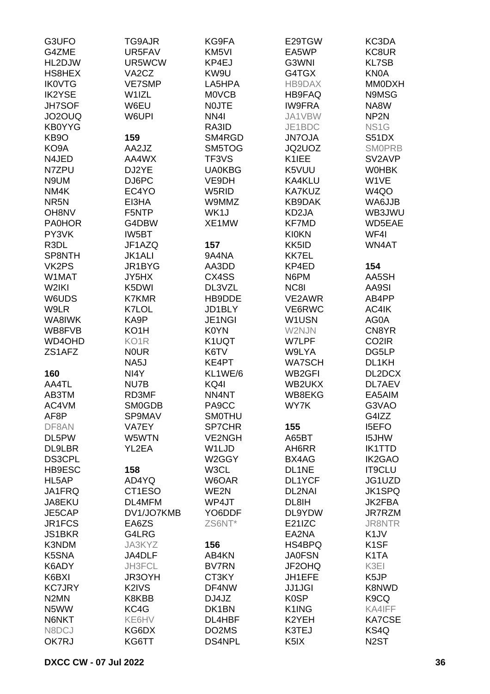| G4ZME<br>KC8UR<br>UR5FAV<br>KM <sub>5VI</sub><br>EA5WP<br>HL2DJW<br>UR5WCW<br>KP4EJ<br>G3WNI<br><b>KL7SB</b><br>VA <sub>2</sub> C <sub>Z</sub><br>KW9U<br>G4TGX<br><b>KN0A</b><br>HS8HEX<br><b>IK0VTG</b><br><b>VE7SMP</b><br>LA5HPA<br>HB9DAX<br><b>MM0DXH</b><br>N9MSG<br><b>IK2YSE</b><br>W1IZL<br><b>MOVCB</b><br><b>HB9FAQ</b><br>W6EU<br><b>IW9FRA</b><br><b>JH7SOF</b><br><b>NOJTE</b><br>NA8W<br>NP <sub>2N</sub><br>JO2OUQ<br>W6UPI<br>NN <sub>4</sub><br>JA1VBW<br><b>KB0YYG</b><br>RA3ID<br>JE1BDC<br>NS <sub>1</sub> G<br>159<br>KB <sub>9</sub> O<br>SM4RGD<br><b>JN7OJA</b><br>S51DX<br>KO <sub>9</sub> A<br>AA2JZ<br>SM5TOG<br>JQ2UOZ<br><b>SMOPRB</b><br>N4JED<br>AA4WX<br>TF3VS<br>K1IEE<br>SV2AVP<br>N7ZPU<br>DJ2YE<br><b>UA0KBG</b><br>K5VUU<br><b>WOHBK</b><br>N9UM<br>DJ6PC<br>W1VE<br>VE9DH<br>KA4KLU<br>EC4YO<br>W4QO<br>NM4K<br>W5RID<br><b>KA7KUZ</b><br>NR <sub>5N</sub><br>EI3HA<br>W9MMZ<br><b>KB9DAK</b><br>WA6JJB<br>OH8NV<br>F5NTP<br>WK1J<br>KD2JA<br>WB3JWU<br>WD5EAE<br><b>PA0HOR</b><br>G4DBW<br>XE1MW<br><b>KF7MD</b><br>PY3VK<br>IW5BT<br><b>KI0KN</b><br>WF4I<br>R3DL<br>JF1AZQ<br>157<br>KK5ID<br>WN4AT<br>SP8NTH<br><b>JK1ALI</b><br>9A4NA<br><b>KK7EL</b><br>VK2PS<br>JR1BYG<br>KP4ED<br>154<br>AA3DD<br>W1MAT<br>JY5HX<br>CX4SS<br>N6PM<br>AA5SH<br>K5DWI<br>W2IKI<br>DL3VZL<br>NC8I<br>AA9SI<br>W6UDS<br><b>K7KMR</b><br>HB9DDE<br>VE2AWR<br>AB4PP<br>W9LR<br>K7LOL<br>JD1BLY<br>VE6RWC<br>AC4IK<br>WA8IWK<br>KA9P<br>JE1NGI<br>W1USN<br>AG0A<br>KO <sub>1</sub> H<br>K0YN<br>W2NJN<br>CN8YR<br>WB8FVB<br>WD4OHD<br>KO <sub>1</sub> R<br>K1UQT<br>W7LPF<br>CO <sub>2</sub> IR<br><b>NOUR</b><br>ZS1AFZ<br>K6TV<br>W9LYA<br>DG5LP<br>NA5J<br><b>WA7SCH</b><br>DL1KH<br>KE4PT<br>NI4Y<br>KL1WE/6<br>WB2GFI<br>DL2DCX<br>160<br>KQ4I<br>AA4TL<br>NU7B<br>WB2UKX<br>DL7AEV<br>AB3TM<br>RD3MF<br>NN4NT<br>WB8EKG<br>EA5AIM<br>AC4VM<br><b>SM0GDB</b><br>PA9CC<br>WY7K<br>G3VAO<br>AF8P<br>SP9MAV<br><b>SMOTHU</b><br>G4IZZ<br>DF8AN<br>VA7EY<br><b>SP7CHR</b><br>155<br><b>I5EFO</b><br>DL5PW<br>W5WTN<br><b>VE2NGH</b><br>A65BT<br><b>I5JHW</b><br><b>IK1TTD</b><br><b>DL9LBR</b><br>YL2EA<br>W1LJD<br>AH6RR<br><b>DS3CPL</b><br>W2GGY<br><b>IK2GAO</b><br>BX4AG<br>IT9CLU<br>HB9ESC<br>158<br>W3CL<br>DL1NE<br>JG1UZD<br>HL5AP<br>AD4YQ<br>W6OAR<br>DL1YCF<br>JA1FRQ<br>CT1ESO<br>WE2N<br><b>JK1SPQ</b><br><b>DL2NAI</b><br>WP4JT<br>DL4MFM<br>DL8IH<br><b>JK2FBA</b><br>JA8EKU<br>DV1/JO7KMB<br>JE5CAP<br>YO6DDF<br>DL9YDW<br>JR7RZM<br>JR1FCS<br>EA6ZS<br>ZS6NT*<br>E21IZC<br><b>JR8NTR</b><br>G4LRG<br>EA2NA<br>K <sub>1</sub> JV<br><b>JS1BKR</b><br>K3NDM<br>156<br>HS4BPQ<br>K <sub>1</sub> SF<br>JA3KYZ<br>K5SNA<br>JA4DLF<br><b>JA0FSN</b><br>K <sub>1</sub> TA<br>AB4KN<br>K6ADY<br>JH3FCL<br><b>BV7RN</b><br>JF2OHQ<br>K3EI<br>K6BXI<br>JR3OYH<br>CT3KY<br>JH1EFE<br>K5JP<br><b>KC7JRY</b><br>K2IVS<br>K8NWD<br>DF4NW<br><b>JJ1JGI</b><br>N <sub>2</sub> MN<br>K8KBB<br>DJ4JZ<br>K <sub>0</sub> SP<br>K <sub>9</sub> CQ<br>N5WW<br>KC4G<br>DK1BN<br>K1ING<br>KA4IFF<br>N6NKT<br>KE6HV<br>DL4HBF<br>K2YEH<br><b>KA7CSE</b><br>N8DCJ<br>KG6DX<br>DO2MS<br>K3TEJ<br>KS4Q<br>KG6TT<br>DS4NPL<br>OK7RJ<br>K <sub>5</sub> IX<br>N <sub>2</sub> ST | G3UFO | TG9AJR | KG9FA | E29TGW | KC3DA |
|-----------------------------------------------------------------------------------------------------------------------------------------------------------------------------------------------------------------------------------------------------------------------------------------------------------------------------------------------------------------------------------------------------------------------------------------------------------------------------------------------------------------------------------------------------------------------------------------------------------------------------------------------------------------------------------------------------------------------------------------------------------------------------------------------------------------------------------------------------------------------------------------------------------------------------------------------------------------------------------------------------------------------------------------------------------------------------------------------------------------------------------------------------------------------------------------------------------------------------------------------------------------------------------------------------------------------------------------------------------------------------------------------------------------------------------------------------------------------------------------------------------------------------------------------------------------------------------------------------------------------------------------------------------------------------------------------------------------------------------------------------------------------------------------------------------------------------------------------------------------------------------------------------------------------------------------------------------------------------------------------------------------------------------------------------------------------------------------------------------------------------------------------------------------------------------------------------------------------------------------------------------------------------------------------------------------------------------------------------------------------------------------------------------------------------------------------------------------------------------------------------------------------------------------------------------------------------------------------------------------------------------------------------------------------------------------------------------------------------------------------------------------------------------------------------------------------------------------------------------------------------------------------------------------------------------------------------------------------------------------------------------------------------------------------------------------------------------------------------------------------------------------------------------------------------------------------|-------|--------|-------|--------|-------|
|                                                                                                                                                                                                                                                                                                                                                                                                                                                                                                                                                                                                                                                                                                                                                                                                                                                                                                                                                                                                                                                                                                                                                                                                                                                                                                                                                                                                                                                                                                                                                                                                                                                                                                                                                                                                                                                                                                                                                                                                                                                                                                                                                                                                                                                                                                                                                                                                                                                                                                                                                                                                                                                                                                                                                                                                                                                                                                                                                                                                                                                                                                                                                                                               |       |        |       |        |       |
|                                                                                                                                                                                                                                                                                                                                                                                                                                                                                                                                                                                                                                                                                                                                                                                                                                                                                                                                                                                                                                                                                                                                                                                                                                                                                                                                                                                                                                                                                                                                                                                                                                                                                                                                                                                                                                                                                                                                                                                                                                                                                                                                                                                                                                                                                                                                                                                                                                                                                                                                                                                                                                                                                                                                                                                                                                                                                                                                                                                                                                                                                                                                                                                               |       |        |       |        |       |
|                                                                                                                                                                                                                                                                                                                                                                                                                                                                                                                                                                                                                                                                                                                                                                                                                                                                                                                                                                                                                                                                                                                                                                                                                                                                                                                                                                                                                                                                                                                                                                                                                                                                                                                                                                                                                                                                                                                                                                                                                                                                                                                                                                                                                                                                                                                                                                                                                                                                                                                                                                                                                                                                                                                                                                                                                                                                                                                                                                                                                                                                                                                                                                                               |       |        |       |        |       |
|                                                                                                                                                                                                                                                                                                                                                                                                                                                                                                                                                                                                                                                                                                                                                                                                                                                                                                                                                                                                                                                                                                                                                                                                                                                                                                                                                                                                                                                                                                                                                                                                                                                                                                                                                                                                                                                                                                                                                                                                                                                                                                                                                                                                                                                                                                                                                                                                                                                                                                                                                                                                                                                                                                                                                                                                                                                                                                                                                                                                                                                                                                                                                                                               |       |        |       |        |       |
|                                                                                                                                                                                                                                                                                                                                                                                                                                                                                                                                                                                                                                                                                                                                                                                                                                                                                                                                                                                                                                                                                                                                                                                                                                                                                                                                                                                                                                                                                                                                                                                                                                                                                                                                                                                                                                                                                                                                                                                                                                                                                                                                                                                                                                                                                                                                                                                                                                                                                                                                                                                                                                                                                                                                                                                                                                                                                                                                                                                                                                                                                                                                                                                               |       |        |       |        |       |
|                                                                                                                                                                                                                                                                                                                                                                                                                                                                                                                                                                                                                                                                                                                                                                                                                                                                                                                                                                                                                                                                                                                                                                                                                                                                                                                                                                                                                                                                                                                                                                                                                                                                                                                                                                                                                                                                                                                                                                                                                                                                                                                                                                                                                                                                                                                                                                                                                                                                                                                                                                                                                                                                                                                                                                                                                                                                                                                                                                                                                                                                                                                                                                                               |       |        |       |        |       |
|                                                                                                                                                                                                                                                                                                                                                                                                                                                                                                                                                                                                                                                                                                                                                                                                                                                                                                                                                                                                                                                                                                                                                                                                                                                                                                                                                                                                                                                                                                                                                                                                                                                                                                                                                                                                                                                                                                                                                                                                                                                                                                                                                                                                                                                                                                                                                                                                                                                                                                                                                                                                                                                                                                                                                                                                                                                                                                                                                                                                                                                                                                                                                                                               |       |        |       |        |       |
|                                                                                                                                                                                                                                                                                                                                                                                                                                                                                                                                                                                                                                                                                                                                                                                                                                                                                                                                                                                                                                                                                                                                                                                                                                                                                                                                                                                                                                                                                                                                                                                                                                                                                                                                                                                                                                                                                                                                                                                                                                                                                                                                                                                                                                                                                                                                                                                                                                                                                                                                                                                                                                                                                                                                                                                                                                                                                                                                                                                                                                                                                                                                                                                               |       |        |       |        |       |
|                                                                                                                                                                                                                                                                                                                                                                                                                                                                                                                                                                                                                                                                                                                                                                                                                                                                                                                                                                                                                                                                                                                                                                                                                                                                                                                                                                                                                                                                                                                                                                                                                                                                                                                                                                                                                                                                                                                                                                                                                                                                                                                                                                                                                                                                                                                                                                                                                                                                                                                                                                                                                                                                                                                                                                                                                                                                                                                                                                                                                                                                                                                                                                                               |       |        |       |        |       |
|                                                                                                                                                                                                                                                                                                                                                                                                                                                                                                                                                                                                                                                                                                                                                                                                                                                                                                                                                                                                                                                                                                                                                                                                                                                                                                                                                                                                                                                                                                                                                                                                                                                                                                                                                                                                                                                                                                                                                                                                                                                                                                                                                                                                                                                                                                                                                                                                                                                                                                                                                                                                                                                                                                                                                                                                                                                                                                                                                                                                                                                                                                                                                                                               |       |        |       |        |       |
|                                                                                                                                                                                                                                                                                                                                                                                                                                                                                                                                                                                                                                                                                                                                                                                                                                                                                                                                                                                                                                                                                                                                                                                                                                                                                                                                                                                                                                                                                                                                                                                                                                                                                                                                                                                                                                                                                                                                                                                                                                                                                                                                                                                                                                                                                                                                                                                                                                                                                                                                                                                                                                                                                                                                                                                                                                                                                                                                                                                                                                                                                                                                                                                               |       |        |       |        |       |
|                                                                                                                                                                                                                                                                                                                                                                                                                                                                                                                                                                                                                                                                                                                                                                                                                                                                                                                                                                                                                                                                                                                                                                                                                                                                                                                                                                                                                                                                                                                                                                                                                                                                                                                                                                                                                                                                                                                                                                                                                                                                                                                                                                                                                                                                                                                                                                                                                                                                                                                                                                                                                                                                                                                                                                                                                                                                                                                                                                                                                                                                                                                                                                                               |       |        |       |        |       |
|                                                                                                                                                                                                                                                                                                                                                                                                                                                                                                                                                                                                                                                                                                                                                                                                                                                                                                                                                                                                                                                                                                                                                                                                                                                                                                                                                                                                                                                                                                                                                                                                                                                                                                                                                                                                                                                                                                                                                                                                                                                                                                                                                                                                                                                                                                                                                                                                                                                                                                                                                                                                                                                                                                                                                                                                                                                                                                                                                                                                                                                                                                                                                                                               |       |        |       |        |       |
|                                                                                                                                                                                                                                                                                                                                                                                                                                                                                                                                                                                                                                                                                                                                                                                                                                                                                                                                                                                                                                                                                                                                                                                                                                                                                                                                                                                                                                                                                                                                                                                                                                                                                                                                                                                                                                                                                                                                                                                                                                                                                                                                                                                                                                                                                                                                                                                                                                                                                                                                                                                                                                                                                                                                                                                                                                                                                                                                                                                                                                                                                                                                                                                               |       |        |       |        |       |
|                                                                                                                                                                                                                                                                                                                                                                                                                                                                                                                                                                                                                                                                                                                                                                                                                                                                                                                                                                                                                                                                                                                                                                                                                                                                                                                                                                                                                                                                                                                                                                                                                                                                                                                                                                                                                                                                                                                                                                                                                                                                                                                                                                                                                                                                                                                                                                                                                                                                                                                                                                                                                                                                                                                                                                                                                                                                                                                                                                                                                                                                                                                                                                                               |       |        |       |        |       |
|                                                                                                                                                                                                                                                                                                                                                                                                                                                                                                                                                                                                                                                                                                                                                                                                                                                                                                                                                                                                                                                                                                                                                                                                                                                                                                                                                                                                                                                                                                                                                                                                                                                                                                                                                                                                                                                                                                                                                                                                                                                                                                                                                                                                                                                                                                                                                                                                                                                                                                                                                                                                                                                                                                                                                                                                                                                                                                                                                                                                                                                                                                                                                                                               |       |        |       |        |       |
|                                                                                                                                                                                                                                                                                                                                                                                                                                                                                                                                                                                                                                                                                                                                                                                                                                                                                                                                                                                                                                                                                                                                                                                                                                                                                                                                                                                                                                                                                                                                                                                                                                                                                                                                                                                                                                                                                                                                                                                                                                                                                                                                                                                                                                                                                                                                                                                                                                                                                                                                                                                                                                                                                                                                                                                                                                                                                                                                                                                                                                                                                                                                                                                               |       |        |       |        |       |
|                                                                                                                                                                                                                                                                                                                                                                                                                                                                                                                                                                                                                                                                                                                                                                                                                                                                                                                                                                                                                                                                                                                                                                                                                                                                                                                                                                                                                                                                                                                                                                                                                                                                                                                                                                                                                                                                                                                                                                                                                                                                                                                                                                                                                                                                                                                                                                                                                                                                                                                                                                                                                                                                                                                                                                                                                                                                                                                                                                                                                                                                                                                                                                                               |       |        |       |        |       |
|                                                                                                                                                                                                                                                                                                                                                                                                                                                                                                                                                                                                                                                                                                                                                                                                                                                                                                                                                                                                                                                                                                                                                                                                                                                                                                                                                                                                                                                                                                                                                                                                                                                                                                                                                                                                                                                                                                                                                                                                                                                                                                                                                                                                                                                                                                                                                                                                                                                                                                                                                                                                                                                                                                                                                                                                                                                                                                                                                                                                                                                                                                                                                                                               |       |        |       |        |       |
|                                                                                                                                                                                                                                                                                                                                                                                                                                                                                                                                                                                                                                                                                                                                                                                                                                                                                                                                                                                                                                                                                                                                                                                                                                                                                                                                                                                                                                                                                                                                                                                                                                                                                                                                                                                                                                                                                                                                                                                                                                                                                                                                                                                                                                                                                                                                                                                                                                                                                                                                                                                                                                                                                                                                                                                                                                                                                                                                                                                                                                                                                                                                                                                               |       |        |       |        |       |
|                                                                                                                                                                                                                                                                                                                                                                                                                                                                                                                                                                                                                                                                                                                                                                                                                                                                                                                                                                                                                                                                                                                                                                                                                                                                                                                                                                                                                                                                                                                                                                                                                                                                                                                                                                                                                                                                                                                                                                                                                                                                                                                                                                                                                                                                                                                                                                                                                                                                                                                                                                                                                                                                                                                                                                                                                                                                                                                                                                                                                                                                                                                                                                                               |       |        |       |        |       |
|                                                                                                                                                                                                                                                                                                                                                                                                                                                                                                                                                                                                                                                                                                                                                                                                                                                                                                                                                                                                                                                                                                                                                                                                                                                                                                                                                                                                                                                                                                                                                                                                                                                                                                                                                                                                                                                                                                                                                                                                                                                                                                                                                                                                                                                                                                                                                                                                                                                                                                                                                                                                                                                                                                                                                                                                                                                                                                                                                                                                                                                                                                                                                                                               |       |        |       |        |       |
|                                                                                                                                                                                                                                                                                                                                                                                                                                                                                                                                                                                                                                                                                                                                                                                                                                                                                                                                                                                                                                                                                                                                                                                                                                                                                                                                                                                                                                                                                                                                                                                                                                                                                                                                                                                                                                                                                                                                                                                                                                                                                                                                                                                                                                                                                                                                                                                                                                                                                                                                                                                                                                                                                                                                                                                                                                                                                                                                                                                                                                                                                                                                                                                               |       |        |       |        |       |
|                                                                                                                                                                                                                                                                                                                                                                                                                                                                                                                                                                                                                                                                                                                                                                                                                                                                                                                                                                                                                                                                                                                                                                                                                                                                                                                                                                                                                                                                                                                                                                                                                                                                                                                                                                                                                                                                                                                                                                                                                                                                                                                                                                                                                                                                                                                                                                                                                                                                                                                                                                                                                                                                                                                                                                                                                                                                                                                                                                                                                                                                                                                                                                                               |       |        |       |        |       |
|                                                                                                                                                                                                                                                                                                                                                                                                                                                                                                                                                                                                                                                                                                                                                                                                                                                                                                                                                                                                                                                                                                                                                                                                                                                                                                                                                                                                                                                                                                                                                                                                                                                                                                                                                                                                                                                                                                                                                                                                                                                                                                                                                                                                                                                                                                                                                                                                                                                                                                                                                                                                                                                                                                                                                                                                                                                                                                                                                                                                                                                                                                                                                                                               |       |        |       |        |       |
|                                                                                                                                                                                                                                                                                                                                                                                                                                                                                                                                                                                                                                                                                                                                                                                                                                                                                                                                                                                                                                                                                                                                                                                                                                                                                                                                                                                                                                                                                                                                                                                                                                                                                                                                                                                                                                                                                                                                                                                                                                                                                                                                                                                                                                                                                                                                                                                                                                                                                                                                                                                                                                                                                                                                                                                                                                                                                                                                                                                                                                                                                                                                                                                               |       |        |       |        |       |
|                                                                                                                                                                                                                                                                                                                                                                                                                                                                                                                                                                                                                                                                                                                                                                                                                                                                                                                                                                                                                                                                                                                                                                                                                                                                                                                                                                                                                                                                                                                                                                                                                                                                                                                                                                                                                                                                                                                                                                                                                                                                                                                                                                                                                                                                                                                                                                                                                                                                                                                                                                                                                                                                                                                                                                                                                                                                                                                                                                                                                                                                                                                                                                                               |       |        |       |        |       |
|                                                                                                                                                                                                                                                                                                                                                                                                                                                                                                                                                                                                                                                                                                                                                                                                                                                                                                                                                                                                                                                                                                                                                                                                                                                                                                                                                                                                                                                                                                                                                                                                                                                                                                                                                                                                                                                                                                                                                                                                                                                                                                                                                                                                                                                                                                                                                                                                                                                                                                                                                                                                                                                                                                                                                                                                                                                                                                                                                                                                                                                                                                                                                                                               |       |        |       |        |       |
|                                                                                                                                                                                                                                                                                                                                                                                                                                                                                                                                                                                                                                                                                                                                                                                                                                                                                                                                                                                                                                                                                                                                                                                                                                                                                                                                                                                                                                                                                                                                                                                                                                                                                                                                                                                                                                                                                                                                                                                                                                                                                                                                                                                                                                                                                                                                                                                                                                                                                                                                                                                                                                                                                                                                                                                                                                                                                                                                                                                                                                                                                                                                                                                               |       |        |       |        |       |
|                                                                                                                                                                                                                                                                                                                                                                                                                                                                                                                                                                                                                                                                                                                                                                                                                                                                                                                                                                                                                                                                                                                                                                                                                                                                                                                                                                                                                                                                                                                                                                                                                                                                                                                                                                                                                                                                                                                                                                                                                                                                                                                                                                                                                                                                                                                                                                                                                                                                                                                                                                                                                                                                                                                                                                                                                                                                                                                                                                                                                                                                                                                                                                                               |       |        |       |        |       |
|                                                                                                                                                                                                                                                                                                                                                                                                                                                                                                                                                                                                                                                                                                                                                                                                                                                                                                                                                                                                                                                                                                                                                                                                                                                                                                                                                                                                                                                                                                                                                                                                                                                                                                                                                                                                                                                                                                                                                                                                                                                                                                                                                                                                                                                                                                                                                                                                                                                                                                                                                                                                                                                                                                                                                                                                                                                                                                                                                                                                                                                                                                                                                                                               |       |        |       |        |       |
|                                                                                                                                                                                                                                                                                                                                                                                                                                                                                                                                                                                                                                                                                                                                                                                                                                                                                                                                                                                                                                                                                                                                                                                                                                                                                                                                                                                                                                                                                                                                                                                                                                                                                                                                                                                                                                                                                                                                                                                                                                                                                                                                                                                                                                                                                                                                                                                                                                                                                                                                                                                                                                                                                                                                                                                                                                                                                                                                                                                                                                                                                                                                                                                               |       |        |       |        |       |
|                                                                                                                                                                                                                                                                                                                                                                                                                                                                                                                                                                                                                                                                                                                                                                                                                                                                                                                                                                                                                                                                                                                                                                                                                                                                                                                                                                                                                                                                                                                                                                                                                                                                                                                                                                                                                                                                                                                                                                                                                                                                                                                                                                                                                                                                                                                                                                                                                                                                                                                                                                                                                                                                                                                                                                                                                                                                                                                                                                                                                                                                                                                                                                                               |       |        |       |        |       |
|                                                                                                                                                                                                                                                                                                                                                                                                                                                                                                                                                                                                                                                                                                                                                                                                                                                                                                                                                                                                                                                                                                                                                                                                                                                                                                                                                                                                                                                                                                                                                                                                                                                                                                                                                                                                                                                                                                                                                                                                                                                                                                                                                                                                                                                                                                                                                                                                                                                                                                                                                                                                                                                                                                                                                                                                                                                                                                                                                                                                                                                                                                                                                                                               |       |        |       |        |       |
|                                                                                                                                                                                                                                                                                                                                                                                                                                                                                                                                                                                                                                                                                                                                                                                                                                                                                                                                                                                                                                                                                                                                                                                                                                                                                                                                                                                                                                                                                                                                                                                                                                                                                                                                                                                                                                                                                                                                                                                                                                                                                                                                                                                                                                                                                                                                                                                                                                                                                                                                                                                                                                                                                                                                                                                                                                                                                                                                                                                                                                                                                                                                                                                               |       |        |       |        |       |
|                                                                                                                                                                                                                                                                                                                                                                                                                                                                                                                                                                                                                                                                                                                                                                                                                                                                                                                                                                                                                                                                                                                                                                                                                                                                                                                                                                                                                                                                                                                                                                                                                                                                                                                                                                                                                                                                                                                                                                                                                                                                                                                                                                                                                                                                                                                                                                                                                                                                                                                                                                                                                                                                                                                                                                                                                                                                                                                                                                                                                                                                                                                                                                                               |       |        |       |        |       |
|                                                                                                                                                                                                                                                                                                                                                                                                                                                                                                                                                                                                                                                                                                                                                                                                                                                                                                                                                                                                                                                                                                                                                                                                                                                                                                                                                                                                                                                                                                                                                                                                                                                                                                                                                                                                                                                                                                                                                                                                                                                                                                                                                                                                                                                                                                                                                                                                                                                                                                                                                                                                                                                                                                                                                                                                                                                                                                                                                                                                                                                                                                                                                                                               |       |        |       |        |       |
|                                                                                                                                                                                                                                                                                                                                                                                                                                                                                                                                                                                                                                                                                                                                                                                                                                                                                                                                                                                                                                                                                                                                                                                                                                                                                                                                                                                                                                                                                                                                                                                                                                                                                                                                                                                                                                                                                                                                                                                                                                                                                                                                                                                                                                                                                                                                                                                                                                                                                                                                                                                                                                                                                                                                                                                                                                                                                                                                                                                                                                                                                                                                                                                               |       |        |       |        |       |
|                                                                                                                                                                                                                                                                                                                                                                                                                                                                                                                                                                                                                                                                                                                                                                                                                                                                                                                                                                                                                                                                                                                                                                                                                                                                                                                                                                                                                                                                                                                                                                                                                                                                                                                                                                                                                                                                                                                                                                                                                                                                                                                                                                                                                                                                                                                                                                                                                                                                                                                                                                                                                                                                                                                                                                                                                                                                                                                                                                                                                                                                                                                                                                                               |       |        |       |        |       |
|                                                                                                                                                                                                                                                                                                                                                                                                                                                                                                                                                                                                                                                                                                                                                                                                                                                                                                                                                                                                                                                                                                                                                                                                                                                                                                                                                                                                                                                                                                                                                                                                                                                                                                                                                                                                                                                                                                                                                                                                                                                                                                                                                                                                                                                                                                                                                                                                                                                                                                                                                                                                                                                                                                                                                                                                                                                                                                                                                                                                                                                                                                                                                                                               |       |        |       |        |       |
|                                                                                                                                                                                                                                                                                                                                                                                                                                                                                                                                                                                                                                                                                                                                                                                                                                                                                                                                                                                                                                                                                                                                                                                                                                                                                                                                                                                                                                                                                                                                                                                                                                                                                                                                                                                                                                                                                                                                                                                                                                                                                                                                                                                                                                                                                                                                                                                                                                                                                                                                                                                                                                                                                                                                                                                                                                                                                                                                                                                                                                                                                                                                                                                               |       |        |       |        |       |
|                                                                                                                                                                                                                                                                                                                                                                                                                                                                                                                                                                                                                                                                                                                                                                                                                                                                                                                                                                                                                                                                                                                                                                                                                                                                                                                                                                                                                                                                                                                                                                                                                                                                                                                                                                                                                                                                                                                                                                                                                                                                                                                                                                                                                                                                                                                                                                                                                                                                                                                                                                                                                                                                                                                                                                                                                                                                                                                                                                                                                                                                                                                                                                                               |       |        |       |        |       |
|                                                                                                                                                                                                                                                                                                                                                                                                                                                                                                                                                                                                                                                                                                                                                                                                                                                                                                                                                                                                                                                                                                                                                                                                                                                                                                                                                                                                                                                                                                                                                                                                                                                                                                                                                                                                                                                                                                                                                                                                                                                                                                                                                                                                                                                                                                                                                                                                                                                                                                                                                                                                                                                                                                                                                                                                                                                                                                                                                                                                                                                                                                                                                                                               |       |        |       |        |       |
|                                                                                                                                                                                                                                                                                                                                                                                                                                                                                                                                                                                                                                                                                                                                                                                                                                                                                                                                                                                                                                                                                                                                                                                                                                                                                                                                                                                                                                                                                                                                                                                                                                                                                                                                                                                                                                                                                                                                                                                                                                                                                                                                                                                                                                                                                                                                                                                                                                                                                                                                                                                                                                                                                                                                                                                                                                                                                                                                                                                                                                                                                                                                                                                               |       |        |       |        |       |
|                                                                                                                                                                                                                                                                                                                                                                                                                                                                                                                                                                                                                                                                                                                                                                                                                                                                                                                                                                                                                                                                                                                                                                                                                                                                                                                                                                                                                                                                                                                                                                                                                                                                                                                                                                                                                                                                                                                                                                                                                                                                                                                                                                                                                                                                                                                                                                                                                                                                                                                                                                                                                                                                                                                                                                                                                                                                                                                                                                                                                                                                                                                                                                                               |       |        |       |        |       |
|                                                                                                                                                                                                                                                                                                                                                                                                                                                                                                                                                                                                                                                                                                                                                                                                                                                                                                                                                                                                                                                                                                                                                                                                                                                                                                                                                                                                                                                                                                                                                                                                                                                                                                                                                                                                                                                                                                                                                                                                                                                                                                                                                                                                                                                                                                                                                                                                                                                                                                                                                                                                                                                                                                                                                                                                                                                                                                                                                                                                                                                                                                                                                                                               |       |        |       |        |       |
|                                                                                                                                                                                                                                                                                                                                                                                                                                                                                                                                                                                                                                                                                                                                                                                                                                                                                                                                                                                                                                                                                                                                                                                                                                                                                                                                                                                                                                                                                                                                                                                                                                                                                                                                                                                                                                                                                                                                                                                                                                                                                                                                                                                                                                                                                                                                                                                                                                                                                                                                                                                                                                                                                                                                                                                                                                                                                                                                                                                                                                                                                                                                                                                               |       |        |       |        |       |
|                                                                                                                                                                                                                                                                                                                                                                                                                                                                                                                                                                                                                                                                                                                                                                                                                                                                                                                                                                                                                                                                                                                                                                                                                                                                                                                                                                                                                                                                                                                                                                                                                                                                                                                                                                                                                                                                                                                                                                                                                                                                                                                                                                                                                                                                                                                                                                                                                                                                                                                                                                                                                                                                                                                                                                                                                                                                                                                                                                                                                                                                                                                                                                                               |       |        |       |        |       |
|                                                                                                                                                                                                                                                                                                                                                                                                                                                                                                                                                                                                                                                                                                                                                                                                                                                                                                                                                                                                                                                                                                                                                                                                                                                                                                                                                                                                                                                                                                                                                                                                                                                                                                                                                                                                                                                                                                                                                                                                                                                                                                                                                                                                                                                                                                                                                                                                                                                                                                                                                                                                                                                                                                                                                                                                                                                                                                                                                                                                                                                                                                                                                                                               |       |        |       |        |       |
|                                                                                                                                                                                                                                                                                                                                                                                                                                                                                                                                                                                                                                                                                                                                                                                                                                                                                                                                                                                                                                                                                                                                                                                                                                                                                                                                                                                                                                                                                                                                                                                                                                                                                                                                                                                                                                                                                                                                                                                                                                                                                                                                                                                                                                                                                                                                                                                                                                                                                                                                                                                                                                                                                                                                                                                                                                                                                                                                                                                                                                                                                                                                                                                               |       |        |       |        |       |
|                                                                                                                                                                                                                                                                                                                                                                                                                                                                                                                                                                                                                                                                                                                                                                                                                                                                                                                                                                                                                                                                                                                                                                                                                                                                                                                                                                                                                                                                                                                                                                                                                                                                                                                                                                                                                                                                                                                                                                                                                                                                                                                                                                                                                                                                                                                                                                                                                                                                                                                                                                                                                                                                                                                                                                                                                                                                                                                                                                                                                                                                                                                                                                                               |       |        |       |        |       |
|                                                                                                                                                                                                                                                                                                                                                                                                                                                                                                                                                                                                                                                                                                                                                                                                                                                                                                                                                                                                                                                                                                                                                                                                                                                                                                                                                                                                                                                                                                                                                                                                                                                                                                                                                                                                                                                                                                                                                                                                                                                                                                                                                                                                                                                                                                                                                                                                                                                                                                                                                                                                                                                                                                                                                                                                                                                                                                                                                                                                                                                                                                                                                                                               |       |        |       |        |       |
|                                                                                                                                                                                                                                                                                                                                                                                                                                                                                                                                                                                                                                                                                                                                                                                                                                                                                                                                                                                                                                                                                                                                                                                                                                                                                                                                                                                                                                                                                                                                                                                                                                                                                                                                                                                                                                                                                                                                                                                                                                                                                                                                                                                                                                                                                                                                                                                                                                                                                                                                                                                                                                                                                                                                                                                                                                                                                                                                                                                                                                                                                                                                                                                               |       |        |       |        |       |
|                                                                                                                                                                                                                                                                                                                                                                                                                                                                                                                                                                                                                                                                                                                                                                                                                                                                                                                                                                                                                                                                                                                                                                                                                                                                                                                                                                                                                                                                                                                                                                                                                                                                                                                                                                                                                                                                                                                                                                                                                                                                                                                                                                                                                                                                                                                                                                                                                                                                                                                                                                                                                                                                                                                                                                                                                                                                                                                                                                                                                                                                                                                                                                                               |       |        |       |        |       |
|                                                                                                                                                                                                                                                                                                                                                                                                                                                                                                                                                                                                                                                                                                                                                                                                                                                                                                                                                                                                                                                                                                                                                                                                                                                                                                                                                                                                                                                                                                                                                                                                                                                                                                                                                                                                                                                                                                                                                                                                                                                                                                                                                                                                                                                                                                                                                                                                                                                                                                                                                                                                                                                                                                                                                                                                                                                                                                                                                                                                                                                                                                                                                                                               |       |        |       |        |       |
|                                                                                                                                                                                                                                                                                                                                                                                                                                                                                                                                                                                                                                                                                                                                                                                                                                                                                                                                                                                                                                                                                                                                                                                                                                                                                                                                                                                                                                                                                                                                                                                                                                                                                                                                                                                                                                                                                                                                                                                                                                                                                                                                                                                                                                                                                                                                                                                                                                                                                                                                                                                                                                                                                                                                                                                                                                                                                                                                                                                                                                                                                                                                                                                               |       |        |       |        |       |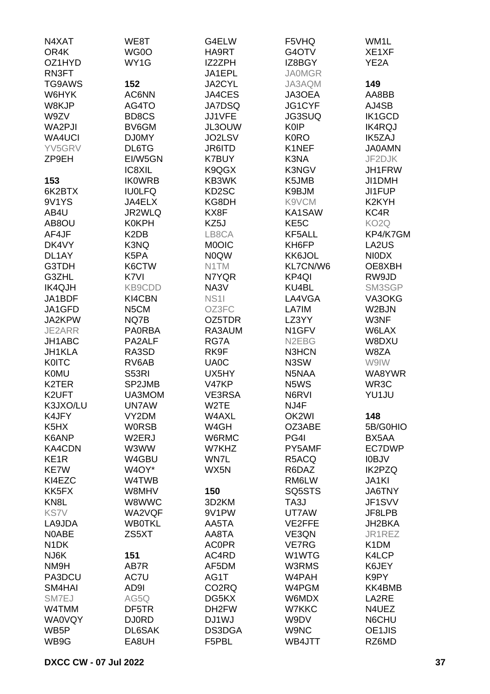| N4XAT                         | WE8T              | G4ELW              | F5VHQ              | WM1L               |
|-------------------------------|-------------------|--------------------|--------------------|--------------------|
| OR4K                          | WG0O              | HA9RT              | G4OTV              | XE1XF              |
| OZ1HYD                        | WY1G              | IZ2ZPH             | IZ8BGY             | YE <sub>2</sub> A  |
| RN3FT                         |                   | JA1EPL             | <b>JA0MGR</b>      |                    |
| TG9AWS                        | 152               | JA2CYL             | JA3AQM             | 149                |
| W6HYK                         | AC6NN             | JA4CES             | JA3OEA             | AA8BB              |
| W8KJP                         | AG4TO             | <b>JA7DSQ</b>      | JG1CYF             | AJ4SB              |
| W9ZV                          | BD8CS             | JJ1VFE             | <b>JG3SUQ</b>      | IK1GCD             |
| WA2PJI                        | BV6GM             | JL3OUW             | <b>K0IP</b>        | <b>IK4RQJ</b>      |
| <b>WA4UCI</b>                 | <b>DJ0MY</b>      | JO2LSV             | <b>K0RO</b>        | IK5ZAJ             |
| YV5GRV                        | DL6TG             | JR6ITD             | K1NEF              | <b>JA0AMN</b>      |
| ZP9EH                         | EI/W5GN           | <b>K7BUY</b>       | K3NA               | JF2DJK             |
|                               | IC8XIL            | K9QGX              | K3NGV              | JH1FRW             |
| 153                           | <b>IKOWRB</b>     | KB3WK              | K5JMB              | JI1DMH             |
| 6K2BTX                        | <b>IU0LFQ</b>     | KD2SC              | K9BJM              | JI1FUP             |
| 9V1YS                         | JA4ELX            | KG8DH              | K9VCM              | K <sub>2</sub> KYH |
| AB4U                          | JR2WLQ            | KX8F               | KA1SAW             | KC4R               |
| AB8OU                         | <b>K0KPH</b>      | KZ5J               | KE <sub>5</sub> C  | KO <sub>2</sub> Q  |
| AF4JF                         | K <sub>2</sub> DB | LB8CA              | KF5ALL             | KP4/K7GM           |
| DK4VY                         | K3NQ              | <b>MOOIC</b>       | KH6FP              | LA2US              |
| DL1AY                         | K5PA              | <b>NOQW</b>        | KK6JOL             | <b>NIODX</b>       |
| G3TDH                         | K6CTW             | N1TM               | KL7CN/W6           | OE8XBH             |
| G3ZHL                         | K7VI              | N7YQR              | KP4QI              | RW9JD              |
| IK4QJH                        | KB9CDD            | NA3V               | KU4BL              | SM3SGP             |
| JA1BDF                        | KI4CBN            | <b>NS11</b>        | LA4VGA             | VA3OKG             |
| JA1GFD                        | N <sub>5</sub> CM | OZ3FC              | LA7IM              | W2BJN              |
| JA2KPW                        | NQ7B              | OZ5TDR             | LZ3YY              | W3NF               |
| JE2ARR                        | <b>PA0RBA</b>     | RA3AUM             | N <sub>1</sub> GFV | W6LAX              |
| JH1ABC                        | PA2ALF            | RG7A               | N <sub>2</sub> EBG | W8DXU              |
| JH1KLA                        | RA3SD             | RK9F               | N3HCN              | W8ZA               |
| <b>K0ITC</b>                  | RV6AB             | UA0C               | N3SW               | W9IW               |
| <b>K0MU</b>                   | S53RI             | UX5HY              | N5NAA              | WA8YWR             |
| K2TER                         | SP2JMB            | V47KP              | N5WS               | WR3C               |
| K2UFT                         | UA3MOM            | VE3RSA             | N6RVI              | YU1JU              |
| K3JXO/LU                      | UN7AW             | W <sub>2</sub> TE  | NJ4F               |                    |
| K4JFY                         | VY2DM             | W4AXL              | OK2WI              | 148                |
| K <sub>5</sub> H <sub>X</sub> | <b>WORSB</b>      | W4GH               | OZ3ABE             | 5B/G0HIO           |
| K6ANP                         | W2ERJ             | W6RMC              | PG4I               | BX5AA              |
| KA4CDN                        | W3WW              | W7KHZ              | PY5AMF             | EC7DWP             |
| KE <sub>1</sub> R             | W4GBU             | WN7L               | R5ACQ              | <b>IOBJV</b>       |
| <b>KE7W</b>                   | W4OY*             | WX5N               | R6DAZ              | <b>IK2PZQ</b>      |
| KI4EZC                        | W4TWB             |                    | RM6LW              | JA1KI              |
| KK5FX                         | W8MHV             | 150                | SQ5STS             | JA6TNY             |
| KN <sub>8</sub> L             | W8WWC             | 3D2KM              | TA3J               | JF1SVV             |
| <b>KS7V</b>                   | WA2VQF            | 9V1PW              | UT7AW              | JF8LPB             |
|                               |                   |                    |                    | JH2BKA             |
| LA9JDA                        | <b>WB0TKL</b>     | AA5TA              | VE2FFE             | JR1REZ             |
| N0ABE                         | ZS5XT             | AA8TA              | VE3QN              |                    |
| N <sub>1</sub> DK             |                   | <b>AC0PR</b>       | VE7RG              | K <sub>1</sub> DM  |
| NJ6K                          | 151<br>AB7R       | AC4RD              | W1WTG<br>W3RMS     | K4LCP              |
| NM9H                          |                   | AF5DM              |                    | K6JEY              |
| PA3DCU                        | AC7U              | AG1T               | W4PAH              | K9PY               |
| SM4HAI                        | AD9I              | CO <sub>2</sub> RQ | W4PGM              | KK4BMB             |
| SM7EJ                         | AG5Q              | DG5KX              | W6MDX              | LA2RE              |
| W4TMM                         | DF5TR             | DH2FW              | <b>W7KKC</b>       | N4UEZ              |
| <b>WA0VQY</b>                 | <b>DJ0RD</b>      | DJ1WJ              | W9DV               | N6CHU              |
| WB <sub>5</sub> P             | DL6SAK            | DS3DGA             | W9NC               | OE1JIS             |
| WB9G                          | EA8UH             | F5PBL              | WB4JTT             | RZ6MD              |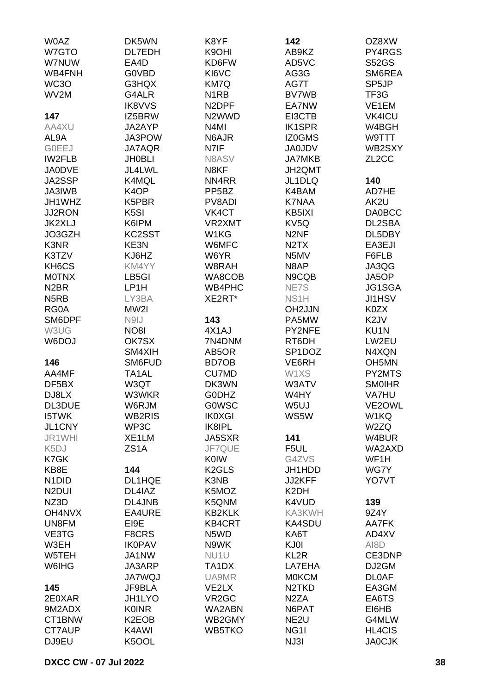| <b>WOAZ</b>                    | DK5WN              | K8YF               | 142                           | OZ8XW              |
|--------------------------------|--------------------|--------------------|-------------------------------|--------------------|
| W7GTO                          | DL7EDH             | K9OHI              | AB9KZ                         | PY4RGS             |
| W7NUW                          | EA4D               | KD6FW              | AD5VC                         | <b>S52GS</b>       |
|                                | <b>GOVBD</b>       |                    |                               | SM6REA             |
| WB4FNH                         |                    | KI6VC              | AG3G                          |                    |
| WC3O                           | G3HQX              | KM7Q               | AG7T                          | SP <sub>5</sub> JP |
| WV2M                           | G4ALR              | N <sub>1</sub> RB  | <b>BV7WB</b>                  | TF3G               |
|                                | <b>IK8VVS</b>      | N <sub>2</sub> DPF | EA7NW                         | VE1EM              |
| 147                            | IZ5BRW             | N <sub>2</sub> WWD | EI3CTB                        | <b>VK4ICU</b>      |
| AA4XU                          | JA2AYP             | N <sub>4</sub> MI  | <b>IK1SPR</b>                 | W4BGH              |
| AL9A                           | JA3POW             | N6AJR              | IZ0GMS                        | W9TTT              |
| <b>GOEEJ</b>                   | <b>JA7AQR</b>      | N7IF               | <b>JA0JDV</b>                 | WB2SXY             |
| <b>IW2FLB</b>                  | <b>JH0BLI</b>      | N8ASV              | <b>JA7MKB</b>                 | ZL <sub>2</sub> CC |
| <b>JA0DVE</b>                  | JL4LWL             | N8KF               | JH2QMT                        |                    |
| JA2SSP                         | K4MQL              | NN4RR              | JL1DLQ                        | 140                |
| JA3IWB                         | K <sub>4</sub> OP  | PP <sub>5</sub> BZ | K4BAM                         | AD7HE              |
|                                |                    |                    |                               |                    |
| JH1WHZ                         | K5PBR              | PV8ADI             | <b>K7NAA</b>                  | AK2U               |
| <b>JJ2RON</b>                  | K <sub>5</sub> SI  | VK4CT              | KB5IXI                        | <b>DA0BCC</b>      |
| <b>JK2XLJ</b>                  | K6IPM              | VR2XMT             | KV5Q                          | DL2SBA             |
| JO3GZH                         | KC2SST             | W <sub>1</sub> KG  | N <sub>2NF</sub>              | DL5DBY             |
| K3NR                           | KE3N               | W6MFC              | N <sub>2</sub> T <sub>X</sub> | EA3EJI             |
| K3TZV                          | KJ6HZ              | W6YR               | N5MV                          | F6FLB              |
| KH6CS                          | KM4YY              | W8RAH              | N8AP                          | JA3QG              |
| <b>MOTNX</b>                   | LB5GI              | WA8COB             | N9CQB                         | JA5OP              |
| N <sub>2</sub> BR              | LP1H               | WB4PHC             | NE7S                          | JG1SGA             |
| N <sub>5</sub> RB              | LY3BA              | XE2RT*             | NS <sub>1</sub> H             | <b>JI1HSV</b>      |
| RG0A                           | MW2I               |                    | OH2JJN                        | K0ZX               |
|                                |                    |                    |                               |                    |
| SM6DPF                         | N9IJ               | 143                | PA5MW                         | K <sub>2</sub> JV  |
| W3UG                           | <b>NO81</b>        | 4X1AJ              | PY2NFE                        | KU <sub>1</sub> N  |
| W6DOJ                          | OK7SX              | 7N4DNM             | RT6DH                         | LW2EU              |
|                                | SM4XIH             | AB5OR              | SP1DOZ                        | N4XQN              |
| 146                            | SM6FUD             | BD7OB              | VE6RH                         | OH <sub>5</sub> MN |
| AA4MF                          | TA1AL              | <b>CU7MD</b>       | W1XS                          | PY2MTS             |
| DF5BX                          | W3QT               | DK3WN              | W3ATV                         | <b>SMOIHR</b>      |
| DJ8LX                          | W3WKR              | <b>GODHZ</b>       | W4HY                          | VA7HU              |
| DL3DUE                         | W6RJM              | <b>GOWSC</b>       | W5UJ                          | VE2OWL             |
| <b>I5TWK</b>                   | <b>WB2RIS</b>      | <b>IK0XGI</b>      | WS5W                          | W1KQ               |
| JL1CNY                         | WP3C               | IK8IPL             |                               | W2ZQ               |
| JR1WHI                         | XE1LM              | JA5SXR             | 141                           | W4BUR              |
|                                | ZS1A               | JF7QUE             |                               | WA2AXD             |
| K <sub>5</sub> DJ              |                    |                    | F5UL                          |                    |
| K7GK                           |                    | <b>K0IW</b>        | G4ZVS                         | WF1H               |
| KB8E                           | 144                | K <sub>2</sub> GLS | JH1HDD                        | WG7Y               |
| N <sub>1</sub> D <sub>ID</sub> | DL1HQE             | K3NB               | JJ2KFF                        | YO7VT              |
| N <sub>2</sub> DUI             | DL4IAZ             | K5MOZ              | K <sub>2</sub> DH             |                    |
| NZ3D                           | DL4JNB             | K5QNM              | K4VUD                         | 139                |
| <b>OH4NVX</b>                  | EA4URE             | <b>KB2KLK</b>      | KA3KWH                        | 9Z4Y               |
| UN8FM                          | EI9E               | <b>KB4CRT</b>      | <b>KA4SDU</b>                 | AA7FK              |
| VE3TG                          | F8CRS              | N5WD               | KA6T                          | AD4XV              |
| W3EH                           | <b>IK0PAV</b>      | N9WK               | KJ0I                          | AI8D               |
| W5TEH                          | JA1NW              | NU <sub>1</sub> U  | KL <sub>2R</sub>              | CE3DNP             |
| W6IHG                          | JA3ARP             | TA1DX              | LA7EHA                        | DJ2GM              |
|                                | <b>JA7WQJ</b>      | UA9MR              | <b>MOKCM</b>                  | <b>DLOAF</b>       |
|                                |                    |                    | N <sub>2</sub> TKD            |                    |
| 145                            | JF9BLA             | VE2LX              |                               | EA3GM              |
| 2E0XAR                         | <b>JH1LYO</b>      | VR <sub>2</sub> GC | N <sub>2</sub> ZA             | EA6TS              |
| 9M2ADX                         | <b>K0INR</b>       | WA2ABN             | N6PAT                         | EI6HB              |
| CT1BNW                         | K <sub>2</sub> EOB | WB2GMY             | NE <sub>2U</sub>              | G4MLW              |
| CT7AUP                         | K4AWI              | WB5TKO             | NG <sub>1</sub>               | <b>HL4CIS</b>      |
| DJ9EU                          | K5OOL              |                    | NJ3I                          | <b>JA0CJK</b>      |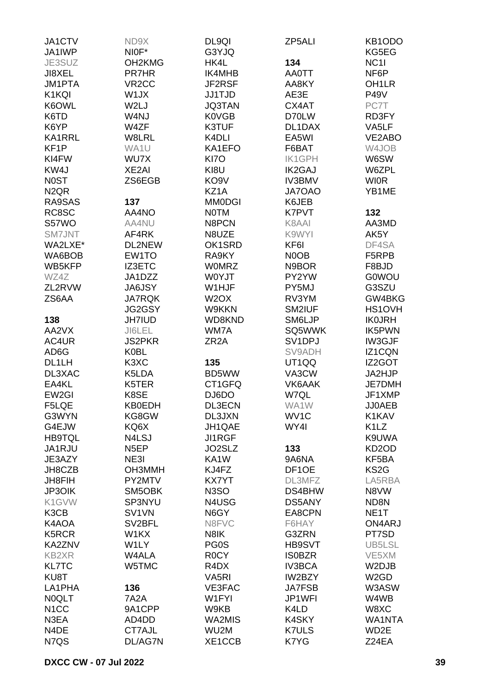| JA1CTV            | ND9X                          | DL9QI             | ZP5ALI             | KB <sub>1</sub> ODO           |
|-------------------|-------------------------------|-------------------|--------------------|-------------------------------|
| JA1IWP            | NIOF*                         | G3YJQ             |                    | KG5EG                         |
| JE3SUZ            | OH2KMG                        | HK4L              | 134                | NC <sub>1</sub>               |
| JI8XEL            | <b>PR7HR</b>                  | IK4MHB            | <b>AA0TT</b>       | NF6P                          |
| <b>JM1PTA</b>     | VR <sub>2</sub> CC            | JF2RSF            | AA8KY              | OH <sub>1</sub> LR            |
| K1KQI             | W1JX                          | <b>JJ1TJD</b>     | AE3E               | <b>P49V</b>                   |
| K6OWL             | W2LJ                          | <b>JQ3TAN</b>     | CX4AT              | PC7T                          |
| K6TD              | W4NJ                          | <b>K0VGB</b>      | D70LW              | RD3FY                         |
| K6YP              | W4ZF                          | K3TUF             | DL1DAX             | VA5LF                         |
| <b>KA1RRL</b>     | W8LRL                         | K4DLI             | EA5WI              | VE2ABO                        |
| KF <sub>1</sub> P | WA1U                          | KA1EFO            | F6BAT              | W4JOB                         |
| KI4FW             | WU7X                          | KI7O              | <b>IK1GPH</b>      | W6SW                          |
| KW4J              | XE2AI                         | KI8U              | <b>IK2GAJ</b>      | W6ZPL                         |
| <b>NOST</b>       | ZS6EGB                        | KO <sub>9</sub> V | <b>IV3BMV</b>      | <b>WIOR</b>                   |
| N <sub>2QR</sub>  |                               | KZ1A              | <b>JA7OAO</b>      | YB1ME                         |
| RA9SAS            | 137                           | <b>MM0DGI</b>     | K6JEB              |                               |
|                   |                               |                   |                    |                               |
| RC8SC             | AA4NO                         | <b>NOTM</b>       | K7PVT              | 132                           |
| S57WO             | AA4NU                         | N8PCN             | K8AAI              | AA3MD                         |
| SM7JNT            | AF4RK                         | N8UZE             | K9WYI              | AK5Y                          |
| WA2LXE*           | DL2NEW                        | OK1SRD            | KF6I               | DF4SA                         |
| WA6BOB            | EW1TO                         | RA9KY             | N0OB               | F5RPB                         |
| WB5KFP            | IZ3ETC                        | <b>WOMRZ</b>      | N9BOR              | F8BJD                         |
| WZ4Z              | JA1DZZ                        | W0YJT             | PY2YW              | <b>G0WOU</b>                  |
| ZL2RVW            | JA6JSY                        | W1HJF             | PY5MJ              | G3SZU                         |
| ZS6AA             | <b>JA7RQK</b>                 | W <sub>2</sub> OX | RV3YM              | GW4BKG                        |
|                   | JG2GSY                        | W9KKN             | SM2IUF             | HS1OVH                        |
| 138               | <b>JH7IUD</b>                 | WD8KND            | SM6LJP             | <b>IKOJRH</b>                 |
| AA2VX             | JI6LEL                        | WM7A              | SQ5WWK             | IK5PWN                        |
| AC4UR             | <b>JS2PKR</b>                 | ZR <sub>2</sub> A | SV1DPJ             | <b>IW3GJF</b>                 |
| AD6G              | <b>K0BL</b>                   |                   | SV9ADH             | IZ1CQN                        |
| DL1LH             | K <sub>3</sub> X <sub>C</sub> | 135               | UT1QQ              | IZ2GOT                        |
| DL3XAC            | K5LDA                         | BD5WW             | VA3CW              | JA2HJP                        |
| EA4KL             | K5TER                         | CT1GFQ            | VK6AAK             | <b>JE7DMH</b>                 |
| EW2GI             | K8SE                          | DJ6DO             | W7QL               | JF1XMP                        |
| F5LQE             | <b>KB0EDH</b>                 | DL3ECN            | WA1W               | JJ0AEB                        |
| G3WYN             | KG8GW                         | DL3JXN            | WV <sub>1</sub> C  | K1KAV                         |
| G4EJW             | KQ6X                          | JH1QAE            | WY4I               | K <sub>1</sub> L <sub>Z</sub> |
| <b>HB9TQL</b>     | N4LSJ                         | <b>JI1RGF</b>     |                    | K9UWA                         |
| JA1RJU            | N <sub>5</sub> EP             | JO2SLZ            | 133                | KD <sub>2</sub> OD            |
| JE3AZY            | NE3I                          | KA1W              | 9A6NA              | KF5BA                         |
|                   |                               |                   |                    |                               |
| JH8CZB            | OH3MMH                        | KJ4FZ             | DF <sub>1</sub> OE | KS <sub>2</sub> G             |
| JH8FIH            | PY2MTV                        | <b>KX7YT</b>      | DL3MFZ             | LA5RBA                        |
| <b>JP3OIK</b>     | SM5OBK                        | N <sub>3</sub> SO | DS4BHW             | N8VW                          |
| K1GVW             | SP3NYU                        | N4USG             | DS5ANY             | ND8N                          |
| K3CB              | SV1VN                         | N6GY              | EA8CPN             | NE <sub>1</sub> T             |
| K4AOA             | SV <sub>2</sub> BFL           | N8FVC             | F6HAY              | ON4ARJ                        |
| K5RCR             | W1KX                          | N8IK              | G3ZRN              | PT7SD                         |
| KA2ZNV            | W1LY                          | PG0S              | HB9SVT             | UB5LSL                        |
| <b>KB2XR</b>      | W4ALA                         | R <sub>0</sub> CY | <b>ISOBZR</b>      | VE5XM                         |
| <b>KL7TC</b>      | W5TMC                         | R4DX              | <b>IV3BCA</b>      | W2DJB                         |
| KU8T              |                               | VA <sub>5RI</sub> | IW2BZY             | W <sub>2</sub> GD             |
| LA1PHA            | 136                           | VE3FAC            | <b>JA7FSB</b>      | W3ASW                         |
| <b>NOQLT</b>      | 7A2A                          | W1FYI             | JP1WFI             | W4WB                          |
| N <sub>1</sub> CC | 9A1CPP                        | W9KB              | K4LD               | W8XC                          |
| N3EA              | AD4DD                         | WA2MIS            | <b>K4SKY</b>       | <b>WA1NTA</b>                 |
| N4DE              | CT7AJL                        | WU2M              | <b>K7ULS</b>       | WD2E                          |
| N7QS              | DL/AG7N                       | XE1CCB            | K7YG               | Z24EA                         |
|                   |                               |                   |                    |                               |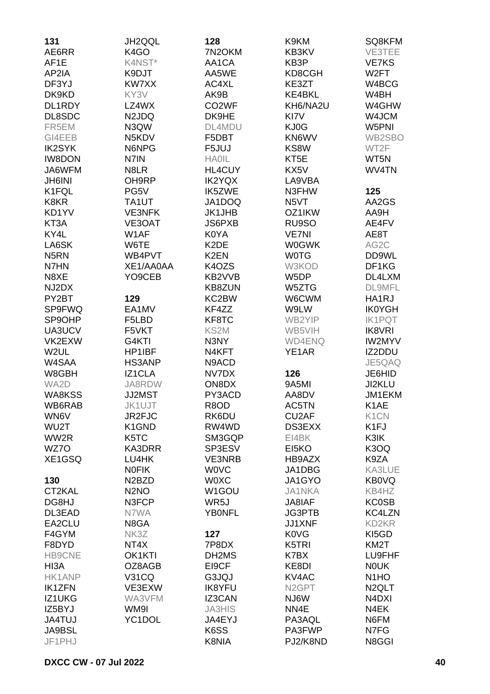| 131               | <b>JH2QQL</b>                  | 128                | K9KM               | SQ8KFM                         |
|-------------------|--------------------------------|--------------------|--------------------|--------------------------------|
| AE6RR             | K <sub>4</sub> GO              | 7N2OKM             | KB3KV              | VE3TEE                         |
| AF1E              | K4NST*                         | AA1CA              | KB3P               | <b>VE7KS</b>                   |
| AP2IA             | K9DJT                          | AA5WE              | KD8CGH             | W <sub>2</sub> FT              |
| DF3YJ             | KW7XX                          | AC4XL              | KE3ZT              | W4BCG                          |
|                   |                                |                    |                    |                                |
| DK9KD             | KY3V                           | AK9B               | <b>KE4BKL</b>      | W4BH                           |
| DL1RDY            | LZ4WX                          | CO <sub>2</sub> WF | KH6/NA2U           | W4GHW                          |
| DL8SDC            | N2JDQ                          | DK9HE              | KI7V               | W4JCM                          |
| FR5EM             | N3QW                           | DL4MDU             | KJ0G               | W5PNI                          |
| GI4EEB            | N5KDV                          | F5DBT              | KN6WV              | WB2SBO                         |
| <b>IK2SYK</b>     | N6NPG                          | F5JUJ              | KS8W               | WT2F                           |
| <b>IW8DON</b>     | N7IN                           | <b>HAOIL</b>       | KT <sub>5</sub> E  | WT5N                           |
| JA6WFM            | N8LR                           | HL4CUY             | KX5V               | WV4TN                          |
| <b>JH6INI</b>     | OH9RP                          | <b>IK2YQX</b>      | LA9VBA             |                                |
| K1FQL             | PG5V                           | IK5ZWE             | N3FHW              | 125                            |
| K8KR              | TA1UT                          | JA1DOQ             | N <sub>5</sub> VT  | AA2GS                          |
| KD1YV             | <b>VE3NFK</b>                  | <b>JK1JHB</b>      | OZ1IKW             | AA9H                           |
| KT3A              | VE3OAT                         | <b>JS6PXB</b>      | RU9SO              | AE4FV                          |
| KY4L              | W1AF                           | K0YA               | <b>VE7NI</b>       | AE8T                           |
| LA6SK             | W6TE                           | K <sub>2</sub> DE  | <b>W0GWK</b>       | AG2C                           |
| N <sub>5</sub> RN | WB4PVT                         | K <sub>2</sub> EN  | <b>WOTG</b>        | DD9WL                          |
| N7HN              | XE1/AA0AA                      | K4OZS              | W3KOD              | DF1KG                          |
| N8XE              | YO9CEB                         | KB2VVB             | W5DP               | DL4LXM                         |
| NJ2DX             |                                | KB8ZUN             | W5ZTG              | <b>DL9MFL</b>                  |
| PY2BT             | 129                            | KC2BW              | W6CWM              | HA1RJ                          |
| <b>SP9FWQ</b>     | EA1MV                          | KF4ZZ              | W9LW               | <b>IK0YGH</b>                  |
| SP9OHP            | F5LBD                          | KF8TC              | WB2YIP             | <b>IK1PQT</b>                  |
| UA3UCV            | F5VKT                          | KS2M               | WB5VIH             | <b>IK8VRI</b>                  |
| VK2EXW            | G4KTI                          | N3NY               | <b>WD4ENQ</b>      | <b>IW2MYV</b>                  |
| W <sub>2</sub> UL | HP1IBF                         | N4KFT              | YE1AR              | IZ2DDU                         |
| W4SAA             | HS3ANP                         | N9ACD              |                    | JE5QAQ                         |
| W8GBH             | IZ1CLA                         | NV7DX              | 126                | JE6HID                         |
| WA2D              | JA8RDW                         | ON8DX              | 9A5MI              | JI2KLU                         |
| <b>WA8KSS</b>     | <b>JJ2MST</b>                  | PY3ACD             | AA8DV              | JM1EKM                         |
| WB6RAB            |                                | R8OD               | AC5TN              |                                |
|                   | JK1UJT                         |                    |                    | K <sub>1</sub> AE              |
| WN6V              | JR2FJC                         | RK6DU              | CU <sub>2</sub> AF | K <sub>1</sub> CN              |
| WU2T              | K1GND                          | RW4WD              | DS3EXX             | K <sub>1FJ</sub>               |
| WW2R              | K5TC                           | SM3GQP             | EI4BK              | K3IK                           |
| WZ7O              | KA3DRR                         | SP3ESV             | EI5KO              | K3OQ                           |
| XE1GSQ            | LU4HK                          | <b>VE3NRB</b>      | HB9AZX             | K9ZA                           |
|                   | <b>NOFIK</b>                   | <b>WOVC</b>        | JA1DBG             | KA3LUE                         |
| 130               | N <sub>2</sub> B <sub>ZD</sub> | <b>WOXC</b>        | JA1GYO             | <b>KB0VQ</b>                   |
| CT2KAL            | N <sub>2</sub> NO              | W1GOU              | <b>JA1NKA</b>      | KB4HZ                          |
| DG8HJ             | N3FCP                          | WR5J               | JA8IAF             | <b>KC0SB</b>                   |
| DL3EAD            | N7WA                           | <b>YBONFL</b>      | <b>JG3PTB</b>      | KC4LZN                         |
| EA2CLU            | N8GA                           |                    | JJ1XNF             | KD2KR                          |
| F4GYM             | NK3Z                           | 127                | <b>K0VG</b>        | KI5GD                          |
| F8DYD             | NT4X                           | 7P8DX              | K5TRI              | KM <sub>2</sub> T              |
| <b>HB9CNE</b>     | OK1KTI                         | DH2MS              | K7BX               | LU9FHF                         |
| HI3A              | OZ8AGB                         | EI9CF              | KE8DI              | <b>NOUK</b>                    |
| <b>HK1ANP</b>     | <b>V31CQ</b>                   | G3JQJ              | KV4AC              | N <sub>1</sub> HO              |
| <b>IK1ZFN</b>     | VE3EXW                         | <b>IK8YFU</b>      | N <sub>2</sub> GPT | N <sub>2</sub> QLT             |
| IZ1UKG            | WA3VFM                         | IZ3CAN             | NJ6W               | N <sub>4</sub> D <sub>XI</sub> |
| IZ5BYJ            | WM9I                           | <b>JA3HIS</b>      | NN4E               | N4EK                           |
| <b>JA4TUJ</b>     | YC1DOL                         | JA4EYJ             | PA3AQL             | N6FM                           |
| <b>JA9BSL</b>     |                                | K6SS               | PA3FWP             | N7FG                           |
| JF1PHJ            |                                | K8NIA              | PJ2/K8ND           | N8GGI                          |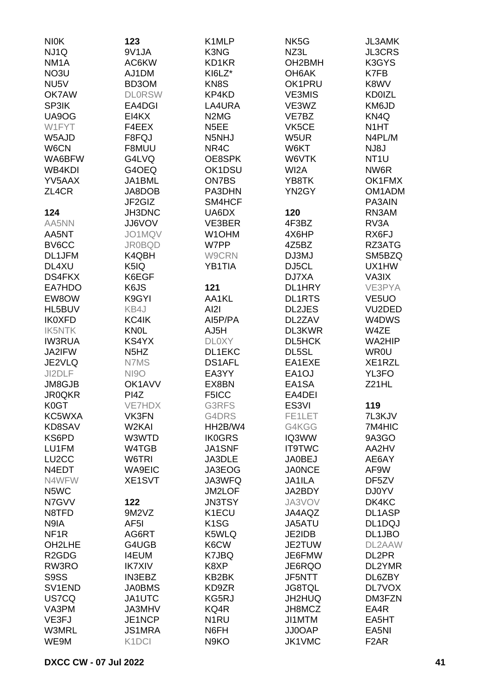| <b>NIOK</b>                    | 123                           | K <sub>1</sub> MLP            | NK <sub>5</sub> G   | <b>JL3AMK</b>      |
|--------------------------------|-------------------------------|-------------------------------|---------------------|--------------------|
| NJ1Q                           | 9V1JA                         | K3NG                          | NZ3L                | <b>JL3CRS</b>      |
| NM <sub>1</sub> A              | AC6KW                         | KD1KR                         | OH <sub>2</sub> BMH | K3GYS              |
| NO3U                           | AJ1DM                         | KI6LZ*                        | OH6AK               | K7FB               |
| NU <sub>5</sub> V              | BD3OM                         | KN8S                          | OK1PRU              | K8WV               |
| OK7AW                          | <b>DLORSW</b>                 | KP4KD                         | <b>VE3MIS</b>       | <b>KD0IZL</b>      |
| SP3IK                          | EA4DGI                        | LA4URA                        | VE3WZ               | KM6JD              |
| UA9OG                          | EI4KX                         | N <sub>2</sub> M <sub>G</sub> | VE7BZ               | KN4Q               |
| W1FYT                          | F4EEX                         | N <sub>5</sub> EE             | VK5CE               | N <sub>1</sub> HT  |
| W5AJD                          | F8FQJ                         | N5NHJ                         | W5UR                | N4PL/M             |
| W6CN                           | F8MUU                         | NR4C                          | W6KT                | NJ8J               |
| WA6BFW                         | G4LVQ                         | OE8SPK                        | W6VTK               | NT <sub>1</sub> U  |
| WB4KDI                         | G4OEQ                         | OK1DSU                        | WI <sub>2</sub> A   | NW6R               |
| YV5AAX                         | JA1BML                        | ON7BS                         | YB8TK               | OK1FMX             |
| ZL4CR                          | JA8DOB                        | PA3DHN                        | YN2GY               | OM1ADM             |
|                                | JF2GIZ                        | SM4HCF                        |                     | PA3AIN             |
| 124                            | JH3DNC                        | UA6DX                         | 120                 | RN3AM              |
| AA5NN                          | <b>JJ6VOV</b>                 | VE3BER                        | 4F3BZ               | RV3A               |
| AA5NT                          | JO1MQV                        | W1OHM                         | 4X6HP               | RX6FJ              |
| BV6CC                          |                               |                               |                     |                    |
|                                | <b>JR0BQD</b>                 | W7PP                          | 4Z5BZ               | RZ3ATG             |
| DL1JFM<br>DL4XU                | K4QBH                         | W9CRN<br><b>YB1TIA</b>        | DJ3MJ               | SM5BZQ             |
|                                | K5IQ                          |                               | DJ5CL               | UX1HW              |
| <b>DS4FKX</b>                  | K6EGF                         |                               | DJ7XA               | VA3IX              |
| EA7HDO                         | K6JS                          | 121                           | DL1HRY              | VE3PYA             |
| EW8OW                          | K9GYI                         | AA1KL                         | <b>DL1RTS</b>       | VE <sub>5</sub> UO |
| HL5BUV                         | KB4J                          | AI2I                          | <b>DL2JES</b>       | VU2DED             |
| <b>IK0XFD</b>                  | KC4IK                         | AI5P/PA                       | DL2ZAV              | W4DWS              |
| <b>IK5NTK</b>                  | <b>KNOL</b>                   | AJ5H                          | DL3KWR              | W4ZE               |
| <b>IW3RUA</b>                  | KS4YX                         | <b>DLOXY</b>                  | DL5HCK              | WA2HIP             |
| JA2IFW                         | N <sub>5</sub> H <sub>Z</sub> | DL1EKC                        | DL5SL               | <b>WR0U</b>        |
| JE2VLQ                         | N7MS                          | <b>DS1AFL</b>                 | EA1EXE              | XE1RZL             |
| JI2DLF                         | <b>NI9O</b>                   | EA3YY                         | EA <sub>1</sub> OJ  | YL3FO              |
| JM8GJB                         | OK1AVV                        | EX8BN                         | EA1SA               | Z21HL              |
| <b>JR0QKR</b>                  | PI4Z                          | F5ICC                         | EA4DEI              |                    |
| K0GT                           | <b>VE7HDX</b>                 | G3RFS                         | ES3VI               | 119                |
| KC5WXA                         | VK3FN                         | G4DRS                         | FE1LET              | 7L3KJV             |
| KD8SAV                         | W2KAI                         | HH2B/W4                       | G4KGG               | 7M4HIC             |
| KS6PD                          | W3WTD                         | <b>IK0GRS</b>                 | IQ3WW               | 9A3GO              |
| LU1FM                          | W4TGB                         | JA1SNF                        | <b>IT9TWC</b>       | AA2HV              |
| LU <sub>2</sub> CC             | W6TRI                         | JA3DLE                        | <b>JA0BEJ</b>       | AE6AY              |
| N4EDT                          | <b>WA9EIC</b>                 | JA3EOG                        | <b>JA0NCE</b>       | AF9W               |
| N4WFW                          | XE1SVT                        | JA3WFQ                        | <b>JA1ILA</b>       | DF5ZV              |
| N5WC                           |                               | JM2LOF                        | JA2BDY              | DJ0YV              |
| N7GVV                          | 122                           | <b>JN3TSY</b>                 | JA3VOV              | DK4KC              |
| N8TFD                          | 9M2VZ                         | K1ECU                         | JA4AQZ              | DL1ASP             |
| N9IA                           | AF <sub>5</sub> I             | K <sub>1</sub> SG             | JA5ATU              | DL1DQJ             |
| NF <sub>1</sub> R              | AG6RT                         | K5WLQ                         | JE2IDB              | DL1JBO             |
| OH2LHE                         | G4UGB                         | K6CW                          | JE2TUW              | DL2AAW             |
| R <sub>2</sub> GD <sub>G</sub> | <b>I4EUM</b>                  | K7JBQ                         | JE6FMW              | DL2PR              |
| RW3RO                          | <b>IK7XIV</b>                 | K8XP                          | JE6RQO              | DL2YMR             |
| S9SS                           | <b>IN3EBZ</b>                 | KB2BK                         | JF5NTT              | DL6ZBY             |
| SV <sub>1</sub> END            | <b>JA0BMS</b>                 | KD9ZR                         | <b>JG8TQL</b>       | DL7VOX             |
| US7CQ                          | JA1UTC                        | KG5RJ                         | JH2HUQ              | DM3FZN             |
| VA3PM                          | JA3MHV                        | KQ4R                          | JH8MCZ              | EA4R               |
| VE3FJ                          | JE1NCP                        | N <sub>1</sub> RU             | JI1MTM              | EA5HT              |
| W3MRL                          | <b>JS1MRA</b>                 | N6FH                          | JJ0OAP              | EA5NI              |
| WE9M                           | K <sub>1</sub> DCI            | N9KO                          | <b>JK1VMC</b>       | F <sub>2</sub> AR  |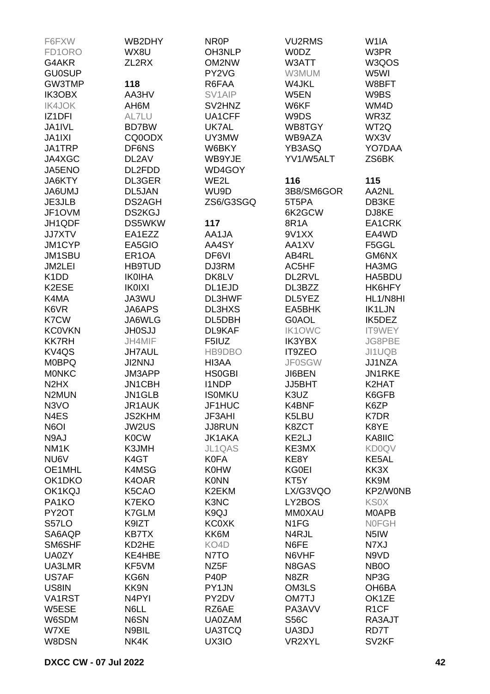| F6FXW                         | WB2DHY             | NR <sub>0</sub> P | <b>VU2RMS</b>     | W <sub>1</sub> IA |
|-------------------------------|--------------------|-------------------|-------------------|-------------------|
| FD1ORO                        | WX8U               | OH3NLP            | <b>WODZ</b>       | W3PR              |
| G4AKR                         | ZL2RX              | OM2NW             | W3ATT             | W3QOS             |
| <b>GU0SUP</b>                 |                    | PY2VG             | W3MUM             | W5WI              |
| GW3TMP                        | 118                | R6FAA             | W4JKL             | W8BFT             |
| IK3OBX                        | AA3HV              | SV1AIP            | W5EN              | W9BS              |
| <b>IK4JOK</b>                 | AH6M               | SV2HNZ            | W6KF              | WM4D              |
| IZ <sub>1</sub> DFI           | AL7LU              | UA1CFF            | W9DS              | WR3Z              |
| JA1IVL                        | BD7BW              | UK7AL             | WB8TGY            | WT2Q              |
| <b>JA1IXI</b>                 | CQ0ODX             | UY3MW             | WB9AZA            | WX3V              |
| JA1TRP                        | DF6NS              | W6BKY             | YB3ASQ            | YO7DAA            |
| JA4XGC                        | DL2AV              | WB9YJE            | YV1/W5ALT         | ZS6BK             |
|                               | DL2FDD             | WD4GOY            |                   |                   |
| JA5ENO                        |                    |                   |                   |                   |
| JA6KTY                        | DL3GER             | WE2L              | 116               | 115               |
| <b>UMUAAL</b>                 | DL5JAN             | WU9D              | 3B8/SM6GOR        | AA2NL             |
| JE3JLB                        | DS2AGH             | ZS6/G3SGQ         | 5T5PA             | DB3KE             |
| JF1OVM                        | <b>DS2KGJ</b>      |                   | 6K2GCW            | DJ8KE             |
| JH1QDF                        | DS5WKW             | 117               | 8R1A              | EA1CRK            |
| <b>JJ7XTV</b>                 | EA1EZZ             | AA1JA             | 9V1XX             | EA4WD             |
| JM1CYP                        | EA5GIO             | AA4SY             | AA1XV             | F5GGL             |
| JM1SBU                        | ER <sub>1</sub> OA | DF6VI             | AB4RL             | GM6NX             |
| JM2LEI                        | <b>HB9TUD</b>      | DJ3RM             | AC5HF             | HA3MG             |
| K <sub>1</sub> D <sub>D</sub> | <b>IK0IHA</b>      | DK8LV             | DL2RVL            | HA5BDU            |
| K2ESE                         | <b>IK0IXI</b>      | DL1EJD            | DL3BZZ            | HK6HFY            |
| K4MA                          | JA3WU              | DL3HWF            | DL5YEZ            | HL1/N8HI          |
| K6VR                          | JA6APS             | <b>DL3HXS</b>     | EA5BHK            | <b>IK1LJN</b>     |
| K7CW                          | JA6WLG             | DL5DBH            | G0AOL             | IK5DEZ            |
| <b>KC0VKN</b>                 | <b>JH0SJJ</b>      | DL9KAF            | <b>IK1OWC</b>     | IT9WEY            |
| <b>KK7RH</b>                  | JH4MIF             | F5IUZ             | <b>IK3YBX</b>     | JG8PBE            |
| KV4QS                         | JH7AUL             | HB9DBO            | IT9ZEO            | JI1UQB            |
| <b>M0BPQ</b>                  | <b>JI2NNJ</b>      | HI3AA             | <b>JF0SGW</b>     | JJ1NZA            |
| <b>MONKC</b>                  | JM3APP             | <b>HS0GBI</b>     | JI6BEN            | JN1RKE            |
| N <sub>2</sub> H <sub>X</sub> | JN1CBH             | <b>I1NDP</b>      | JJ5BHT            | K2HAT             |
| N <sub>2</sub> MUN            | JN1GLB             | <b>ISOMKU</b>     | K3UZ              | K6GFB             |
| N3VO                          | JR1AUK             | JF1HUC            | K4BNF             | K6ZP              |
| N4ES                          | <b>JS2KHM</b>      | JF3AHI            | K5LBU             | K7DR              |
| N6OI                          | <b>JW2US</b>       | <b>JJ8RUN</b>     | K8ZCT             | K8YE              |
| N9AJ                          | <b>K0CW</b>        | <b>JK1AKA</b>     | KE2LJ             | KA8IIC            |
| NM <sub>1</sub> K             | K3JMH              | <b>JL1QAS</b>     | KE3MX             | <b>KD0QV</b>      |
| NU6V                          | K4GT               | <b>K0FA</b>       | KE8Y              | KE5AL             |
|                               |                    | <b>K0HW</b>       |                   | KK3X              |
| OE1MHL                        | K4MSG              |                   | <b>KG0EI</b>      |                   |
| OK1DKO                        | K4OAR              | <b>K0NN</b>       | KT5Y              | KK9M              |
| OK1KQJ                        | K5CAO              | K2EKM             | LX/G3VQO          | KP2/W0NB          |
| PA1KO                         | K7EKO              | K3NC              | LY2BOS            | <b>KSOX</b>       |
| PY2OT                         | K7GLM              | K9QJ              | <b>MM0XAU</b>     | <b>MOAPB</b>      |
| S57LO                         | K9IZT              | <b>KC0XK</b>      | N <sub>1</sub> FG | <b>NOFGH</b>      |
| SA6AQP                        | KB7TX              | KK6M              | N4RJL             | N <sub>5</sub> IW |
| SM6SHF                        | KD2HE              | KO4D              | N6FE              | N7XJ              |
| <b>UA0ZY</b>                  | KE4HBE             | N7TO              | N6VHF             | N9VD              |
| UA3LMR                        | KF5VM              | NZ <sub>5</sub> F | N8GAS             | NB <sub>0</sub>   |
| US7AF                         | KG6N               | P <sub>40</sub> P | N8ZR              | NP3G              |
| US8IN                         | KK9N               | PY1JN             | OM3LS             | OH6BA             |
| VA1RST                        | N <sub>4</sub> PYI | PY2DV             | OM7TJ             | OK1ZE             |
| W5ESE                         | N6LL               | RZ6AE             | PA3AVV            | R <sub>1</sub> CF |
| W6SDM                         | N6SN               | <b>UA0ZAM</b>     | <b>S56C</b>       | RA3AJT            |
| W7XE                          | N9BIL              | <b>UA3TCQ</b>     | UA3DJ             | RD7T              |
| W8DSN                         | NK4K               | UX3IO             | VR2XYL            | SV <sub>2KF</sub> |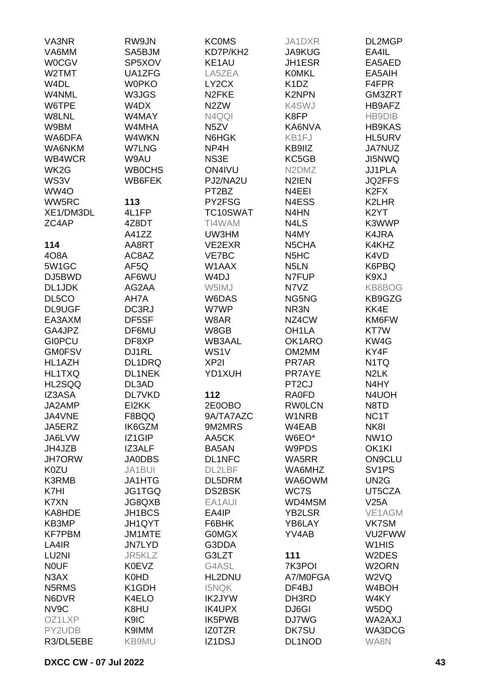| VA3NR                          | RW9JN              | <b>KCOMS</b>       | JA1DXR                         | DL2MGP                         |
|--------------------------------|--------------------|--------------------|--------------------------------|--------------------------------|
| VA6MM                          | SA5BJM             | KD7P/KH2           | <b>JA9KUG</b>                  | EA4IL                          |
| <b>W0CGV</b>                   | SP5XOV             | KE1AU              | JH1ESR                         | EA5AED                         |
| W2TMT                          | UA1ZFG             | LA5ZEA             | <b>KOMKL</b>                   | EA5AIH                         |
| W <sub>4</sub> DL              | <b>W0PKO</b>       | LY2CX              | K <sub>1</sub> D <sub>Z</sub>  | F4FPR                          |
| W4NML                          | W3JGS              | N <sub>2</sub> FKE | <b>K2NPN</b>                   | GM3ZRT                         |
| W6TPE                          | W4DX               | N <sub>2</sub> ZW  | K4SWJ                          | HB9AFZ                         |
| W8LNL                          | W4MAY              | N4QQI              | K8FP                           | HB9DIB                         |
| W9BM                           | W4MHA              | N5ZV               | KA6NVA                         | <b>HB9KAS</b>                  |
| WA6DFA                         | W4WKN              | N6HGK              | KB1FJ                          | HL5URV                         |
| WA6NKM                         | <b>W7LNG</b>       | NP4H               | KB9IIZ                         | JA7NUZ                         |
| WB4WCR                         | W9AU               | NS3E               | KC5GB                          | <b>JI5NWQ</b>                  |
| WK <sub>2</sub> G              | <b>WB0CHS</b>      | ON4IVU             | N <sub>2</sub> DM <sub>Z</sub> | JJ1PLA                         |
|                                |                    |                    |                                |                                |
| WS3V                           | WB6FEK             | PJ2/NA2U           | N <sub>2</sub> IEN             | <b>JQ2FFS</b>                  |
| WW4O                           |                    | PT2BZ              | N4EEI                          | K <sub>2</sub> F <sub>X</sub>  |
| WW5RC                          | 113                | PY2FSG             | N4ESS                          | K2LHR                          |
| XE1/DM3DL                      | 4L1FP              | TC10SWAT           | N4HN                           | K <sub>2</sub> YT              |
| ZC4AP                          | 4Z8DT              | TI4WAM             | N4LS                           | K3WWP                          |
|                                | A41ZZ              | UW3HM              | N4MY                           | K4JRA                          |
| 114                            | AA8RT              | VE2EXR             | N5CHA                          | K4KHZ                          |
| 408A                           | AC8AZ              | VE7BC              | N <sub>5</sub> H <sub>C</sub>  | K4VD                           |
| 5W1GC                          | AF5Q               | W1AAX              | N <sub>5</sub> LN              | K6PBQ                          |
| DJ5BWD                         | AF6WU              | W <sub>4</sub> DJ  | N7FUP                          | K9XJ                           |
| DL1JDK                         | AG2AA              | W5IMJ              | N7VZ                           | KB8BOG                         |
| DL5CO                          | AH7A               | W6DAS              | NG5NG                          | KB9GZG                         |
| DL9UGF                         | DC3RJ              | W7WP               | NR3N                           | KK4E                           |
| EA3AXM                         | DF5SF              | W8AR               | NZ4CW                          | KM6FW                          |
| GA4JPZ                         | DF6MU              | W8GB               | OH <sub>1</sub> LA             | KT7W                           |
| <b>GIOPCU</b>                  | DF8XP              | <b>WB3AAL</b>      | OK1ARO                         | KW4G                           |
| <b>GM0FSV</b>                  | DJ1RL              | WS1V               | OM2MM                          | KY4F                           |
| HL1AZH                         | DL1DRQ             | XP <sub>2</sub>    | PR7AR                          | N <sub>1</sub> TQ              |
| HL1TXQ                         | DL1NEK             | YD1XUH             | PR7AYE                         | N <sub>2</sub> LK              |
| HL2SQQ                         | DL3AD              |                    | PT <sub>2</sub> CJ             | N4HY                           |
| IZ3ASA                         | DL7VKD             | 112                | <b>RA0FD</b>                   | N4UOH                          |
| JA2AMP                         | EI2KK              | 2E0OBO             | <b>RW0LCN</b>                  | N8TD                           |
| JA4VNE                         | F8BQQ              | 9A/TA7AZC          | W1NRB                          | NC <sub>1</sub> T              |
| JA5ERZ                         | IK6GZM             | 9M2MRS             | W4EAB                          | NK8I                           |
| JA6LVW                         | IZ1GIP             | AA5CK              | W6EO*                          | <b>NW1O</b>                    |
| JH4JZB                         | IZ3ALF             | BA5AN              | W9PDS                          | OK1KI                          |
| <b>JH7ORW</b>                  | <b>JA0DBS</b>      | DL1NFC             | WA5RR                          | <b>ON9CLU</b>                  |
| K0ZU                           | JA1BUI             | DL2LBF             | WA6MHZ                         | SV <sub>1</sub> PS             |
| K3RMB                          | JA1HTG             | DL5DRM             | WA6OWM                         | UN <sub>2</sub> G              |
| K7HI                           | JG1TGQ             | <b>DS2BSK</b>      | WC7S                           | UT5CZA                         |
| K7XN                           | JG8QXB             | EA1AUI             | WD4MSM                         | V25A                           |
| KA8HDE                         | JH1BCS             | EA4IP              | <b>YB2LSR</b>                  | VE1AGM                         |
| KB3MP                          | JH1QYT             | F6BHK              | YB6LAY                         | VK7SM                          |
| <b>KF7PBM</b>                  | JM1MTE             | <b>GOMGX</b>       | YV4AB                          | VU2FWW                         |
| LA4IR                          | <b>JN7LYD</b>      | G3DDA              |                                | W <sub>1</sub> H <sub>IS</sub> |
| LU2NI                          | JR5KLZ             | G3LZT              | 111                            | W2DES                          |
| <b>NOUF</b>                    | <b>K0EVZ</b>       | G4ASL              | 7K3POI                         | W <sub>2</sub> ORN             |
| N <sub>3</sub> AX              | K0HD               | HL2DNU             | A7/M0FGA                       | W <sub>2</sub> VQ              |
| N <sub>5</sub> RM <sub>S</sub> | K <sub>1</sub> GDH | <b>I5NQK</b>       | DF4BJ                          | W4BOH                          |
| N6DVR                          | K4ELO              | IK2JYW             | DH3RD                          | W4KY                           |
|                                |                    |                    |                                |                                |
| NV9C                           | K8HU               | IK4UPX             | DJ6GI                          | W5DQ                           |
| OZ1LXP                         | K9IC               | IK5PWB             | DJ7WG                          | WA2AXJ                         |
| PY2UDB                         | K9IMM              | IZ0TZR             | DK7SU                          | WA3DCG                         |
| R3/DL5EBE                      | KB9MU              | IZ1DSJ             | DL1NOD                         | WA8N                           |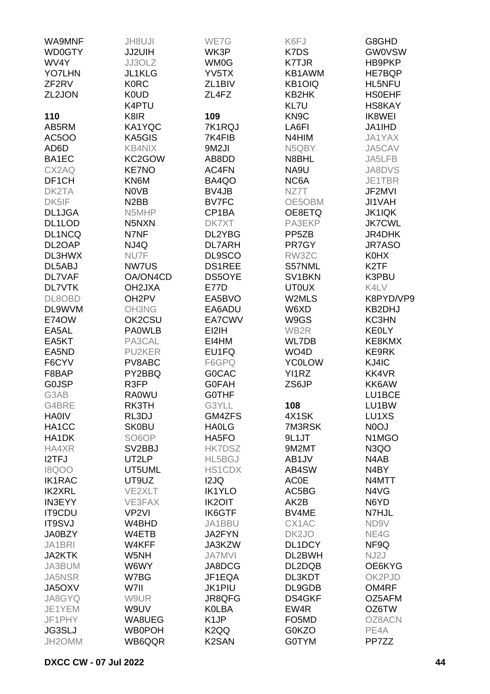| <b>WD0GTY</b><br>WK3P<br>K7DS<br><b>GW0VSW</b><br>JJ2UIH<br>WV4Y<br>JJ3OLZ<br>WM0G<br><b>K7TJR</b><br>HB9PKP<br><b>YO7LHN</b><br>JL1KLG<br>YV5TX<br>KB1AWM<br>HE7BQP<br><b>K0RC</b><br>KB1OIQ<br>ZF <sub>2RV</sub><br>ZL1BIV<br>HL5NFU<br>K0UD<br>ZL2JON<br>ZL4FZ<br>KB2HK<br><b>HSOEHF</b><br>K4PTU<br>KL7U<br>HS8KAY<br>109<br>KN <sub>9</sub> C<br>110<br>K8IR<br>IK8WEI<br>KA1YQC<br>7K1RQJ<br>AB5RM<br>LA6FI<br>JA1IHD<br><b>AC5OO</b><br>KA5GIS<br>7K4FIB<br>N4HIM<br>JA1YAX<br><b>KB4NIX</b><br>9M2JI<br>JA5CAV<br>AD6D<br>N5QBY<br>BA1EC<br>KC2GOW<br>AB8DD<br>N8BHL<br>JA5LFB<br>NA9U<br>CX2AQ<br><b>KE7NO</b><br>AC4FN<br><b>JA8DVS</b><br>BA4QO<br>DF1CH<br>KN6M<br>NC6A<br>JE1TBR<br><b>NOVB</b><br>BV4JB<br>DK2TA<br>NZ7T<br>JF2MVI<br>N <sub>2</sub> BB<br>DK5IF<br><b>BV7FC</b><br>OE5OBM<br>JI1VAH<br><b>JK1IQK</b><br>DL1JGA<br>N5MHP<br>CP1BA<br>OE8ETQ<br>DL1LOD<br><b>JK7CWL</b><br>N5NXN<br>DK7XT<br>PA3EKP<br>N7NF<br>DL1NCQ<br>DL2YBG<br>PP <sub>5</sub> ZB<br>JR4DHK<br>DL2OAP<br>NJ4Q<br><b>DL7ARH</b><br>PR7GY<br><b>JR7ASO</b><br>DL3HWX<br>NU7F<br>DL9SCO<br>RW3ZC<br><b>K0HX</b><br>DS1REE<br>DL5ABJ<br><b>NW7US</b><br>S57NML<br>K <sub>2</sub> TF<br>OA/ON4CD<br>DS5OYE<br>SV1BKN<br>K3PBU<br><b>DL7VAF</b><br><b>DL7VTK</b><br>OH2JXA<br><b>E77D</b><br><b>UT0UX</b><br>K4LV<br>OH <sub>2</sub> PV<br>EA5BVO<br>K8PYD/VP9<br>DL8OBD<br>W2MLS<br>DL9WVM<br>OH3NG<br>EA6ADU<br>W6XD<br>KB2DHJ<br>E74OW<br>OK2CSU<br>EA7CWV<br>W9GS<br>KC3HN<br>EA5AL<br><b>PA0WLB</b><br>EI2IH<br>WB2R<br><b>KEOLY</b><br>PA3CAL<br>KE8KMX<br>EA5KT<br>EI4HM<br>WL7DB<br><b>PU2KER</b><br>EU1FQ<br>WO <sub>4</sub> D<br><b>KE9RK</b><br>EA5ND<br>F6CYV<br>PV8ABC<br>F6GPQ<br><b>YC0LOW</b><br>KJ4IC<br>PY2BBQ<br>YI1RZ<br>KK4VR<br>F8BAP<br><b>GOCAC</b><br>R3FP<br><b>GOFAH</b><br><b>GOJSP</b><br>ZS6JP<br>KK6AW<br><b>RA0WU</b><br>G3AB<br><b>GOTHF</b><br>LU1BCE<br>RK3TH<br>G3YLL<br>LU1BW<br>G4BRE<br>108<br>RL3DJ<br>4X1SK<br>LU1XS<br><b>HA0IV</b><br>GM4ZFS<br>HA1CC<br><b>SK0BU</b><br><b>HAOLG</b><br>7M3RSK<br>N <sub>0</sub> OJ<br>HA1DK<br>SO <sub>6</sub> O <sub>P</sub><br>HA5FO<br>9L1JT<br>N <sub>1</sub> M <sub>G</sub> O<br>HA4XR<br>SV <sub>2</sub> BBJ<br><b>HK7DSZ</b><br>9M2MT<br>N <sub>3</sub> QO<br>I2TFJ<br>UT2LP<br>HL5BGJ<br>AB1JV<br>N4AB<br><b>I8QOO</b><br>UT5UML<br><b>HS1CDX</b><br>AB4SW<br>N4BY<br><b>IK1RAC</b><br>UT9UZ<br>I2JQ<br><b>AC0E</b><br>N4MTT<br><b>IK2XRL</b><br>VE2XLT<br><b>IK1YLO</b><br>AC5BG<br>N4VG<br><b>IN3EYY</b><br>VE3FAX<br><b>IK2OIT</b><br>AK2B<br>N6YD<br><b>IK6GTF</b><br><b>IT9CDU</b><br>VP <sub>2VI</sub><br>BV4ME<br>N7HJL<br>CX1AC<br><b>IT9SVJ</b><br>W4BHD<br>JA1BBU<br>ND9V<br><b>JA0BZY</b><br>W4ETB<br>JA2FYN<br>DK <sub>2</sub> JO<br>NE4G<br>JA1BRI<br>W4KFF<br>JA3KZW<br>DL1DCY<br>NF9Q<br><b>JA2KTK</b><br><b>JA7MVI</b><br>DL2BWH<br>NJ2J<br>W5NH<br>JA3BUM<br>W6WY<br>JA8DCG<br>DL2DQB<br>OE6KYG<br><b>JA5NSR</b><br>W7BG<br>JF1EQA<br>DL3KDT<br>OK2PJD<br><b>JK1PIU</b><br>JA5OXV<br>W7II<br>DL9GDB<br>OM4RF<br>JA8GYQ<br>W9UR<br>JR8QFG<br>DS4GKF<br>OZ5AFM<br>JE1YEM<br>W9UV<br><b>K0LBA</b><br>EW4R<br>OZ6TW<br>K <sub>1</sub> JP<br>JF1PHY<br>WA8UEG<br>FO5MD<br>OZ8ACN<br><b>JG3SLJ</b><br><b>WB0POH</b><br>K <sub>2</sub> QQ<br><b>G0KZO</b><br>PE4A<br>WB6QQR<br>K <sub>2</sub> SAN<br><b>G0TYM</b><br>JH2OMM<br>PP7ZZ | WA9MNF | <b>JH8UJI</b> | WE7G | K6FJ | G8GHD |
|--------------------------------------------------------------------------------------------------------------------------------------------------------------------------------------------------------------------------------------------------------------------------------------------------------------------------------------------------------------------------------------------------------------------------------------------------------------------------------------------------------------------------------------------------------------------------------------------------------------------------------------------------------------------------------------------------------------------------------------------------------------------------------------------------------------------------------------------------------------------------------------------------------------------------------------------------------------------------------------------------------------------------------------------------------------------------------------------------------------------------------------------------------------------------------------------------------------------------------------------------------------------------------------------------------------------------------------------------------------------------------------------------------------------------------------------------------------------------------------------------------------------------------------------------------------------------------------------------------------------------------------------------------------------------------------------------------------------------------------------------------------------------------------------------------------------------------------------------------------------------------------------------------------------------------------------------------------------------------------------------------------------------------------------------------------------------------------------------------------------------------------------------------------------------------------------------------------------------------------------------------------------------------------------------------------------------------------------------------------------------------------------------------------------------------------------------------------------------------------------------------------------------------------------------------------------------------------------------------------------------------------------------------------------------------------------------------------------------------------------------------------------------------------------------------------------------------------------------------------------------------------------------------------------------------------------------------------------------------------------------------------------------------------------------------------------------------------------------------------------------------------------------------------------------------------------------------------------------------------------------------------------------------------------------------------------------------|--------|---------------|------|------|-------|
|                                                                                                                                                                                                                                                                                                                                                                                                                                                                                                                                                                                                                                                                                                                                                                                                                                                                                                                                                                                                                                                                                                                                                                                                                                                                                                                                                                                                                                                                                                                                                                                                                                                                                                                                                                                                                                                                                                                                                                                                                                                                                                                                                                                                                                                                                                                                                                                                                                                                                                                                                                                                                                                                                                                                                                                                                                                                                                                                                                                                                                                                                                                                                                                                                                                                                                                                |        |               |      |      |       |
|                                                                                                                                                                                                                                                                                                                                                                                                                                                                                                                                                                                                                                                                                                                                                                                                                                                                                                                                                                                                                                                                                                                                                                                                                                                                                                                                                                                                                                                                                                                                                                                                                                                                                                                                                                                                                                                                                                                                                                                                                                                                                                                                                                                                                                                                                                                                                                                                                                                                                                                                                                                                                                                                                                                                                                                                                                                                                                                                                                                                                                                                                                                                                                                                                                                                                                                                |        |               |      |      |       |
|                                                                                                                                                                                                                                                                                                                                                                                                                                                                                                                                                                                                                                                                                                                                                                                                                                                                                                                                                                                                                                                                                                                                                                                                                                                                                                                                                                                                                                                                                                                                                                                                                                                                                                                                                                                                                                                                                                                                                                                                                                                                                                                                                                                                                                                                                                                                                                                                                                                                                                                                                                                                                                                                                                                                                                                                                                                                                                                                                                                                                                                                                                                                                                                                                                                                                                                                |        |               |      |      |       |
|                                                                                                                                                                                                                                                                                                                                                                                                                                                                                                                                                                                                                                                                                                                                                                                                                                                                                                                                                                                                                                                                                                                                                                                                                                                                                                                                                                                                                                                                                                                                                                                                                                                                                                                                                                                                                                                                                                                                                                                                                                                                                                                                                                                                                                                                                                                                                                                                                                                                                                                                                                                                                                                                                                                                                                                                                                                                                                                                                                                                                                                                                                                                                                                                                                                                                                                                |        |               |      |      |       |
|                                                                                                                                                                                                                                                                                                                                                                                                                                                                                                                                                                                                                                                                                                                                                                                                                                                                                                                                                                                                                                                                                                                                                                                                                                                                                                                                                                                                                                                                                                                                                                                                                                                                                                                                                                                                                                                                                                                                                                                                                                                                                                                                                                                                                                                                                                                                                                                                                                                                                                                                                                                                                                                                                                                                                                                                                                                                                                                                                                                                                                                                                                                                                                                                                                                                                                                                |        |               |      |      |       |
|                                                                                                                                                                                                                                                                                                                                                                                                                                                                                                                                                                                                                                                                                                                                                                                                                                                                                                                                                                                                                                                                                                                                                                                                                                                                                                                                                                                                                                                                                                                                                                                                                                                                                                                                                                                                                                                                                                                                                                                                                                                                                                                                                                                                                                                                                                                                                                                                                                                                                                                                                                                                                                                                                                                                                                                                                                                                                                                                                                                                                                                                                                                                                                                                                                                                                                                                |        |               |      |      |       |
|                                                                                                                                                                                                                                                                                                                                                                                                                                                                                                                                                                                                                                                                                                                                                                                                                                                                                                                                                                                                                                                                                                                                                                                                                                                                                                                                                                                                                                                                                                                                                                                                                                                                                                                                                                                                                                                                                                                                                                                                                                                                                                                                                                                                                                                                                                                                                                                                                                                                                                                                                                                                                                                                                                                                                                                                                                                                                                                                                                                                                                                                                                                                                                                                                                                                                                                                |        |               |      |      |       |
|                                                                                                                                                                                                                                                                                                                                                                                                                                                                                                                                                                                                                                                                                                                                                                                                                                                                                                                                                                                                                                                                                                                                                                                                                                                                                                                                                                                                                                                                                                                                                                                                                                                                                                                                                                                                                                                                                                                                                                                                                                                                                                                                                                                                                                                                                                                                                                                                                                                                                                                                                                                                                                                                                                                                                                                                                                                                                                                                                                                                                                                                                                                                                                                                                                                                                                                                |        |               |      |      |       |
|                                                                                                                                                                                                                                                                                                                                                                                                                                                                                                                                                                                                                                                                                                                                                                                                                                                                                                                                                                                                                                                                                                                                                                                                                                                                                                                                                                                                                                                                                                                                                                                                                                                                                                                                                                                                                                                                                                                                                                                                                                                                                                                                                                                                                                                                                                                                                                                                                                                                                                                                                                                                                                                                                                                                                                                                                                                                                                                                                                                                                                                                                                                                                                                                                                                                                                                                |        |               |      |      |       |
|                                                                                                                                                                                                                                                                                                                                                                                                                                                                                                                                                                                                                                                                                                                                                                                                                                                                                                                                                                                                                                                                                                                                                                                                                                                                                                                                                                                                                                                                                                                                                                                                                                                                                                                                                                                                                                                                                                                                                                                                                                                                                                                                                                                                                                                                                                                                                                                                                                                                                                                                                                                                                                                                                                                                                                                                                                                                                                                                                                                                                                                                                                                                                                                                                                                                                                                                |        |               |      |      |       |
|                                                                                                                                                                                                                                                                                                                                                                                                                                                                                                                                                                                                                                                                                                                                                                                                                                                                                                                                                                                                                                                                                                                                                                                                                                                                                                                                                                                                                                                                                                                                                                                                                                                                                                                                                                                                                                                                                                                                                                                                                                                                                                                                                                                                                                                                                                                                                                                                                                                                                                                                                                                                                                                                                                                                                                                                                                                                                                                                                                                                                                                                                                                                                                                                                                                                                                                                |        |               |      |      |       |
|                                                                                                                                                                                                                                                                                                                                                                                                                                                                                                                                                                                                                                                                                                                                                                                                                                                                                                                                                                                                                                                                                                                                                                                                                                                                                                                                                                                                                                                                                                                                                                                                                                                                                                                                                                                                                                                                                                                                                                                                                                                                                                                                                                                                                                                                                                                                                                                                                                                                                                                                                                                                                                                                                                                                                                                                                                                                                                                                                                                                                                                                                                                                                                                                                                                                                                                                |        |               |      |      |       |
|                                                                                                                                                                                                                                                                                                                                                                                                                                                                                                                                                                                                                                                                                                                                                                                                                                                                                                                                                                                                                                                                                                                                                                                                                                                                                                                                                                                                                                                                                                                                                                                                                                                                                                                                                                                                                                                                                                                                                                                                                                                                                                                                                                                                                                                                                                                                                                                                                                                                                                                                                                                                                                                                                                                                                                                                                                                                                                                                                                                                                                                                                                                                                                                                                                                                                                                                |        |               |      |      |       |
|                                                                                                                                                                                                                                                                                                                                                                                                                                                                                                                                                                                                                                                                                                                                                                                                                                                                                                                                                                                                                                                                                                                                                                                                                                                                                                                                                                                                                                                                                                                                                                                                                                                                                                                                                                                                                                                                                                                                                                                                                                                                                                                                                                                                                                                                                                                                                                                                                                                                                                                                                                                                                                                                                                                                                                                                                                                                                                                                                                                                                                                                                                                                                                                                                                                                                                                                |        |               |      |      |       |
|                                                                                                                                                                                                                                                                                                                                                                                                                                                                                                                                                                                                                                                                                                                                                                                                                                                                                                                                                                                                                                                                                                                                                                                                                                                                                                                                                                                                                                                                                                                                                                                                                                                                                                                                                                                                                                                                                                                                                                                                                                                                                                                                                                                                                                                                                                                                                                                                                                                                                                                                                                                                                                                                                                                                                                                                                                                                                                                                                                                                                                                                                                                                                                                                                                                                                                                                |        |               |      |      |       |
|                                                                                                                                                                                                                                                                                                                                                                                                                                                                                                                                                                                                                                                                                                                                                                                                                                                                                                                                                                                                                                                                                                                                                                                                                                                                                                                                                                                                                                                                                                                                                                                                                                                                                                                                                                                                                                                                                                                                                                                                                                                                                                                                                                                                                                                                                                                                                                                                                                                                                                                                                                                                                                                                                                                                                                                                                                                                                                                                                                                                                                                                                                                                                                                                                                                                                                                                |        |               |      |      |       |
|                                                                                                                                                                                                                                                                                                                                                                                                                                                                                                                                                                                                                                                                                                                                                                                                                                                                                                                                                                                                                                                                                                                                                                                                                                                                                                                                                                                                                                                                                                                                                                                                                                                                                                                                                                                                                                                                                                                                                                                                                                                                                                                                                                                                                                                                                                                                                                                                                                                                                                                                                                                                                                                                                                                                                                                                                                                                                                                                                                                                                                                                                                                                                                                                                                                                                                                                |        |               |      |      |       |
|                                                                                                                                                                                                                                                                                                                                                                                                                                                                                                                                                                                                                                                                                                                                                                                                                                                                                                                                                                                                                                                                                                                                                                                                                                                                                                                                                                                                                                                                                                                                                                                                                                                                                                                                                                                                                                                                                                                                                                                                                                                                                                                                                                                                                                                                                                                                                                                                                                                                                                                                                                                                                                                                                                                                                                                                                                                                                                                                                                                                                                                                                                                                                                                                                                                                                                                                |        |               |      |      |       |
|                                                                                                                                                                                                                                                                                                                                                                                                                                                                                                                                                                                                                                                                                                                                                                                                                                                                                                                                                                                                                                                                                                                                                                                                                                                                                                                                                                                                                                                                                                                                                                                                                                                                                                                                                                                                                                                                                                                                                                                                                                                                                                                                                                                                                                                                                                                                                                                                                                                                                                                                                                                                                                                                                                                                                                                                                                                                                                                                                                                                                                                                                                                                                                                                                                                                                                                                |        |               |      |      |       |
|                                                                                                                                                                                                                                                                                                                                                                                                                                                                                                                                                                                                                                                                                                                                                                                                                                                                                                                                                                                                                                                                                                                                                                                                                                                                                                                                                                                                                                                                                                                                                                                                                                                                                                                                                                                                                                                                                                                                                                                                                                                                                                                                                                                                                                                                                                                                                                                                                                                                                                                                                                                                                                                                                                                                                                                                                                                                                                                                                                                                                                                                                                                                                                                                                                                                                                                                |        |               |      |      |       |
|                                                                                                                                                                                                                                                                                                                                                                                                                                                                                                                                                                                                                                                                                                                                                                                                                                                                                                                                                                                                                                                                                                                                                                                                                                                                                                                                                                                                                                                                                                                                                                                                                                                                                                                                                                                                                                                                                                                                                                                                                                                                                                                                                                                                                                                                                                                                                                                                                                                                                                                                                                                                                                                                                                                                                                                                                                                                                                                                                                                                                                                                                                                                                                                                                                                                                                                                |        |               |      |      |       |
|                                                                                                                                                                                                                                                                                                                                                                                                                                                                                                                                                                                                                                                                                                                                                                                                                                                                                                                                                                                                                                                                                                                                                                                                                                                                                                                                                                                                                                                                                                                                                                                                                                                                                                                                                                                                                                                                                                                                                                                                                                                                                                                                                                                                                                                                                                                                                                                                                                                                                                                                                                                                                                                                                                                                                                                                                                                                                                                                                                                                                                                                                                                                                                                                                                                                                                                                |        |               |      |      |       |
|                                                                                                                                                                                                                                                                                                                                                                                                                                                                                                                                                                                                                                                                                                                                                                                                                                                                                                                                                                                                                                                                                                                                                                                                                                                                                                                                                                                                                                                                                                                                                                                                                                                                                                                                                                                                                                                                                                                                                                                                                                                                                                                                                                                                                                                                                                                                                                                                                                                                                                                                                                                                                                                                                                                                                                                                                                                                                                                                                                                                                                                                                                                                                                                                                                                                                                                                |        |               |      |      |       |
|                                                                                                                                                                                                                                                                                                                                                                                                                                                                                                                                                                                                                                                                                                                                                                                                                                                                                                                                                                                                                                                                                                                                                                                                                                                                                                                                                                                                                                                                                                                                                                                                                                                                                                                                                                                                                                                                                                                                                                                                                                                                                                                                                                                                                                                                                                                                                                                                                                                                                                                                                                                                                                                                                                                                                                                                                                                                                                                                                                                                                                                                                                                                                                                                                                                                                                                                |        |               |      |      |       |
|                                                                                                                                                                                                                                                                                                                                                                                                                                                                                                                                                                                                                                                                                                                                                                                                                                                                                                                                                                                                                                                                                                                                                                                                                                                                                                                                                                                                                                                                                                                                                                                                                                                                                                                                                                                                                                                                                                                                                                                                                                                                                                                                                                                                                                                                                                                                                                                                                                                                                                                                                                                                                                                                                                                                                                                                                                                                                                                                                                                                                                                                                                                                                                                                                                                                                                                                |        |               |      |      |       |
|                                                                                                                                                                                                                                                                                                                                                                                                                                                                                                                                                                                                                                                                                                                                                                                                                                                                                                                                                                                                                                                                                                                                                                                                                                                                                                                                                                                                                                                                                                                                                                                                                                                                                                                                                                                                                                                                                                                                                                                                                                                                                                                                                                                                                                                                                                                                                                                                                                                                                                                                                                                                                                                                                                                                                                                                                                                                                                                                                                                                                                                                                                                                                                                                                                                                                                                                |        |               |      |      |       |
|                                                                                                                                                                                                                                                                                                                                                                                                                                                                                                                                                                                                                                                                                                                                                                                                                                                                                                                                                                                                                                                                                                                                                                                                                                                                                                                                                                                                                                                                                                                                                                                                                                                                                                                                                                                                                                                                                                                                                                                                                                                                                                                                                                                                                                                                                                                                                                                                                                                                                                                                                                                                                                                                                                                                                                                                                                                                                                                                                                                                                                                                                                                                                                                                                                                                                                                                |        |               |      |      |       |
|                                                                                                                                                                                                                                                                                                                                                                                                                                                                                                                                                                                                                                                                                                                                                                                                                                                                                                                                                                                                                                                                                                                                                                                                                                                                                                                                                                                                                                                                                                                                                                                                                                                                                                                                                                                                                                                                                                                                                                                                                                                                                                                                                                                                                                                                                                                                                                                                                                                                                                                                                                                                                                                                                                                                                                                                                                                                                                                                                                                                                                                                                                                                                                                                                                                                                                                                |        |               |      |      |       |
|                                                                                                                                                                                                                                                                                                                                                                                                                                                                                                                                                                                                                                                                                                                                                                                                                                                                                                                                                                                                                                                                                                                                                                                                                                                                                                                                                                                                                                                                                                                                                                                                                                                                                                                                                                                                                                                                                                                                                                                                                                                                                                                                                                                                                                                                                                                                                                                                                                                                                                                                                                                                                                                                                                                                                                                                                                                                                                                                                                                                                                                                                                                                                                                                                                                                                                                                |        |               |      |      |       |
|                                                                                                                                                                                                                                                                                                                                                                                                                                                                                                                                                                                                                                                                                                                                                                                                                                                                                                                                                                                                                                                                                                                                                                                                                                                                                                                                                                                                                                                                                                                                                                                                                                                                                                                                                                                                                                                                                                                                                                                                                                                                                                                                                                                                                                                                                                                                                                                                                                                                                                                                                                                                                                                                                                                                                                                                                                                                                                                                                                                                                                                                                                                                                                                                                                                                                                                                |        |               |      |      |       |
|                                                                                                                                                                                                                                                                                                                                                                                                                                                                                                                                                                                                                                                                                                                                                                                                                                                                                                                                                                                                                                                                                                                                                                                                                                                                                                                                                                                                                                                                                                                                                                                                                                                                                                                                                                                                                                                                                                                                                                                                                                                                                                                                                                                                                                                                                                                                                                                                                                                                                                                                                                                                                                                                                                                                                                                                                                                                                                                                                                                                                                                                                                                                                                                                                                                                                                                                |        |               |      |      |       |
|                                                                                                                                                                                                                                                                                                                                                                                                                                                                                                                                                                                                                                                                                                                                                                                                                                                                                                                                                                                                                                                                                                                                                                                                                                                                                                                                                                                                                                                                                                                                                                                                                                                                                                                                                                                                                                                                                                                                                                                                                                                                                                                                                                                                                                                                                                                                                                                                                                                                                                                                                                                                                                                                                                                                                                                                                                                                                                                                                                                                                                                                                                                                                                                                                                                                                                                                |        |               |      |      |       |
|                                                                                                                                                                                                                                                                                                                                                                                                                                                                                                                                                                                                                                                                                                                                                                                                                                                                                                                                                                                                                                                                                                                                                                                                                                                                                                                                                                                                                                                                                                                                                                                                                                                                                                                                                                                                                                                                                                                                                                                                                                                                                                                                                                                                                                                                                                                                                                                                                                                                                                                                                                                                                                                                                                                                                                                                                                                                                                                                                                                                                                                                                                                                                                                                                                                                                                                                |        |               |      |      |       |
|                                                                                                                                                                                                                                                                                                                                                                                                                                                                                                                                                                                                                                                                                                                                                                                                                                                                                                                                                                                                                                                                                                                                                                                                                                                                                                                                                                                                                                                                                                                                                                                                                                                                                                                                                                                                                                                                                                                                                                                                                                                                                                                                                                                                                                                                                                                                                                                                                                                                                                                                                                                                                                                                                                                                                                                                                                                                                                                                                                                                                                                                                                                                                                                                                                                                                                                                |        |               |      |      |       |
|                                                                                                                                                                                                                                                                                                                                                                                                                                                                                                                                                                                                                                                                                                                                                                                                                                                                                                                                                                                                                                                                                                                                                                                                                                                                                                                                                                                                                                                                                                                                                                                                                                                                                                                                                                                                                                                                                                                                                                                                                                                                                                                                                                                                                                                                                                                                                                                                                                                                                                                                                                                                                                                                                                                                                                                                                                                                                                                                                                                                                                                                                                                                                                                                                                                                                                                                |        |               |      |      |       |
|                                                                                                                                                                                                                                                                                                                                                                                                                                                                                                                                                                                                                                                                                                                                                                                                                                                                                                                                                                                                                                                                                                                                                                                                                                                                                                                                                                                                                                                                                                                                                                                                                                                                                                                                                                                                                                                                                                                                                                                                                                                                                                                                                                                                                                                                                                                                                                                                                                                                                                                                                                                                                                                                                                                                                                                                                                                                                                                                                                                                                                                                                                                                                                                                                                                                                                                                |        |               |      |      |       |
|                                                                                                                                                                                                                                                                                                                                                                                                                                                                                                                                                                                                                                                                                                                                                                                                                                                                                                                                                                                                                                                                                                                                                                                                                                                                                                                                                                                                                                                                                                                                                                                                                                                                                                                                                                                                                                                                                                                                                                                                                                                                                                                                                                                                                                                                                                                                                                                                                                                                                                                                                                                                                                                                                                                                                                                                                                                                                                                                                                                                                                                                                                                                                                                                                                                                                                                                |        |               |      |      |       |
|                                                                                                                                                                                                                                                                                                                                                                                                                                                                                                                                                                                                                                                                                                                                                                                                                                                                                                                                                                                                                                                                                                                                                                                                                                                                                                                                                                                                                                                                                                                                                                                                                                                                                                                                                                                                                                                                                                                                                                                                                                                                                                                                                                                                                                                                                                                                                                                                                                                                                                                                                                                                                                                                                                                                                                                                                                                                                                                                                                                                                                                                                                                                                                                                                                                                                                                                |        |               |      |      |       |
|                                                                                                                                                                                                                                                                                                                                                                                                                                                                                                                                                                                                                                                                                                                                                                                                                                                                                                                                                                                                                                                                                                                                                                                                                                                                                                                                                                                                                                                                                                                                                                                                                                                                                                                                                                                                                                                                                                                                                                                                                                                                                                                                                                                                                                                                                                                                                                                                                                                                                                                                                                                                                                                                                                                                                                                                                                                                                                                                                                                                                                                                                                                                                                                                                                                                                                                                |        |               |      |      |       |
|                                                                                                                                                                                                                                                                                                                                                                                                                                                                                                                                                                                                                                                                                                                                                                                                                                                                                                                                                                                                                                                                                                                                                                                                                                                                                                                                                                                                                                                                                                                                                                                                                                                                                                                                                                                                                                                                                                                                                                                                                                                                                                                                                                                                                                                                                                                                                                                                                                                                                                                                                                                                                                                                                                                                                                                                                                                                                                                                                                                                                                                                                                                                                                                                                                                                                                                                |        |               |      |      |       |
|                                                                                                                                                                                                                                                                                                                                                                                                                                                                                                                                                                                                                                                                                                                                                                                                                                                                                                                                                                                                                                                                                                                                                                                                                                                                                                                                                                                                                                                                                                                                                                                                                                                                                                                                                                                                                                                                                                                                                                                                                                                                                                                                                                                                                                                                                                                                                                                                                                                                                                                                                                                                                                                                                                                                                                                                                                                                                                                                                                                                                                                                                                                                                                                                                                                                                                                                |        |               |      |      |       |
|                                                                                                                                                                                                                                                                                                                                                                                                                                                                                                                                                                                                                                                                                                                                                                                                                                                                                                                                                                                                                                                                                                                                                                                                                                                                                                                                                                                                                                                                                                                                                                                                                                                                                                                                                                                                                                                                                                                                                                                                                                                                                                                                                                                                                                                                                                                                                                                                                                                                                                                                                                                                                                                                                                                                                                                                                                                                                                                                                                                                                                                                                                                                                                                                                                                                                                                                |        |               |      |      |       |
|                                                                                                                                                                                                                                                                                                                                                                                                                                                                                                                                                                                                                                                                                                                                                                                                                                                                                                                                                                                                                                                                                                                                                                                                                                                                                                                                                                                                                                                                                                                                                                                                                                                                                                                                                                                                                                                                                                                                                                                                                                                                                                                                                                                                                                                                                                                                                                                                                                                                                                                                                                                                                                                                                                                                                                                                                                                                                                                                                                                                                                                                                                                                                                                                                                                                                                                                |        |               |      |      |       |
|                                                                                                                                                                                                                                                                                                                                                                                                                                                                                                                                                                                                                                                                                                                                                                                                                                                                                                                                                                                                                                                                                                                                                                                                                                                                                                                                                                                                                                                                                                                                                                                                                                                                                                                                                                                                                                                                                                                                                                                                                                                                                                                                                                                                                                                                                                                                                                                                                                                                                                                                                                                                                                                                                                                                                                                                                                                                                                                                                                                                                                                                                                                                                                                                                                                                                                                                |        |               |      |      |       |
|                                                                                                                                                                                                                                                                                                                                                                                                                                                                                                                                                                                                                                                                                                                                                                                                                                                                                                                                                                                                                                                                                                                                                                                                                                                                                                                                                                                                                                                                                                                                                                                                                                                                                                                                                                                                                                                                                                                                                                                                                                                                                                                                                                                                                                                                                                                                                                                                                                                                                                                                                                                                                                                                                                                                                                                                                                                                                                                                                                                                                                                                                                                                                                                                                                                                                                                                |        |               |      |      |       |
|                                                                                                                                                                                                                                                                                                                                                                                                                                                                                                                                                                                                                                                                                                                                                                                                                                                                                                                                                                                                                                                                                                                                                                                                                                                                                                                                                                                                                                                                                                                                                                                                                                                                                                                                                                                                                                                                                                                                                                                                                                                                                                                                                                                                                                                                                                                                                                                                                                                                                                                                                                                                                                                                                                                                                                                                                                                                                                                                                                                                                                                                                                                                                                                                                                                                                                                                |        |               |      |      |       |
|                                                                                                                                                                                                                                                                                                                                                                                                                                                                                                                                                                                                                                                                                                                                                                                                                                                                                                                                                                                                                                                                                                                                                                                                                                                                                                                                                                                                                                                                                                                                                                                                                                                                                                                                                                                                                                                                                                                                                                                                                                                                                                                                                                                                                                                                                                                                                                                                                                                                                                                                                                                                                                                                                                                                                                                                                                                                                                                                                                                                                                                                                                                                                                                                                                                                                                                                |        |               |      |      |       |
|                                                                                                                                                                                                                                                                                                                                                                                                                                                                                                                                                                                                                                                                                                                                                                                                                                                                                                                                                                                                                                                                                                                                                                                                                                                                                                                                                                                                                                                                                                                                                                                                                                                                                                                                                                                                                                                                                                                                                                                                                                                                                                                                                                                                                                                                                                                                                                                                                                                                                                                                                                                                                                                                                                                                                                                                                                                                                                                                                                                                                                                                                                                                                                                                                                                                                                                                |        |               |      |      |       |
|                                                                                                                                                                                                                                                                                                                                                                                                                                                                                                                                                                                                                                                                                                                                                                                                                                                                                                                                                                                                                                                                                                                                                                                                                                                                                                                                                                                                                                                                                                                                                                                                                                                                                                                                                                                                                                                                                                                                                                                                                                                                                                                                                                                                                                                                                                                                                                                                                                                                                                                                                                                                                                                                                                                                                                                                                                                                                                                                                                                                                                                                                                                                                                                                                                                                                                                                |        |               |      |      |       |
|                                                                                                                                                                                                                                                                                                                                                                                                                                                                                                                                                                                                                                                                                                                                                                                                                                                                                                                                                                                                                                                                                                                                                                                                                                                                                                                                                                                                                                                                                                                                                                                                                                                                                                                                                                                                                                                                                                                                                                                                                                                                                                                                                                                                                                                                                                                                                                                                                                                                                                                                                                                                                                                                                                                                                                                                                                                                                                                                                                                                                                                                                                                                                                                                                                                                                                                                |        |               |      |      |       |
|                                                                                                                                                                                                                                                                                                                                                                                                                                                                                                                                                                                                                                                                                                                                                                                                                                                                                                                                                                                                                                                                                                                                                                                                                                                                                                                                                                                                                                                                                                                                                                                                                                                                                                                                                                                                                                                                                                                                                                                                                                                                                                                                                                                                                                                                                                                                                                                                                                                                                                                                                                                                                                                                                                                                                                                                                                                                                                                                                                                                                                                                                                                                                                                                                                                                                                                                |        |               |      |      |       |
|                                                                                                                                                                                                                                                                                                                                                                                                                                                                                                                                                                                                                                                                                                                                                                                                                                                                                                                                                                                                                                                                                                                                                                                                                                                                                                                                                                                                                                                                                                                                                                                                                                                                                                                                                                                                                                                                                                                                                                                                                                                                                                                                                                                                                                                                                                                                                                                                                                                                                                                                                                                                                                                                                                                                                                                                                                                                                                                                                                                                                                                                                                                                                                                                                                                                                                                                |        |               |      |      |       |
|                                                                                                                                                                                                                                                                                                                                                                                                                                                                                                                                                                                                                                                                                                                                                                                                                                                                                                                                                                                                                                                                                                                                                                                                                                                                                                                                                                                                                                                                                                                                                                                                                                                                                                                                                                                                                                                                                                                                                                                                                                                                                                                                                                                                                                                                                                                                                                                                                                                                                                                                                                                                                                                                                                                                                                                                                                                                                                                                                                                                                                                                                                                                                                                                                                                                                                                                |        |               |      |      |       |
|                                                                                                                                                                                                                                                                                                                                                                                                                                                                                                                                                                                                                                                                                                                                                                                                                                                                                                                                                                                                                                                                                                                                                                                                                                                                                                                                                                                                                                                                                                                                                                                                                                                                                                                                                                                                                                                                                                                                                                                                                                                                                                                                                                                                                                                                                                                                                                                                                                                                                                                                                                                                                                                                                                                                                                                                                                                                                                                                                                                                                                                                                                                                                                                                                                                                                                                                |        |               |      |      |       |
|                                                                                                                                                                                                                                                                                                                                                                                                                                                                                                                                                                                                                                                                                                                                                                                                                                                                                                                                                                                                                                                                                                                                                                                                                                                                                                                                                                                                                                                                                                                                                                                                                                                                                                                                                                                                                                                                                                                                                                                                                                                                                                                                                                                                                                                                                                                                                                                                                                                                                                                                                                                                                                                                                                                                                                                                                                                                                                                                                                                                                                                                                                                                                                                                                                                                                                                                |        |               |      |      |       |
|                                                                                                                                                                                                                                                                                                                                                                                                                                                                                                                                                                                                                                                                                                                                                                                                                                                                                                                                                                                                                                                                                                                                                                                                                                                                                                                                                                                                                                                                                                                                                                                                                                                                                                                                                                                                                                                                                                                                                                                                                                                                                                                                                                                                                                                                                                                                                                                                                                                                                                                                                                                                                                                                                                                                                                                                                                                                                                                                                                                                                                                                                                                                                                                                                                                                                                                                |        |               |      |      |       |
|                                                                                                                                                                                                                                                                                                                                                                                                                                                                                                                                                                                                                                                                                                                                                                                                                                                                                                                                                                                                                                                                                                                                                                                                                                                                                                                                                                                                                                                                                                                                                                                                                                                                                                                                                                                                                                                                                                                                                                                                                                                                                                                                                                                                                                                                                                                                                                                                                                                                                                                                                                                                                                                                                                                                                                                                                                                                                                                                                                                                                                                                                                                                                                                                                                                                                                                                |        |               |      |      |       |
|                                                                                                                                                                                                                                                                                                                                                                                                                                                                                                                                                                                                                                                                                                                                                                                                                                                                                                                                                                                                                                                                                                                                                                                                                                                                                                                                                                                                                                                                                                                                                                                                                                                                                                                                                                                                                                                                                                                                                                                                                                                                                                                                                                                                                                                                                                                                                                                                                                                                                                                                                                                                                                                                                                                                                                                                                                                                                                                                                                                                                                                                                                                                                                                                                                                                                                                                |        |               |      |      |       |
|                                                                                                                                                                                                                                                                                                                                                                                                                                                                                                                                                                                                                                                                                                                                                                                                                                                                                                                                                                                                                                                                                                                                                                                                                                                                                                                                                                                                                                                                                                                                                                                                                                                                                                                                                                                                                                                                                                                                                                                                                                                                                                                                                                                                                                                                                                                                                                                                                                                                                                                                                                                                                                                                                                                                                                                                                                                                                                                                                                                                                                                                                                                                                                                                                                                                                                                                |        |               |      |      |       |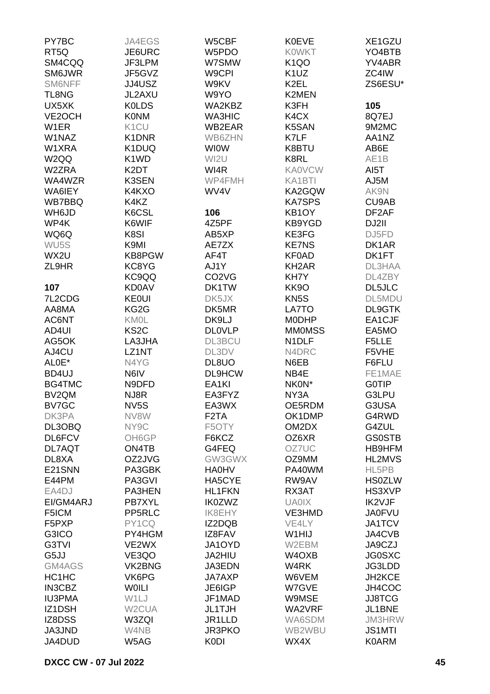| PY7BC              | JA4EGS             | W5CBF                          | <b>K0EVE</b>       | XE1GZU             |
|--------------------|--------------------|--------------------------------|--------------------|--------------------|
| RT <sub>5Q</sub>   | JE6URC             | W5PDO                          | <b>KOWKT</b>       | YO4BTB             |
| SM4CQQ             | JF3LPM             | W7SMW                          | K <sub>1</sub> QO  | YV4ABR             |
| SM6JWR             | JF5GVZ             | W9CPI                          | K <sub>1</sub> UZ  | ZC4IW              |
| SM6NFF             | JJ4USZ             | W9KV                           | K2EL               | ZS6ESU*            |
| TL8NG              | JL2AXU             | W9YO                           | K2MEN              |                    |
| UX5XK              | <b>KOLDS</b>       | WA2KBZ                         | K3FH               | 105                |
|                    |                    |                                |                    |                    |
| VE2OCH             | <b>K0NM</b>        | <b>WA3HIC</b>                  | K4CX               | 8Q7EJ              |
| W <sub>1</sub> ER  | K <sub>1</sub> CU  | WB2EAR                         | K5SAN              | 9M2MC              |
| W1NAZ              | K1DNR              | WB6ZHN                         | K7LF               | AA1NZ              |
| W1XRA              | K1DUQ              | <b>WIOW</b>                    | K8BTU              | AB6E               |
| W <sub>2QQ</sub>   | K1WD               | WI2U                           | K8RL               | AE1B               |
| W2ZRA              | K2DT               | WI4R                           | <b>KA0VCW</b>      | AI5T               |
| WA4WZR             | K3SEN              | WP4FMH                         | KA1BTI             | AJ5M               |
| WA6IEY             | K4KXO              | WV4V                           | KA2GQW             | AK9N               |
| WB7BBQ             | K4KZ               |                                | <b>KA7SPS</b>      | CU9AB              |
| WH6JD              | K6CSL              | 106                            | KB1OY              | DF <sub>2</sub> AF |
| WP4K               | K6WIF              | 4Z5PF                          | KB9YGD             | DJ2II              |
| WQ6Q               | K8SI               | AB5XP                          | KE3FG              | DJ5FD              |
| WU <sub>5</sub> S  | K9MI               | AE7ZX                          | <b>KE7NS</b>       | DK1AR              |
| WX2U               | KB8PGW             | AF4T                           | <b>KF0AD</b>       | DK1FT              |
| ZL9HR              | KC8YG              | AJ1Y                           | KH <sub>2</sub> AR | DL3HAA             |
|                    | KC9QQ              | CO <sub>2</sub> V <sub>G</sub> | KH7Y               | DL4ZBY             |
| 107                | <b>KD0AV</b>       | DK1TW                          | KK9O               | <b>DL5JLC</b>      |
| 7L2CDG             | <b>KE0UI</b>       | DK5JX                          | KN <sub>5</sub> S  | DL5MDU             |
| AA8MA              | KG2G               | DK5MR                          | LA7TO              | <b>DL9GTK</b>      |
| AC6NT              | <b>KM0L</b>        | DK9LJ                          | <b>MODHP</b>       | EA1CJF             |
| AD4UI              | KS <sub>2</sub> C  | <b>DLOVLP</b>                  | <b>MMOMSS</b>      | EA5MO              |
| AG5OK              | LA3JHA             | <b>DL3BCU</b>                  | N1DLF              | F5LLE              |
|                    |                    |                                |                    |                    |
| AJ4CU              | LZ1NT              | DL3DV                          | N4DRC              | F5VHE              |
| ALOE*              | N4YG               | DL8UO                          | N6EB               | F6FLU              |
| BD4UJ              | N6IV               | <b>DL9HCW</b>                  | NB4E               | FE1MAE             |
| BG4TMC             | N9DFD              | EA <sub>1KI</sub>              | NK0N*              | <b>GOTIP</b>       |
| BV <sub>2</sub> QM | NJ8R               | EA3FYZ                         | NY3A               | G3LPU              |
| BV7GC              | NV <sub>5</sub> S  | EA3WX                          | OE5RDM             | G3USA              |
| DK3PA              | NV8W               | F <sub>2</sub> TA              | OK1DMP             | G4RWD              |
| DL3OBQ             | NY9C               | F5OTY                          | OM2DX              | G4ZUL              |
| DL6FCV             | OH6GP              | F6KCZ                          | OZ6XR              | <b>GS0STB</b>      |
| DL7AQT             | ON4TB              | G4FEQ                          | OZ7UC              | HB9HFM             |
| DL8XA              | OZ2JVG             | GW3GWX                         | OZ9MM              | <b>HL2MVS</b>      |
| E21SNN             | PA3GBK             | <b>HA0HV</b>                   | PA40WM             | HL5PB              |
| E44PM              | PA3GVI             | HA5CYE                         | RW9AV              | <b>HS0ZLW</b>      |
| EA4DJ              | PA3HEN             | <b>HL1FKN</b>                  | RX3AT              | HS3XVP             |
| EI/GM4ARJ          | PB7XYL             | <b>IK0ZWZ</b>                  | <b>UA0IX</b>       | IK2VJF             |
| F5ICM              | PP5RLC             | <b>IK8EHY</b>                  | VE3HMD             | <b>JA0FVU</b>      |
| F5PXP              | PY1CQ              | IZ2DQB                         | VE4LY              | <b>JA1TCV</b>      |
| G3ICO              | PY4HGM             | IZ8FAV                         | W1HIJ              | JA4CVB             |
| G3TVI              | VE2WX              | JA1OYD                         | W2EBM              | JA9CZJ             |
| G5JJ               | VE3QO              | JA2HIU                         | W4OXB              | <b>JG0SXC</b>      |
| GM4AGS             | VK2BNG             | JA3EDN                         | W4RK               | JG3LDD             |
| HC1HC              | VK6PG              | JA7AXP                         | W6VEM              | JH2KCE             |
| <b>IN3CBZ</b>      | <b>WOILI</b>       | JE6IGP                         | W7GVE              | JH4COC             |
| <b>IU3PMA</b>      | W1LJ               | JF1MAD                         | W9MSE              | <b>JJ8TCG</b>      |
| IZ1DSH             | W <sub>2</sub> CUA | <b>JL1TJH</b>                  | WA2VRF             | JL1BNE             |
| IZ8DSS             | W3ZQI              | JR1LLD                         | WA6SDM             | <b>JM3HRW</b>      |
| JA3JND             | W4NB               | JR3PKO                         | WB2WBU             | <b>JS1MTI</b>      |
| JA4DUD             | W5AG               | <b>K0DI</b>                    | WX4X               | <b>K0ARM</b>       |
|                    |                    |                                |                    |                    |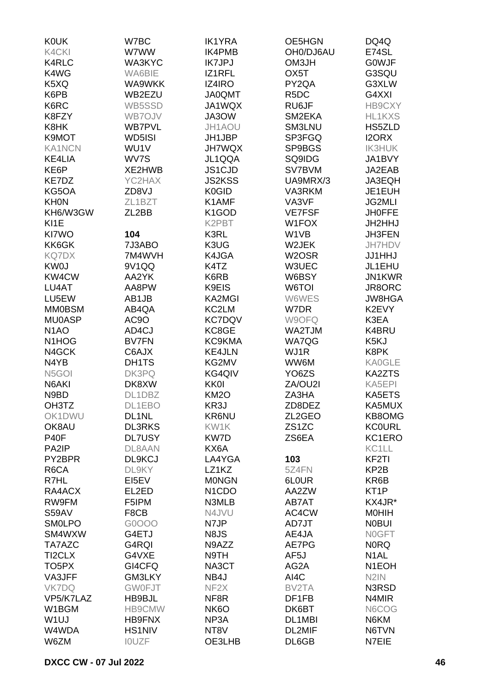| <b>KOUK</b>                    | W7BC          | <b>IK1YRA</b>                   | OE5HGN             | DQ4Q               |
|--------------------------------|---------------|---------------------------------|--------------------|--------------------|
| K4CKI                          | W7WW          | <b>IK4PMB</b>                   | OH0/DJ6AU          | E74SL              |
| <b>K4RLC</b>                   | WA3KYC        | <b>IK7JPJ</b>                   | OM3JH              | <b>GOWJF</b>       |
|                                |               | IZ1RFL                          |                    |                    |
| K4WG                           | WA6BIE        |                                 | OX <sub>5</sub> T  | G3SQU              |
| K5XQ                           | WA9WKK        | IZ4IRO                          | PY2QA              | G3XLW              |
| K6PB                           | WB2EZU        | <b>JA0QMT</b>                   | R <sub>5</sub> DC  | G4XXI              |
| K6RC                           | WB5SSD        | JA1WQX                          | RU6JF              | HB9CXY             |
| K8FZY                          | WB7OJV        | JA3OW                           | SM2EKA             | HL1KXS             |
| K8HK                           | <b>WB7PVL</b> | JH1AOU                          | SM3LNU             | HS5ZLD             |
| K9MOT                          | WD5ISI        | JH1JBP                          | SP3FGQ             | <b>I2ORX</b>       |
| <b>KA1NCN</b>                  | WU1V          | <b>JH7WQX</b>                   | SP9BGS             | <b>IK3HUK</b>      |
| <b>KE4LIA</b>                  | WV7S          | JL1QQA                          | SQ9IDG             | JA1BVY             |
| KE6P                           | XE2HWB        | JS1CJD                          | SV7BVM             | JA2EAB             |
| KE7DZ                          | YC2HAX        | <b>JS2KSS</b>                   | UA9MRX/3           | JA3EQH             |
| KG5OA                          | ZD8VJ         | K0GID                           | VA3RKM             | JE1EUH             |
|                                | ZL1BZT        |                                 |                    |                    |
| <b>KHON</b>                    |               | K1AMF                           | VA3VF              | <b>JG2MLI</b>      |
| KH6/W3GW                       | ZL2BB         | K <sub>1</sub> GOD              | <b>VE7FSF</b>      | <b>JH0FFE</b>      |
| KI1E                           |               | K2PBT                           | W1FOX              | JH2HHJ             |
| KI7WO                          | 104           | K3RL                            | W1VB               | JH3FEN             |
| KK6GK                          | 7J3ABO        | K3UG                            | W2JEK              | JH7HDV             |
| <b>KQ7DX</b>                   | 7M4WVH        | K4JGA                           | W2OSR              | <b>JJ1HHJ</b>      |
| <b>KW0J</b>                    | 9V1QQ         | K4TZ                            | W3UEC              | JL1EHU             |
| KW4CW                          | AA2YK         | K6RB                            | W6BSY              | JN1KWR             |
| LU4AT                          | AA8PW         | K9EIS                           | W6TOI              | JR8ORC             |
| LU5EW                          | AB1JB         | <b>KA2MGI</b>                   | W6WES              | <b>JW8HGA</b>      |
| <b>MM0BSM</b>                  | AB4QA         | KC2LM                           | W7DR               | K2EVY              |
| <b>MU0ASP</b>                  | AC9O          | <b>KC7DQV</b>                   | W9OFQ              | K3EA               |
|                                |               |                                 |                    |                    |
| N <sub>1</sub> AO              | AD4CJ         | KC8GE                           | WA2TJM             | K4BRU              |
| N <sub>1</sub> HO <sub>G</sub> | <b>BV7FN</b>  | KC9KMA                          | WA7QG              | K5KJ               |
| N4GCK                          | C6AJX         | <b>KE4JLN</b>                   | WJ1R               | K8PK               |
| N4YB                           | DH1TS         | KG2MV                           | WW6M               | <b>KA0GLE</b>      |
| N <sub>5</sub> GOI             | DK3PQ         | KG4QIV                          | YO <sub>6</sub> ZS | <b>KA2ZTS</b>      |
| N6AKI                          | DK8XW         | <b>KK0I</b>                     | ZA/OU2I            | KA5EPI             |
| N9BD                           | DL1DBZ        | <b>KM2O</b>                     | ZA3HA              | KA5ETS             |
| OH3TZ                          | DL1EBO        | KR3J                            | ZD8DEZ             | KA5MUX             |
| OK1DWU                         | DL1NL         | KR6NU                           | ZL2GEO             | KB8OMG             |
| OK8AU                          | <b>DL3RKS</b> | KW1K                            | ZS <sub>1</sub> ZC | <b>KC0URL</b>      |
| <b>P40F</b>                    | <b>DL7USY</b> | KW7D                            | ZS6EA              | KC1ERO             |
| PA2IP                          | DL8AAN        | KX6A                            |                    | KC1LL              |
| PY2BPR                         | DL9KCJ        | LA4YGA                          | 103                | KF <sub>2</sub> TI |
|                                |               |                                 |                    |                    |
| R6CA                           | DL9KY         | LZ1KZ                           | 5Z4FN              | KP <sub>2</sub> B  |
| R7HL                           | EI5EV         | <b>MONGN</b>                    | 6L0UR              | KR6B               |
| RA4ACX                         | EL2ED         | N <sub>1</sub> C <sub>D</sub> O | AA2ZW              | KT <sub>1</sub> P  |
| RW9FM                          | F5IPM         | N3MLB                           | AB7AT              | KX4JR*             |
| <b>S59AV</b>                   | F8CB          | N4JVU                           | AC4CW              | <b>MOHIH</b>       |
| <b>SMOLPO</b>                  | G0OOO         | N7JP                            | AD7JT              | <b>NOBUI</b>       |
| SM4WXW                         | G4ETJ         | N8JS                            | AE4JA              | <b>NOGFT</b>       |
| TA7AZC                         | G4RQI         | N9AZZ                           | AE7PG              | <b>NORQ</b>        |
| TI2CLX                         | G4VXE         | N9TH                            | AF <sub>5</sub> J  | N <sub>1</sub> AL  |
| TO <sub>5</sub> PX             | GI4CFQ        | NA3CT                           | AG2A               | N <sub>1</sub> EOH |
| VA3JFF                         | <b>GM3LKY</b> | NB4J                            | AI4C               | N <sub>2</sub> IN  |
| <b>VK7DQ</b>                   | <b>GW0FJT</b> | NF <sub>2</sub> X               | BV2TA              | N3RSD              |
| VP5/K7LAZ                      | HB9BJL        | NF8R                            | DF1FB              | N4MIR              |
|                                |               |                                 |                    |                    |
| W1BGM                          | HB9CMW        | NK <sub>6</sub> O               | DK6BT              | N6COG              |
| W <sub>1</sub> UJ              | HB9FNX        | NP3A                            | DL1MBI             | N6KM               |
| W4WDA                          | <b>HS1NIV</b> | NT8V                            | DL2MIF             | N6TVN              |
| W6ZM                           | <b>IOUZF</b>  | OE3LHB                          | DL6GB              | N7EIE              |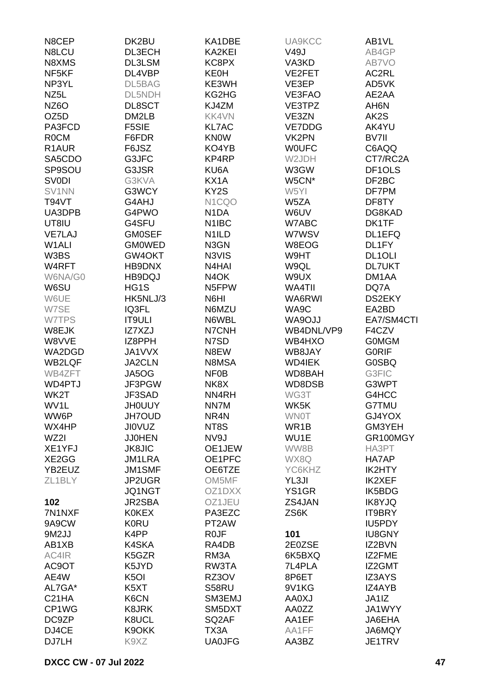| N8CEP              | DK2BU             | KA1DBE                         | UA9KCC           | AB1VL               |
|--------------------|-------------------|--------------------------------|------------------|---------------------|
| N8LCU              | DL3ECH            | KA2KEI                         | <b>V49J</b>      | AB4GP               |
| N8XMS              | DL3LSM            | KC8PX                          | VA3KD            | AB7VO               |
| NF <sub>5KF</sub>  | DL4VBP            | <b>KE0H</b>                    | VE2FET           | AC2RL               |
| NP3YL              | DL5BAG            | KE3WH                          | VE3EP            | AD5VK               |
| NZ <sub>5</sub> L  | DL5NDH            | KG2HG                          | VE3FAO           | AE2AA               |
| <b>NZ6O</b>        | DL8SCT            | KJ4ZM                          | VE3TPZ           | AH <sub>6</sub> N   |
| OZ5D               | DM2LB             | KK4VN                          | VE3ZN            | AK2S                |
| PA3FCD             | F5SIE             | <b>KL7AC</b>                   | VE7DDG           | AK4YU               |
| <b>ROCM</b>        | F6FDR             | <b>KNOW</b>                    | VK2PN            | BV7II               |
| R <sub>1</sub> AUR | F6JSZ             | KO4YB                          | <b>WOUFC</b>     | C6AQQ               |
| SA5CDO             | G3JFC             | KP4RP                          | W2JDH            | CT7/RC2A            |
| SP9SOU             | G3JSR             | KU6A                           | W3GW             | DF <sub>1</sub> OLS |
| <b>SV0DI</b>       | G3KVA             | KX1A                           | W5CN*            | DF <sub>2</sub> BC  |
| SV1NN              | G3WCY             | KY2S                           | W5YI             | DF7PM               |
| <b>T94VT</b>       | G4AHJ             | N <sub>1</sub> CQO             | W5ZA             | DF8TY               |
| UA3DPB             | G4PWO             | N <sub>1</sub> DA              | W6UV             | DG8KAD              |
| UT8IU              | G4SFU             | N <sub>1</sub> IBC             | W7ABC            | DK1TF               |
| <b>VE7LAJ</b>      | <b>GM0SEF</b>     | N <sub>1</sub> ILD             | W7WSV            | DL1EFQ              |
| W1ALI              | <b>GMOWED</b>     | N3GN                           | W8EOG            | DL1FY               |
| W3BS               | GW4OKT            | N3VIS                          | W9HT             | DL <sub>1</sub> OLI |
| W4RFT              | HB9DNX            | N <sub>4</sub> H <sub>AI</sub> | W9QL             | <b>DL7UKT</b>       |
| W6NA/G0            | HB9DQJ            | N <sub>4</sub> OK              | W9UX             | DM1AA               |
|                    |                   | N5FPW                          |                  |                     |
| W6SU               | HG1S<br>HK5NLJ/3  | N6HI                           | WA4TII<br>WA6RWI | DQ7A<br>DS2EKY      |
| W6UE               |                   | N6MZU                          |                  |                     |
| W7SE               | IQ3FL             |                                | WA9C             | EA2BD               |
| W7TPS              | <b>IT9ULI</b>     | N6WBL                          | WA9OJJ           | EA7/SM4CTI          |
| W8EJK              | IZ7XZJ            | N7CNH                          | WB4DNL/VP9       | F4CZV               |
| W8VVE              | IZ8PPH            | N7SD                           | WB4HXO           | <b>GOMGM</b>        |
| WA2DGD             | JA1VVX            | N8EW                           | WB8JAY           | <b>GORIF</b>        |
| <b>WB2LQF</b>      | JA2CLN            | N8MSA                          | <b>WD4IEK</b>    | <b>G0SBQ</b>        |
| WB4ZFT             | JA5OG             | <b>NF0B</b>                    | WD8BAH           | G3FIC               |
| WD4PTJ             | JF3PGW            | NK8X                           | WD8DSB           | G3WPT               |
| WK2T               | JF3SAD            | NN4RH                          | WG3T             | G4HCC               |
| WV1L               | <b>JH0UUY</b>     | NN7M                           | WK5K             | G7TMU               |
| WW6P               | <b>JH7OUD</b>     | NR4N                           | <b>WNOT</b>      | GJ4YOX              |
| WX4HP              | <b>JIOVUZ</b>     | NT8S                           | WR1B             | GM3YEH              |
| WZ2I               | <b>JJ0HEN</b>     | NV9J                           | WU1E             | GR100MGY            |
| XE1YFJ             | <b>JK8JIC</b>     | OE1JEW                         | WW8B             | HA3PT               |
| XE2GG              | <b>JM1LRA</b>     | OE1PFC                         | WX8Q             | HA7AP               |
| YB2EUZ             | JM1SMF            | OE6TZE                         | YC6KHZ           | IK2HTY              |
| ZL1BLY             | JP2UGR            | OM5MF                          | YL3JI            | IK2XEF              |
|                    | JQ1NGT            | OZ1DXX                         | YS1GR            | IK5BDG              |
| 102                | JR2SBA            | OZ1JEU                         | ZS4JAN           | <b>IK8YJQ</b>       |
| 7N1NXF             | <b>K0KEX</b>      | PA3EZC                         | ZS6K             | IT9BRY              |
| 9A9CW              | <b>K0RU</b>       | PT2AW                          |                  | IU5PDY              |
| 9M2JJ              | K4PP              | R <sub>0</sub> JF              | 101              | <b>IU8GNY</b>       |
| AB1XB              | K4SKA             | RA4DB                          | 2E0ZSE           | IZ2BVN              |
| AC4IR              | K5GZR             | RM <sub>3</sub> A              | 6K5BXQ           | IZ2FME              |
| AC9OT              | K5JYD             | RW3TA                          | 7L4PLA           | IZ2GMT              |
| AE4W               | K <sub>5</sub> OI | RZ3OV                          | 8P6ET            | <b>IZ3AYS</b>       |
| AL7GA*             | K5XT              | S58RU                          | 9V1KG            | IZ4AYB              |
| C <sub>21</sub> HA | K6CN              | SM3EMJ                         | <b>AA0XJ</b>     | JA1IZ               |
| CP1WG              | K8JRK             | SM5DXT                         | AA0ZZ            | JA1WYY              |
| DC9ZP              | K8UCL             | SQ <sub>2</sub> AF             | AA1EF            | JA6EHA              |
| DJ4CE              | K9OKK             | TX3A                           | AA1FF            | JA6MQY              |
| DJ7LH              | K9XZ              | <b>UA0JFG</b>                  | AA3BZ            | JE1TRV              |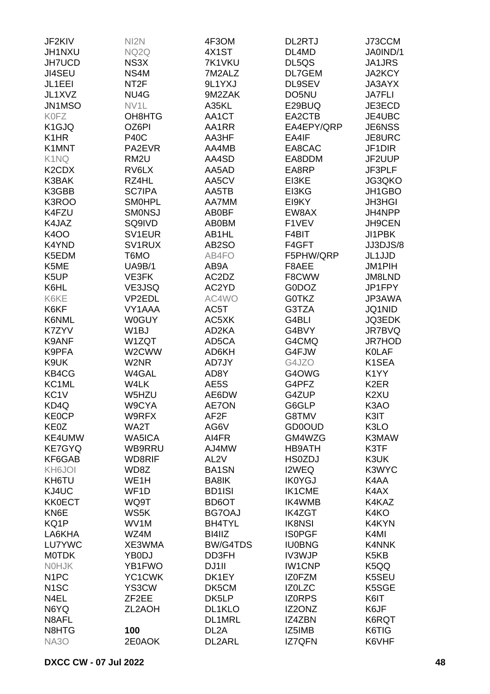| JF2KIV                         | NI <sub>2</sub> N | 4F3OM             | <b>DL2RTJ</b>  | J73CCM                                 |
|--------------------------------|-------------------|-------------------|----------------|----------------------------------------|
| JH1NXU                         | NQ2Q              | 4X1ST             | DL4MD          | JA0IND/1                               |
| <b>JH7UCD</b>                  | NS3X              | 7K1VKU            | DL5QS          | JA1JRS                                 |
| JI4SEU                         | NS4M              | 7M2ALZ            | DL7GEM         | <b>JA2KCY</b>                          |
| JL1EEI                         | NT <sub>2</sub> F | 9L1YXJ            | DL9SEV         | <b>JA3AYX</b>                          |
| JL1XVZ                         | NU4G              | 9M2ZAK            | DO5NU          | <b>JA7FLI</b>                          |
| JN1MSO                         | NV <sub>1</sub> L | A35KL             | E29BUQ         | JE3ECD                                 |
| <b>K0FZ</b>                    | OH8HTG            | AA1CT             | EA2CTB         | JE4UBC                                 |
| K <sub>1</sub> GJQ             | OZ6PI             | AA1RR             | EA4EPY/QRP     | <b>JE6NSS</b>                          |
| K <sub>1</sub> H <sub>R</sub>  | <b>P40C</b>       | AA3HF             | EA4IF          | JE8URC                                 |
| K1MNT                          | PA2EVR            | AA4MB             | EA8CAC         | JF1DIR                                 |
| K1NQ                           | RM <sub>2U</sub>  | AA4SD             | EA8DDM         | JF2UUP                                 |
| K <sub>2</sub> CD <sub>X</sub> | RV6LX             | AA5AD             | EA8RP          | JF3PLF                                 |
| K3BAK                          | RZ4HL             | AA5CV             | EI3KE          | JG3QKO                                 |
| K3GBB                          | <b>SC7IPA</b>     | AA5TB             | EI3KG          | JH1GBO                                 |
| K3ROO                          | <b>SMOHPL</b>     | AA7MM             | EI9KY          | <b>JH3HGI</b>                          |
| K4FZU                          | <b>SMONSJ</b>     | AB0BF             | EW8AX          | JH4NPP                                 |
| K4JAZ                          | SQ9IVD            | <b>AB0BM</b>      | F1VEV          | <b>JH9CEN</b>                          |
| <b>K400</b>                    | SV1EUR            | AB1HL             | F4BIT          | JI1PBK                                 |
| K4YND                          | SV1RUX            | AB2SO             | F4GFT          | JJ3DJS/8                               |
| K5EDM                          | T6MO              | AB4FO             | F5PHW/QRP      | JL1JJD                                 |
| K5ME                           | <b>UA9B/1</b>     | AB9A              | F8AEE          | <b>JM1PIH</b>                          |
| K5UP                           | VE3FK             | AC2DZ             | F8CWW          | <b>JM8LND</b>                          |
| K6HL                           | VE3JSQ            | AC2YD             | G0DOZ          | JP1FPY                                 |
| K6KE                           | VP2EDL            | AC4WO             | G0TKZ          | JP3AWA                                 |
| K6KF                           | VY1AAA            | AC5T              | G3TZA          | <b>JQ1NID</b>                          |
| K6NML                          | <b>W0GUY</b>      | AC5XK             | G4BLI          | <b>JQ3EDK</b>                          |
| K7ZYV                          | W <sub>1</sub> BJ | AD2KA             | G4BVY          | JR7BVQ                                 |
| K9ANF                          | W1ZQT             | AD5CA             | G4CMQ          | <b>JR7HOD</b>                          |
|                                |                   |                   | G4FJW          | <b>KOLAF</b>                           |
| K9PFA<br>K9UK                  | W2CWW             | AD6KH             |                |                                        |
| KB4CG                          | W2NR              | AD7JY             | G4JZO          | K1SEA                                  |
| KC1ML                          | W4GAL             | AD8Y              | G4OWG          | K <sub>1</sub> YY<br>K <sub>2</sub> ER |
| KC <sub>1</sub> V              | W4LK<br>W5HZU     | AE5S<br>AE6DW     | G4PFZ<br>G4ZUP | K <sub>2</sub> XU                      |
| KD4Q                           | W9CYA             |                   |                |                                        |
|                                |                   | <b>AE7ON</b>      | G6GLP          | K3AO                                   |
| <b>KE0CP</b>                   | W9RFX             | AF2F              | G8TMV          | K3IT<br>K3LO                           |
| KE0Z                           | WA2T              | AG6V              | <b>GD0OUD</b>  |                                        |
| KE4UMW                         | WA5ICA            | AI4FR             | GM4WZG         | K3MAW                                  |
| <b>KE7GYQ</b>                  | WB9RRU            | AJ4MW             | <b>HB9ATH</b>  | K3TF                                   |
| KF6GAB                         | WD8RIF            | AL <sub>2V</sub>  | <b>HS0ZDJ</b>  | K3UK                                   |
| KH6JOI                         | WD8Z              | BA1SN             | I2WEQ          | K3WYC                                  |
| KH6TU                          | WE <sub>1</sub> H | BA8IK             | <b>IK0YGJ</b>  | K4AA                                   |
| KJ4UC                          | WF1D              | <b>BD1ISI</b>     | <b>IK1CME</b>  | K4AX                                   |
| <b>KK0ECT</b>                  | WQ9T              | BD6OT             | IK4WMB         | K4KAZ                                  |
| KN6E                           | WS5K              | <b>BG7OAJ</b>     | <b>IK4ZGT</b>  | K4KO                                   |
| KQ1P                           | WV1M              | <b>BH4TYL</b>     | <b>IK8NSI</b>  | K4KYN                                  |
| LA6KHA                         | WZ4M              | BI4IIZ            | <b>ISOPGF</b>  | K4MI                                   |
| LU7YWC                         | XE3WMA            | <b>BW/G4TDS</b>   | <b>IU0BNG</b>  | K4NNK                                  |
| <b>MOTDK</b>                   | YB0DJ             | DD3FH             | IV3WJP         | K <sub>5</sub> K <sub>B</sub>          |
| <b>NOHJK</b>                   | YB1FWO            | DJ1II             | <b>IW1CNP</b>  | K5QQ                                   |
| N <sub>1</sub> PC              | YC1CWK            | DK1EY             | <b>IZOFZM</b>  | K5SEU                                  |
| N <sub>1</sub> SC              | YS3CW             | DK5CM             | <b>IZOLZC</b>  | K5SGE                                  |
| N4EL                           | ZF2EE             | DK5LP             | <b>IZORPS</b>  | K6IT                                   |
| N6YQ                           | ZL2AOH            | DL1KLO            | IZ2ONZ         | K6JF                                   |
| N8AFL                          |                   | DL1MRL            | IZ4ZBN         | K6RQT                                  |
| N8HTG                          | 100               | DL <sub>2</sub> A | IZ5IMB         | K6TIG                                  |
| <b>NA3O</b>                    | 2E0AOK            | DL2ARL            | <b>IZ7QFN</b>  | K6VHF                                  |